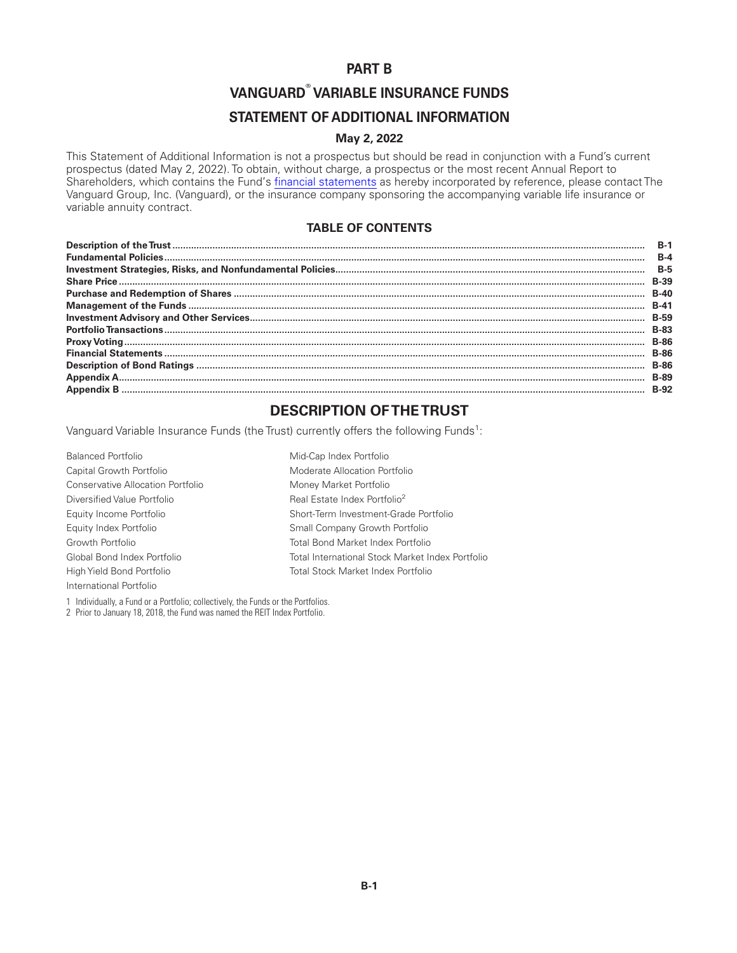### **PART B**

# **VANGUARD® VARIABLE INSURANCE FUNDS**

### **STATEMENT OF ADDITIONAL INFORMATION**

#### **May 2, 2022**

This Statement of Additional Information is not a prospectus but should be read in conjunction with a Fund's current prospectus (dated May 2, 2022). To obtain, without charge, a prospectus or the most recent Annual Report to Shareholders, which contains the Fund's [financial statements](https://www.sec.gov/Archives/edgar/data/857490/000110465922028466/tm225037d7_ncsr.htm) as hereby incorporated by reference, please contact The Vanguard Group, Inc. (Vanguard), or the insurance company sponsoring the accompanying variable life insurance or variable annuity contract.

### **TABLE OF CONTENTS**

| $B-1$       |
|-------------|
| $R - 4$     |
| $B-5$       |
| <b>B-39</b> |
| $B-40$      |
| $B-41$      |
| <b>B-59</b> |
| <b>B-83</b> |
| <b>B-86</b> |
| <b>B-86</b> |
| <b>B-86</b> |
| <b>B-89</b> |
| <b>B-92</b> |

# **DESCRIPTION OF THE TRUST**

Vanguard Variable Insurance Funds (the Trust) currently offers the following Funds<sup>1</sup>:

| <b>Balanced Portfolio</b>         | Mid-Cap Index Portfolio                          |
|-----------------------------------|--------------------------------------------------|
| Capital Growth Portfolio          | Moderate Allocation Portfolio                    |
| Conservative Allocation Portfolio | Money Market Portfolio                           |
| Diversified Value Portfolio       | Real Estate Index Portfolio <sup>2</sup>         |
| Equity Income Portfolio           | Short-Term Investment-Grade Portfolio            |
| Equity Index Portfolio            | Small Company Growth Portfolio                   |
| Growth Portfolio                  | Total Bond Market Index Portfolio                |
| Global Bond Index Portfolio       | Total International Stock Market Index Portfolio |
| High Yield Bond Portfolio         | Total Stock Market Index Portfolio               |
| International Portfolio           |                                                  |

1 Individually, a Fund or a Portfolio; collectively, the Funds or the Portfolios.

2 Prior to January 18, 2018, the Fund was named the REIT Index Portfolio.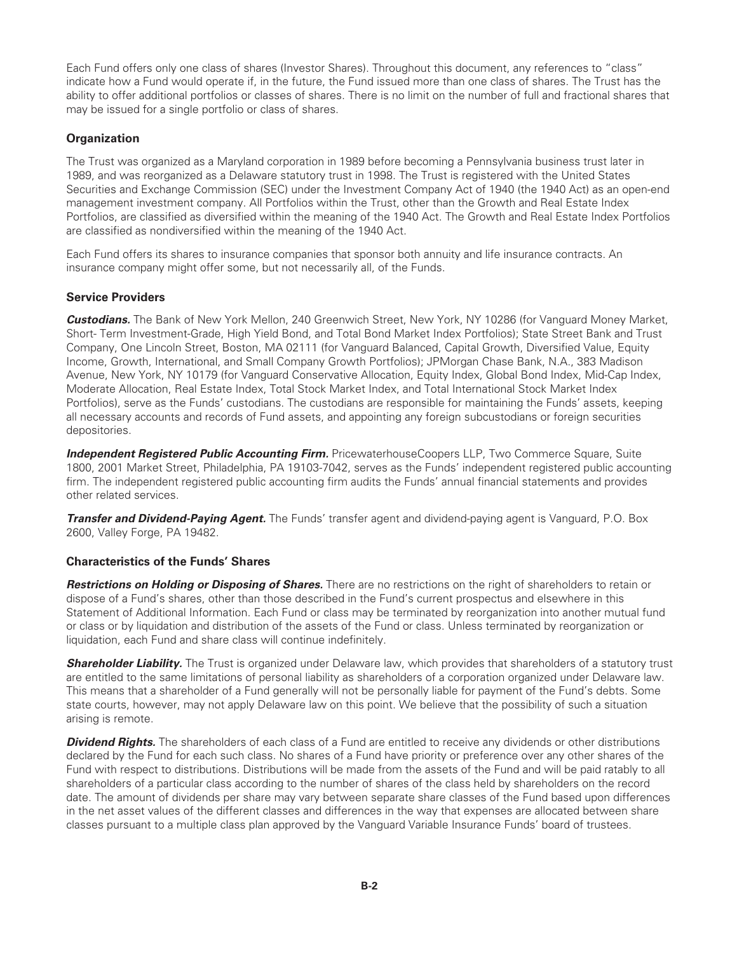<span id="page-1-0"></span>Each Fund offers only one class of shares (Investor Shares). Throughout this document, any references to "class" indicate how a Fund would operate if, in the future, the Fund issued more than one class of shares. The Trust has the ability to offer additional portfolios or classes of shares. There is no limit on the number of full and fractional shares that may be issued for a single portfolio or class of shares.

#### **Organization**

The Trust was organized as a Maryland corporation in 1989 before becoming a Pennsylvania business trust later in 1989, and was reorganized as a Delaware statutory trust in 1998. The Trust is registered with the United States Securities and Exchange Commission (SEC) under the Investment Company Act of 1940 (the 1940 Act) as an open-end management investment company. All Portfolios within the Trust, other than the Growth and Real Estate Index Portfolios, are classified as diversified within the meaning of the 1940 Act. The Growth and Real Estate Index Portfolios are classified as nondiversified within the meaning of the 1940 Act.

Each Fund offers its shares to insurance companies that sponsor both annuity and life insurance contracts. An insurance company might offer some, but not necessarily all, of the Funds.

#### **Service Providers**

*Custodians.* The Bank of New York Mellon, 240 Greenwich Street, New York, NY 10286 (for Vanguard Money Market, Short- Term Investment-Grade, High Yield Bond, and Total Bond Market Index Portfolios); State Street Bank and Trust Company, One Lincoln Street, Boston, MA 02111 (for Vanguard Balanced, Capital Growth, Diversified Value, Equity Income, Growth, International, and Small Company Growth Portfolios); JPMorgan Chase Bank, N.A., 383 Madison Avenue, New York, NY 10179 (for Vanguard Conservative Allocation, Equity Index, Global Bond Index, Mid-Cap Index, Moderate Allocation, Real Estate Index, Total Stock Market Index, and Total International Stock Market Index Portfolios), serve as the Funds' custodians. The custodians are responsible for maintaining the Funds' assets, keeping all necessary accounts and records of Fund assets, and appointing any foreign subcustodians or foreign securities depositories.

**Independent Registered Public Accounting Firm.** PricewaterhouseCoopers LLP, Two Commerce Square, Suite 1800, 2001 Market Street, Philadelphia, PA 19103-7042, serves as the Funds' independent registered public accounting firm. The independent registered public accounting firm audits the Funds' annual financial statements and provides other related services.

*Transfer and Dividend-Paying Agent.* The Funds' transfer agent and dividend-paying agent is Vanguard, P.O. Box 2600, Valley Forge, PA 19482.

#### **Characteristics of the Funds' Shares**

*Restrictions on Holding or Disposing of Shares.* There are no restrictions on the right of shareholders to retain or dispose of a Fund's shares, other than those described in the Fund's current prospectus and elsewhere in this Statement of Additional Information. Each Fund or class may be terminated by reorganization into another mutual fund or class or by liquidation and distribution of the assets of the Fund or class. Unless terminated by reorganization or liquidation, each Fund and share class will continue indefinitely.

**Shareholder Liability.** The Trust is organized under Delaware law, which provides that shareholders of a statutory trust are entitled to the same limitations of personal liability as shareholders of a corporation organized under Delaware law. This means that a shareholder of a Fund generally will not be personally liable for payment of the Fund's debts. Some state courts, however, may not apply Delaware law on this point. We believe that the possibility of such a situation arising is remote.

**Dividend Rights.** The shareholders of each class of a Fund are entitled to receive any dividends or other distributions declared by the Fund for each such class. No shares of a Fund have priority or preference over any other shares of the Fund with respect to distributions. Distributions will be made from the assets of the Fund and will be paid ratably to all shareholders of a particular class according to the number of shares of the class held by shareholders on the record date. The amount of dividends per share may vary between separate share classes of the Fund based upon differences in the net asset values of the different classes and differences in the way that expenses are allocated between share classes pursuant to a multiple class plan approved by the Vanguard Variable Insurance Funds' board of trustees.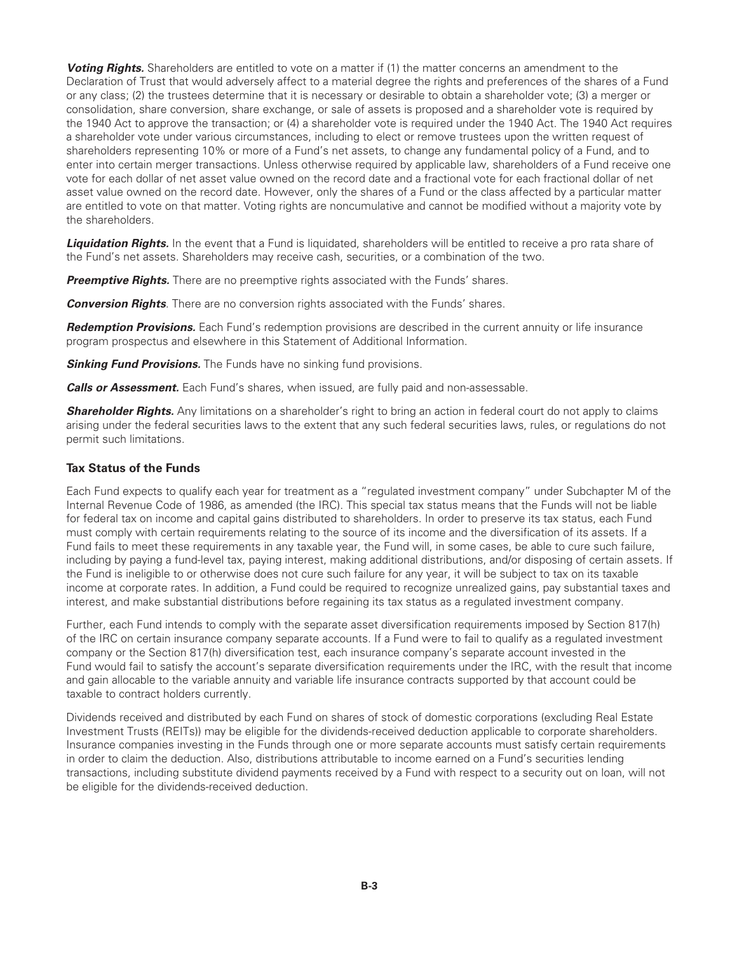**Voting Rights.** Shareholders are entitled to vote on a matter if (1) the matter concerns an amendment to the Declaration of Trust that would adversely affect to a material degree the rights and preferences of the shares of a Fund or any class; (2) the trustees determine that it is necessary or desirable to obtain a shareholder vote; (3) a merger or consolidation, share conversion, share exchange, or sale of assets is proposed and a shareholder vote is required by the 1940 Act to approve the transaction; or (4) a shareholder vote is required under the 1940 Act. The 1940 Act requires a shareholder vote under various circumstances, including to elect or remove trustees upon the written request of shareholders representing 10% or more of a Fund's net assets, to change any fundamental policy of a Fund, and to enter into certain merger transactions. Unless otherwise required by applicable law, shareholders of a Fund receive one vote for each dollar of net asset value owned on the record date and a fractional vote for each fractional dollar of net asset value owned on the record date. However, only the shares of a Fund or the class affected by a particular matter are entitled to vote on that matter. Voting rights are noncumulative and cannot be modified without a majority vote by the shareholders.

**Liquidation Rights.** In the event that a Fund is liquidated, shareholders will be entitled to receive a pro rata share of the Fund's net assets. Shareholders may receive cash, securities, or a combination of the two.

**Preemptive Rights.** There are no preemptive rights associated with the Funds' shares.

*Conversion Rights*. There are no conversion rights associated with the Funds' shares.

*Redemption Provisions.* Each Fund's redemption provisions are described in the current annuity or life insurance program prospectus and elsewhere in this Statement of Additional Information.

**Sinking Fund Provisions.** The Funds have no sinking fund provisions.

*Calls or Assessment.* Each Fund's shares, when issued, are fully paid and non-assessable.

**Shareholder Rights.** Any limitations on a shareholder's right to bring an action in federal court do not apply to claims arising under the federal securities laws to the extent that any such federal securities laws, rules, or regulations do not permit such limitations.

#### **Tax Status of the Funds**

Each Fund expects to qualify each year for treatment as a "regulated investment company" under Subchapter M of the Internal Revenue Code of 1986, as amended (the IRC). This special tax status means that the Funds will not be liable for federal tax on income and capital gains distributed to shareholders. In order to preserve its tax status, each Fund must comply with certain requirements relating to the source of its income and the diversification of its assets. If a Fund fails to meet these requirements in any taxable year, the Fund will, in some cases, be able to cure such failure, including by paying a fund-level tax, paying interest, making additional distributions, and/or disposing of certain assets. If the Fund is ineligible to or otherwise does not cure such failure for any year, it will be subject to tax on its taxable income at corporate rates. In addition, a Fund could be required to recognize unrealized gains, pay substantial taxes and interest, and make substantial distributions before regaining its tax status as a regulated investment company.

Further, each Fund intends to comply with the separate asset diversification requirements imposed by Section 817(h) of the IRC on certain insurance company separate accounts. If a Fund were to fail to qualify as a regulated investment company or the Section 817(h) diversification test, each insurance company's separate account invested in the Fund would fail to satisfy the account's separate diversification requirements under the IRC, with the result that income and gain allocable to the variable annuity and variable life insurance contracts supported by that account could be taxable to contract holders currently.

Dividends received and distributed by each Fund on shares of stock of domestic corporations (excluding Real Estate Investment Trusts (REITs)) may be eligible for the dividends-received deduction applicable to corporate shareholders. Insurance companies investing in the Funds through one or more separate accounts must satisfy certain requirements in order to claim the deduction. Also, distributions attributable to income earned on a Fund's securities lending transactions, including substitute dividend payments received by a Fund with respect to a security out on loan, will not be eligible for the dividends-received deduction.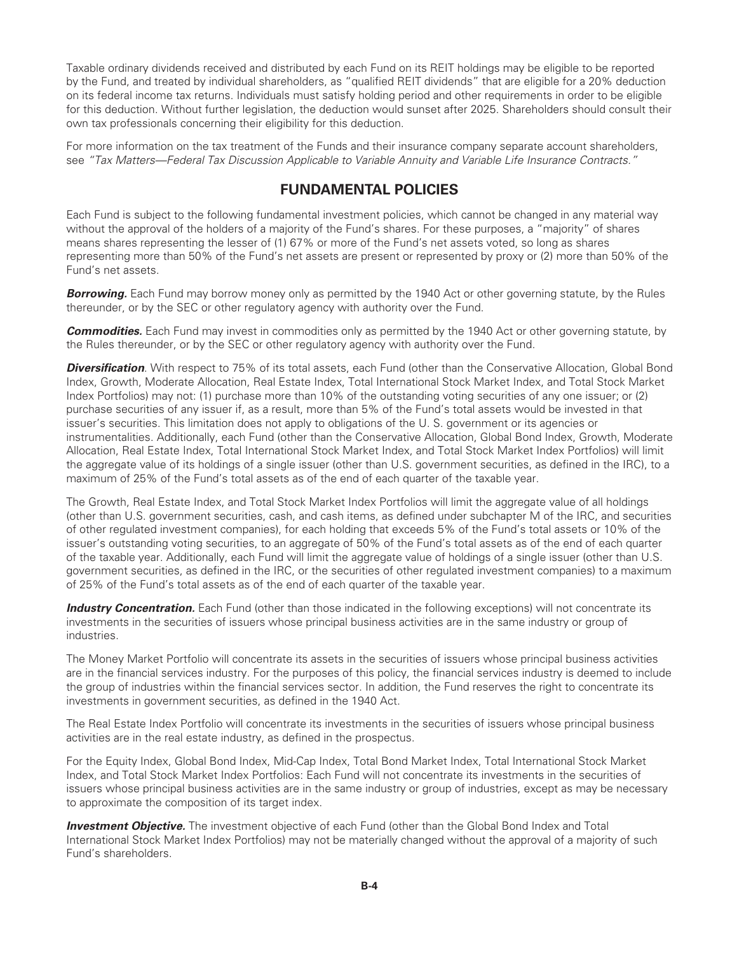<span id="page-3-0"></span>Taxable ordinary dividends received and distributed by each Fund on its REIT holdings may be eligible to be reported by the Fund, and treated by individual shareholders, as "qualified REIT dividends" that are eligible for a 20% deduction on its federal income tax returns. Individuals must satisfy holding period and other requirements in order to be eligible for this deduction. Without further legislation, the deduction would sunset after 2025. Shareholders should consult their own tax professionals concerning their eligibility for this deduction.

For more information on the tax treatment of the Funds and their insurance company separate account shareholders, see *"Tax Matters—Federal Tax Discussion Applicable to Variable Annuity and Variable Life Insurance Contracts."*

## **FUNDAMENTAL POLICIES**

Each Fund is subject to the following fundamental investment policies, which cannot be changed in any material way without the approval of the holders of a majority of the Fund's shares. For these purposes, a "majority" of shares means shares representing the lesser of (1) 67% or more of the Fund's net assets voted, so long as shares representing more than 50% of the Fund's net assets are present or represented by proxy or (2) more than 50% of the Fund's net assets.

**Borrowing.** Each Fund may borrow money only as permitted by the 1940 Act or other governing statute, by the Rules thereunder, or by the SEC or other regulatory agency with authority over the Fund.

*Commodities.* Each Fund may invest in commodities only as permitted by the 1940 Act or other governing statute, by the Rules thereunder, or by the SEC or other regulatory agency with authority over the Fund.

*Diversification*. With respect to 75% of its total assets, each Fund (other than the Conservative Allocation, Global Bond Index, Growth, Moderate Allocation, Real Estate Index, Total International Stock Market Index, and Total Stock Market Index Portfolios) may not: (1) purchase more than 10% of the outstanding voting securities of any one issuer; or (2) purchase securities of any issuer if, as a result, more than 5% of the Fund's total assets would be invested in that issuer's securities. This limitation does not apply to obligations of the U. S. government or its agencies or instrumentalities. Additionally, each Fund (other than the Conservative Allocation, Global Bond Index, Growth, Moderate Allocation, Real Estate Index, Total International Stock Market Index, and Total Stock Market Index Portfolios) will limit the aggregate value of its holdings of a single issuer (other than U.S. government securities, as defined in the IRC), to a maximum of 25% of the Fund's total assets as of the end of each quarter of the taxable year.

The Growth, Real Estate Index, and Total Stock Market Index Portfolios will limit the aggregate value of all holdings (other than U.S. government securities, cash, and cash items, as defined under subchapter M of the IRC, and securities of other regulated investment companies), for each holding that exceeds 5% of the Fund's total assets or 10% of the issuer's outstanding voting securities, to an aggregate of 50% of the Fund's total assets as of the end of each quarter of the taxable year. Additionally, each Fund will limit the aggregate value of holdings of a single issuer (other than U.S. government securities, as defined in the IRC, or the securities of other regulated investment companies) to a maximum of 25% of the Fund's total assets as of the end of each quarter of the taxable year.

*Industry Concentration.* Each Fund (other than those indicated in the following exceptions) will not concentrate its investments in the securities of issuers whose principal business activities are in the same industry or group of industries.

The Money Market Portfolio will concentrate its assets in the securities of issuers whose principal business activities are in the financial services industry. For the purposes of this policy, the financial services industry is deemed to include the group of industries within the financial services sector. In addition, the Fund reserves the right to concentrate its investments in government securities, as defined in the 1940 Act.

The Real Estate Index Portfolio will concentrate its investments in the securities of issuers whose principal business activities are in the real estate industry, as defined in the prospectus.

For the Equity Index, Global Bond Index, Mid-Cap Index, Total Bond Market Index, Total International Stock Market Index, and Total Stock Market Index Portfolios: Each Fund will not concentrate its investments in the securities of issuers whose principal business activities are in the same industry or group of industries, except as may be necessary to approximate the composition of its target index.

**Investment Objective.** The investment objective of each Fund (other than the Global Bond Index and Total International Stock Market Index Portfolios) may not be materially changed without the approval of a majority of such Fund's shareholders.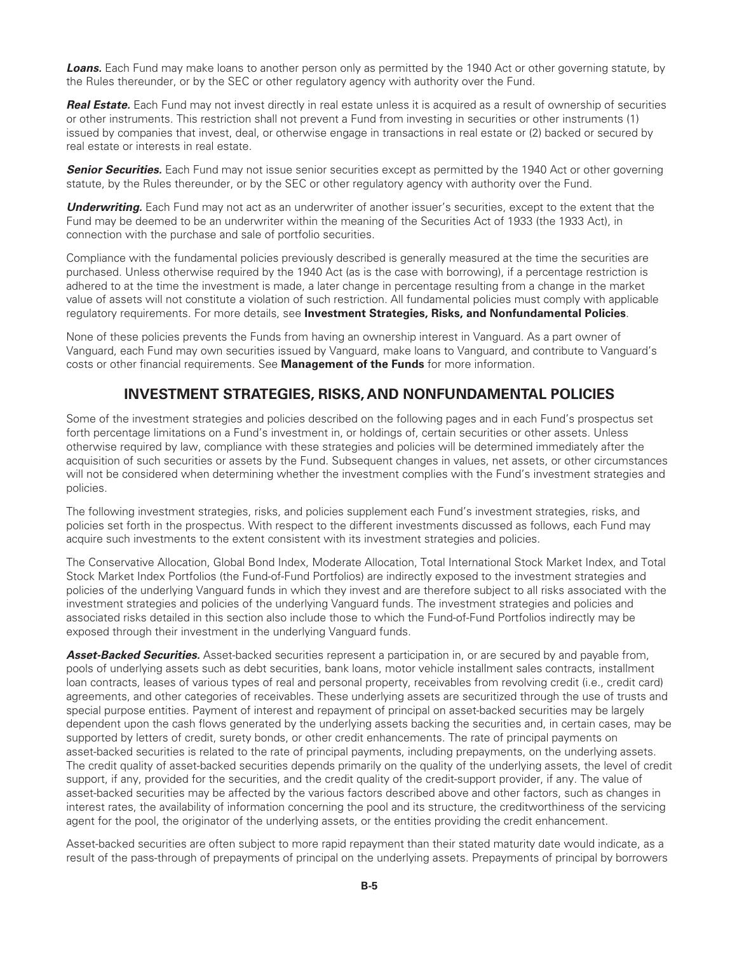<span id="page-4-0"></span>*Loans.* Each Fund may make loans to another person only as permitted by the 1940 Act or other governing statute, by the Rules thereunder, or by the SEC or other regulatory agency with authority over the Fund.

**Real Estate.** Each Fund may not invest directly in real estate unless it is acquired as a result of ownership of securities or other instruments. This restriction shall not prevent a Fund from investing in securities or other instruments (1) issued by companies that invest, deal, or otherwise engage in transactions in real estate or (2) backed or secured by real estate or interests in real estate.

**Senior Securities.** Each Fund may not issue senior securities except as permitted by the 1940 Act or other governing statute, by the Rules thereunder, or by the SEC or other regulatory agency with authority over the Fund.

*Underwriting.* Each Fund may not act as an underwriter of another issuer's securities, except to the extent that the Fund may be deemed to be an underwriter within the meaning of the Securities Act of 1933 (the 1933 Act), in connection with the purchase and sale of portfolio securities.

Compliance with the fundamental policies previously described is generally measured at the time the securities are purchased. Unless otherwise required by the 1940 Act (as is the case with borrowing), if a percentage restriction is adhered to at the time the investment is made, a later change in percentage resulting from a change in the market value of assets will not constitute a violation of such restriction. All fundamental policies must comply with applicable regulatory requirements. For more details, see **Investment Strategies, Risks, and Nonfundamental Policies**.

None of these policies prevents the Funds from having an ownership interest in Vanguard. As a part owner of Vanguard, each Fund may own securities issued by Vanguard, make loans to Vanguard, and contribute to Vanguard's costs or other financial requirements. See **Management of the Funds** for more information.

## **INVESTMENT STRATEGIES, RISKS, AND NONFUNDAMENTAL POLICIES**

Some of the investment strategies and policies described on the following pages and in each Fund's prospectus set forth percentage limitations on a Fund's investment in, or holdings of, certain securities or other assets. Unless otherwise required by law, compliance with these strategies and policies will be determined immediately after the acquisition of such securities or assets by the Fund. Subsequent changes in values, net assets, or other circumstances will not be considered when determining whether the investment complies with the Fund's investment strategies and policies.

The following investment strategies, risks, and policies supplement each Fund's investment strategies, risks, and policies set forth in the prospectus. With respect to the different investments discussed as follows, each Fund may acquire such investments to the extent consistent with its investment strategies and policies.

The Conservative Allocation, Global Bond Index, Moderate Allocation, Total International Stock Market Index, and Total Stock Market Index Portfolios (the Fund-of-Fund Portfolios) are indirectly exposed to the investment strategies and policies of the underlying Vanguard funds in which they invest and are therefore subject to all risks associated with the investment strategies and policies of the underlying Vanguard funds. The investment strategies and policies and associated risks detailed in this section also include those to which the Fund-of-Fund Portfolios indirectly may be exposed through their investment in the underlying Vanguard funds.

*Asset-Backed Securities.* Asset-backed securities represent a participation in, or are secured by and payable from, pools of underlying assets such as debt securities, bank loans, motor vehicle installment sales contracts, installment loan contracts, leases of various types of real and personal property, receivables from revolving credit (i.e., credit card) agreements, and other categories of receivables. These underlying assets are securitized through the use of trusts and special purpose entities. Payment of interest and repayment of principal on asset-backed securities may be largely dependent upon the cash flows generated by the underlying assets backing the securities and, in certain cases, may be supported by letters of credit, surety bonds, or other credit enhancements. The rate of principal payments on asset-backed securities is related to the rate of principal payments, including prepayments, on the underlying assets. The credit quality of asset-backed securities depends primarily on the quality of the underlying assets, the level of credit support, if any, provided for the securities, and the credit quality of the credit-support provider, if any. The value of asset-backed securities may be affected by the various factors described above and other factors, such as changes in interest rates, the availability of information concerning the pool and its structure, the creditworthiness of the servicing agent for the pool, the originator of the underlying assets, or the entities providing the credit enhancement.

Asset-backed securities are often subject to more rapid repayment than their stated maturity date would indicate, as a result of the pass-through of prepayments of principal on the underlying assets. Prepayments of principal by borrowers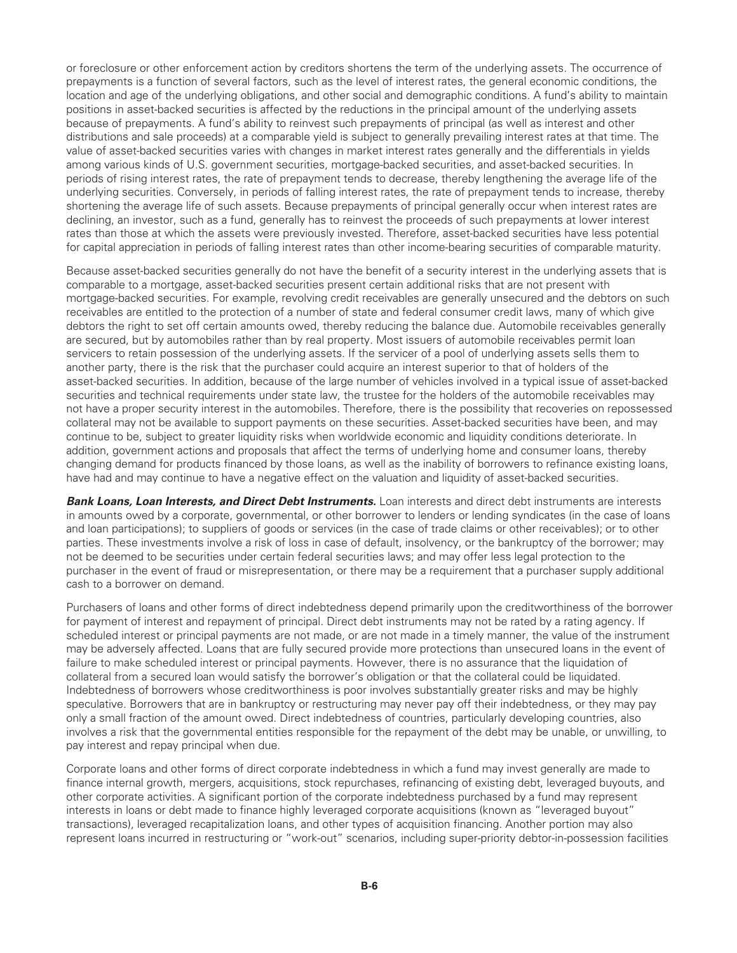or foreclosure or other enforcement action by creditors shortens the term of the underlying assets. The occurrence of prepayments is a function of several factors, such as the level of interest rates, the general economic conditions, the location and age of the underlying obligations, and other social and demographic conditions. A fund's ability to maintain positions in asset-backed securities is affected by the reductions in the principal amount of the underlying assets because of prepayments. A fund's ability to reinvest such prepayments of principal (as well as interest and other distributions and sale proceeds) at a comparable yield is subject to generally prevailing interest rates at that time. The value of asset-backed securities varies with changes in market interest rates generally and the differentials in yields among various kinds of U.S. government securities, mortgage-backed securities, and asset-backed securities. In periods of rising interest rates, the rate of prepayment tends to decrease, thereby lengthening the average life of the underlying securities. Conversely, in periods of falling interest rates, the rate of prepayment tends to increase, thereby shortening the average life of such assets. Because prepayments of principal generally occur when interest rates are declining, an investor, such as a fund, generally has to reinvest the proceeds of such prepayments at lower interest rates than those at which the assets were previously invested. Therefore, asset-backed securities have less potential for capital appreciation in periods of falling interest rates than other income-bearing securities of comparable maturity.

Because asset-backed securities generally do not have the benefit of a security interest in the underlying assets that is comparable to a mortgage, asset-backed securities present certain additional risks that are not present with mortgage-backed securities. For example, revolving credit receivables are generally unsecured and the debtors on such receivables are entitled to the protection of a number of state and federal consumer credit laws, many of which give debtors the right to set off certain amounts owed, thereby reducing the balance due. Automobile receivables generally are secured, but by automobiles rather than by real property. Most issuers of automobile receivables permit loan servicers to retain possession of the underlying assets. If the servicer of a pool of underlying assets sells them to another party, there is the risk that the purchaser could acquire an interest superior to that of holders of the asset-backed securities. In addition, because of the large number of vehicles involved in a typical issue of asset-backed securities and technical requirements under state law, the trustee for the holders of the automobile receivables may not have a proper security interest in the automobiles. Therefore, there is the possibility that recoveries on repossessed collateral may not be available to support payments on these securities. Asset-backed securities have been, and may continue to be, subject to greater liquidity risks when worldwide economic and liquidity conditions deteriorate. In addition, government actions and proposals that affect the terms of underlying home and consumer loans, thereby changing demand for products financed by those loans, as well as the inability of borrowers to refinance existing loans, have had and may continue to have a negative effect on the valuation and liquidity of asset-backed securities.

*Bank Loans, Loan Interests, and Direct Debt Instruments.* Loan interests and direct debt instruments are interests in amounts owed by a corporate, governmental, or other borrower to lenders or lending syndicates (in the case of loans and loan participations); to suppliers of goods or services (in the case of trade claims or other receivables); or to other parties. These investments involve a risk of loss in case of default, insolvency, or the bankruptcy of the borrower; may not be deemed to be securities under certain federal securities laws; and may offer less legal protection to the purchaser in the event of fraud or misrepresentation, or there may be a requirement that a purchaser supply additional cash to a borrower on demand.

Purchasers of loans and other forms of direct indebtedness depend primarily upon the creditworthiness of the borrower for payment of interest and repayment of principal. Direct debt instruments may not be rated by a rating agency. If scheduled interest or principal payments are not made, or are not made in a timely manner, the value of the instrument may be adversely affected. Loans that are fully secured provide more protections than unsecured loans in the event of failure to make scheduled interest or principal payments. However, there is no assurance that the liquidation of collateral from a secured loan would satisfy the borrower's obligation or that the collateral could be liquidated. Indebtedness of borrowers whose creditworthiness is poor involves substantially greater risks and may be highly speculative. Borrowers that are in bankruptcy or restructuring may never pay off their indebtedness, or they may pay only a small fraction of the amount owed. Direct indebtedness of countries, particularly developing countries, also involves a risk that the governmental entities responsible for the repayment of the debt may be unable, or unwilling, to pay interest and repay principal when due.

Corporate loans and other forms of direct corporate indebtedness in which a fund may invest generally are made to finance internal growth, mergers, acquisitions, stock repurchases, refinancing of existing debt, leveraged buyouts, and other corporate activities. A significant portion of the corporate indebtedness purchased by a fund may represent interests in loans or debt made to finance highly leveraged corporate acquisitions (known as "leveraged buyout" transactions), leveraged recapitalization loans, and other types of acquisition financing. Another portion may also represent loans incurred in restructuring or "work-out" scenarios, including super-priority debtor-in-possession facilities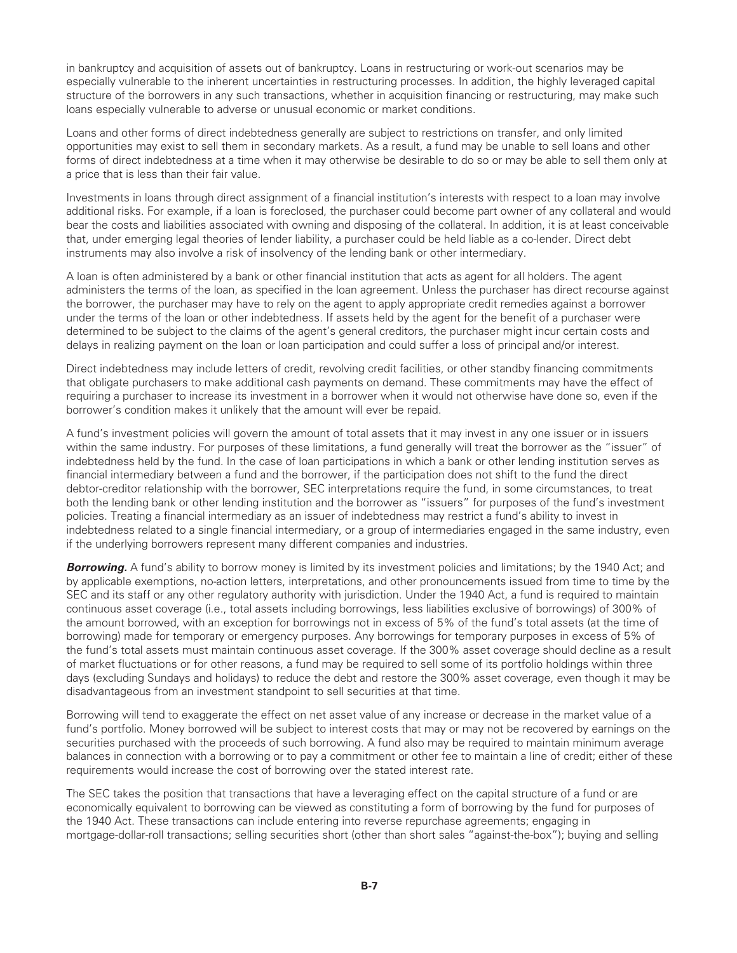in bankruptcy and acquisition of assets out of bankruptcy. Loans in restructuring or work-out scenarios may be especially vulnerable to the inherent uncertainties in restructuring processes. In addition, the highly leveraged capital structure of the borrowers in any such transactions, whether in acquisition financing or restructuring, may make such loans especially vulnerable to adverse or unusual economic or market conditions.

Loans and other forms of direct indebtedness generally are subject to restrictions on transfer, and only limited opportunities may exist to sell them in secondary markets. As a result, a fund may be unable to sell loans and other forms of direct indebtedness at a time when it may otherwise be desirable to do so or may be able to sell them only at a price that is less than their fair value.

Investments in loans through direct assignment of a financial institution's interests with respect to a loan may involve additional risks. For example, if a loan is foreclosed, the purchaser could become part owner of any collateral and would bear the costs and liabilities associated with owning and disposing of the collateral. In addition, it is at least conceivable that, under emerging legal theories of lender liability, a purchaser could be held liable as a co-lender. Direct debt instruments may also involve a risk of insolvency of the lending bank or other intermediary.

A loan is often administered by a bank or other financial institution that acts as agent for all holders. The agent administers the terms of the loan, as specified in the loan agreement. Unless the purchaser has direct recourse against the borrower, the purchaser may have to rely on the agent to apply appropriate credit remedies against a borrower under the terms of the loan or other indebtedness. If assets held by the agent for the benefit of a purchaser were determined to be subject to the claims of the agent's general creditors, the purchaser might incur certain costs and delays in realizing payment on the loan or loan participation and could suffer a loss of principal and/or interest.

Direct indebtedness may include letters of credit, revolving credit facilities, or other standby financing commitments that obligate purchasers to make additional cash payments on demand. These commitments may have the effect of requiring a purchaser to increase its investment in a borrower when it would not otherwise have done so, even if the borrower's condition makes it unlikely that the amount will ever be repaid.

A fund's investment policies will govern the amount of total assets that it may invest in any one issuer or in issuers within the same industry. For purposes of these limitations, a fund generally will treat the borrower as the "issuer" of indebtedness held by the fund. In the case of loan participations in which a bank or other lending institution serves as financial intermediary between a fund and the borrower, if the participation does not shift to the fund the direct debtor-creditor relationship with the borrower, SEC interpretations require the fund, in some circumstances, to treat both the lending bank or other lending institution and the borrower as "issuers" for purposes of the fund's investment policies. Treating a financial intermediary as an issuer of indebtedness may restrict a fund's ability to invest in indebtedness related to a single financial intermediary, or a group of intermediaries engaged in the same industry, even if the underlying borrowers represent many different companies and industries.

**Borrowing.** A fund's ability to borrow money is limited by its investment policies and limitations; by the 1940 Act; and by applicable exemptions, no-action letters, interpretations, and other pronouncements issued from time to time by the SEC and its staff or any other regulatory authority with jurisdiction. Under the 1940 Act, a fund is required to maintain continuous asset coverage (i.e., total assets including borrowings, less liabilities exclusive of borrowings) of 300% of the amount borrowed, with an exception for borrowings not in excess of 5% of the fund's total assets (at the time of borrowing) made for temporary or emergency purposes. Any borrowings for temporary purposes in excess of 5% of the fund's total assets must maintain continuous asset coverage. If the 300% asset coverage should decline as a result of market fluctuations or for other reasons, a fund may be required to sell some of its portfolio holdings within three days (excluding Sundays and holidays) to reduce the debt and restore the 300% asset coverage, even though it may be disadvantageous from an investment standpoint to sell securities at that time.

Borrowing will tend to exaggerate the effect on net asset value of any increase or decrease in the market value of a fund's portfolio. Money borrowed will be subject to interest costs that may or may not be recovered by earnings on the securities purchased with the proceeds of such borrowing. A fund also may be required to maintain minimum average balances in connection with a borrowing or to pay a commitment or other fee to maintain a line of credit; either of these requirements would increase the cost of borrowing over the stated interest rate.

The SEC takes the position that transactions that have a leveraging effect on the capital structure of a fund or are economically equivalent to borrowing can be viewed as constituting a form of borrowing by the fund for purposes of the 1940 Act. These transactions can include entering into reverse repurchase agreements; engaging in mortgage-dollar-roll transactions; selling securities short (other than short sales "against-the-box"); buying and selling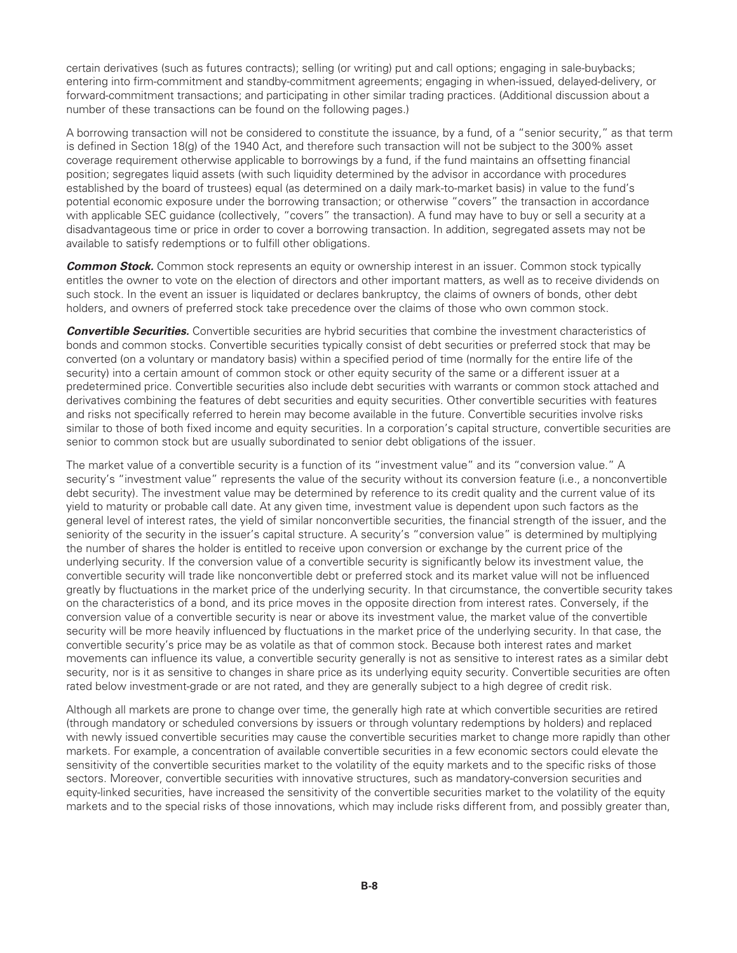certain derivatives (such as futures contracts); selling (or writing) put and call options; engaging in sale-buybacks; entering into firm-commitment and standby-commitment agreements; engaging in when-issued, delayed-delivery, or forward-commitment transactions; and participating in other similar trading practices. (Additional discussion about a number of these transactions can be found on the following pages.)

A borrowing transaction will not be considered to constitute the issuance, by a fund, of a "senior security," as that term is defined in Section 18(g) of the 1940 Act, and therefore such transaction will not be subject to the 300% asset coverage requirement otherwise applicable to borrowings by a fund, if the fund maintains an offsetting financial position; segregates liquid assets (with such liquidity determined by the advisor in accordance with procedures established by the board of trustees) equal (as determined on a daily mark-to-market basis) in value to the fund's potential economic exposure under the borrowing transaction; or otherwise "covers" the transaction in accordance with applicable SEC guidance (collectively, "covers" the transaction). A fund may have to buy or sell a security at a disadvantageous time or price in order to cover a borrowing transaction. In addition, segregated assets may not be available to satisfy redemptions or to fulfill other obligations.

**Common Stock.** Common stock represents an equity or ownership interest in an issuer. Common stock typically entitles the owner to vote on the election of directors and other important matters, as well as to receive dividends on such stock. In the event an issuer is liquidated or declares bankruptcy, the claims of owners of bonds, other debt holders, and owners of preferred stock take precedence over the claims of those who own common stock.

*Convertible Securities.* Convertible securities are hybrid securities that combine the investment characteristics of bonds and common stocks. Convertible securities typically consist of debt securities or preferred stock that may be converted (on a voluntary or mandatory basis) within a specified period of time (normally for the entire life of the security) into a certain amount of common stock or other equity security of the same or a different issuer at a predetermined price. Convertible securities also include debt securities with warrants or common stock attached and derivatives combining the features of debt securities and equity securities. Other convertible securities with features and risks not specifically referred to herein may become available in the future. Convertible securities involve risks similar to those of both fixed income and equity securities. In a corporation's capital structure, convertible securities are senior to common stock but are usually subordinated to senior debt obligations of the issuer.

The market value of a convertible security is a function of its "investment value" and its "conversion value." A security's "investment value" represents the value of the security without its conversion feature (i.e., a nonconvertible debt security). The investment value may be determined by reference to its credit quality and the current value of its yield to maturity or probable call date. At any given time, investment value is dependent upon such factors as the general level of interest rates, the yield of similar nonconvertible securities, the financial strength of the issuer, and the seniority of the security in the issuer's capital structure. A security's "conversion value" is determined by multiplying the number of shares the holder is entitled to receive upon conversion or exchange by the current price of the underlying security. If the conversion value of a convertible security is significantly below its investment value, the convertible security will trade like nonconvertible debt or preferred stock and its market value will not be influenced greatly by fluctuations in the market price of the underlying security. In that circumstance, the convertible security takes on the characteristics of a bond, and its price moves in the opposite direction from interest rates. Conversely, if the conversion value of a convertible security is near or above its investment value, the market value of the convertible security will be more heavily influenced by fluctuations in the market price of the underlying security. In that case, the convertible security's price may be as volatile as that of common stock. Because both interest rates and market movements can influence its value, a convertible security generally is not as sensitive to interest rates as a similar debt security, nor is it as sensitive to changes in share price as its underlying equity security. Convertible securities are often rated below investment-grade or are not rated, and they are generally subject to a high degree of credit risk.

Although all markets are prone to change over time, the generally high rate at which convertible securities are retired (through mandatory or scheduled conversions by issuers or through voluntary redemptions by holders) and replaced with newly issued convertible securities may cause the convertible securities market to change more rapidly than other markets. For example, a concentration of available convertible securities in a few economic sectors could elevate the sensitivity of the convertible securities market to the volatility of the equity markets and to the specific risks of those sectors. Moreover, convertible securities with innovative structures, such as mandatory-conversion securities and equity-linked securities, have increased the sensitivity of the convertible securities market to the volatility of the equity markets and to the special risks of those innovations, which may include risks different from, and possibly greater than,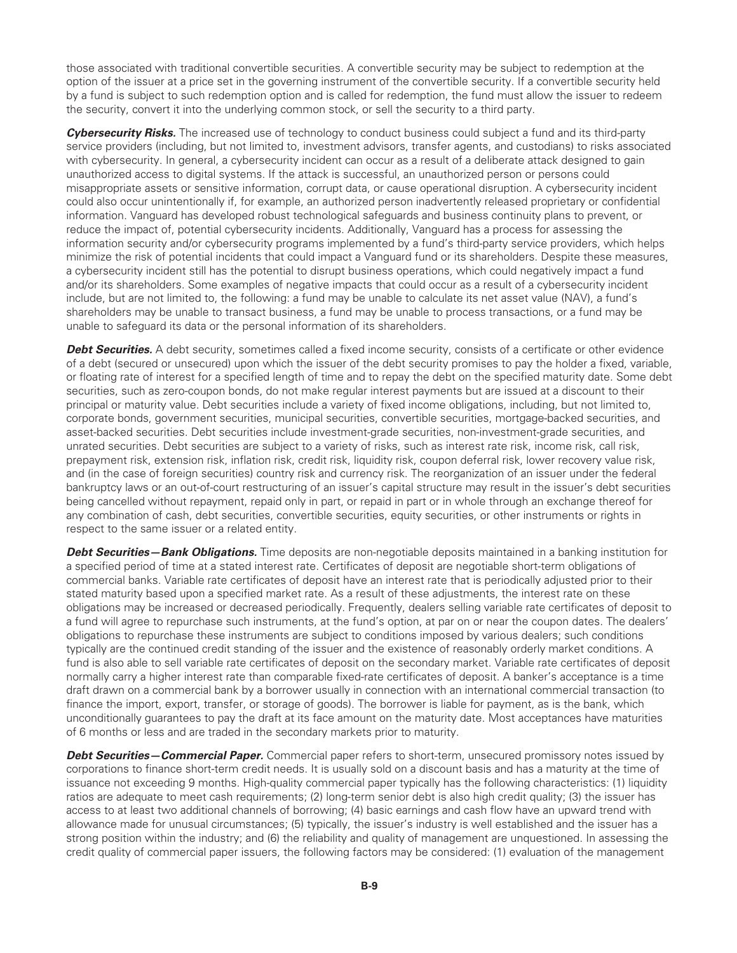those associated with traditional convertible securities. A convertible security may be subject to redemption at the option of the issuer at a price set in the governing instrument of the convertible security. If a convertible security held by a fund is subject to such redemption option and is called for redemption, the fund must allow the issuer to redeem the security, convert it into the underlying common stock, or sell the security to a third party.

*Cybersecurity Risks.* The increased use of technology to conduct business could subject a fund and its third-party service providers (including, but not limited to, investment advisors, transfer agents, and custodians) to risks associated with cybersecurity. In general, a cybersecurity incident can occur as a result of a deliberate attack designed to gain unauthorized access to digital systems. If the attack is successful, an unauthorized person or persons could misappropriate assets or sensitive information, corrupt data, or cause operational disruption. A cybersecurity incident could also occur unintentionally if, for example, an authorized person inadvertently released proprietary or confidential information. Vanguard has developed robust technological safeguards and business continuity plans to prevent, or reduce the impact of, potential cybersecurity incidents. Additionally, Vanguard has a process for assessing the information security and/or cybersecurity programs implemented by a fund's third-party service providers, which helps minimize the risk of potential incidents that could impact a Vanguard fund or its shareholders. Despite these measures, a cybersecurity incident still has the potential to disrupt business operations, which could negatively impact a fund and/or its shareholders. Some examples of negative impacts that could occur as a result of a cybersecurity incident include, but are not limited to, the following: a fund may be unable to calculate its net asset value (NAV), a fund's shareholders may be unable to transact business, a fund may be unable to process transactions, or a fund may be unable to safeguard its data or the personal information of its shareholders.

**Debt Securities.** A debt security, sometimes called a fixed income security, consists of a certificate or other evidence of a debt (secured or unsecured) upon which the issuer of the debt security promises to pay the holder a fixed, variable, or floating rate of interest for a specified length of time and to repay the debt on the specified maturity date. Some debt securities, such as zero-coupon bonds, do not make regular interest payments but are issued at a discount to their principal or maturity value. Debt securities include a variety of fixed income obligations, including, but not limited to, corporate bonds, government securities, municipal securities, convertible securities, mortgage-backed securities, and asset-backed securities. Debt securities include investment-grade securities, non-investment-grade securities, and unrated securities. Debt securities are subject to a variety of risks, such as interest rate risk, income risk, call risk, prepayment risk, extension risk, inflation risk, credit risk, liquidity risk, coupon deferral risk, lower recovery value risk, and (in the case of foreign securities) country risk and currency risk. The reorganization of an issuer under the federal bankruptcy laws or an out-of-court restructuring of an issuer's capital structure may result in the issuer's debt securities being cancelled without repayment, repaid only in part, or repaid in part or in whole through an exchange thereof for any combination of cash, debt securities, convertible securities, equity securities, or other instruments or rights in respect to the same issuer or a related entity.

*Debt Securities—Bank Obligations.* Time deposits are non-negotiable deposits maintained in a banking institution for a specified period of time at a stated interest rate. Certificates of deposit are negotiable short-term obligations of commercial banks. Variable rate certificates of deposit have an interest rate that is periodically adjusted prior to their stated maturity based upon a specified market rate. As a result of these adjustments, the interest rate on these obligations may be increased or decreased periodically. Frequently, dealers selling variable rate certificates of deposit to a fund will agree to repurchase such instruments, at the fund's option, at par on or near the coupon dates. The dealers' obligations to repurchase these instruments are subject to conditions imposed by various dealers; such conditions typically are the continued credit standing of the issuer and the existence of reasonably orderly market conditions. A fund is also able to sell variable rate certificates of deposit on the secondary market. Variable rate certificates of deposit normally carry a higher interest rate than comparable fixed-rate certificates of deposit. A banker's acceptance is a time draft drawn on a commercial bank by a borrower usually in connection with an international commercial transaction (to finance the import, export, transfer, or storage of goods). The borrower is liable for payment, as is the bank, which unconditionally guarantees to pay the draft at its face amount on the maturity date. Most acceptances have maturities of 6 months or less and are traded in the secondary markets prior to maturity.

*Debt Securities—Commercial Paper.* Commercial paper refers to short-term, unsecured promissory notes issued by corporations to finance short-term credit needs. It is usually sold on a discount basis and has a maturity at the time of issuance not exceeding 9 months. High-quality commercial paper typically has the following characteristics: (1) liquidity ratios are adequate to meet cash requirements; (2) long-term senior debt is also high credit quality; (3) the issuer has access to at least two additional channels of borrowing; (4) basic earnings and cash flow have an upward trend with allowance made for unusual circumstances; (5) typically, the issuer's industry is well established and the issuer has a strong position within the industry; and (6) the reliability and quality of management are unquestioned. In assessing the credit quality of commercial paper issuers, the following factors may be considered: (1) evaluation of the management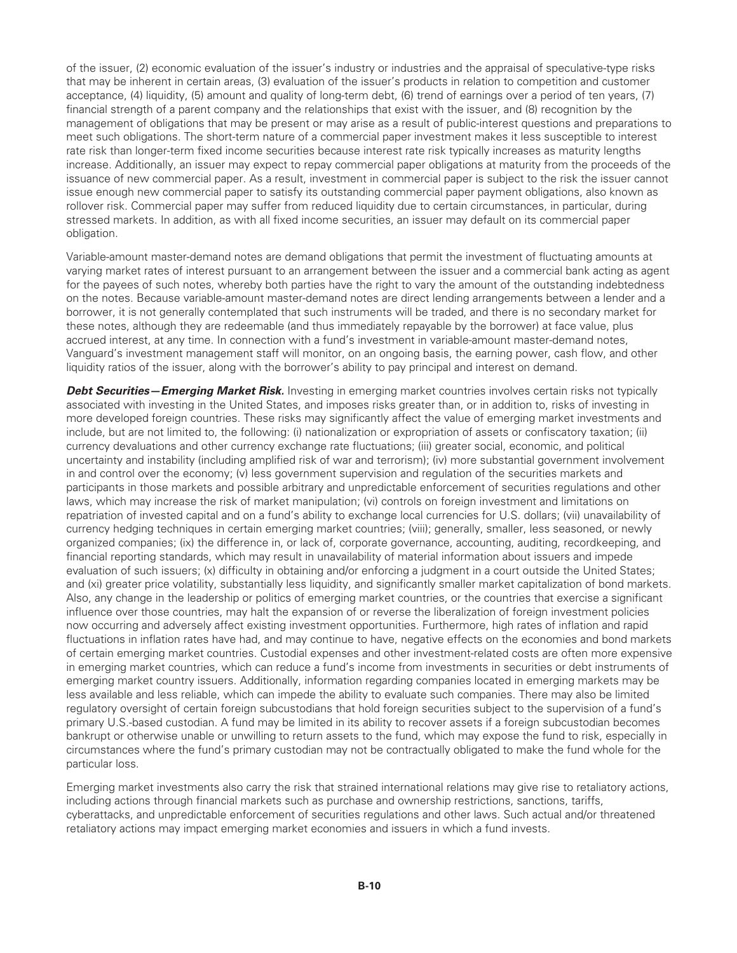of the issuer, (2) economic evaluation of the issuer's industry or industries and the appraisal of speculative-type risks that may be inherent in certain areas, (3) evaluation of the issuer's products in relation to competition and customer acceptance, (4) liquidity, (5) amount and quality of long-term debt, (6) trend of earnings over a period of ten years, (7) financial strength of a parent company and the relationships that exist with the issuer, and (8) recognition by the management of obligations that may be present or may arise as a result of public-interest questions and preparations to meet such obligations. The short-term nature of a commercial paper investment makes it less susceptible to interest rate risk than longer-term fixed income securities because interest rate risk typically increases as maturity lengths increase. Additionally, an issuer may expect to repay commercial paper obligations at maturity from the proceeds of the issuance of new commercial paper. As a result, investment in commercial paper is subject to the risk the issuer cannot issue enough new commercial paper to satisfy its outstanding commercial paper payment obligations, also known as rollover risk. Commercial paper may suffer from reduced liquidity due to certain circumstances, in particular, during stressed markets. In addition, as with all fixed income securities, an issuer may default on its commercial paper obligation.

Variable-amount master-demand notes are demand obligations that permit the investment of fluctuating amounts at varying market rates of interest pursuant to an arrangement between the issuer and a commercial bank acting as agent for the payees of such notes, whereby both parties have the right to vary the amount of the outstanding indebtedness on the notes. Because variable-amount master-demand notes are direct lending arrangements between a lender and a borrower, it is not generally contemplated that such instruments will be traded, and there is no secondary market for these notes, although they are redeemable (and thus immediately repayable by the borrower) at face value, plus accrued interest, at any time. In connection with a fund's investment in variable-amount master-demand notes, Vanguard's investment management staff will monitor, on an ongoing basis, the earning power, cash flow, and other liquidity ratios of the issuer, along with the borrower's ability to pay principal and interest on demand.

*Debt Securities—Emerging Market Risk.* Investing in emerging market countries involves certain risks not typically associated with investing in the United States, and imposes risks greater than, or in addition to, risks of investing in more developed foreign countries. These risks may significantly affect the value of emerging market investments and include, but are not limited to, the following: (i) nationalization or expropriation of assets or confiscatory taxation; (ii) currency devaluations and other currency exchange rate fluctuations; (iii) greater social, economic, and political uncertainty and instability (including amplified risk of war and terrorism); (iv) more substantial government involvement in and control over the economy; (v) less government supervision and regulation of the securities markets and participants in those markets and possible arbitrary and unpredictable enforcement of securities regulations and other laws, which may increase the risk of market manipulation; (vi) controls on foreign investment and limitations on repatriation of invested capital and on a fund's ability to exchange local currencies for U.S. dollars; (vii) unavailability of currency hedging techniques in certain emerging market countries; (viii); generally, smaller, less seasoned, or newly organized companies; (ix) the difference in, or lack of, corporate governance, accounting, auditing, recordkeeping, and financial reporting standards, which may result in unavailability of material information about issuers and impede evaluation of such issuers; (x) difficulty in obtaining and/or enforcing a judgment in a court outside the United States; and (xi) greater price volatility, substantially less liquidity, and significantly smaller market capitalization of bond markets. Also, any change in the leadership or politics of emerging market countries, or the countries that exercise a significant influence over those countries, may halt the expansion of or reverse the liberalization of foreign investment policies now occurring and adversely affect existing investment opportunities. Furthermore, high rates of inflation and rapid fluctuations in inflation rates have had, and may continue to have, negative effects on the economies and bond markets of certain emerging market countries. Custodial expenses and other investment-related costs are often more expensive in emerging market countries, which can reduce a fund's income from investments in securities or debt instruments of emerging market country issuers. Additionally, information regarding companies located in emerging markets may be less available and less reliable, which can impede the ability to evaluate such companies. There may also be limited regulatory oversight of certain foreign subcustodians that hold foreign securities subject to the supervision of a fund's primary U.S.-based custodian. A fund may be limited in its ability to recover assets if a foreign subcustodian becomes bankrupt or otherwise unable or unwilling to return assets to the fund, which may expose the fund to risk, especially in circumstances where the fund's primary custodian may not be contractually obligated to make the fund whole for the particular loss.

Emerging market investments also carry the risk that strained international relations may give rise to retaliatory actions, including actions through financial markets such as purchase and ownership restrictions, sanctions, tariffs, cyberattacks, and unpredictable enforcement of securities regulations and other laws. Such actual and/or threatened retaliatory actions may impact emerging market economies and issuers in which a fund invests.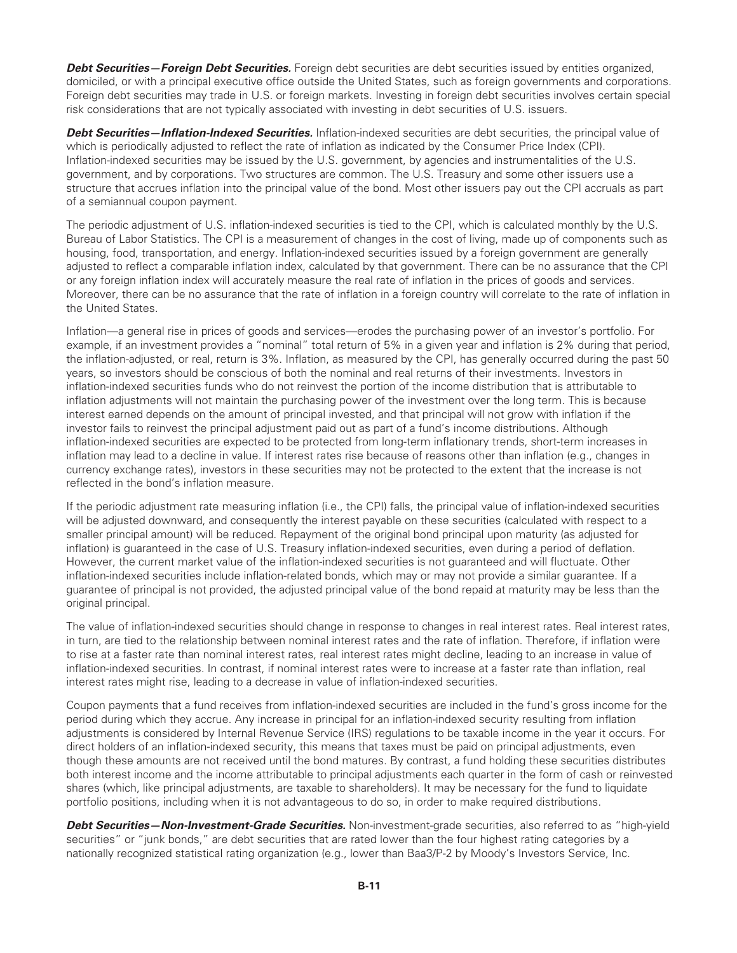*Debt Securities—Foreign Debt Securities.* Foreign debt securities are debt securities issued by entities organized, domiciled, or with a principal executive office outside the United States, such as foreign governments and corporations. Foreign debt securities may trade in U.S. or foreign markets. Investing in foreign debt securities involves certain special risk considerations that are not typically associated with investing in debt securities of U.S. issuers.

*Debt Securities—Inflation-Indexed Securities.* Inflation-indexed securities are debt securities, the principal value of which is periodically adjusted to reflect the rate of inflation as indicated by the Consumer Price Index (CPI). Inflation-indexed securities may be issued by the U.S. government, by agencies and instrumentalities of the U.S. government, and by corporations. Two structures are common. The U.S. Treasury and some other issuers use a structure that accrues inflation into the principal value of the bond. Most other issuers pay out the CPI accruals as part of a semiannual coupon payment.

The periodic adjustment of U.S. inflation-indexed securities is tied to the CPI, which is calculated monthly by the U.S. Bureau of Labor Statistics. The CPI is a measurement of changes in the cost of living, made up of components such as housing, food, transportation, and energy. Inflation-indexed securities issued by a foreign government are generally adjusted to reflect a comparable inflation index, calculated by that government. There can be no assurance that the CPI or any foreign inflation index will accurately measure the real rate of inflation in the prices of goods and services. Moreover, there can be no assurance that the rate of inflation in a foreign country will correlate to the rate of inflation in the United States.

Inflation—a general rise in prices of goods and services—erodes the purchasing power of an investor's portfolio. For example, if an investment provides a "nominal" total return of 5% in a given year and inflation is 2% during that period, the inflation-adjusted, or real, return is 3%. Inflation, as measured by the CPI, has generally occurred during the past 50 years, so investors should be conscious of both the nominal and real returns of their investments. Investors in inflation-indexed securities funds who do not reinvest the portion of the income distribution that is attributable to inflation adjustments will not maintain the purchasing power of the investment over the long term. This is because interest earned depends on the amount of principal invested, and that principal will not grow with inflation if the investor fails to reinvest the principal adjustment paid out as part of a fund's income distributions. Although inflation-indexed securities are expected to be protected from long-term inflationary trends, short-term increases in inflation may lead to a decline in value. If interest rates rise because of reasons other than inflation (e.g., changes in currency exchange rates), investors in these securities may not be protected to the extent that the increase is not reflected in the bond's inflation measure.

If the periodic adjustment rate measuring inflation (i.e., the CPI) falls, the principal value of inflation-indexed securities will be adjusted downward, and consequently the interest payable on these securities (calculated with respect to a smaller principal amount) will be reduced. Repayment of the original bond principal upon maturity (as adjusted for inflation) is guaranteed in the case of U.S. Treasury inflation-indexed securities, even during a period of deflation. However, the current market value of the inflation-indexed securities is not guaranteed and will fluctuate. Other inflation-indexed securities include inflation-related bonds, which may or may not provide a similar guarantee. If a guarantee of principal is not provided, the adjusted principal value of the bond repaid at maturity may be less than the original principal.

The value of inflation-indexed securities should change in response to changes in real interest rates. Real interest rates, in turn, are tied to the relationship between nominal interest rates and the rate of inflation. Therefore, if inflation were to rise at a faster rate than nominal interest rates, real interest rates might decline, leading to an increase in value of inflation-indexed securities. In contrast, if nominal interest rates were to increase at a faster rate than inflation, real interest rates might rise, leading to a decrease in value of inflation-indexed securities.

Coupon payments that a fund receives from inflation-indexed securities are included in the fund's gross income for the period during which they accrue. Any increase in principal for an inflation-indexed security resulting from inflation adjustments is considered by Internal Revenue Service (IRS) regulations to be taxable income in the year it occurs. For direct holders of an inflation-indexed security, this means that taxes must be paid on principal adjustments, even though these amounts are not received until the bond matures. By contrast, a fund holding these securities distributes both interest income and the income attributable to principal adjustments each quarter in the form of cash or reinvested shares (which, like principal adjustments, are taxable to shareholders). It may be necessary for the fund to liquidate portfolio positions, including when it is not advantageous to do so, in order to make required distributions.

*Debt Securities—Non-Investment-Grade Securities.* Non-investment-grade securities, also referred to as "high-yield securities" or "junk bonds," are debt securities that are rated lower than the four highest rating categories by a nationally recognized statistical rating organization (e.g., lower than Baa3/P-2 by Moody's Investors Service, Inc.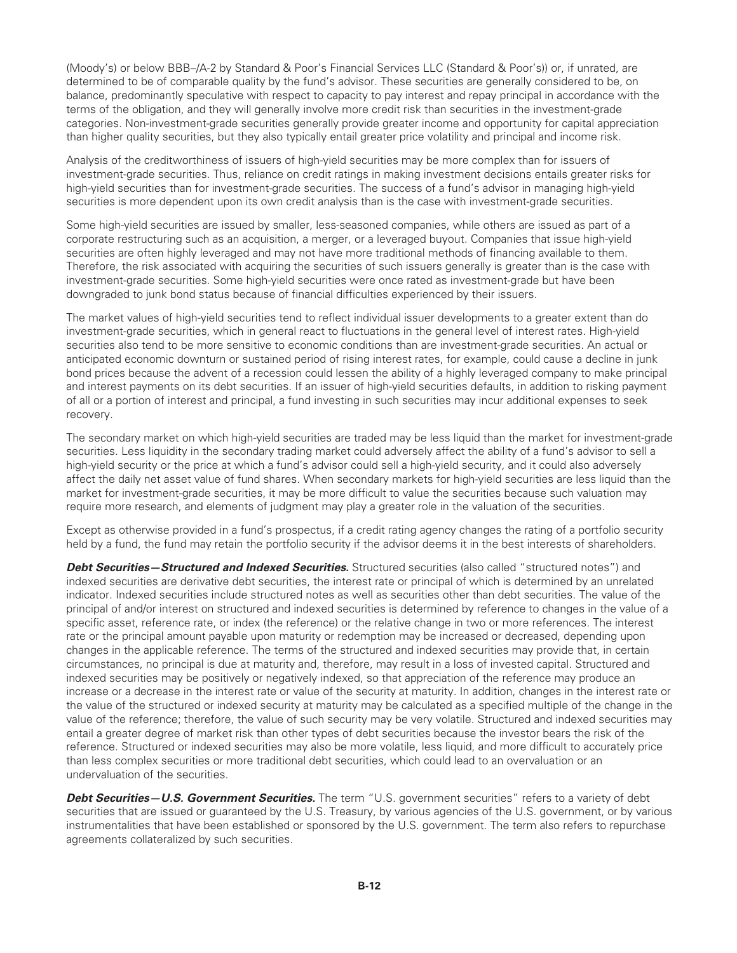(Moody's) or below BBB–/A-2 by Standard & Poor's Financial Services LLC (Standard & Poor's)) or, if unrated, are determined to be of comparable quality by the fund's advisor. These securities are generally considered to be, on balance, predominantly speculative with respect to capacity to pay interest and repay principal in accordance with the terms of the obligation, and they will generally involve more credit risk than securities in the investment-grade categories. Non-investment-grade securities generally provide greater income and opportunity for capital appreciation than higher quality securities, but they also typically entail greater price volatility and principal and income risk.

Analysis of the creditworthiness of issuers of high-yield securities may be more complex than for issuers of investment-grade securities. Thus, reliance on credit ratings in making investment decisions entails greater risks for high-yield securities than for investment-grade securities. The success of a fund's advisor in managing high-yield securities is more dependent upon its own credit analysis than is the case with investment-grade securities.

Some high-yield securities are issued by smaller, less-seasoned companies, while others are issued as part of a corporate restructuring such as an acquisition, a merger, or a leveraged buyout. Companies that issue high-yield securities are often highly leveraged and may not have more traditional methods of financing available to them. Therefore, the risk associated with acquiring the securities of such issuers generally is greater than is the case with investment-grade securities. Some high-yield securities were once rated as investment-grade but have been downgraded to junk bond status because of financial difficulties experienced by their issuers.

The market values of high-yield securities tend to reflect individual issuer developments to a greater extent than do investment-grade securities, which in general react to fluctuations in the general level of interest rates. High-yield securities also tend to be more sensitive to economic conditions than are investment-grade securities. An actual or anticipated economic downturn or sustained period of rising interest rates, for example, could cause a decline in junk bond prices because the advent of a recession could lessen the ability of a highly leveraged company to make principal and interest payments on its debt securities. If an issuer of high-yield securities defaults, in addition to risking payment of all or a portion of interest and principal, a fund investing in such securities may incur additional expenses to seek recovery.

The secondary market on which high-yield securities are traded may be less liquid than the market for investment-grade securities. Less liquidity in the secondary trading market could adversely affect the ability of a fund's advisor to sell a high-yield security or the price at which a fund's advisor could sell a high-yield security, and it could also adversely affect the daily net asset value of fund shares. When secondary markets for high-yield securities are less liquid than the market for investment-grade securities, it may be more difficult to value the securities because such valuation may require more research, and elements of judgment may play a greater role in the valuation of the securities.

Except as otherwise provided in a fund's prospectus, if a credit rating agency changes the rating of a portfolio security held by a fund, the fund may retain the portfolio security if the advisor deems it in the best interests of shareholders.

*Debt Securities—Structured and Indexed Securities.* Structured securities (also called "structured notes") and indexed securities are derivative debt securities, the interest rate or principal of which is determined by an unrelated indicator. Indexed securities include structured notes as well as securities other than debt securities. The value of the principal of and/or interest on structured and indexed securities is determined by reference to changes in the value of a specific asset, reference rate, or index (the reference) or the relative change in two or more references. The interest rate or the principal amount payable upon maturity or redemption may be increased or decreased, depending upon changes in the applicable reference. The terms of the structured and indexed securities may provide that, in certain circumstances, no principal is due at maturity and, therefore, may result in a loss of invested capital. Structured and indexed securities may be positively or negatively indexed, so that appreciation of the reference may produce an increase or a decrease in the interest rate or value of the security at maturity. In addition, changes in the interest rate or the value of the structured or indexed security at maturity may be calculated as a specified multiple of the change in the value of the reference; therefore, the value of such security may be very volatile. Structured and indexed securities may entail a greater degree of market risk than other types of debt securities because the investor bears the risk of the reference. Structured or indexed securities may also be more volatile, less liquid, and more difficult to accurately price than less complex securities or more traditional debt securities, which could lead to an overvaluation or an undervaluation of the securities.

*Debt Securities—U.S. Government Securities.* The term "U.S. government securities" refers to a variety of debt securities that are issued or guaranteed by the U.S. Treasury, by various agencies of the U.S. government, or by various instrumentalities that have been established or sponsored by the U.S. government. The term also refers to repurchase agreements collateralized by such securities.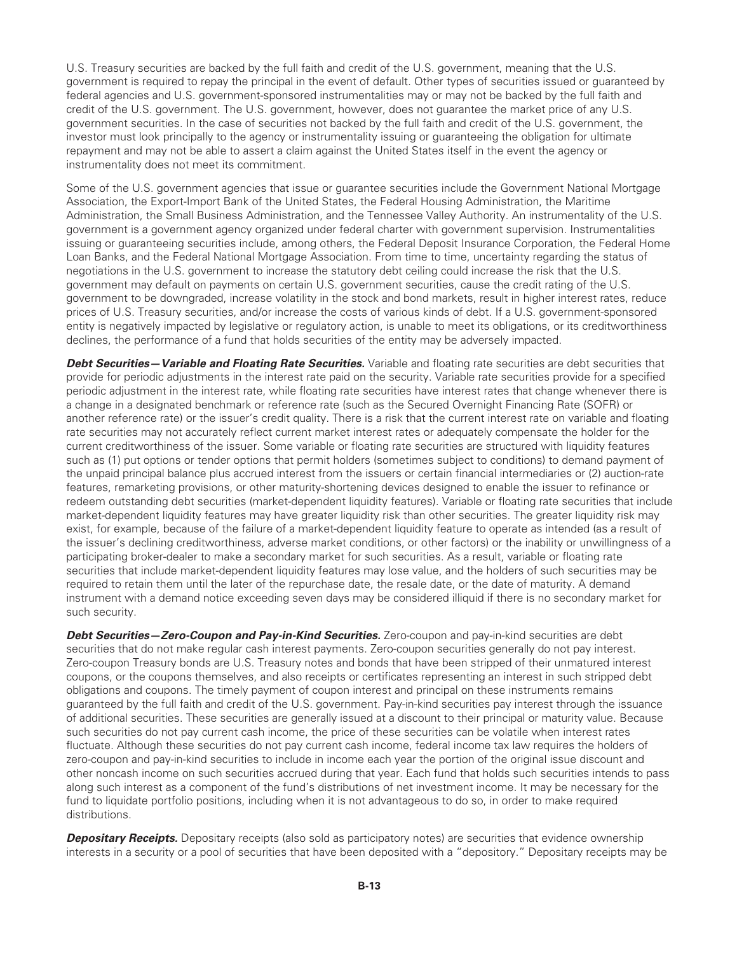U.S. Treasury securities are backed by the full faith and credit of the U.S. government, meaning that the U.S. government is required to repay the principal in the event of default. Other types of securities issued or guaranteed by federal agencies and U.S. government-sponsored instrumentalities may or may not be backed by the full faith and credit of the U.S. government. The U.S. government, however, does not guarantee the market price of any U.S. government securities. In the case of securities not backed by the full faith and credit of the U.S. government, the investor must look principally to the agency or instrumentality issuing or guaranteeing the obligation for ultimate repayment and may not be able to assert a claim against the United States itself in the event the agency or instrumentality does not meet its commitment.

Some of the U.S. government agencies that issue or guarantee securities include the Government National Mortgage Association, the Export-Import Bank of the United States, the Federal Housing Administration, the Maritime Administration, the Small Business Administration, and the Tennessee Valley Authority. An instrumentality of the U.S. government is a government agency organized under federal charter with government supervision. Instrumentalities issuing or guaranteeing securities include, among others, the Federal Deposit Insurance Corporation, the Federal Home Loan Banks, and the Federal National Mortgage Association. From time to time, uncertainty regarding the status of negotiations in the U.S. government to increase the statutory debt ceiling could increase the risk that the U.S. government may default on payments on certain U.S. government securities, cause the credit rating of the U.S. government to be downgraded, increase volatility in the stock and bond markets, result in higher interest rates, reduce prices of U.S. Treasury securities, and/or increase the costs of various kinds of debt. If a U.S. government-sponsored entity is negatively impacted by legislative or regulatory action, is unable to meet its obligations, or its creditworthiness declines, the performance of a fund that holds securities of the entity may be adversely impacted.

**Debt Securities—Variable and Floating Rate Securities.** Variable and floating rate securities are debt securities that provide for periodic adjustments in the interest rate paid on the security. Variable rate securities provide for a specified periodic adjustment in the interest rate, while floating rate securities have interest rates that change whenever there is a change in a designated benchmark or reference rate (such as the Secured Overnight Financing Rate (SOFR) or another reference rate) or the issuer's credit quality. There is a risk that the current interest rate on variable and floating rate securities may not accurately reflect current market interest rates or adequately compensate the holder for the current creditworthiness of the issuer. Some variable or floating rate securities are structured with liquidity features such as (1) put options or tender options that permit holders (sometimes subject to conditions) to demand payment of the unpaid principal balance plus accrued interest from the issuers or certain financial intermediaries or (2) auction-rate features, remarketing provisions, or other maturity-shortening devices designed to enable the issuer to refinance or redeem outstanding debt securities (market-dependent liquidity features). Variable or floating rate securities that include market-dependent liquidity features may have greater liquidity risk than other securities. The greater liquidity risk may exist, for example, because of the failure of a market-dependent liquidity feature to operate as intended (as a result of the issuer's declining creditworthiness, adverse market conditions, or other factors) or the inability or unwillingness of a participating broker-dealer to make a secondary market for such securities. As a result, variable or floating rate securities that include market-dependent liquidity features may lose value, and the holders of such securities may be required to retain them until the later of the repurchase date, the resale date, or the date of maturity. A demand instrument with a demand notice exceeding seven days may be considered illiquid if there is no secondary market for such security.

*Debt Securities—Zero-Coupon and Pay-in-Kind Securities.* Zero-coupon and pay-in-kind securities are debt securities that do not make regular cash interest payments. Zero-coupon securities generally do not pay interest. Zero-coupon Treasury bonds are U.S. Treasury notes and bonds that have been stripped of their unmatured interest coupons, or the coupons themselves, and also receipts or certificates representing an interest in such stripped debt obligations and coupons. The timely payment of coupon interest and principal on these instruments remains guaranteed by the full faith and credit of the U.S. government. Pay-in-kind securities pay interest through the issuance of additional securities. These securities are generally issued at a discount to their principal or maturity value. Because such securities do not pay current cash income, the price of these securities can be volatile when interest rates fluctuate. Although these securities do not pay current cash income, federal income tax law requires the holders of zero-coupon and pay-in-kind securities to include in income each year the portion of the original issue discount and other noncash income on such securities accrued during that year. Each fund that holds such securities intends to pass along such interest as a component of the fund's distributions of net investment income. It may be necessary for the fund to liquidate portfolio positions, including when it is not advantageous to do so, in order to make required distributions.

*Depositary Receipts.* Depositary receipts (also sold as participatory notes) are securities that evidence ownership interests in a security or a pool of securities that have been deposited with a "depository." Depositary receipts may be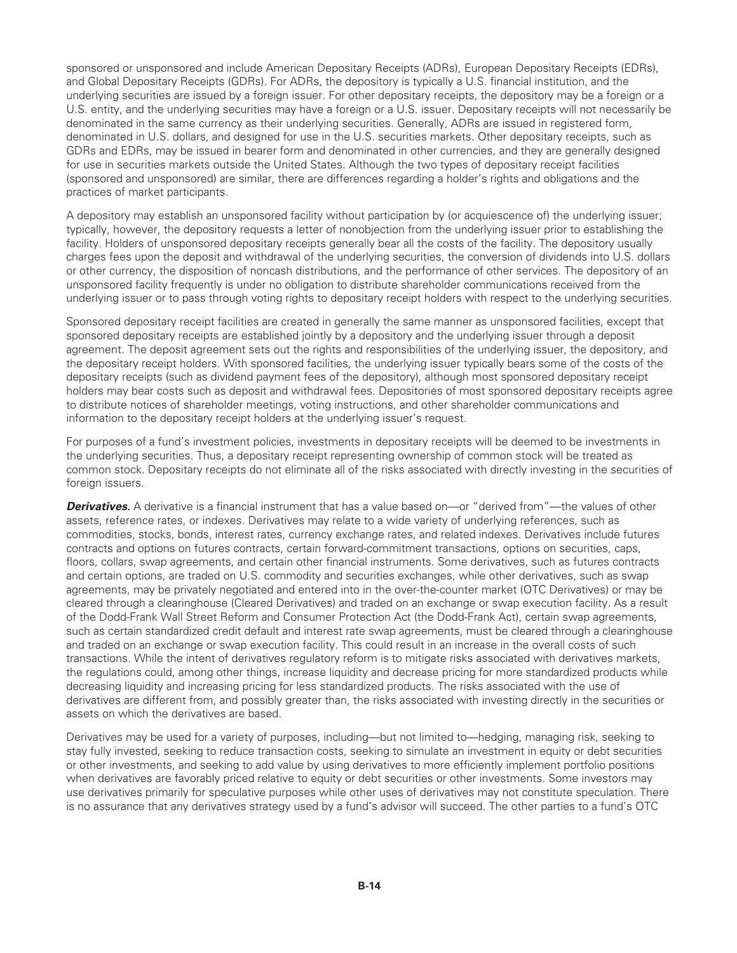sponsored or unsponsored and include American Depositary Receipts (ADRs), European Depositary Receipts (EDRs), and Global Depositary Receipts (GDRs). For ADRs, the depository is typically a U.S. financial institution, and the underlying securities are issued by a foreign issuer. For other depositary receipts, the depository may be a foreign or a U.S. entity, and the underlying securities may have a foreign or a U.S. issuer. Depositary receipts will not necessarily be denominated in the same currency as their underlying securities. Generally, ADRs are issued in registered form, denominated in U.S. dollars, and designed for use in the U.S. securities markets. Other depositary receipts, such as GDRs and EDRs, may be issued in bearer form and denominated in other currencies, and they are generally designed for use in securities markets outside the United States. Although the two types of depositary receipt facilities (sponsored and unsponsored) are similar, there are differences regarding a holder's rights and obligations and the practices of market participants.

A depository may establish an unsponsored facility without participation by (or acquiescence of) the underlying issuer; typically, however, the depository requests a letter of nonobjection from the underlying issuer prior to establishing the facility. Holders of unsponsored depositary receipts generally bear all the costs of the facility. The depository usually charges fees upon the deposit and withdrawal of the underlying securities, the conversion of dividends into U.S. dollars or other currency, the disposition of noncash distributions, and the performance of other services. The depository of an unsponsored facility frequently is under no obligation to distribute shareholder communications received from the underlying issuer or to pass through voting rights to depositary receipt holders with respect to the underlying securities.

Sponsored depositary receipt facilities are created in generally the same manner as unsponsored facilities, except that sponsored depositary receipts are established jointly by a depository and the underlying issuer through a deposit agreement. The deposit agreement sets out the rights and responsibilities of the underlying issuer, the depository, and the depositary receipt holders. With sponsored facilities, the underlying issuer typically bears some of the costs of the depositary receipts (such as dividend payment fees of the depository), although most sponsored depositary receipt holders may bear costs such as deposit and withdrawal fees. Depositories of most sponsored depositary receipts agree to distribute notices of shareholder meetings, voting instructions, and other shareholder communications and information to the depositary receipt holders at the underlying issuer's request.

For purposes of a fund's investment policies, investments in depositary receipts will be deemed to be investments in the underlying securities. Thus, a depositary receipt representing ownership of common stock will be treated as common stock. Depositary receipts do not eliminate all of the risks associated with directly investing in the securities of foreign issuers.

*Derivatives.* A derivative is a financial instrument that has a value based on—or "derived from"—the values of other assets, reference rates, or indexes. Derivatives may relate to a wide variety of underlying references, such as commodities, stocks, bonds, interest rates, currency exchange rates, and related indexes. Derivatives include futures contracts and options on futures contracts, certain forward-commitment transactions, options on securities, caps, floors, collars, swap agreements, and certain other financial instruments. Some derivatives, such as futures contracts and certain options, are traded on U.S. commodity and securities exchanges, while other derivatives, such as swap agreements, may be privately negotiated and entered into in the over-the-counter market (OTC Derivatives) or may be cleared through a clearinghouse (Cleared Derivatives) and traded on an exchange or swap execution facility. As a result of the Dodd-Frank Wall Street Reform and Consumer Protection Act (the Dodd-Frank Act), certain swap agreements, such as certain standardized credit default and interest rate swap agreements, must be cleared through a clearinghouse and traded on an exchange or swap execution facility. This could result in an increase in the overall costs of such transactions. While the intent of derivatives regulatory reform is to mitigate risks associated with derivatives markets, the regulations could, among other things, increase liquidity and decrease pricing for more standardized products while decreasing liquidity and increasing pricing for less standardized products. The risks associated with the use of derivatives are different from, and possibly greater than, the risks associated with investing directly in the securities or assets on which the derivatives are based.

Derivatives may be used for a variety of purposes, including—but not limited to—hedging, managing risk, seeking to stay fully invested, seeking to reduce transaction costs, seeking to simulate an investment in equity or debt securities or other investments, and seeking to add value by using derivatives to more efficiently implement portfolio positions when derivatives are favorably priced relative to equity or debt securities or other investments. Some investors may use derivatives primarily for speculative purposes while other uses of derivatives may not constitute speculation. There is no assurance that any derivatives strategy used by a fund's advisor will succeed. The other parties to a fund's OTC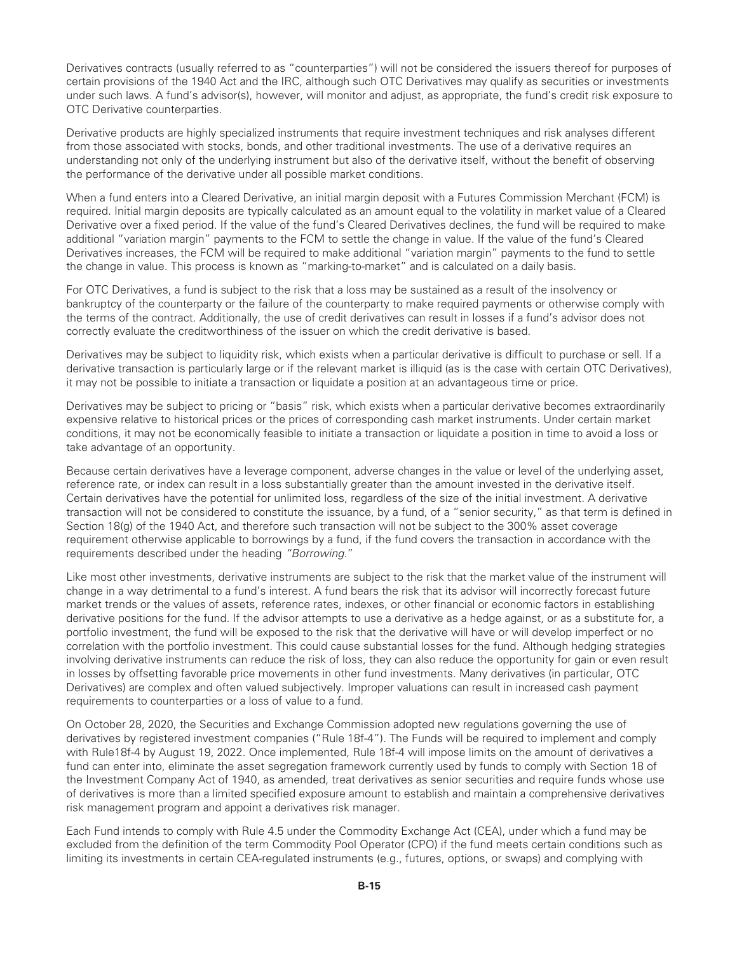Derivatives contracts (usually referred to as "counterparties") will not be considered the issuers thereof for purposes of certain provisions of the 1940 Act and the IRC, although such OTC Derivatives may qualify as securities or investments under such laws. A fund's advisor(s), however, will monitor and adjust, as appropriate, the fund's credit risk exposure to OTC Derivative counterparties.

Derivative products are highly specialized instruments that require investment techniques and risk analyses different from those associated with stocks, bonds, and other traditional investments. The use of a derivative requires an understanding not only of the underlying instrument but also of the derivative itself, without the benefit of observing the performance of the derivative under all possible market conditions.

When a fund enters into a Cleared Derivative, an initial margin deposit with a Futures Commission Merchant (FCM) is required. Initial margin deposits are typically calculated as an amount equal to the volatility in market value of a Cleared Derivative over a fixed period. If the value of the fund's Cleared Derivatives declines, the fund will be required to make additional "variation margin" payments to the FCM to settle the change in value. If the value of the fund's Cleared Derivatives increases, the FCM will be required to make additional "variation margin" payments to the fund to settle the change in value. This process is known as "marking-to-market" and is calculated on a daily basis.

For OTC Derivatives, a fund is subject to the risk that a loss may be sustained as a result of the insolvency or bankruptcy of the counterparty or the failure of the counterparty to make required payments or otherwise comply with the terms of the contract. Additionally, the use of credit derivatives can result in losses if a fund's advisor does not correctly evaluate the creditworthiness of the issuer on which the credit derivative is based.

Derivatives may be subject to liquidity risk, which exists when a particular derivative is difficult to purchase or sell. If a derivative transaction is particularly large or if the relevant market is illiquid (as is the case with certain OTC Derivatives). it may not be possible to initiate a transaction or liquidate a position at an advantageous time or price.

Derivatives may be subject to pricing or "basis" risk, which exists when a particular derivative becomes extraordinarily expensive relative to historical prices or the prices of corresponding cash market instruments. Under certain market conditions, it may not be economically feasible to initiate a transaction or liquidate a position in time to avoid a loss or take advantage of an opportunity.

Because certain derivatives have a leverage component, adverse changes in the value or level of the underlying asset, reference rate, or index can result in a loss substantially greater than the amount invested in the derivative itself. Certain derivatives have the potential for unlimited loss, regardless of the size of the initial investment. A derivative transaction will not be considered to constitute the issuance, by a fund, of a "senior security," as that term is defined in Section 18(g) of the 1940 Act, and therefore such transaction will not be subject to the 300% asset coverage requirement otherwise applicable to borrowings by a fund, if the fund covers the transaction in accordance with the requirements described under the heading *"Borrowing.*"

Like most other investments, derivative instruments are subject to the risk that the market value of the instrument will change in a way detrimental to a fund's interest. A fund bears the risk that its advisor will incorrectly forecast future market trends or the values of assets, reference rates, indexes, or other financial or economic factors in establishing derivative positions for the fund. If the advisor attempts to use a derivative as a hedge against, or as a substitute for, a portfolio investment, the fund will be exposed to the risk that the derivative will have or will develop imperfect or no correlation with the portfolio investment. This could cause substantial losses for the fund. Although hedging strategies involving derivative instruments can reduce the risk of loss, they can also reduce the opportunity for gain or even result in losses by offsetting favorable price movements in other fund investments. Many derivatives (in particular, OTC Derivatives) are complex and often valued subjectively. Improper valuations can result in increased cash payment requirements to counterparties or a loss of value to a fund.

On October 28, 2020, the Securities and Exchange Commission adopted new regulations governing the use of derivatives by registered investment companies ("Rule 18f-4"). The Funds will be required to implement and comply with Rule18f-4 by August 19, 2022. Once implemented, Rule 18f-4 will impose limits on the amount of derivatives a fund can enter into, eliminate the asset segregation framework currently used by funds to comply with Section 18 of the Investment Company Act of 1940, as amended, treat derivatives as senior securities and require funds whose use of derivatives is more than a limited specified exposure amount to establish and maintain a comprehensive derivatives risk management program and appoint a derivatives risk manager.

Each Fund intends to comply with Rule 4.5 under the Commodity Exchange Act (CEA), under which a fund may be excluded from the definition of the term Commodity Pool Operator (CPO) if the fund meets certain conditions such as limiting its investments in certain CEA-regulated instruments (e.g., futures, options, or swaps) and complying with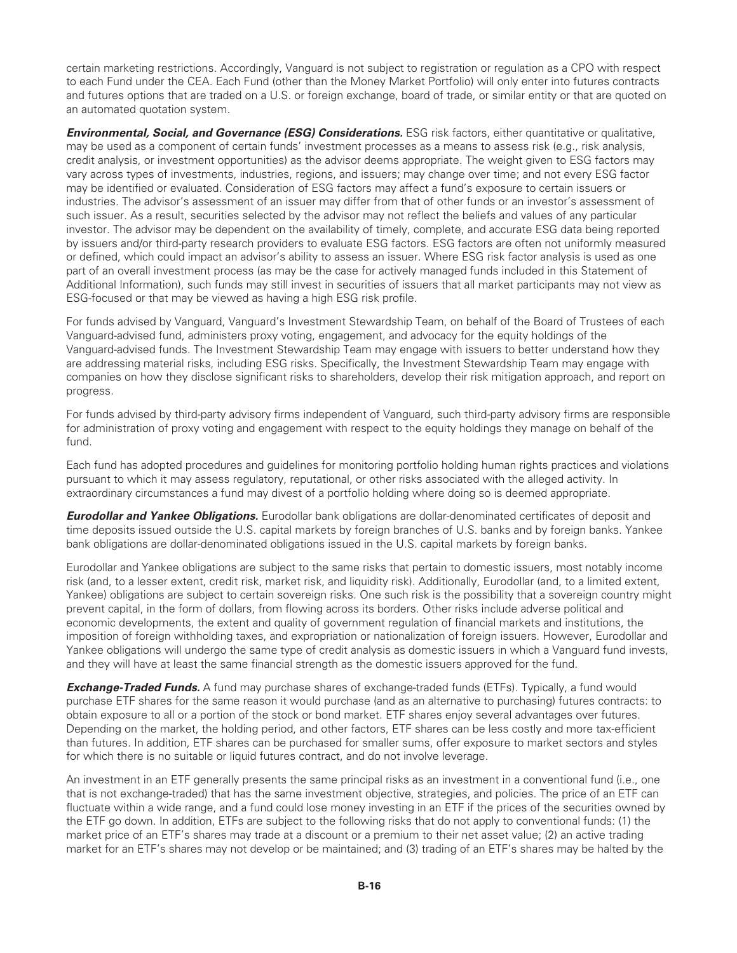certain marketing restrictions. Accordingly, Vanguard is not subject to registration or regulation as a CPO with respect to each Fund under the CEA. Each Fund (other than the Money Market Portfolio) will only enter into futures contracts and futures options that are traded on a U.S. or foreign exchange, board of trade, or similar entity or that are quoted on an automated quotation system.

*Environmental, Social, and Governance (ESG) Considerations.* ESG risk factors, either quantitative or qualitative, may be used as a component of certain funds' investment processes as a means to assess risk (e.g., risk analysis, credit analysis, or investment opportunities) as the advisor deems appropriate. The weight given to ESG factors may vary across types of investments, industries, regions, and issuers; may change over time; and not every ESG factor may be identified or evaluated. Consideration of ESG factors may affect a fund's exposure to certain issuers or industries. The advisor's assessment of an issuer may differ from that of other funds or an investor's assessment of such issuer. As a result, securities selected by the advisor may not reflect the beliefs and values of any particular investor. The advisor may be dependent on the availability of timely, complete, and accurate ESG data being reported by issuers and/or third-party research providers to evaluate ESG factors. ESG factors are often not uniformly measured or defined, which could impact an advisor's ability to assess an issuer. Where ESG risk factor analysis is used as one part of an overall investment process (as may be the case for actively managed funds included in this Statement of Additional Information), such funds may still invest in securities of issuers that all market participants may not view as ESG-focused or that may be viewed as having a high ESG risk profile.

For funds advised by Vanguard, Vanguard's Investment Stewardship Team, on behalf of the Board of Trustees of each Vanguard-advised fund, administers proxy voting, engagement, and advocacy for the equity holdings of the Vanguard-advised funds. The Investment Stewardship Team may engage with issuers to better understand how they are addressing material risks, including ESG risks. Specifically, the Investment Stewardship Team may engage with companies on how they disclose significant risks to shareholders, develop their risk mitigation approach, and report on progress.

For funds advised by third-party advisory firms independent of Vanguard, such third-party advisory firms are responsible for administration of proxy voting and engagement with respect to the equity holdings they manage on behalf of the fund.

Each fund has adopted procedures and guidelines for monitoring portfolio holding human rights practices and violations pursuant to which it may assess regulatory, reputational, or other risks associated with the alleged activity. In extraordinary circumstances a fund may divest of a portfolio holding where doing so is deemed appropriate.

*Eurodollar and Yankee Obligations.* Eurodollar bank obligations are dollar-denominated certificates of deposit and time deposits issued outside the U.S. capital markets by foreign branches of U.S. banks and by foreign banks. Yankee bank obligations are dollar-denominated obligations issued in the U.S. capital markets by foreign banks.

Eurodollar and Yankee obligations are subject to the same risks that pertain to domestic issuers, most notably income risk (and, to a lesser extent, credit risk, market risk, and liquidity risk). Additionally, Eurodollar (and, to a limited extent, Yankee) obligations are subject to certain sovereign risks. One such risk is the possibility that a sovereign country might prevent capital, in the form of dollars, from flowing across its borders. Other risks include adverse political and economic developments, the extent and quality of government regulation of financial markets and institutions, the imposition of foreign withholding taxes, and expropriation or nationalization of foreign issuers. However, Eurodollar and Yankee obligations will undergo the same type of credit analysis as domestic issuers in which a Vanguard fund invests, and they will have at least the same financial strength as the domestic issuers approved for the fund.

*Exchange-Traded Funds.* A fund may purchase shares of exchange-traded funds (ETFs). Typically, a fund would purchase ETF shares for the same reason it would purchase (and as an alternative to purchasing) futures contracts: to obtain exposure to all or a portion of the stock or bond market. ETF shares enjoy several advantages over futures. Depending on the market, the holding period, and other factors, ETF shares can be less costly and more tax-efficient than futures. In addition, ETF shares can be purchased for smaller sums, offer exposure to market sectors and styles for which there is no suitable or liquid futures contract, and do not involve leverage.

An investment in an ETF generally presents the same principal risks as an investment in a conventional fund (i.e., one that is not exchange-traded) that has the same investment objective, strategies, and policies. The price of an ETF can fluctuate within a wide range, and a fund could lose money investing in an ETF if the prices of the securities owned by the ETF go down. In addition, ETFs are subject to the following risks that do not apply to conventional funds: (1) the market price of an ETF's shares may trade at a discount or a premium to their net asset value; (2) an active trading market for an ETF's shares may not develop or be maintained; and (3) trading of an ETF's shares may be halted by the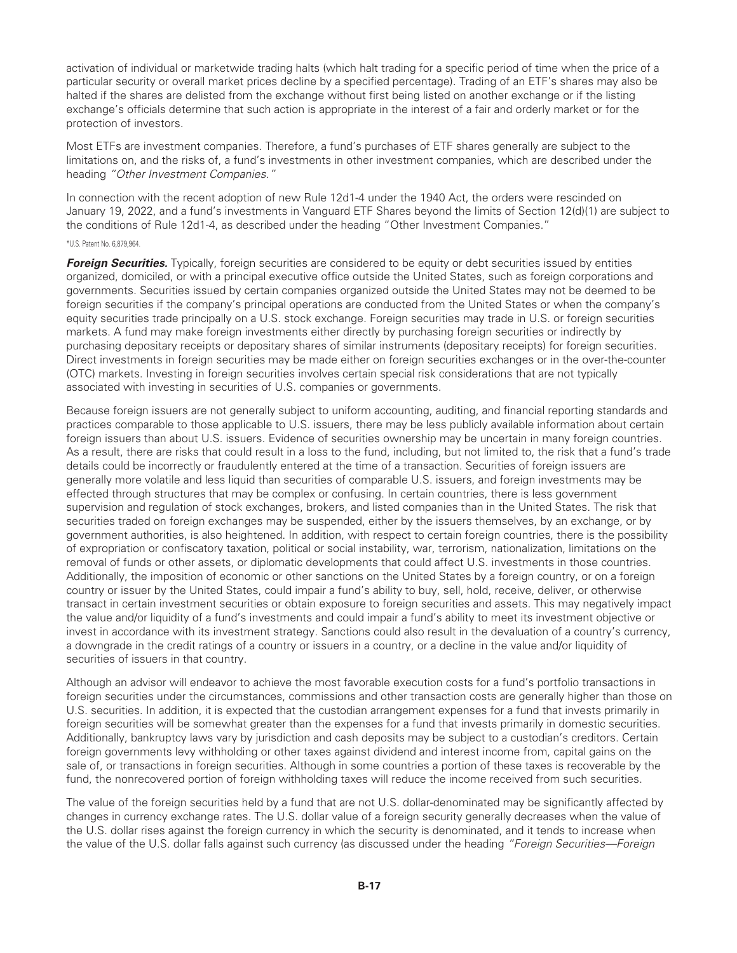activation of individual or marketwide trading halts (which halt trading for a specific period of time when the price of a particular security or overall market prices decline by a specified percentage). Trading of an ETF's shares may also be halted if the shares are delisted from the exchange without first being listed on another exchange or if the listing exchange's officials determine that such action is appropriate in the interest of a fair and orderly market or for the protection of investors.

Most ETFs are investment companies. Therefore, a fund's purchases of ETF shares generally are subject to the limitations on, and the risks of, a fund's investments in other investment companies, which are described under the heading *"Other Investment Companies."*

In connection with the recent adoption of new Rule 12d1-4 under the 1940 Act, the orders were rescinded on January 19, 2022, and a fund's investments in Vanguard ETF Shares beyond the limits of Section 12(d)(1) are subject to the conditions of Rule 12d1-4, as described under the heading "Other Investment Companies."

#### \*U.S. Patent No. 6,879,964.

**Foreign Securities.** Typically, foreign securities are considered to be equity or debt securities issued by entities organized, domiciled, or with a principal executive office outside the United States, such as foreign corporations and governments. Securities issued by certain companies organized outside the United States may not be deemed to be foreign securities if the company's principal operations are conducted from the United States or when the company's equity securities trade principally on a U.S. stock exchange. Foreign securities may trade in U.S. or foreign securities markets. A fund may make foreign investments either directly by purchasing foreign securities or indirectly by purchasing depositary receipts or depositary shares of similar instruments (depositary receipts) for foreign securities. Direct investments in foreign securities may be made either on foreign securities exchanges or in the over-the-counter (OTC) markets. Investing in foreign securities involves certain special risk considerations that are not typically associated with investing in securities of U.S. companies or governments.

Because foreign issuers are not generally subject to uniform accounting, auditing, and financial reporting standards and practices comparable to those applicable to U.S. issuers, there may be less publicly available information about certain foreign issuers than about U.S. issuers. Evidence of securities ownership may be uncertain in many foreign countries. As a result, there are risks that could result in a loss to the fund, including, but not limited to, the risk that a fund's trade details could be incorrectly or fraudulently entered at the time of a transaction. Securities of foreign issuers are generally more volatile and less liquid than securities of comparable U.S. issuers, and foreign investments may be effected through structures that may be complex or confusing. In certain countries, there is less government supervision and regulation of stock exchanges, brokers, and listed companies than in the United States. The risk that securities traded on foreign exchanges may be suspended, either by the issuers themselves, by an exchange, or by government authorities, is also heightened. In addition, with respect to certain foreign countries, there is the possibility of expropriation or confiscatory taxation, political or social instability, war, terrorism, nationalization, limitations on the removal of funds or other assets, or diplomatic developments that could affect U.S. investments in those countries. Additionally, the imposition of economic or other sanctions on the United States by a foreign country, or on a foreign country or issuer by the United States, could impair a fund's ability to buy, sell, hold, receive, deliver, or otherwise transact in certain investment securities or obtain exposure to foreign securities and assets. This may negatively impact the value and/or liquidity of a fund's investments and could impair a fund's ability to meet its investment objective or invest in accordance with its investment strategy. Sanctions could also result in the devaluation of a country's currency, a downgrade in the credit ratings of a country or issuers in a country, or a decline in the value and/or liquidity of securities of issuers in that country.

Although an advisor will endeavor to achieve the most favorable execution costs for a fund's portfolio transactions in foreign securities under the circumstances, commissions and other transaction costs are generally higher than those on U.S. securities. In addition, it is expected that the custodian arrangement expenses for a fund that invests primarily in foreign securities will be somewhat greater than the expenses for a fund that invests primarily in domestic securities. Additionally, bankruptcy laws vary by jurisdiction and cash deposits may be subject to a custodian's creditors. Certain foreign governments levy withholding or other taxes against dividend and interest income from, capital gains on the sale of, or transactions in foreign securities. Although in some countries a portion of these taxes is recoverable by the fund, the nonrecovered portion of foreign withholding taxes will reduce the income received from such securities.

The value of the foreign securities held by a fund that are not U.S. dollar-denominated may be significantly affected by changes in currency exchange rates. The U.S. dollar value of a foreign security generally decreases when the value of the U.S. dollar rises against the foreign currency in which the security is denominated, and it tends to increase when the value of the U.S. dollar falls against such currency (as discussed under the heading *"Foreign Securities—Foreign*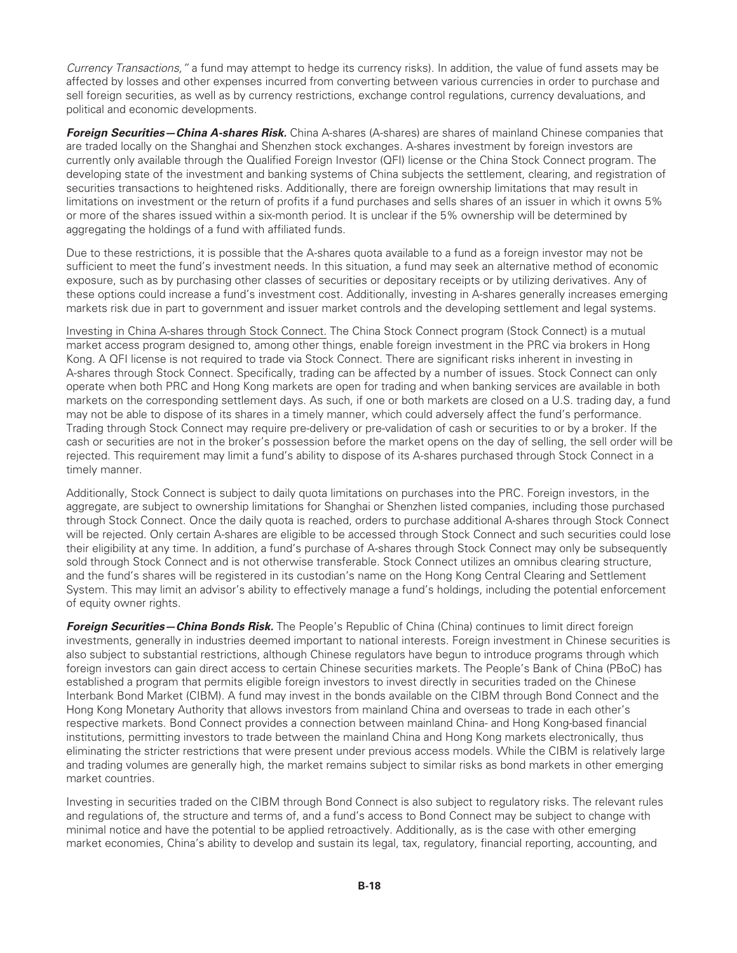*Currency Transactions,"* a fund may attempt to hedge its currency risks). In addition, the value of fund assets may be affected by losses and other expenses incurred from converting between various currencies in order to purchase and sell foreign securities, as well as by currency restrictions, exchange control regulations, currency devaluations, and political and economic developments.

*Foreign Securities—China A-shares Risk.* China A-shares (A-shares) are shares of mainland Chinese companies that are traded locally on the Shanghai and Shenzhen stock exchanges. A-shares investment by foreign investors are currently only available through the Qualified Foreign Investor (QFI) license or the China Stock Connect program. The developing state of the investment and banking systems of China subjects the settlement, clearing, and registration of securities transactions to heightened risks. Additionally, there are foreign ownership limitations that may result in limitations on investment or the return of profits if a fund purchases and sells shares of an issuer in which it owns 5% or more of the shares issued within a six-month period. It is unclear if the 5% ownership will be determined by aggregating the holdings of a fund with affiliated funds.

Due to these restrictions, it is possible that the A-shares quota available to a fund as a foreign investor may not be sufficient to meet the fund's investment needs. In this situation, a fund may seek an alternative method of economic exposure, such as by purchasing other classes of securities or depositary receipts or by utilizing derivatives. Any of these options could increase a fund's investment cost. Additionally, investing in A-shares generally increases emerging markets risk due in part to government and issuer market controls and the developing settlement and legal systems.

Investing in China A-shares through Stock Connect. The China Stock Connect program (Stock Connect) is a mutual market access program designed to, among other things, enable foreign investment in the PRC via brokers in Hong Kong. A QFI license is not required to trade via Stock Connect. There are significant risks inherent in investing in A-shares through Stock Connect. Specifically, trading can be affected by a number of issues. Stock Connect can only operate when both PRC and Hong Kong markets are open for trading and when banking services are available in both markets on the corresponding settlement days. As such, if one or both markets are closed on a U.S. trading day, a fund may not be able to dispose of its shares in a timely manner, which could adversely affect the fund's performance. Trading through Stock Connect may require pre-delivery or pre-validation of cash or securities to or by a broker. If the cash or securities are not in the broker's possession before the market opens on the day of selling, the sell order will be rejected. This requirement may limit a fund's ability to dispose of its A-shares purchased through Stock Connect in a timely manner.

Additionally, Stock Connect is subject to daily quota limitations on purchases into the PRC. Foreign investors, in the aggregate, are subject to ownership limitations for Shanghai or Shenzhen listed companies, including those purchased through Stock Connect. Once the daily quota is reached, orders to purchase additional A-shares through Stock Connect will be rejected. Only certain A-shares are eligible to be accessed through Stock Connect and such securities could lose their eligibility at any time. In addition, a fund's purchase of A-shares through Stock Connect may only be subsequently sold through Stock Connect and is not otherwise transferable. Stock Connect utilizes an omnibus clearing structure, and the fund's shares will be registered in its custodian's name on the Hong Kong Central Clearing and Settlement System. This may limit an advisor's ability to effectively manage a fund's holdings, including the potential enforcement of equity owner rights.

*Foreign Securities—China Bonds Risk.* The People's Republic of China (China) continues to limit direct foreign investments, generally in industries deemed important to national interests. Foreign investment in Chinese securities is also subject to substantial restrictions, although Chinese regulators have begun to introduce programs through which foreign investors can gain direct access to certain Chinese securities markets. The People's Bank of China (PBoC) has established a program that permits eligible foreign investors to invest directly in securities traded on the Chinese Interbank Bond Market (CIBM). A fund may invest in the bonds available on the CIBM through Bond Connect and the Hong Kong Monetary Authority that allows investors from mainland China and overseas to trade in each other's respective markets. Bond Connect provides a connection between mainland China- and Hong Kong-based financial institutions, permitting investors to trade between the mainland China and Hong Kong markets electronically, thus eliminating the stricter restrictions that were present under previous access models. While the CIBM is relatively large and trading volumes are generally high, the market remains subject to similar risks as bond markets in other emerging market countries.

Investing in securities traded on the CIBM through Bond Connect is also subject to regulatory risks. The relevant rules and regulations of, the structure and terms of, and a fund's access to Bond Connect may be subject to change with minimal notice and have the potential to be applied retroactively. Additionally, as is the case with other emerging market economies, China's ability to develop and sustain its legal, tax, regulatory, financial reporting, accounting, and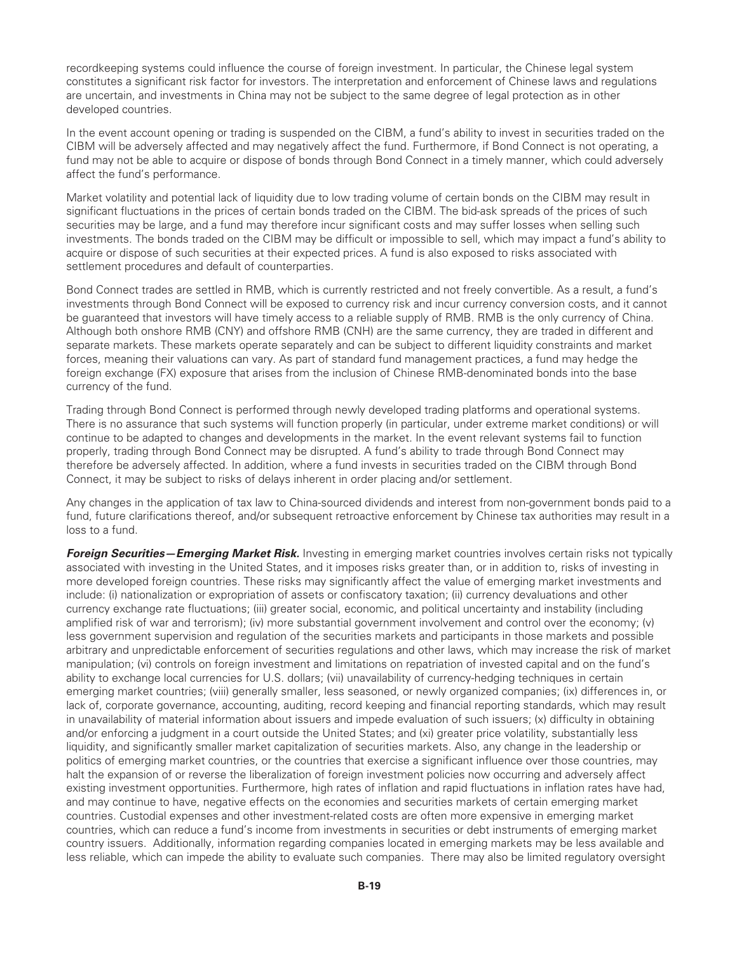recordkeeping systems could influence the course of foreign investment. In particular, the Chinese legal system constitutes a significant risk factor for investors. The interpretation and enforcement of Chinese laws and regulations are uncertain, and investments in China may not be subject to the same degree of legal protection as in other developed countries.

In the event account opening or trading is suspended on the CIBM, a fund's ability to invest in securities traded on the CIBM will be adversely affected and may negatively affect the fund. Furthermore, if Bond Connect is not operating, a fund may not be able to acquire or dispose of bonds through Bond Connect in a timely manner, which could adversely affect the fund's performance.

Market volatility and potential lack of liquidity due to low trading volume of certain bonds on the CIBM may result in significant fluctuations in the prices of certain bonds traded on the CIBM. The bid-ask spreads of the prices of such securities may be large, and a fund may therefore incur significant costs and may suffer losses when selling such investments. The bonds traded on the CIBM may be difficult or impossible to sell, which may impact a fund's ability to acquire or dispose of such securities at their expected prices. A fund is also exposed to risks associated with settlement procedures and default of counterparties.

Bond Connect trades are settled in RMB, which is currently restricted and not freely convertible. As a result, a fund's investments through Bond Connect will be exposed to currency risk and incur currency conversion costs, and it cannot be guaranteed that investors will have timely access to a reliable supply of RMB. RMB is the only currency of China. Although both onshore RMB (CNY) and offshore RMB (CNH) are the same currency, they are traded in different and separate markets. These markets operate separately and can be subject to different liquidity constraints and market forces, meaning their valuations can vary. As part of standard fund management practices, a fund may hedge the foreign exchange (FX) exposure that arises from the inclusion of Chinese RMB-denominated bonds into the base currency of the fund.

Trading through Bond Connect is performed through newly developed trading platforms and operational systems. There is no assurance that such systems will function properly (in particular, under extreme market conditions) or will continue to be adapted to changes and developments in the market. In the event relevant systems fail to function properly, trading through Bond Connect may be disrupted. A fund's ability to trade through Bond Connect may therefore be adversely affected. In addition, where a fund invests in securities traded on the CIBM through Bond Connect, it may be subject to risks of delays inherent in order placing and/or settlement.

Any changes in the application of tax law to China-sourced dividends and interest from non-government bonds paid to a fund, future clarifications thereof, and/or subsequent retroactive enforcement by Chinese tax authorities may result in a loss to a fund.

*Foreign Securities—Emerging Market Risk.* Investing in emerging market countries involves certain risks not typically associated with investing in the United States, and it imposes risks greater than, or in addition to, risks of investing in more developed foreign countries. These risks may significantly affect the value of emerging market investments and include: (i) nationalization or expropriation of assets or confiscatory taxation; (ii) currency devaluations and other currency exchange rate fluctuations; (iii) greater social, economic, and political uncertainty and instability (including amplified risk of war and terrorism); (iv) more substantial government involvement and control over the economy; (v) less government supervision and regulation of the securities markets and participants in those markets and possible arbitrary and unpredictable enforcement of securities regulations and other laws, which may increase the risk of market manipulation; (vi) controls on foreign investment and limitations on repatriation of invested capital and on the fund's ability to exchange local currencies for U.S. dollars; (vii) unavailability of currency-hedging techniques in certain emerging market countries; (viii) generally smaller, less seasoned, or newly organized companies; (ix) differences in, or lack of, corporate governance, accounting, auditing, record keeping and financial reporting standards, which may result in unavailability of material information about issuers and impede evaluation of such issuers; (x) difficulty in obtaining and/or enforcing a judgment in a court outside the United States; and (xi) greater price volatility, substantially less liquidity, and significantly smaller market capitalization of securities markets. Also, any change in the leadership or politics of emerging market countries, or the countries that exercise a significant influence over those countries, may halt the expansion of or reverse the liberalization of foreign investment policies now occurring and adversely affect existing investment opportunities. Furthermore, high rates of inflation and rapid fluctuations in inflation rates have had, and may continue to have, negative effects on the economies and securities markets of certain emerging market countries. Custodial expenses and other investment-related costs are often more expensive in emerging market countries, which can reduce a fund's income from investments in securities or debt instruments of emerging market country issuers. Additionally, information regarding companies located in emerging markets may be less available and less reliable, which can impede the ability to evaluate such companies. There may also be limited regulatory oversight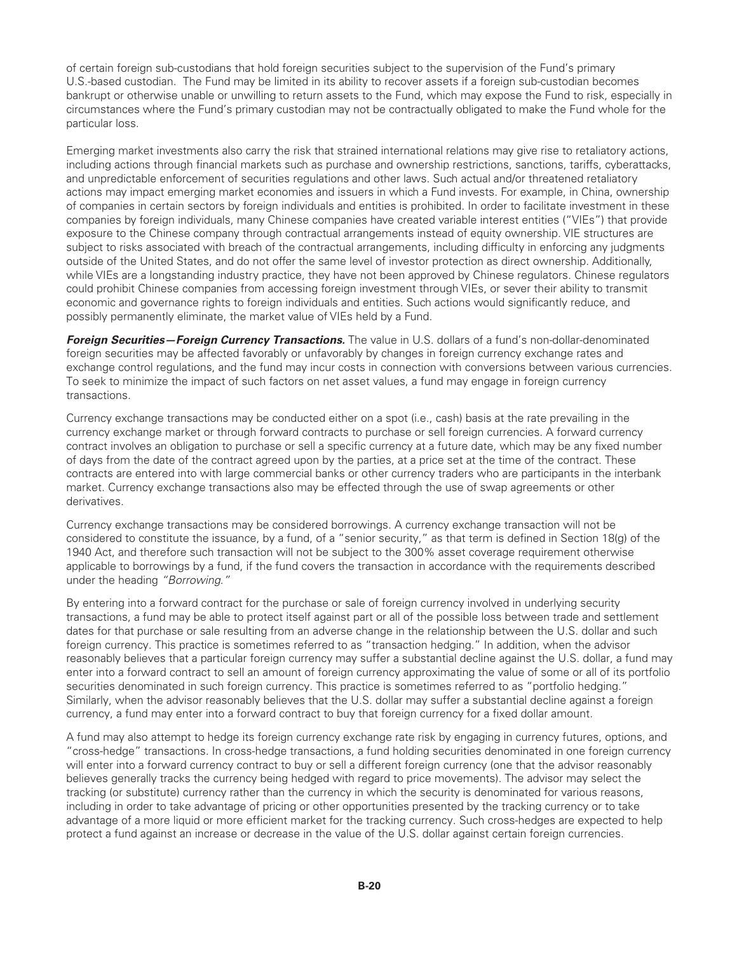of certain foreign sub-custodians that hold foreign securities subject to the supervision of the Fund's primary U.S.-based custodian. The Fund may be limited in its ability to recover assets if a foreign sub-custodian becomes bankrupt or otherwise unable or unwilling to return assets to the Fund, which may expose the Fund to risk, especially in circumstances where the Fund's primary custodian may not be contractually obligated to make the Fund whole for the particular loss.

Emerging market investments also carry the risk that strained international relations may give rise to retaliatory actions, including actions through financial markets such as purchase and ownership restrictions, sanctions, tariffs, cyberattacks, and unpredictable enforcement of securities regulations and other laws. Such actual and/or threatened retaliatory actions may impact emerging market economies and issuers in which a Fund invests. For example, in China, ownership of companies in certain sectors by foreign individuals and entities is prohibited. In order to facilitate investment in these companies by foreign individuals, many Chinese companies have created variable interest entities ("VIEs") that provide exposure to the Chinese company through contractual arrangements instead of equity ownership. VIE structures are subject to risks associated with breach of the contractual arrangements, including difficulty in enforcing any judgments outside of the United States, and do not offer the same level of investor protection as direct ownership. Additionally, while VIEs are a longstanding industry practice, they have not been approved by Chinese regulators. Chinese regulators could prohibit Chinese companies from accessing foreign investment through VIEs, or sever their ability to transmit economic and governance rights to foreign individuals and entities. Such actions would significantly reduce, and possibly permanently eliminate, the market value of VIEs held by a Fund.

*Foreign Securities—Foreign Currency Transactions.* The value in U.S. dollars of a fund's non-dollar-denominated foreign securities may be affected favorably or unfavorably by changes in foreign currency exchange rates and exchange control regulations, and the fund may incur costs in connection with conversions between various currencies. To seek to minimize the impact of such factors on net asset values, a fund may engage in foreign currency transactions.

Currency exchange transactions may be conducted either on a spot (i.e., cash) basis at the rate prevailing in the currency exchange market or through forward contracts to purchase or sell foreign currencies. A forward currency contract involves an obligation to purchase or sell a specific currency at a future date, which may be any fixed number of days from the date of the contract agreed upon by the parties, at a price set at the time of the contract. These contracts are entered into with large commercial banks or other currency traders who are participants in the interbank market. Currency exchange transactions also may be effected through the use of swap agreements or other derivatives.

Currency exchange transactions may be considered borrowings. A currency exchange transaction will not be considered to constitute the issuance, by a fund, of a "senior security," as that term is defined in Section 18(g) of the 1940 Act, and therefore such transaction will not be subject to the 300% asset coverage requirement otherwise applicable to borrowings by a fund, if the fund covers the transaction in accordance with the requirements described under the heading *"Borrowing."*

By entering into a forward contract for the purchase or sale of foreign currency involved in underlying security transactions, a fund may be able to protect itself against part or all of the possible loss between trade and settlement dates for that purchase or sale resulting from an adverse change in the relationship between the U.S. dollar and such foreign currency. This practice is sometimes referred to as "transaction hedging." In addition, when the advisor reasonably believes that a particular foreign currency may suffer a substantial decline against the U.S. dollar, a fund may enter into a forward contract to sell an amount of foreign currency approximating the value of some or all of its portfolio securities denominated in such foreign currency. This practice is sometimes referred to as "portfolio hedging." Similarly, when the advisor reasonably believes that the U.S. dollar may suffer a substantial decline against a foreign currency, a fund may enter into a forward contract to buy that foreign currency for a fixed dollar amount.

A fund may also attempt to hedge its foreign currency exchange rate risk by engaging in currency futures, options, and "cross-hedge" transactions. In cross-hedge transactions, a fund holding securities denominated in one foreign currency will enter into a forward currency contract to buy or sell a different foreign currency (one that the advisor reasonably believes generally tracks the currency being hedged with regard to price movements). The advisor may select the tracking (or substitute) currency rather than the currency in which the security is denominated for various reasons, including in order to take advantage of pricing or other opportunities presented by the tracking currency or to take advantage of a more liquid or more efficient market for the tracking currency. Such cross-hedges are expected to help protect a fund against an increase or decrease in the value of the U.S. dollar against certain foreign currencies.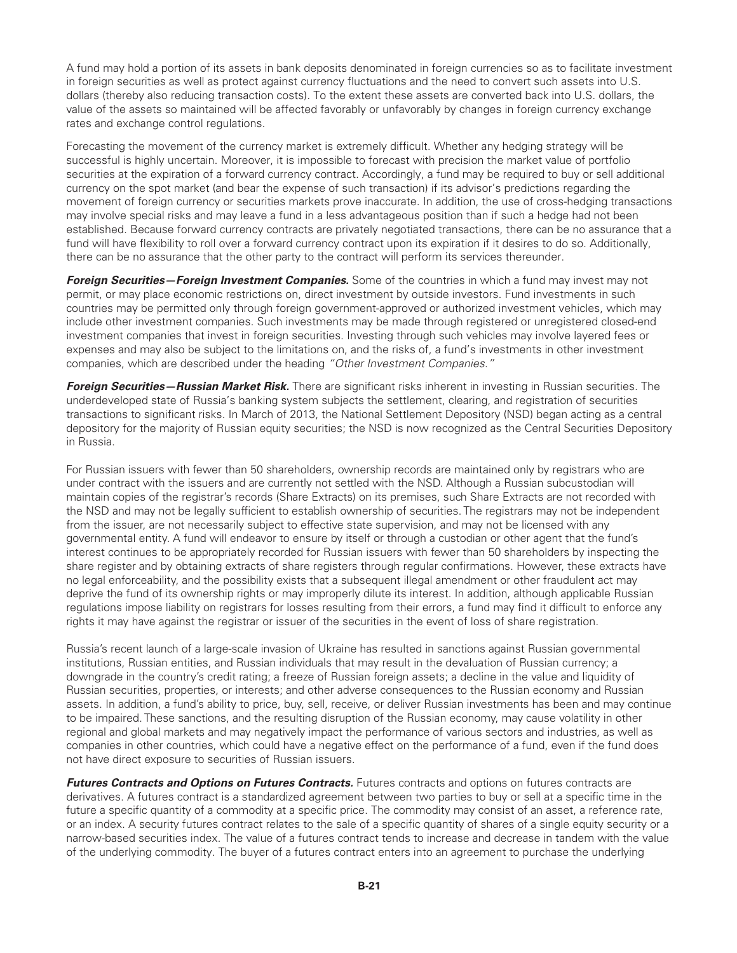A fund may hold a portion of its assets in bank deposits denominated in foreign currencies so as to facilitate investment in foreign securities as well as protect against currency fluctuations and the need to convert such assets into U.S. dollars (thereby also reducing transaction costs). To the extent these assets are converted back into U.S. dollars, the value of the assets so maintained will be affected favorably or unfavorably by changes in foreign currency exchange rates and exchange control regulations.

Forecasting the movement of the currency market is extremely difficult. Whether any hedging strategy will be successful is highly uncertain. Moreover, it is impossible to forecast with precision the market value of portfolio securities at the expiration of a forward currency contract. Accordingly, a fund may be required to buy or sell additional currency on the spot market (and bear the expense of such transaction) if its advisor's predictions regarding the movement of foreign currency or securities markets prove inaccurate. In addition, the use of cross-hedging transactions may involve special risks and may leave a fund in a less advantageous position than if such a hedge had not been established. Because forward currency contracts are privately negotiated transactions, there can be no assurance that a fund will have flexibility to roll over a forward currency contract upon its expiration if it desires to do so. Additionally, there can be no assurance that the other party to the contract will perform its services thereunder.

*Foreign Securities—Foreign Investment Companies.* Some of the countries in which a fund may invest may not permit, or may place economic restrictions on, direct investment by outside investors. Fund investments in such countries may be permitted only through foreign government-approved or authorized investment vehicles, which may include other investment companies. Such investments may be made through registered or unregistered closed-end investment companies that invest in foreign securities. Investing through such vehicles may involve layered fees or expenses and may also be subject to the limitations on, and the risks of, a fund's investments in other investment companies, which are described under the heading *"Other Investment Companies."*

*Foreign Securities—Russian Market Risk.* There are significant risks inherent in investing in Russian securities. The underdeveloped state of Russia's banking system subjects the settlement, clearing, and registration of securities transactions to significant risks. In March of 2013, the National Settlement Depository (NSD) began acting as a central depository for the majority of Russian equity securities; the NSD is now recognized as the Central Securities Depository in Russia.

For Russian issuers with fewer than 50 shareholders, ownership records are maintained only by registrars who are under contract with the issuers and are currently not settled with the NSD. Although a Russian subcustodian will maintain copies of the registrar's records (Share Extracts) on its premises, such Share Extracts are not recorded with the NSD and may not be legally sufficient to establish ownership of securities. The registrars may not be independent from the issuer, are not necessarily subject to effective state supervision, and may not be licensed with any governmental entity. A fund will endeavor to ensure by itself or through a custodian or other agent that the fund's interest continues to be appropriately recorded for Russian issuers with fewer than 50 shareholders by inspecting the share register and by obtaining extracts of share registers through regular confirmations. However, these extracts have no legal enforceability, and the possibility exists that a subsequent illegal amendment or other fraudulent act may deprive the fund of its ownership rights or may improperly dilute its interest. In addition, although applicable Russian regulations impose liability on registrars for losses resulting from their errors, a fund may find it difficult to enforce any rights it may have against the registrar or issuer of the securities in the event of loss of share registration.

Russia's recent launch of a large-scale invasion of Ukraine has resulted in sanctions against Russian governmental institutions, Russian entities, and Russian individuals that may result in the devaluation of Russian currency; a downgrade in the country's credit rating; a freeze of Russian foreign assets; a decline in the value and liquidity of Russian securities, properties, or interests; and other adverse consequences to the Russian economy and Russian assets. In addition, a fund's ability to price, buy, sell, receive, or deliver Russian investments has been and may continue to be impaired. These sanctions, and the resulting disruption of the Russian economy, may cause volatility in other regional and global markets and may negatively impact the performance of various sectors and industries, as well as companies in other countries, which could have a negative effect on the performance of a fund, even if the fund does not have direct exposure to securities of Russian issuers.

*Futures Contracts and Options on Futures Contracts.* Futures contracts and options on futures contracts are derivatives. A futures contract is a standardized agreement between two parties to buy or sell at a specific time in the future a specific quantity of a commodity at a specific price. The commodity may consist of an asset, a reference rate, or an index. A security futures contract relates to the sale of a specific quantity of shares of a single equity security or a narrow-based securities index. The value of a futures contract tends to increase and decrease in tandem with the value of the underlying commodity. The buyer of a futures contract enters into an agreement to purchase the underlying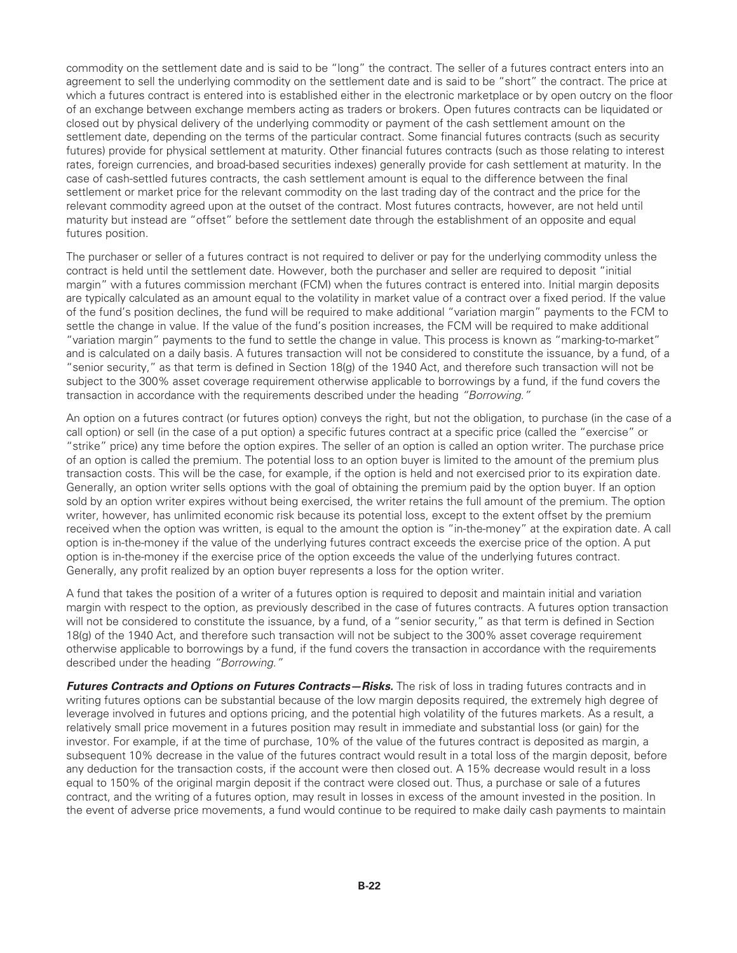commodity on the settlement date and is said to be "long" the contract. The seller of a futures contract enters into an agreement to sell the underlying commodity on the settlement date and is said to be "short" the contract. The price at which a futures contract is entered into is established either in the electronic marketplace or by open outcry on the floor of an exchange between exchange members acting as traders or brokers. Open futures contracts can be liquidated or closed out by physical delivery of the underlying commodity or payment of the cash settlement amount on the settlement date, depending on the terms of the particular contract. Some financial futures contracts (such as security futures) provide for physical settlement at maturity. Other financial futures contracts (such as those relating to interest rates, foreign currencies, and broad-based securities indexes) generally provide for cash settlement at maturity. In the case of cash-settled futures contracts, the cash settlement amount is equal to the difference between the final settlement or market price for the relevant commodity on the last trading day of the contract and the price for the relevant commodity agreed upon at the outset of the contract. Most futures contracts, however, are not held until maturity but instead are "offset" before the settlement date through the establishment of an opposite and equal futures position.

The purchaser or seller of a futures contract is not required to deliver or pay for the underlying commodity unless the contract is held until the settlement date. However, both the purchaser and seller are required to deposit "initial margin" with a futures commission merchant (FCM) when the futures contract is entered into. Initial margin deposits are typically calculated as an amount equal to the volatility in market value of a contract over a fixed period. If the value of the fund's position declines, the fund will be required to make additional "variation margin" payments to the FCM to settle the change in value. If the value of the fund's position increases, the FCM will be required to make additional "variation margin" payments to the fund to settle the change in value. This process is known as "marking-to-market" and is calculated on a daily basis. A futures transaction will not be considered to constitute the issuance, by a fund, of a "senior security," as that term is defined in Section 18(g) of the 1940 Act, and therefore such transaction will not be subject to the 300% asset coverage requirement otherwise applicable to borrowings by a fund, if the fund covers the transaction in accordance with the requirements described under the heading *"Borrowing."*

An option on a futures contract (or futures option) conveys the right, but not the obligation, to purchase (in the case of a call option) or sell (in the case of a put option) a specific futures contract at a specific price (called the "exercise" or "strike" price) any time before the option expires. The seller of an option is called an option writer. The purchase price of an option is called the premium. The potential loss to an option buyer is limited to the amount of the premium plus transaction costs. This will be the case, for example, if the option is held and not exercised prior to its expiration date. Generally, an option writer sells options with the goal of obtaining the premium paid by the option buyer. If an option sold by an option writer expires without being exercised, the writer retains the full amount of the premium. The option writer, however, has unlimited economic risk because its potential loss, except to the extent offset by the premium received when the option was written, is equal to the amount the option is "in-the-money" at the expiration date. A call option is in-the-money if the value of the underlying futures contract exceeds the exercise price of the option. A put option is in-the-money if the exercise price of the option exceeds the value of the underlying futures contract. Generally, any profit realized by an option buyer represents a loss for the option writer.

A fund that takes the position of a writer of a futures option is required to deposit and maintain initial and variation margin with respect to the option, as previously described in the case of futures contracts. A futures option transaction will not be considered to constitute the issuance, by a fund, of a "senior security," as that term is defined in Section 18(g) of the 1940 Act, and therefore such transaction will not be subject to the 300% asset coverage requirement otherwise applicable to borrowings by a fund, if the fund covers the transaction in accordance with the requirements described under the heading *"Borrowing."*

*Futures Contracts and Options on Futures Contracts—Risks.* The risk of loss in trading futures contracts and in writing futures options can be substantial because of the low margin deposits required, the extremely high degree of leverage involved in futures and options pricing, and the potential high volatility of the futures markets. As a result, a relatively small price movement in a futures position may result in immediate and substantial loss (or gain) for the investor. For example, if at the time of purchase, 10% of the value of the futures contract is deposited as margin, a subsequent 10% decrease in the value of the futures contract would result in a total loss of the margin deposit, before any deduction for the transaction costs, if the account were then closed out. A 15% decrease would result in a loss equal to 150% of the original margin deposit if the contract were closed out. Thus, a purchase or sale of a futures contract, and the writing of a futures option, may result in losses in excess of the amount invested in the position. In the event of adverse price movements, a fund would continue to be required to make daily cash payments to maintain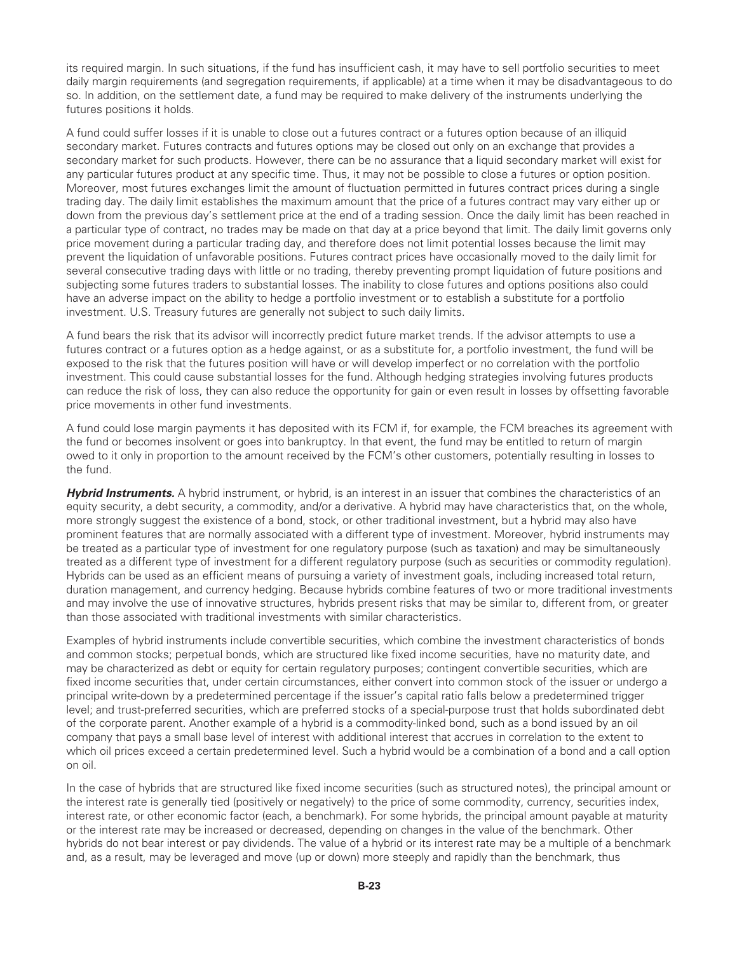its required margin. In such situations, if the fund has insufficient cash, it may have to sell portfolio securities to meet daily margin requirements (and segregation requirements, if applicable) at a time when it may be disadvantageous to do so. In addition, on the settlement date, a fund may be required to make delivery of the instruments underlying the futures positions it holds.

A fund could suffer losses if it is unable to close out a futures contract or a futures option because of an illiquid secondary market. Futures contracts and futures options may be closed out only on an exchange that provides a secondary market for such products. However, there can be no assurance that a liquid secondary market will exist for any particular futures product at any specific time. Thus, it may not be possible to close a futures or option position. Moreover, most futures exchanges limit the amount of fluctuation permitted in futures contract prices during a single trading day. The daily limit establishes the maximum amount that the price of a futures contract may vary either up or down from the previous day's settlement price at the end of a trading session. Once the daily limit has been reached in a particular type of contract, no trades may be made on that day at a price beyond that limit. The daily limit governs only price movement during a particular trading day, and therefore does not limit potential losses because the limit may prevent the liquidation of unfavorable positions. Futures contract prices have occasionally moved to the daily limit for several consecutive trading days with little or no trading, thereby preventing prompt liquidation of future positions and subjecting some futures traders to substantial losses. The inability to close futures and options positions also could have an adverse impact on the ability to hedge a portfolio investment or to establish a substitute for a portfolio investment. U.S. Treasury futures are generally not subject to such daily limits.

A fund bears the risk that its advisor will incorrectly predict future market trends. If the advisor attempts to use a futures contract or a futures option as a hedge against, or as a substitute for, a portfolio investment, the fund will be exposed to the risk that the futures position will have or will develop imperfect or no correlation with the portfolio investment. This could cause substantial losses for the fund. Although hedging strategies involving futures products can reduce the risk of loss, they can also reduce the opportunity for gain or even result in losses by offsetting favorable price movements in other fund investments.

A fund could lose margin payments it has deposited with its FCM if, for example, the FCM breaches its agreement with the fund or becomes insolvent or goes into bankruptcy. In that event, the fund may be entitled to return of margin owed to it only in proportion to the amount received by the FCM's other customers, potentially resulting in losses to the fund.

*Hybrid Instruments.* A hybrid instrument, or hybrid, is an interest in an issuer that combines the characteristics of an equity security, a debt security, a commodity, and/or a derivative. A hybrid may have characteristics that, on the whole, more strongly suggest the existence of a bond, stock, or other traditional investment, but a hybrid may also have prominent features that are normally associated with a different type of investment. Moreover, hybrid instruments may be treated as a particular type of investment for one regulatory purpose (such as taxation) and may be simultaneously treated as a different type of investment for a different regulatory purpose (such as securities or commodity regulation). Hybrids can be used as an efficient means of pursuing a variety of investment goals, including increased total return, duration management, and currency hedging. Because hybrids combine features of two or more traditional investments and may involve the use of innovative structures, hybrids present risks that may be similar to, different from, or greater than those associated with traditional investments with similar characteristics.

Examples of hybrid instruments include convertible securities, which combine the investment characteristics of bonds and common stocks; perpetual bonds, which are structured like fixed income securities, have no maturity date, and may be characterized as debt or equity for certain regulatory purposes; contingent convertible securities, which are fixed income securities that, under certain circumstances, either convert into common stock of the issuer or undergo a principal write-down by a predetermined percentage if the issuer's capital ratio falls below a predetermined trigger level; and trust-preferred securities, which are preferred stocks of a special-purpose trust that holds subordinated debt of the corporate parent. Another example of a hybrid is a commodity-linked bond, such as a bond issued by an oil company that pays a small base level of interest with additional interest that accrues in correlation to the extent to which oil prices exceed a certain predetermined level. Such a hybrid would be a combination of a bond and a call option on oil.

In the case of hybrids that are structured like fixed income securities (such as structured notes), the principal amount or the interest rate is generally tied (positively or negatively) to the price of some commodity, currency, securities index, interest rate, or other economic factor (each, a benchmark). For some hybrids, the principal amount payable at maturity or the interest rate may be increased or decreased, depending on changes in the value of the benchmark. Other hybrids do not bear interest or pay dividends. The value of a hybrid or its interest rate may be a multiple of a benchmark and, as a result, may be leveraged and move (up or down) more steeply and rapidly than the benchmark, thus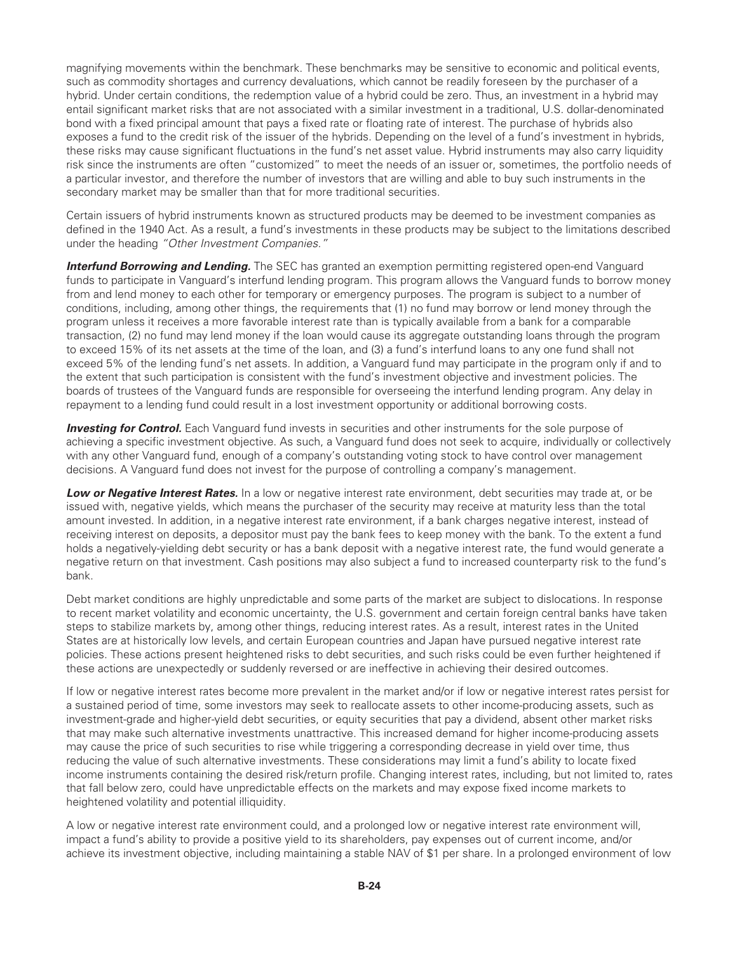magnifying movements within the benchmark. These benchmarks may be sensitive to economic and political events, such as commodity shortages and currency devaluations, which cannot be readily foreseen by the purchaser of a hybrid. Under certain conditions, the redemption value of a hybrid could be zero. Thus, an investment in a hybrid may entail significant market risks that are not associated with a similar investment in a traditional, U.S. dollar-denominated bond with a fixed principal amount that pays a fixed rate or floating rate of interest. The purchase of hybrids also exposes a fund to the credit risk of the issuer of the hybrids. Depending on the level of a fund's investment in hybrids, these risks may cause significant fluctuations in the fund's net asset value. Hybrid instruments may also carry liquidity risk since the instruments are often "customized" to meet the needs of an issuer or, sometimes, the portfolio needs of a particular investor, and therefore the number of investors that are willing and able to buy such instruments in the secondary market may be smaller than that for more traditional securities.

Certain issuers of hybrid instruments known as structured products may be deemed to be investment companies as defined in the 1940 Act. As a result, a fund's investments in these products may be subject to the limitations described under the heading *"Other Investment Companies."*

**Interfund Borrowing and Lending.** The SEC has granted an exemption permitting registered open-end Vanguard funds to participate in Vanguard's interfund lending program. This program allows the Vanguard funds to borrow money from and lend money to each other for temporary or emergency purposes. The program is subject to a number of conditions, including, among other things, the requirements that (1) no fund may borrow or lend money through the program unless it receives a more favorable interest rate than is typically available from a bank for a comparable transaction, (2) no fund may lend money if the loan would cause its aggregate outstanding loans through the program to exceed 15% of its net assets at the time of the loan, and (3) a fund's interfund loans to any one fund shall not exceed 5% of the lending fund's net assets. In addition, a Vanguard fund may participate in the program only if and to the extent that such participation is consistent with the fund's investment objective and investment policies. The boards of trustees of the Vanguard funds are responsible for overseeing the interfund lending program. Any delay in repayment to a lending fund could result in a lost investment opportunity or additional borrowing costs.

**Investing for Control.** Each Vanguard fund invests in securities and other instruments for the sole purpose of achieving a specific investment objective. As such, a Vanguard fund does not seek to acquire, individually or collectively with any other Vanguard fund, enough of a company's outstanding voting stock to have control over management decisions. A Vanguard fund does not invest for the purpose of controlling a company's management.

**Low or Negative Interest Rates.** In a low or negative interest rate environment, debt securities may trade at, or be issued with, negative yields, which means the purchaser of the security may receive at maturity less than the total amount invested. In addition, in a negative interest rate environment, if a bank charges negative interest, instead of receiving interest on deposits, a depositor must pay the bank fees to keep money with the bank. To the extent a fund holds a negatively-yielding debt security or has a bank deposit with a negative interest rate, the fund would generate a negative return on that investment. Cash positions may also subject a fund to increased counterparty risk to the fund's bank.

Debt market conditions are highly unpredictable and some parts of the market are subject to dislocations. In response to recent market volatility and economic uncertainty, the U.S. government and certain foreign central banks have taken steps to stabilize markets by, among other things, reducing interest rates. As a result, interest rates in the United States are at historically low levels, and certain European countries and Japan have pursued negative interest rate policies. These actions present heightened risks to debt securities, and such risks could be even further heightened if these actions are unexpectedly or suddenly reversed or are ineffective in achieving their desired outcomes.

If low or negative interest rates become more prevalent in the market and/or if low or negative interest rates persist for a sustained period of time, some investors may seek to reallocate assets to other income-producing assets, such as investment-grade and higher-yield debt securities, or equity securities that pay a dividend, absent other market risks that may make such alternative investments unattractive. This increased demand for higher income-producing assets may cause the price of such securities to rise while triggering a corresponding decrease in yield over time, thus reducing the value of such alternative investments. These considerations may limit a fund's ability to locate fixed income instruments containing the desired risk/return profile. Changing interest rates, including, but not limited to, rates that fall below zero, could have unpredictable effects on the markets and may expose fixed income markets to heightened volatility and potential illiquidity.

A low or negative interest rate environment could, and a prolonged low or negative interest rate environment will, impact a fund's ability to provide a positive yield to its shareholders, pay expenses out of current income, and/or achieve its investment objective, including maintaining a stable NAV of \$1 per share. In a prolonged environment of low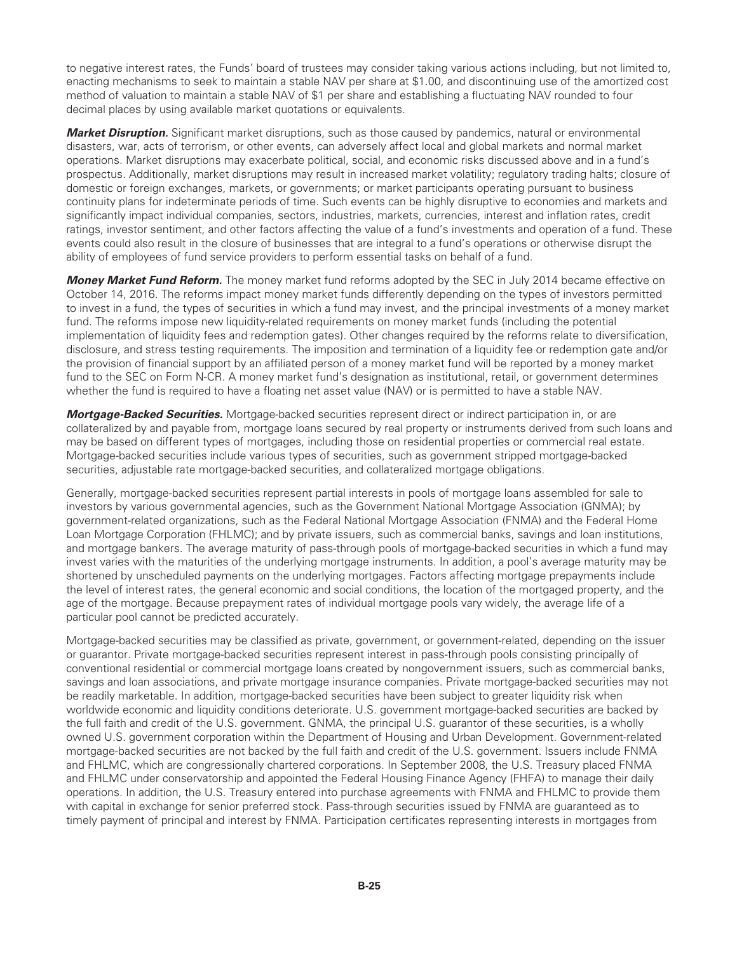to negative interest rates, the Funds' board of trustees may consider taking various actions including, but not limited to, enacting mechanisms to seek to maintain a stable NAV per share at \$1.00, and discontinuing use of the amortized cost method of valuation to maintain a stable NAV of \$1 per share and establishing a fluctuating NAV rounded to four decimal places by using available market quotations or equivalents.

*Market Disruption.* Significant market disruptions, such as those caused by pandemics, natural or environmental disasters, war, acts of terrorism, or other events, can adversely affect local and global markets and normal market operations. Market disruptions may exacerbate political, social, and economic risks discussed above and in a fund's prospectus. Additionally, market disruptions may result in increased market volatility; regulatory trading halts; closure of domestic or foreign exchanges, markets, or governments; or market participants operating pursuant to business continuity plans for indeterminate periods of time. Such events can be highly disruptive to economies and markets and significantly impact individual companies, sectors, industries, markets, currencies, interest and inflation rates, credit ratings, investor sentiment, and other factors affecting the value of a fund's investments and operation of a fund. These events could also result in the closure of businesses that are integral to a fund's operations or otherwise disrupt the ability of employees of fund service providers to perform essential tasks on behalf of a fund.

*Money Market Fund Reform.* The money market fund reforms adopted by the SEC in July 2014 became effective on October 14, 2016. The reforms impact money market funds differently depending on the types of investors permitted to invest in a fund, the types of securities in which a fund may invest, and the principal investments of a money market fund. The reforms impose new liquidity-related requirements on money market funds (including the potential implementation of liquidity fees and redemption gates). Other changes required by the reforms relate to diversification, disclosure, and stress testing requirements. The imposition and termination of a liquidity fee or redemption gate and/or the provision of financial support by an affiliated person of a money market fund will be reported by a money market fund to the SEC on Form N-CR. A money market fund's designation as institutional, retail, or government determines whether the fund is required to have a floating net asset value (NAV) or is permitted to have a stable NAV.

*Mortgage-Backed Securities.* Mortgage-backed securities represent direct or indirect participation in, or are collateralized by and payable from, mortgage loans secured by real property or instruments derived from such loans and may be based on different types of mortgages, including those on residential properties or commercial real estate. Mortgage-backed securities include various types of securities, such as government stripped mortgage-backed securities, adjustable rate mortgage-backed securities, and collateralized mortgage obligations.

Generally, mortgage-backed securities represent partial interests in pools of mortgage loans assembled for sale to investors by various governmental agencies, such as the Government National Mortgage Association (GNMA); by government-related organizations, such as the Federal National Mortgage Association (FNMA) and the Federal Home Loan Mortgage Corporation (FHLMC); and by private issuers, such as commercial banks, savings and loan institutions, and mortgage bankers. The average maturity of pass-through pools of mortgage-backed securities in which a fund may invest varies with the maturities of the underlying mortgage instruments. In addition, a pool's average maturity may be shortened by unscheduled payments on the underlying mortgages. Factors affecting mortgage prepayments include the level of interest rates, the general economic and social conditions, the location of the mortgaged property, and the age of the mortgage. Because prepayment rates of individual mortgage pools vary widely, the average life of a particular pool cannot be predicted accurately.

Mortgage-backed securities may be classified as private, government, or government-related, depending on the issuer or guarantor. Private mortgage-backed securities represent interest in pass-through pools consisting principally of conventional residential or commercial mortgage loans created by nongovernment issuers, such as commercial banks, savings and loan associations, and private mortgage insurance companies. Private mortgage-backed securities may not be readily marketable. In addition, mortgage-backed securities have been subject to greater liquidity risk when worldwide economic and liquidity conditions deteriorate. U.S. government mortgage-backed securities are backed by the full faith and credit of the U.S. government. GNMA, the principal U.S. guarantor of these securities, is a wholly owned U.S. government corporation within the Department of Housing and Urban Development. Government-related mortgage-backed securities are not backed by the full faith and credit of the U.S. government. Issuers include FNMA and FHLMC, which are congressionally chartered corporations. In September 2008, the U.S. Treasury placed FNMA and FHLMC under conservatorship and appointed the Federal Housing Finance Agency (FHFA) to manage their daily operations. In addition, the U.S. Treasury entered into purchase agreements with FNMA and FHLMC to provide them with capital in exchange for senior preferred stock. Pass-through securities issued by FNMA are guaranteed as to timely payment of principal and interest by FNMA. Participation certificates representing interests in mortgages from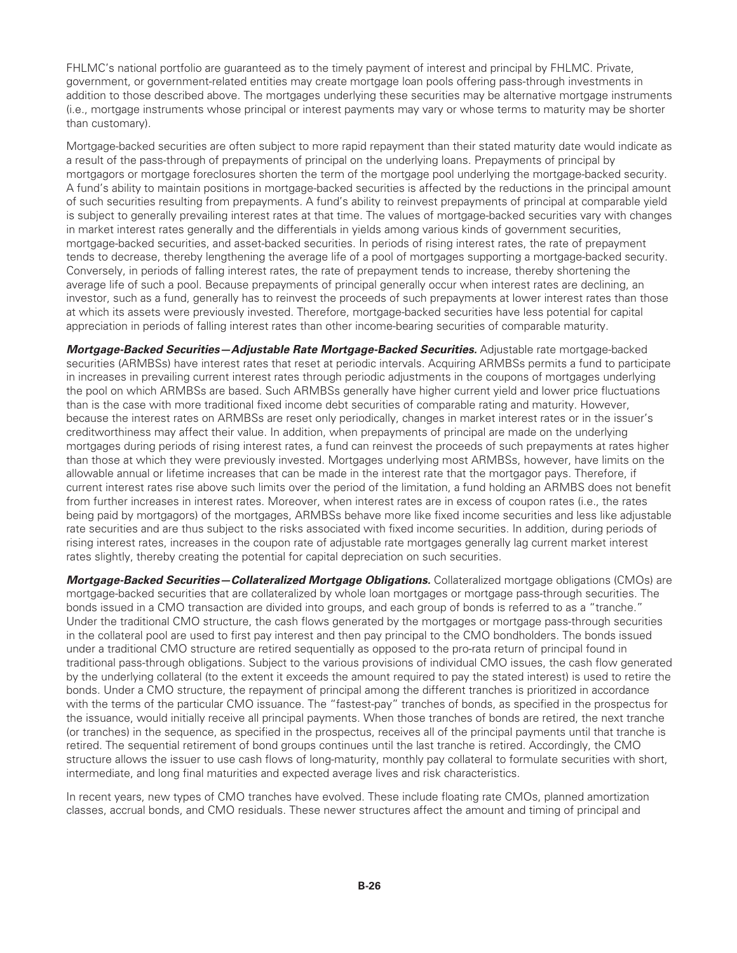FHLMC's national portfolio are guaranteed as to the timely payment of interest and principal by FHLMC. Private, government, or government-related entities may create mortgage loan pools offering pass-through investments in addition to those described above. The mortgages underlying these securities may be alternative mortgage instruments (i.e., mortgage instruments whose principal or interest payments may vary or whose terms to maturity may be shorter than customary).

Mortgage-backed securities are often subject to more rapid repayment than their stated maturity date would indicate as a result of the pass-through of prepayments of principal on the underlying loans. Prepayments of principal by mortgagors or mortgage foreclosures shorten the term of the mortgage pool underlying the mortgage-backed security. A fund's ability to maintain positions in mortgage-backed securities is affected by the reductions in the principal amount of such securities resulting from prepayments. A fund's ability to reinvest prepayments of principal at comparable yield is subject to generally prevailing interest rates at that time. The values of mortgage-backed securities vary with changes in market interest rates generally and the differentials in yields among various kinds of government securities, mortgage-backed securities, and asset-backed securities. In periods of rising interest rates, the rate of prepayment tends to decrease, thereby lengthening the average life of a pool of mortgages supporting a mortgage-backed security. Conversely, in periods of falling interest rates, the rate of prepayment tends to increase, thereby shortening the average life of such a pool. Because prepayments of principal generally occur when interest rates are declining, an investor, such as a fund, generally has to reinvest the proceeds of such prepayments at lower interest rates than those at which its assets were previously invested. Therefore, mortgage-backed securities have less potential for capital appreciation in periods of falling interest rates than other income-bearing securities of comparable maturity.

*Mortgage-Backed Securities—Adjustable Rate Mortgage-Backed Securities.* Adjustable rate mortgage-backed securities (ARMBSs) have interest rates that reset at periodic intervals. Acquiring ARMBSs permits a fund to participate in increases in prevailing current interest rates through periodic adjustments in the coupons of mortgages underlying the pool on which ARMBSs are based. Such ARMBSs generally have higher current yield and lower price fluctuations than is the case with more traditional fixed income debt securities of comparable rating and maturity. However, because the interest rates on ARMBSs are reset only periodically, changes in market interest rates or in the issuer's creditworthiness may affect their value. In addition, when prepayments of principal are made on the underlying mortgages during periods of rising interest rates, a fund can reinvest the proceeds of such prepayments at rates higher than those at which they were previously invested. Mortgages underlying most ARMBSs, however, have limits on the allowable annual or lifetime increases that can be made in the interest rate that the mortgagor pays. Therefore, if current interest rates rise above such limits over the period of the limitation, a fund holding an ARMBS does not benefit from further increases in interest rates. Moreover, when interest rates are in excess of coupon rates (i.e., the rates being paid by mortgagors) of the mortgages, ARMBSs behave more like fixed income securities and less like adjustable rate securities and are thus subject to the risks associated with fixed income securities. In addition, during periods of rising interest rates, increases in the coupon rate of adjustable rate mortgages generally lag current market interest rates slightly, thereby creating the potential for capital depreciation on such securities.

*Mortgage-Backed Securities—Collateralized Mortgage Obligations.* Collateralized mortgage obligations (CMOs) are mortgage-backed securities that are collateralized by whole loan mortgages or mortgage pass-through securities. The bonds issued in a CMO transaction are divided into groups, and each group of bonds is referred to as a "tranche." Under the traditional CMO structure, the cash flows generated by the mortgages or mortgage pass-through securities in the collateral pool are used to first pay interest and then pay principal to the CMO bondholders. The bonds issued under a traditional CMO structure are retired sequentially as opposed to the pro-rata return of principal found in traditional pass-through obligations. Subject to the various provisions of individual CMO issues, the cash flow generated by the underlying collateral (to the extent it exceeds the amount required to pay the stated interest) is used to retire the bonds. Under a CMO structure, the repayment of principal among the different tranches is prioritized in accordance with the terms of the particular CMO issuance. The "fastest-pay" tranches of bonds, as specified in the prospectus for the issuance, would initially receive all principal payments. When those tranches of bonds are retired, the next tranche (or tranches) in the sequence, as specified in the prospectus, receives all of the principal payments until that tranche is retired. The sequential retirement of bond groups continues until the last tranche is retired. Accordingly, the CMO structure allows the issuer to use cash flows of long-maturity, monthly pay collateral to formulate securities with short, intermediate, and long final maturities and expected average lives and risk characteristics.

In recent years, new types of CMO tranches have evolved. These include floating rate CMOs, planned amortization classes, accrual bonds, and CMO residuals. These newer structures affect the amount and timing of principal and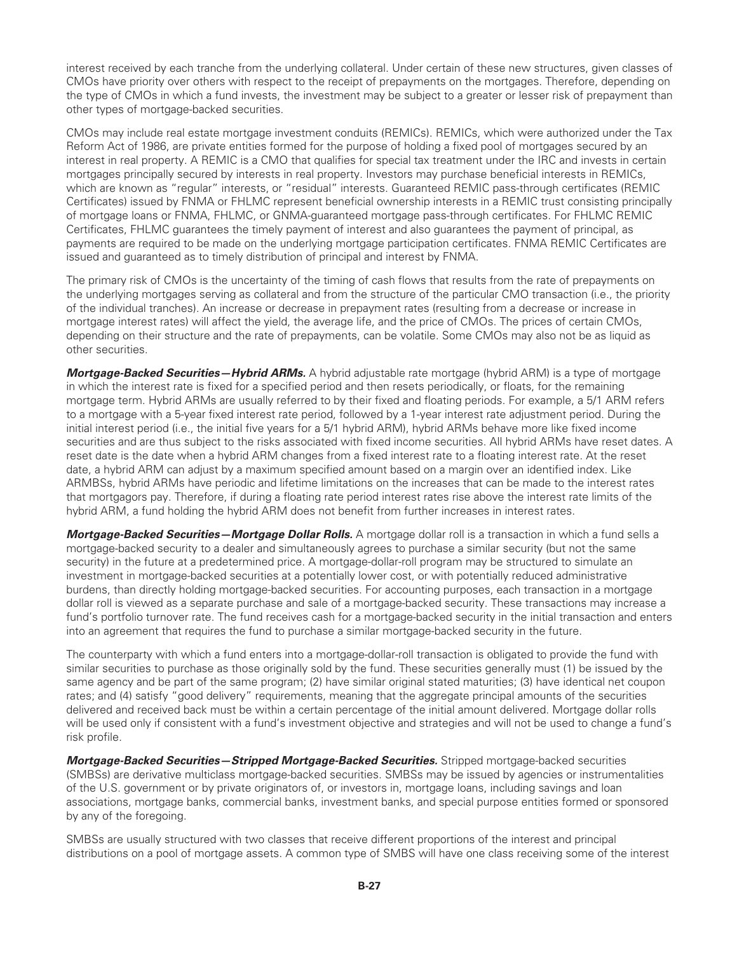interest received by each tranche from the underlying collateral. Under certain of these new structures, given classes of CMOs have priority over others with respect to the receipt of prepayments on the mortgages. Therefore, depending on the type of CMOs in which a fund invests, the investment may be subject to a greater or lesser risk of prepayment than other types of mortgage-backed securities.

CMOs may include real estate mortgage investment conduits (REMICs). REMICs, which were authorized under the Tax Reform Act of 1986, are private entities formed for the purpose of holding a fixed pool of mortgages secured by an interest in real property. A REMIC is a CMO that qualifies for special tax treatment under the IRC and invests in certain mortgages principally secured by interests in real property. Investors may purchase beneficial interests in REMICs, which are known as "regular" interests, or "residual" interests. Guaranteed REMIC pass-through certificates (REMIC Certificates) issued by FNMA or FHLMC represent beneficial ownership interests in a REMIC trust consisting principally of mortgage loans or FNMA, FHLMC, or GNMA-guaranteed mortgage pass-through certificates. For FHLMC REMIC Certificates, FHLMC guarantees the timely payment of interest and also guarantees the payment of principal, as payments are required to be made on the underlying mortgage participation certificates. FNMA REMIC Certificates are issued and guaranteed as to timely distribution of principal and interest by FNMA.

The primary risk of CMOs is the uncertainty of the timing of cash flows that results from the rate of prepayments on the underlying mortgages serving as collateral and from the structure of the particular CMO transaction (i.e., the priority of the individual tranches). An increase or decrease in prepayment rates (resulting from a decrease or increase in mortgage interest rates) will affect the yield, the average life, and the price of CMOs. The prices of certain CMOs, depending on their structure and the rate of prepayments, can be volatile. Some CMOs may also not be as liquid as other securities.

*Mortgage-Backed Securities—Hybrid ARMs.* A hybrid adjustable rate mortgage (hybrid ARM) is a type of mortgage in which the interest rate is fixed for a specified period and then resets periodically, or floats, for the remaining mortgage term. Hybrid ARMs are usually referred to by their fixed and floating periods. For example, a 5/1 ARM refers to a mortgage with a 5-year fixed interest rate period, followed by a 1-year interest rate adjustment period. During the initial interest period (i.e., the initial five years for a 5/1 hybrid ARM), hybrid ARMs behave more like fixed income securities and are thus subject to the risks associated with fixed income securities. All hybrid ARMs have reset dates. A reset date is the date when a hybrid ARM changes from a fixed interest rate to a floating interest rate. At the reset date, a hybrid ARM can adjust by a maximum specified amount based on a margin over an identified index. Like ARMBSs, hybrid ARMs have periodic and lifetime limitations on the increases that can be made to the interest rates that mortgagors pay. Therefore, if during a floating rate period interest rates rise above the interest rate limits of the hybrid ARM, a fund holding the hybrid ARM does not benefit from further increases in interest rates.

*Mortgage-Backed Securities—Mortgage Dollar Rolls.* A mortgage dollar roll is a transaction in which a fund sells a mortgage-backed security to a dealer and simultaneously agrees to purchase a similar security (but not the same security) in the future at a predetermined price. A mortgage-dollar-roll program may be structured to simulate an investment in mortgage-backed securities at a potentially lower cost, or with potentially reduced administrative burdens, than directly holding mortgage-backed securities. For accounting purposes, each transaction in a mortgage dollar roll is viewed as a separate purchase and sale of a mortgage-backed security. These transactions may increase a fund's portfolio turnover rate. The fund receives cash for a mortgage-backed security in the initial transaction and enters into an agreement that requires the fund to purchase a similar mortgage-backed security in the future.

The counterparty with which a fund enters into a mortgage-dollar-roll transaction is obligated to provide the fund with similar securities to purchase as those originally sold by the fund. These securities generally must (1) be issued by the same agency and be part of the same program; (2) have similar original stated maturities; (3) have identical net coupon rates; and (4) satisfy "good delivery" requirements, meaning that the aggregate principal amounts of the securities delivered and received back must be within a certain percentage of the initial amount delivered. Mortgage dollar rolls will be used only if consistent with a fund's investment objective and strategies and will not be used to change a fund's risk profile.

*Mortgage-Backed Securities—Stripped Mortgage-Backed Securities.* Stripped mortgage-backed securities (SMBSs) are derivative multiclass mortgage-backed securities. SMBSs may be issued by agencies or instrumentalities of the U.S. government or by private originators of, or investors in, mortgage loans, including savings and loan associations, mortgage banks, commercial banks, investment banks, and special purpose entities formed or sponsored by any of the foregoing.

SMBSs are usually structured with two classes that receive different proportions of the interest and principal distributions on a pool of mortgage assets. A common type of SMBS will have one class receiving some of the interest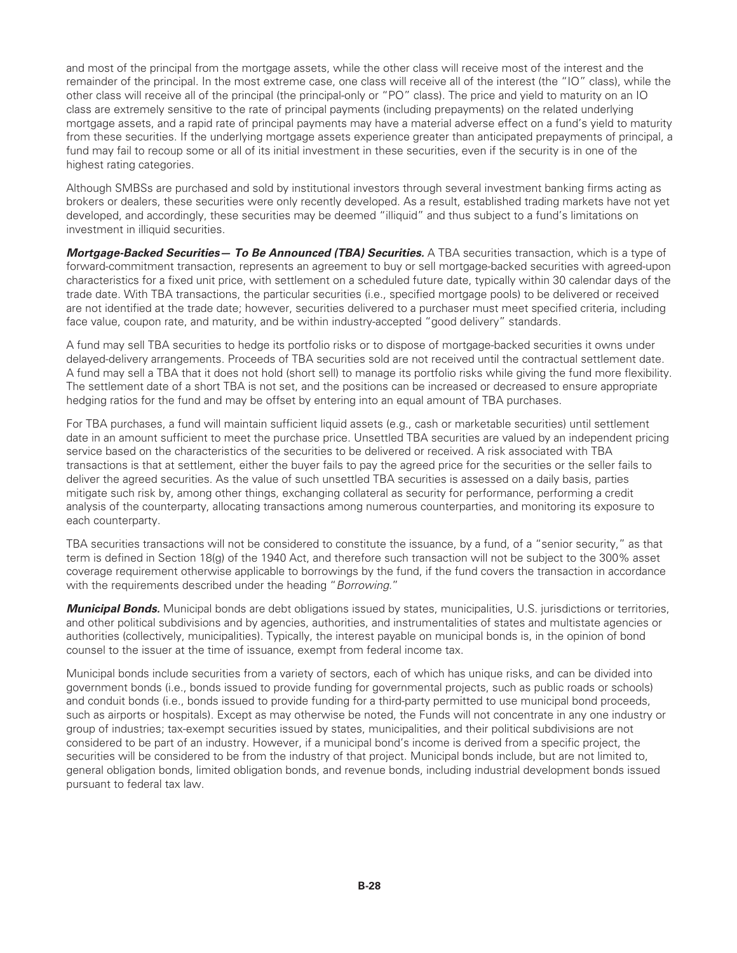and most of the principal from the mortgage assets, while the other class will receive most of the interest and the remainder of the principal. In the most extreme case, one class will receive all of the interest (the "IO" class), while the other class will receive all of the principal (the principal-only or "PO" class). The price and yield to maturity on an IO class are extremely sensitive to the rate of principal payments (including prepayments) on the related underlying mortgage assets, and a rapid rate of principal payments may have a material adverse effect on a fund's yield to maturity from these securities. If the underlying mortgage assets experience greater than anticipated prepayments of principal, a fund may fail to recoup some or all of its initial investment in these securities, even if the security is in one of the highest rating categories.

Although SMBSs are purchased and sold by institutional investors through several investment banking firms acting as brokers or dealers, these securities were only recently developed. As a result, established trading markets have not yet developed, and accordingly, these securities may be deemed "illiquid" and thus subject to a fund's limitations on investment in illiquid securities.

*Mortgage-Backed Securities— To Be Announced (TBA) Securities.* A TBA securities transaction, which is a type of forward-commitment transaction, represents an agreement to buy or sell mortgage-backed securities with agreed-upon characteristics for a fixed unit price, with settlement on a scheduled future date, typically within 30 calendar days of the trade date. With TBA transactions, the particular securities (i.e., specified mortgage pools) to be delivered or received are not identified at the trade date; however, securities delivered to a purchaser must meet specified criteria, including face value, coupon rate, and maturity, and be within industry-accepted "good delivery" standards.

A fund may sell TBA securities to hedge its portfolio risks or to dispose of mortgage-backed securities it owns under delayed-delivery arrangements. Proceeds of TBA securities sold are not received until the contractual settlement date. A fund may sell a TBA that it does not hold (short sell) to manage its portfolio risks while giving the fund more flexibility. The settlement date of a short TBA is not set, and the positions can be increased or decreased to ensure appropriate hedging ratios for the fund and may be offset by entering into an equal amount of TBA purchases.

For TBA purchases, a fund will maintain sufficient liquid assets (e.g., cash or marketable securities) until settlement date in an amount sufficient to meet the purchase price. Unsettled TBA securities are valued by an independent pricing service based on the characteristics of the securities to be delivered or received. A risk associated with TBA transactions is that at settlement, either the buyer fails to pay the agreed price for the securities or the seller fails to deliver the agreed securities. As the value of such unsettled TBA securities is assessed on a daily basis, parties mitigate such risk by, among other things, exchanging collateral as security for performance, performing a credit analysis of the counterparty, allocating transactions among numerous counterparties, and monitoring its exposure to each counterparty.

TBA securities transactions will not be considered to constitute the issuance, by a fund, of a "senior security," as that term is defined in Section 18(g) of the 1940 Act, and therefore such transaction will not be subject to the 300% asset coverage requirement otherwise applicable to borrowings by the fund, if the fund covers the transaction in accordance with the requirements described under the heading "*Borrowing*."

*Municipal Bonds.* Municipal bonds are debt obligations issued by states, municipalities, U.S. jurisdictions or territories, and other political subdivisions and by agencies, authorities, and instrumentalities of states and multistate agencies or authorities (collectively, municipalities). Typically, the interest payable on municipal bonds is, in the opinion of bond counsel to the issuer at the time of issuance, exempt from federal income tax.

Municipal bonds include securities from a variety of sectors, each of which has unique risks, and can be divided into government bonds (i.e., bonds issued to provide funding for governmental projects, such as public roads or schools) and conduit bonds (i.e., bonds issued to provide funding for a third-party permitted to use municipal bond proceeds, such as airports or hospitals). Except as may otherwise be noted, the Funds will not concentrate in any one industry or group of industries; tax-exempt securities issued by states, municipalities, and their political subdivisions are not considered to be part of an industry. However, if a municipal bond's income is derived from a specific project, the securities will be considered to be from the industry of that project. Municipal bonds include, but are not limited to, general obligation bonds, limited obligation bonds, and revenue bonds, including industrial development bonds issued pursuant to federal tax law.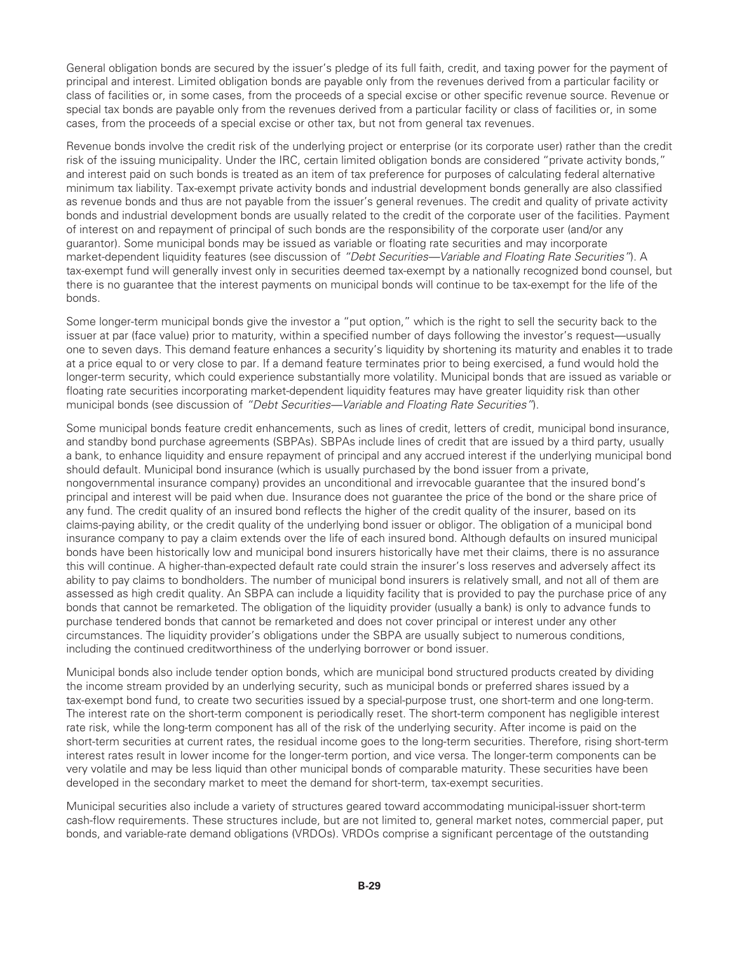General obligation bonds are secured by the issuer's pledge of its full faith, credit, and taxing power for the payment of principal and interest. Limited obligation bonds are payable only from the revenues derived from a particular facility or class of facilities or, in some cases, from the proceeds of a special excise or other specific revenue source. Revenue or special tax bonds are payable only from the revenues derived from a particular facility or class of facilities or, in some cases, from the proceeds of a special excise or other tax, but not from general tax revenues.

Revenue bonds involve the credit risk of the underlying project or enterprise (or its corporate user) rather than the credit risk of the issuing municipality. Under the IRC, certain limited obligation bonds are considered "private activity bonds," and interest paid on such bonds is treated as an item of tax preference for purposes of calculating federal alternative minimum tax liability. Tax-exempt private activity bonds and industrial development bonds generally are also classified as revenue bonds and thus are not payable from the issuer's general revenues. The credit and quality of private activity bonds and industrial development bonds are usually related to the credit of the corporate user of the facilities. Payment of interest on and repayment of principal of such bonds are the responsibility of the corporate user (and/or any guarantor). Some municipal bonds may be issued as variable or floating rate securities and may incorporate market-dependent liquidity features (see discussion of *"Debt Securities—Variable and Floating Rate Securities"*). A tax-exempt fund will generally invest only in securities deemed tax-exempt by a nationally recognized bond counsel, but there is no guarantee that the interest payments on municipal bonds will continue to be tax-exempt for the life of the bonds.

Some longer-term municipal bonds give the investor a "put option," which is the right to sell the security back to the issuer at par (face value) prior to maturity, within a specified number of days following the investor's request—usually one to seven days. This demand feature enhances a security's liquidity by shortening its maturity and enables it to trade at a price equal to or very close to par. If a demand feature terminates prior to being exercised, a fund would hold the longer-term security, which could experience substantially more volatility. Municipal bonds that are issued as variable or floating rate securities incorporating market-dependent liquidity features may have greater liquidity risk than other municipal bonds (see discussion of *"Debt Securities—Variable and Floating Rate Securities"*).

Some municipal bonds feature credit enhancements, such as lines of credit, letters of credit, municipal bond insurance, and standby bond purchase agreements (SBPAs). SBPAs include lines of credit that are issued by a third party, usually a bank, to enhance liquidity and ensure repayment of principal and any accrued interest if the underlying municipal bond should default. Municipal bond insurance (which is usually purchased by the bond issuer from a private, nongovernmental insurance company) provides an unconditional and irrevocable guarantee that the insured bond's principal and interest will be paid when due. Insurance does not guarantee the price of the bond or the share price of any fund. The credit quality of an insured bond reflects the higher of the credit quality of the insurer, based on its claims-paying ability, or the credit quality of the underlying bond issuer or obligor. The obligation of a municipal bond insurance company to pay a claim extends over the life of each insured bond. Although defaults on insured municipal bonds have been historically low and municipal bond insurers historically have met their claims, there is no assurance this will continue. A higher-than-expected default rate could strain the insurer's loss reserves and adversely affect its ability to pay claims to bondholders. The number of municipal bond insurers is relatively small, and not all of them are assessed as high credit quality. An SBPA can include a liquidity facility that is provided to pay the purchase price of any bonds that cannot be remarketed. The obligation of the liquidity provider (usually a bank) is only to advance funds to purchase tendered bonds that cannot be remarketed and does not cover principal or interest under any other circumstances. The liquidity provider's obligations under the SBPA are usually subject to numerous conditions, including the continued creditworthiness of the underlying borrower or bond issuer.

Municipal bonds also include tender option bonds, which are municipal bond structured products created by dividing the income stream provided by an underlying security, such as municipal bonds or preferred shares issued by a tax-exempt bond fund, to create two securities issued by a special-purpose trust, one short-term and one long-term. The interest rate on the short-term component is periodically reset. The short-term component has negligible interest rate risk, while the long-term component has all of the risk of the underlying security. After income is paid on the short-term securities at current rates, the residual income goes to the long-term securities. Therefore, rising short-term interest rates result in lower income for the longer-term portion, and vice versa. The longer-term components can be very volatile and may be less liquid than other municipal bonds of comparable maturity. These securities have been developed in the secondary market to meet the demand for short-term, tax-exempt securities.

Municipal securities also include a variety of structures geared toward accommodating municipal-issuer short-term cash-flow requirements. These structures include, but are not limited to, general market notes, commercial paper, put bonds, and variable-rate demand obligations (VRDOs). VRDOs comprise a significant percentage of the outstanding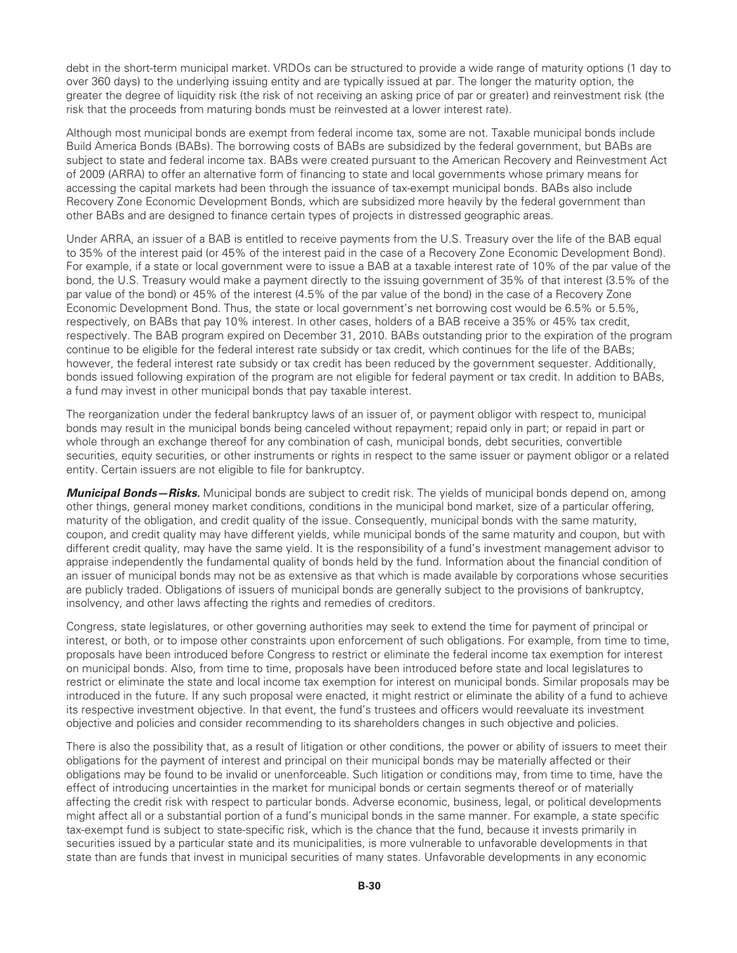debt in the short-term municipal market. VRDOs can be structured to provide a wide range of maturity options (1 day to over 360 days) to the underlying issuing entity and are typically issued at par. The longer the maturity option, the greater the degree of liquidity risk (the risk of not receiving an asking price of par or greater) and reinvestment risk (the risk that the proceeds from maturing bonds must be reinvested at a lower interest rate).

Although most municipal bonds are exempt from federal income tax, some are not. Taxable municipal bonds include Build America Bonds (BABs). The borrowing costs of BABs are subsidized by the federal government, but BABs are subject to state and federal income tax. BABs were created pursuant to the American Recovery and Reinvestment Act of 2009 (ARRA) to offer an alternative form of financing to state and local governments whose primary means for accessing the capital markets had been through the issuance of tax-exempt municipal bonds. BABs also include Recovery Zone Economic Development Bonds, which are subsidized more heavily by the federal government than other BABs and are designed to finance certain types of projects in distressed geographic areas.

Under ARRA, an issuer of a BAB is entitled to receive payments from the U.S. Treasury over the life of the BAB equal to 35% of the interest paid (or 45% of the interest paid in the case of a Recovery Zone Economic Development Bond). For example, if a state or local government were to issue a BAB at a taxable interest rate of 10% of the par value of the bond, the U.S. Treasury would make a payment directly to the issuing government of 35% of that interest (3.5% of the par value of the bond) or 45% of the interest (4.5% of the par value of the bond) in the case of a Recovery Zone Economic Development Bond. Thus, the state or local government's net borrowing cost would be 6.5% or 5.5%, respectively, on BABs that pay 10% interest. In other cases, holders of a BAB receive a 35% or 45% tax credit, respectively. The BAB program expired on December 31, 2010. BABs outstanding prior to the expiration of the program continue to be eligible for the federal interest rate subsidy or tax credit, which continues for the life of the BABs; however, the federal interest rate subsidy or tax credit has been reduced by the government sequester. Additionally, bonds issued following expiration of the program are not eligible for federal payment or tax credit. In addition to BABs, a fund may invest in other municipal bonds that pay taxable interest.

The reorganization under the federal bankruptcy laws of an issuer of, or payment obligor with respect to, municipal bonds may result in the municipal bonds being canceled without repayment; repaid only in part; or repaid in part or whole through an exchange thereof for any combination of cash, municipal bonds, debt securities, convertible securities, equity securities, or other instruments or rights in respect to the same issuer or payment obligor or a related entity. Certain issuers are not eligible to file for bankruptcy.

*Municipal Bonds—Risks.* Municipal bonds are subject to credit risk. The yields of municipal bonds depend on, among other things, general money market conditions, conditions in the municipal bond market, size of a particular offering, maturity of the obligation, and credit quality of the issue. Consequently, municipal bonds with the same maturity, coupon, and credit quality may have different yields, while municipal bonds of the same maturity and coupon, but with different credit quality, may have the same yield. It is the responsibility of a fund's investment management advisor to appraise independently the fundamental quality of bonds held by the fund. Information about the financial condition of an issuer of municipal bonds may not be as extensive as that which is made available by corporations whose securities are publicly traded. Obligations of issuers of municipal bonds are generally subject to the provisions of bankruptcy, insolvency, and other laws affecting the rights and remedies of creditors.

Congress, state legislatures, or other governing authorities may seek to extend the time for payment of principal or interest, or both, or to impose other constraints upon enforcement of such obligations. For example, from time to time, proposals have been introduced before Congress to restrict or eliminate the federal income tax exemption for interest on municipal bonds. Also, from time to time, proposals have been introduced before state and local legislatures to restrict or eliminate the state and local income tax exemption for interest on municipal bonds. Similar proposals may be introduced in the future. If any such proposal were enacted, it might restrict or eliminate the ability of a fund to achieve its respective investment objective. In that event, the fund's trustees and officers would reevaluate its investment objective and policies and consider recommending to its shareholders changes in such objective and policies.

There is also the possibility that, as a result of litigation or other conditions, the power or ability of issuers to meet their obligations for the payment of interest and principal on their municipal bonds may be materially affected or their obligations may be found to be invalid or unenforceable. Such litigation or conditions may, from time to time, have the effect of introducing uncertainties in the market for municipal bonds or certain segments thereof or of materially affecting the credit risk with respect to particular bonds. Adverse economic, business, legal, or political developments might affect all or a substantial portion of a fund's municipal bonds in the same manner. For example, a state specific tax-exempt fund is subject to state-specific risk, which is the chance that the fund, because it invests primarily in securities issued by a particular state and its municipalities, is more vulnerable to unfavorable developments in that state than are funds that invest in municipal securities of many states. Unfavorable developments in any economic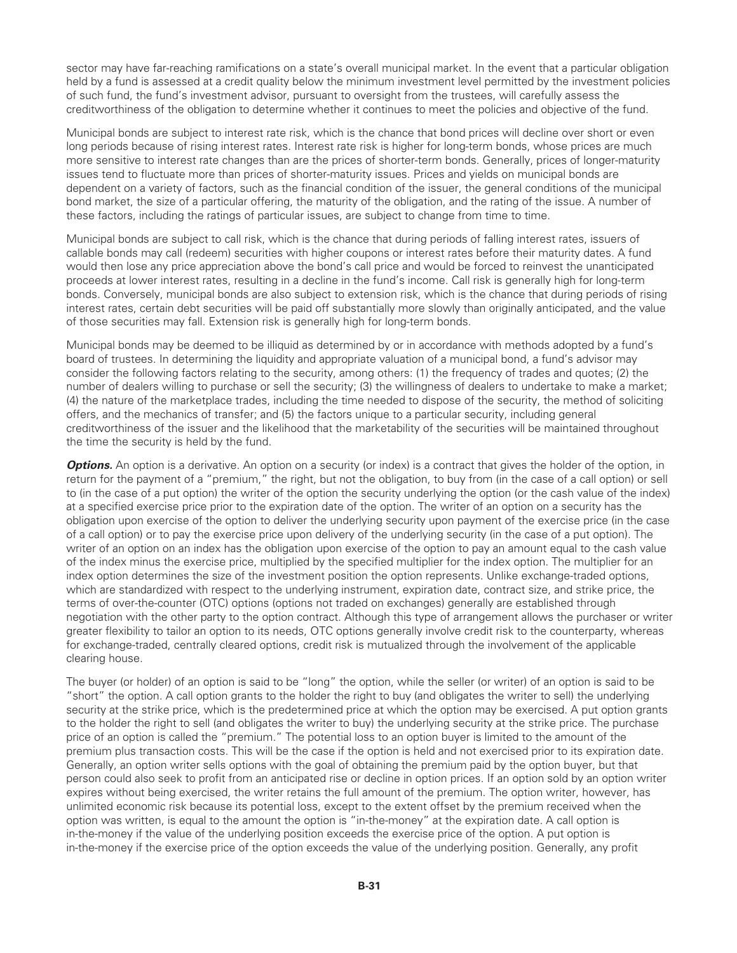sector may have far-reaching ramifications on a state's overall municipal market. In the event that a particular obligation held by a fund is assessed at a credit quality below the minimum investment level permitted by the investment policies of such fund, the fund's investment advisor, pursuant to oversight from the trustees, will carefully assess the creditworthiness of the obligation to determine whether it continues to meet the policies and objective of the fund.

Municipal bonds are subject to interest rate risk, which is the chance that bond prices will decline over short or even long periods because of rising interest rates. Interest rate risk is higher for long-term bonds, whose prices are much more sensitive to interest rate changes than are the prices of shorter-term bonds. Generally, prices of longer-maturity issues tend to fluctuate more than prices of shorter-maturity issues. Prices and yields on municipal bonds are dependent on a variety of factors, such as the financial condition of the issuer, the general conditions of the municipal bond market, the size of a particular offering, the maturity of the obligation, and the rating of the issue. A number of these factors, including the ratings of particular issues, are subject to change from time to time.

Municipal bonds are subject to call risk, which is the chance that during periods of falling interest rates, issuers of callable bonds may call (redeem) securities with higher coupons or interest rates before their maturity dates. A fund would then lose any price appreciation above the bond's call price and would be forced to reinvest the unanticipated proceeds at lower interest rates, resulting in a decline in the fund's income. Call risk is generally high for long-term bonds. Conversely, municipal bonds are also subject to extension risk, which is the chance that during periods of rising interest rates, certain debt securities will be paid off substantially more slowly than originally anticipated, and the value of those securities may fall. Extension risk is generally high for long-term bonds.

Municipal bonds may be deemed to be illiquid as determined by or in accordance with methods adopted by a fund's board of trustees. In determining the liquidity and appropriate valuation of a municipal bond, a fund's advisor may consider the following factors relating to the security, among others: (1) the frequency of trades and quotes; (2) the number of dealers willing to purchase or sell the security; (3) the willingness of dealers to undertake to make a market; (4) the nature of the marketplace trades, including the time needed to dispose of the security, the method of soliciting offers, and the mechanics of transfer; and (5) the factors unique to a particular security, including general creditworthiness of the issuer and the likelihood that the marketability of the securities will be maintained throughout the time the security is held by the fund.

**Options.** An option is a derivative. An option on a security (or index) is a contract that gives the holder of the option, in return for the payment of a "premium," the right, but not the obligation, to buy from (in the case of a call option) or sell to (in the case of a put option) the writer of the option the security underlying the option (or the cash value of the index) at a specified exercise price prior to the expiration date of the option. The writer of an option on a security has the obligation upon exercise of the option to deliver the underlying security upon payment of the exercise price (in the case of a call option) or to pay the exercise price upon delivery of the underlying security (in the case of a put option). The writer of an option on an index has the obligation upon exercise of the option to pay an amount equal to the cash value of the index minus the exercise price, multiplied by the specified multiplier for the index option. The multiplier for an index option determines the size of the investment position the option represents. Unlike exchange-traded options, which are standardized with respect to the underlying instrument, expiration date, contract size, and strike price, the terms of over-the-counter (OTC) options (options not traded on exchanges) generally are established through negotiation with the other party to the option contract. Although this type of arrangement allows the purchaser or writer greater flexibility to tailor an option to its needs, OTC options generally involve credit risk to the counterparty, whereas for exchange-traded, centrally cleared options, credit risk is mutualized through the involvement of the applicable clearing house.

The buyer (or holder) of an option is said to be "long" the option, while the seller (or writer) of an option is said to be "short" the option. A call option grants to the holder the right to buy (and obligates the writer to sell) the underlying security at the strike price, which is the predetermined price at which the option may be exercised. A put option grants to the holder the right to sell (and obligates the writer to buy) the underlying security at the strike price. The purchase price of an option is called the "premium." The potential loss to an option buyer is limited to the amount of the premium plus transaction costs. This will be the case if the option is held and not exercised prior to its expiration date. Generally, an option writer sells options with the goal of obtaining the premium paid by the option buyer, but that person could also seek to profit from an anticipated rise or decline in option prices. If an option sold by an option writer expires without being exercised, the writer retains the full amount of the premium. The option writer, however, has unlimited economic risk because its potential loss, except to the extent offset by the premium received when the option was written, is equal to the amount the option is "in-the-money" at the expiration date. A call option is in-the-money if the value of the underlying position exceeds the exercise price of the option. A put option is in-the-money if the exercise price of the option exceeds the value of the underlying position. Generally, any profit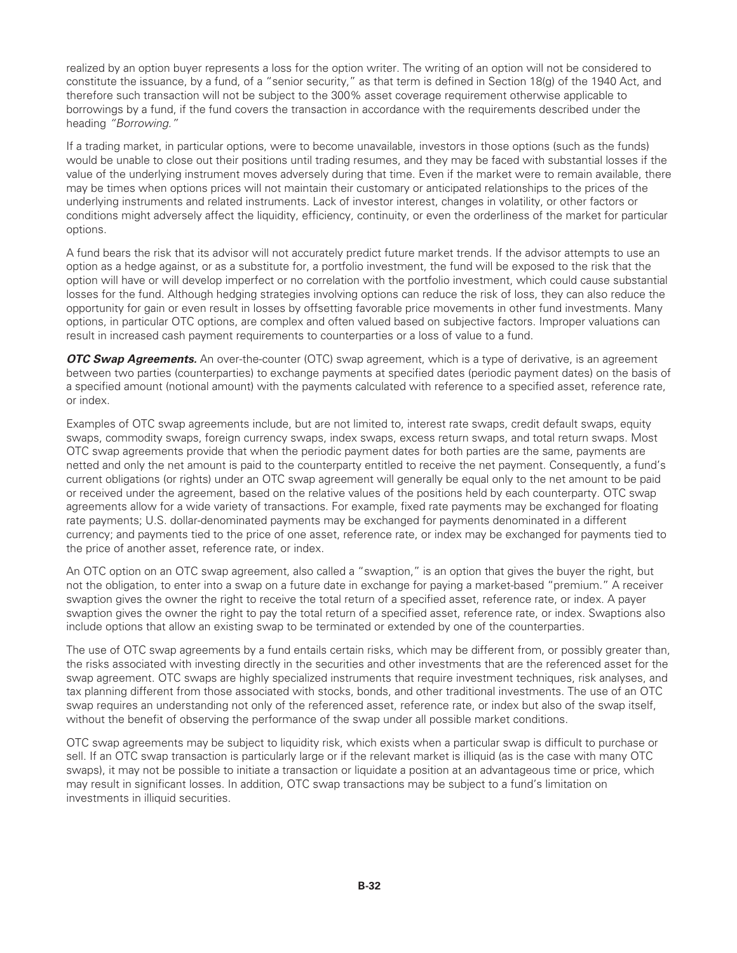realized by an option buyer represents a loss for the option writer. The writing of an option will not be considered to constitute the issuance, by a fund, of a "senior security," as that term is defined in Section 18(g) of the 1940 Act, and therefore such transaction will not be subject to the 300% asset coverage requirement otherwise applicable to borrowings by a fund, if the fund covers the transaction in accordance with the requirements described under the heading *"Borrowing."*

If a trading market, in particular options, were to become unavailable, investors in those options (such as the funds) would be unable to close out their positions until trading resumes, and they may be faced with substantial losses if the value of the underlying instrument moves adversely during that time. Even if the market were to remain available, there may be times when options prices will not maintain their customary or anticipated relationships to the prices of the underlying instruments and related instruments. Lack of investor interest, changes in volatility, or other factors or conditions might adversely affect the liquidity, efficiency, continuity, or even the orderliness of the market for particular options.

A fund bears the risk that its advisor will not accurately predict future market trends. If the advisor attempts to use an option as a hedge against, or as a substitute for, a portfolio investment, the fund will be exposed to the risk that the option will have or will develop imperfect or no correlation with the portfolio investment, which could cause substantial losses for the fund. Although hedging strategies involving options can reduce the risk of loss, they can also reduce the opportunity for gain or even result in losses by offsetting favorable price movements in other fund investments. Many options, in particular OTC options, are complex and often valued based on subjective factors. Improper valuations can result in increased cash payment requirements to counterparties or a loss of value to a fund.

*OTC Swap Agreements.* An over-the-counter (OTC) swap agreement, which is a type of derivative, is an agreement between two parties (counterparties) to exchange payments at specified dates (periodic payment dates) on the basis of a specified amount (notional amount) with the payments calculated with reference to a specified asset, reference rate, or index.

Examples of OTC swap agreements include, but are not limited to, interest rate swaps, credit default swaps, equity swaps, commodity swaps, foreign currency swaps, index swaps, excess return swaps, and total return swaps. Most OTC swap agreements provide that when the periodic payment dates for both parties are the same, payments are netted and only the net amount is paid to the counterparty entitled to receive the net payment. Consequently, a fund's current obligations (or rights) under an OTC swap agreement will generally be equal only to the net amount to be paid or received under the agreement, based on the relative values of the positions held by each counterparty. OTC swap agreements allow for a wide variety of transactions. For example, fixed rate payments may be exchanged for floating rate payments; U.S. dollar-denominated payments may be exchanged for payments denominated in a different currency; and payments tied to the price of one asset, reference rate, or index may be exchanged for payments tied to the price of another asset, reference rate, or index.

An OTC option on an OTC swap agreement, also called a "swaption," is an option that gives the buyer the right, but not the obligation, to enter into a swap on a future date in exchange for paying a market-based "premium." A receiver swaption gives the owner the right to receive the total return of a specified asset, reference rate, or index. A payer swaption gives the owner the right to pay the total return of a specified asset, reference rate, or index. Swaptions also include options that allow an existing swap to be terminated or extended by one of the counterparties.

The use of OTC swap agreements by a fund entails certain risks, which may be different from, or possibly greater than, the risks associated with investing directly in the securities and other investments that are the referenced asset for the swap agreement. OTC swaps are highly specialized instruments that require investment techniques, risk analyses, and tax planning different from those associated with stocks, bonds, and other traditional investments. The use of an OTC swap requires an understanding not only of the referenced asset, reference rate, or index but also of the swap itself, without the benefit of observing the performance of the swap under all possible market conditions.

OTC swap agreements may be subject to liquidity risk, which exists when a particular swap is difficult to purchase or sell. If an OTC swap transaction is particularly large or if the relevant market is illiquid (as is the case with many OTC swaps), it may not be possible to initiate a transaction or liquidate a position at an advantageous time or price, which may result in significant losses. In addition, OTC swap transactions may be subject to a fund's limitation on investments in illiquid securities.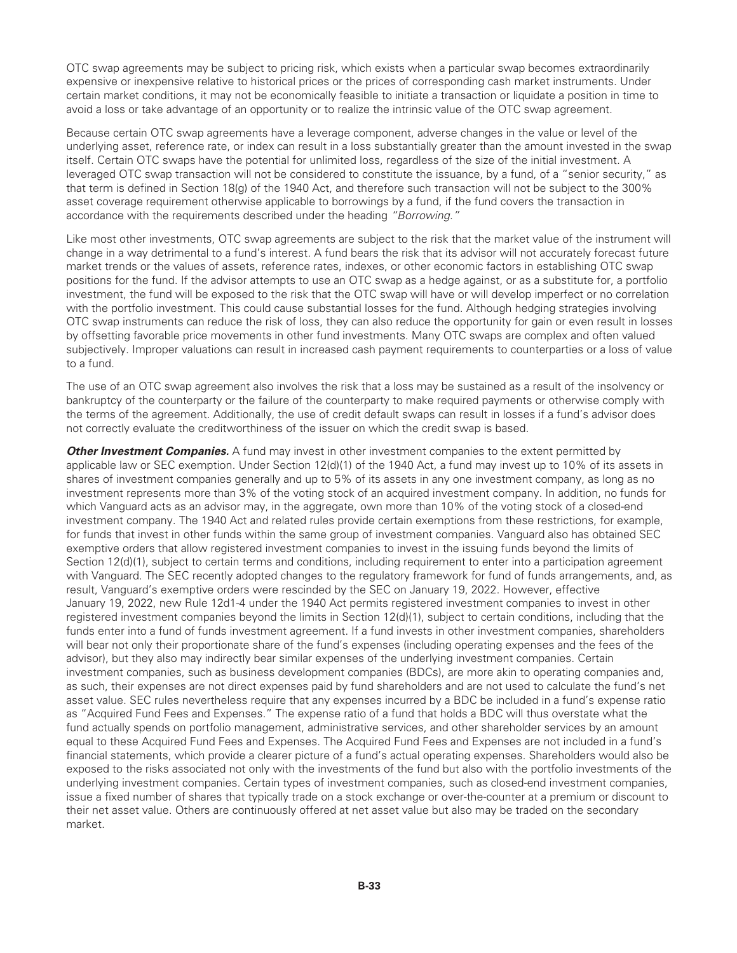OTC swap agreements may be subject to pricing risk, which exists when a particular swap becomes extraordinarily expensive or inexpensive relative to historical prices or the prices of corresponding cash market instruments. Under certain market conditions, it may not be economically feasible to initiate a transaction or liquidate a position in time to avoid a loss or take advantage of an opportunity or to realize the intrinsic value of the OTC swap agreement.

Because certain OTC swap agreements have a leverage component, adverse changes in the value or level of the underlying asset, reference rate, or index can result in a loss substantially greater than the amount invested in the swap itself. Certain OTC swaps have the potential for unlimited loss, regardless of the size of the initial investment. A leveraged OTC swap transaction will not be considered to constitute the issuance, by a fund, of a "senior security," as that term is defined in Section 18(g) of the 1940 Act, and therefore such transaction will not be subject to the 300% asset coverage requirement otherwise applicable to borrowings by a fund, if the fund covers the transaction in accordance with the requirements described under the heading *"Borrowing."*

Like most other investments, OTC swap agreements are subject to the risk that the market value of the instrument will change in a way detrimental to a fund's interest. A fund bears the risk that its advisor will not accurately forecast future market trends or the values of assets, reference rates, indexes, or other economic factors in establishing OTC swap positions for the fund. If the advisor attempts to use an OTC swap as a hedge against, or as a substitute for, a portfolio investment, the fund will be exposed to the risk that the OTC swap will have or will develop imperfect or no correlation with the portfolio investment. This could cause substantial losses for the fund. Although hedging strategies involving OTC swap instruments can reduce the risk of loss, they can also reduce the opportunity for gain or even result in losses by offsetting favorable price movements in other fund investments. Many OTC swaps are complex and often valued subjectively. Improper valuations can result in increased cash payment requirements to counterparties or a loss of value to a fund.

The use of an OTC swap agreement also involves the risk that a loss may be sustained as a result of the insolvency or bankruptcy of the counterparty or the failure of the counterparty to make required payments or otherwise comply with the terms of the agreement. Additionally, the use of credit default swaps can result in losses if a fund's advisor does not correctly evaluate the creditworthiness of the issuer on which the credit swap is based.

**Other Investment Companies.** A fund may invest in other investment companies to the extent permitted by applicable law or SEC exemption. Under Section 12(d)(1) of the 1940 Act, a fund may invest up to 10% of its assets in shares of investment companies generally and up to 5% of its assets in any one investment company, as long as no investment represents more than 3% of the voting stock of an acquired investment company. In addition, no funds for which Vanguard acts as an advisor may, in the aggregate, own more than 10% of the voting stock of a closed-end investment company. The 1940 Act and related rules provide certain exemptions from these restrictions, for example, for funds that invest in other funds within the same group of investment companies. Vanguard also has obtained SEC exemptive orders that allow registered investment companies to invest in the issuing funds beyond the limits of Section 12(d)(1), subject to certain terms and conditions, including requirement to enter into a participation agreement with Vanguard. The SEC recently adopted changes to the regulatory framework for fund of funds arrangements, and, as result, Vanguard's exemptive orders were rescinded by the SEC on January 19, 2022. However, effective January 19, 2022, new Rule 12d1-4 under the 1940 Act permits registered investment companies to invest in other registered investment companies beyond the limits in Section 12(d)(1), subject to certain conditions, including that the funds enter into a fund of funds investment agreement. If a fund invests in other investment companies, shareholders will bear not only their proportionate share of the fund's expenses (including operating expenses and the fees of the advisor), but they also may indirectly bear similar expenses of the underlying investment companies. Certain investment companies, such as business development companies (BDCs), are more akin to operating companies and, as such, their expenses are not direct expenses paid by fund shareholders and are not used to calculate the fund's net asset value. SEC rules nevertheless require that any expenses incurred by a BDC be included in a fund's expense ratio as "Acquired Fund Fees and Expenses." The expense ratio of a fund that holds a BDC will thus overstate what the fund actually spends on portfolio management, administrative services, and other shareholder services by an amount equal to these Acquired Fund Fees and Expenses. The Acquired Fund Fees and Expenses are not included in a fund's financial statements, which provide a clearer picture of a fund's actual operating expenses. Shareholders would also be exposed to the risks associated not only with the investments of the fund but also with the portfolio investments of the underlying investment companies. Certain types of investment companies, such as closed-end investment companies, issue a fixed number of shares that typically trade on a stock exchange or over-the-counter at a premium or discount to their net asset value. Others are continuously offered at net asset value but also may be traded on the secondary market.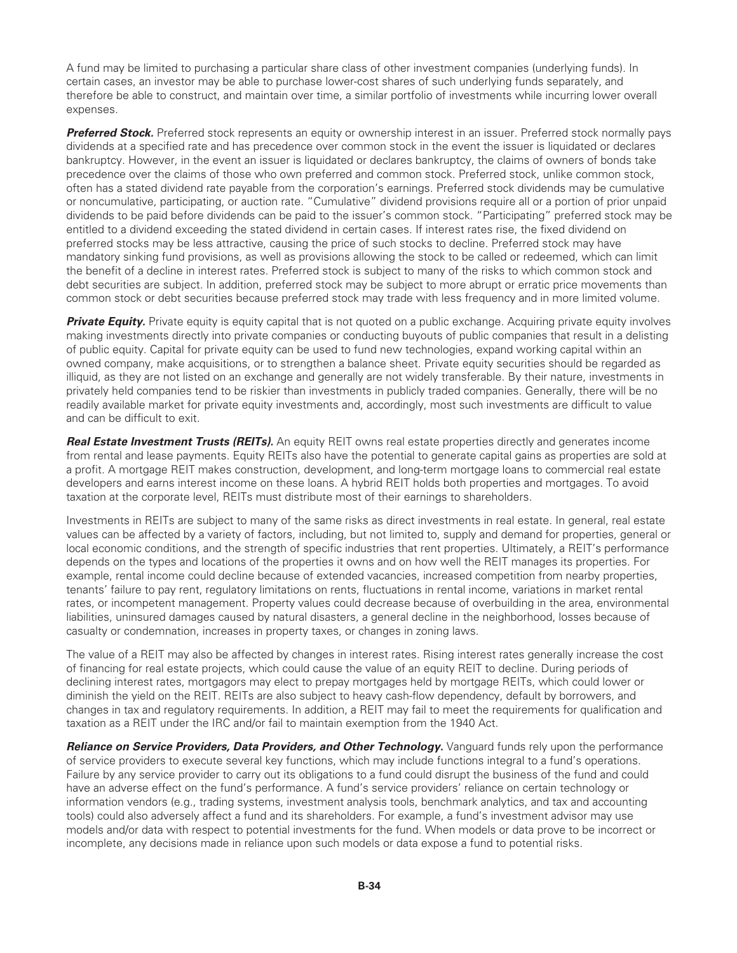A fund may be limited to purchasing a particular share class of other investment companies (underlying funds). In certain cases, an investor may be able to purchase lower-cost shares of such underlying funds separately, and therefore be able to construct, and maintain over time, a similar portfolio of investments while incurring lower overall expenses.

*Preferred Stock.* Preferred stock represents an equity or ownership interest in an issuer. Preferred stock normally pays dividends at a specified rate and has precedence over common stock in the event the issuer is liquidated or declares bankruptcy. However, in the event an issuer is liquidated or declares bankruptcy, the claims of owners of bonds take precedence over the claims of those who own preferred and common stock. Preferred stock, unlike common stock, often has a stated dividend rate payable from the corporation's earnings. Preferred stock dividends may be cumulative or noncumulative, participating, or auction rate. "Cumulative" dividend provisions require all or a portion of prior unpaid dividends to be paid before dividends can be paid to the issuer's common stock. "Participating" preferred stock may be entitled to a dividend exceeding the stated dividend in certain cases. If interest rates rise, the fixed dividend on preferred stocks may be less attractive, causing the price of such stocks to decline. Preferred stock may have mandatory sinking fund provisions, as well as provisions allowing the stock to be called or redeemed, which can limit the benefit of a decline in interest rates. Preferred stock is subject to many of the risks to which common stock and debt securities are subject. In addition, preferred stock may be subject to more abrupt or erratic price movements than common stock or debt securities because preferred stock may trade with less frequency and in more limited volume.

**Private Equity.** Private equity is equity capital that is not quoted on a public exchange. Acquiring private equity involves making investments directly into private companies or conducting buyouts of public companies that result in a delisting of public equity. Capital for private equity can be used to fund new technologies, expand working capital within an owned company, make acquisitions, or to strengthen a balance sheet. Private equity securities should be regarded as illiquid, as they are not listed on an exchange and generally are not widely transferable. By their nature, investments in privately held companies tend to be riskier than investments in publicly traded companies. Generally, there will be no readily available market for private equity investments and, accordingly, most such investments are difficult to value and can be difficult to exit.

*Real Estate Investment Trusts (REITs).* An equity REIT owns real estate properties directly and generates income from rental and lease payments. Equity REITs also have the potential to generate capital gains as properties are sold at a profit. A mortgage REIT makes construction, development, and long-term mortgage loans to commercial real estate developers and earns interest income on these loans. A hybrid REIT holds both properties and mortgages. To avoid taxation at the corporate level, REITs must distribute most of their earnings to shareholders.

Investments in REITs are subject to many of the same risks as direct investments in real estate. In general, real estate values can be affected by a variety of factors, including, but not limited to, supply and demand for properties, general or local economic conditions, and the strength of specific industries that rent properties. Ultimately, a REIT's performance depends on the types and locations of the properties it owns and on how well the REIT manages its properties. For example, rental income could decline because of extended vacancies, increased competition from nearby properties, tenants' failure to pay rent, regulatory limitations on rents, fluctuations in rental income, variations in market rental rates, or incompetent management. Property values could decrease because of overbuilding in the area, environmental liabilities, uninsured damages caused by natural disasters, a general decline in the neighborhood, losses because of casualty or condemnation, increases in property taxes, or changes in zoning laws.

The value of a REIT may also be affected by changes in interest rates. Rising interest rates generally increase the cost of financing for real estate projects, which could cause the value of an equity REIT to decline. During periods of declining interest rates, mortgagors may elect to prepay mortgages held by mortgage REITs, which could lower or diminish the yield on the REIT. REITs are also subject to heavy cash-flow dependency, default by borrowers, and changes in tax and regulatory requirements. In addition, a REIT may fail to meet the requirements for qualification and taxation as a REIT under the IRC and/or fail to maintain exemption from the 1940 Act.

*Reliance on Service Providers, Data Providers, and Other Technology. Vanguard funds rely upon the performance* of service providers to execute several key functions, which may include functions integral to a fund's operations. Failure by any service provider to carry out its obligations to a fund could disrupt the business of the fund and could have an adverse effect on the fund's performance. A fund's service providers' reliance on certain technology or information vendors (e.g., trading systems, investment analysis tools, benchmark analytics, and tax and accounting tools) could also adversely affect a fund and its shareholders. For example, a fund's investment advisor may use models and/or data with respect to potential investments for the fund. When models or data prove to be incorrect or incomplete, any decisions made in reliance upon such models or data expose a fund to potential risks.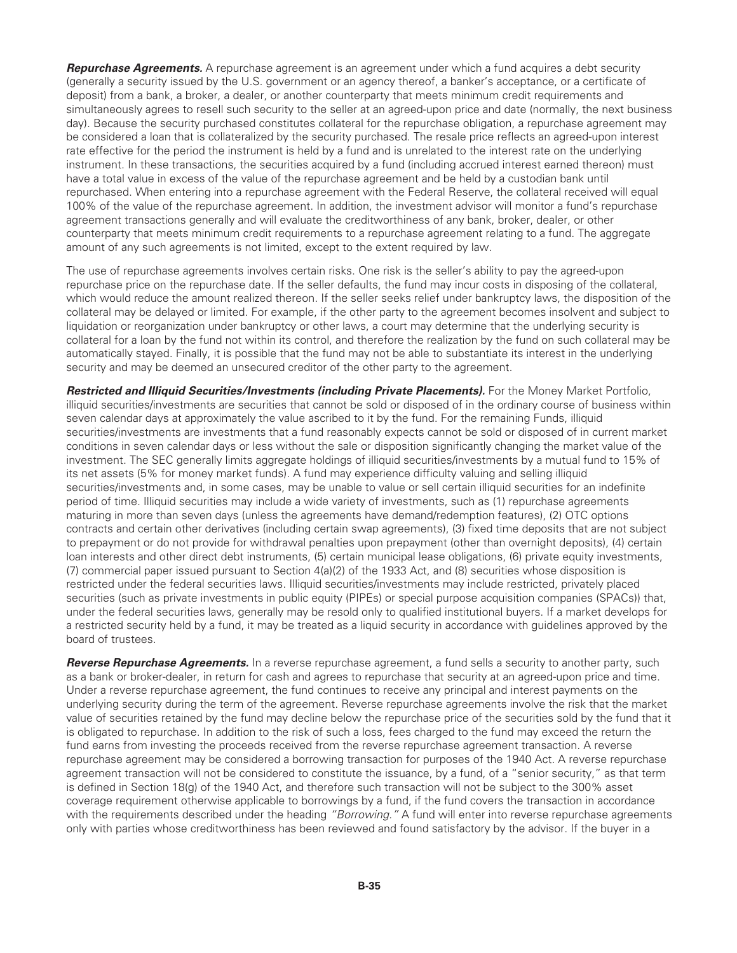*Repurchase Agreements.* A repurchase agreement is an agreement under which a fund acquires a debt security (generally a security issued by the U.S. government or an agency thereof, a banker's acceptance, or a certificate of deposit) from a bank, a broker, a dealer, or another counterparty that meets minimum credit requirements and simultaneously agrees to resell such security to the seller at an agreed-upon price and date (normally, the next business day). Because the security purchased constitutes collateral for the repurchase obligation, a repurchase agreement may be considered a loan that is collateralized by the security purchased. The resale price reflects an agreed-upon interest rate effective for the period the instrument is held by a fund and is unrelated to the interest rate on the underlying instrument. In these transactions, the securities acquired by a fund (including accrued interest earned thereon) must have a total value in excess of the value of the repurchase agreement and be held by a custodian bank until repurchased. When entering into a repurchase agreement with the Federal Reserve, the collateral received will equal 100% of the value of the repurchase agreement. In addition, the investment advisor will monitor a fund's repurchase agreement transactions generally and will evaluate the creditworthiness of any bank, broker, dealer, or other counterparty that meets minimum credit requirements to a repurchase agreement relating to a fund. The aggregate amount of any such agreements is not limited, except to the extent required by law.

The use of repurchase agreements involves certain risks. One risk is the seller's ability to pay the agreed-upon repurchase price on the repurchase date. If the seller defaults, the fund may incur costs in disposing of the collateral, which would reduce the amount realized thereon. If the seller seeks relief under bankruptcy laws, the disposition of the collateral may be delayed or limited. For example, if the other party to the agreement becomes insolvent and subject to liquidation or reorganization under bankruptcy or other laws, a court may determine that the underlying security is collateral for a loan by the fund not within its control, and therefore the realization by the fund on such collateral may be automatically stayed. Finally, it is possible that the fund may not be able to substantiate its interest in the underlying security and may be deemed an unsecured creditor of the other party to the agreement.

*Restricted and Illiquid Securities/Investments (including Private Placements).* For the Money Market Portfolio, illiquid securities/investments are securities that cannot be sold or disposed of in the ordinary course of business within seven calendar days at approximately the value ascribed to it by the fund. For the remaining Funds, illiquid securities/investments are investments that a fund reasonably expects cannot be sold or disposed of in current market conditions in seven calendar days or less without the sale or disposition significantly changing the market value of the investment. The SEC generally limits aggregate holdings of illiquid securities/investments by a mutual fund to 15% of its net assets (5% for money market funds). A fund may experience difficulty valuing and selling illiquid securities/investments and, in some cases, may be unable to value or sell certain illiquid securities for an indefinite period of time. Illiquid securities may include a wide variety of investments, such as (1) repurchase agreements maturing in more than seven days (unless the agreements have demand/redemption features), (2) OTC options contracts and certain other derivatives (including certain swap agreements), (3) fixed time deposits that are not subject to prepayment or do not provide for withdrawal penalties upon prepayment (other than overnight deposits), (4) certain loan interests and other direct debt instruments, (5) certain municipal lease obligations, (6) private equity investments, (7) commercial paper issued pursuant to Section 4(a)(2) of the 1933 Act, and (8) securities whose disposition is restricted under the federal securities laws. Illiquid securities/investments may include restricted, privately placed securities (such as private investments in public equity (PIPEs) or special purpose acquisition companies (SPACs)) that, under the federal securities laws, generally may be resold only to qualified institutional buyers. If a market develops for a restricted security held by a fund, it may be treated as a liquid security in accordance with guidelines approved by the board of trustees.

*Reverse Repurchase Agreements.* In a reverse repurchase agreement, a fund sells a security to another party, such as a bank or broker-dealer, in return for cash and agrees to repurchase that security at an agreed-upon price and time. Under a reverse repurchase agreement, the fund continues to receive any principal and interest payments on the underlying security during the term of the agreement. Reverse repurchase agreements involve the risk that the market value of securities retained by the fund may decline below the repurchase price of the securities sold by the fund that it is obligated to repurchase. In addition to the risk of such a loss, fees charged to the fund may exceed the return the fund earns from investing the proceeds received from the reverse repurchase agreement transaction. A reverse repurchase agreement may be considered a borrowing transaction for purposes of the 1940 Act. A reverse repurchase agreement transaction will not be considered to constitute the issuance, by a fund, of a "senior security," as that term is defined in Section 18(g) of the 1940 Act, and therefore such transaction will not be subject to the 300% asset coverage requirement otherwise applicable to borrowings by a fund, if the fund covers the transaction in accordance with the requirements described under the heading *"Borrowing."* A fund will enter into reverse repurchase agreements only with parties whose creditworthiness has been reviewed and found satisfactory by the advisor. If the buyer in a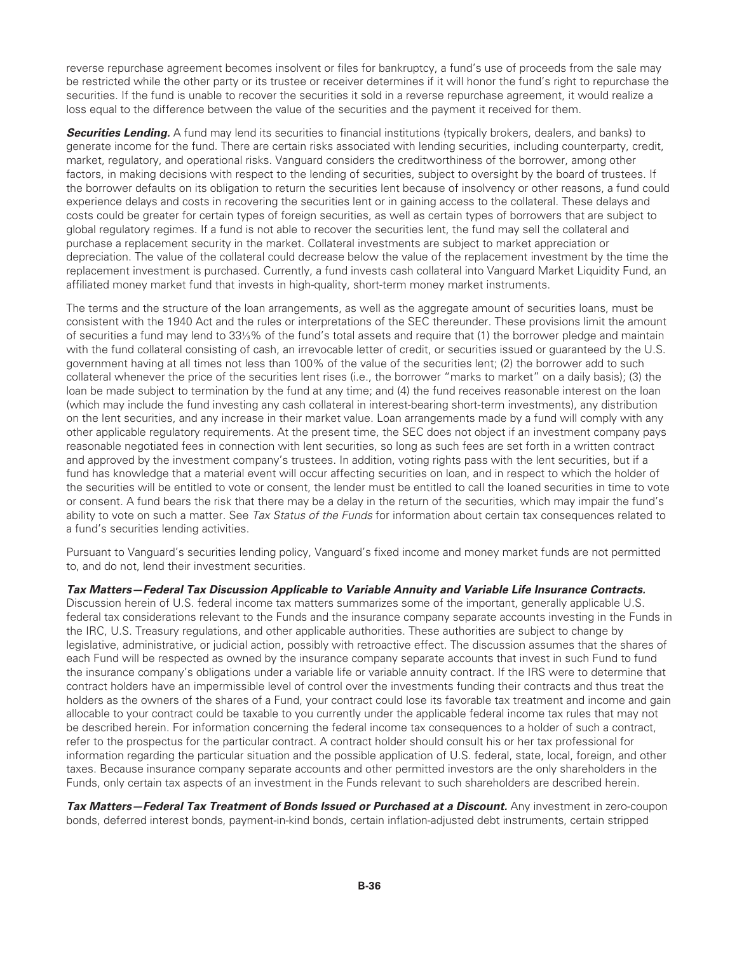reverse repurchase agreement becomes insolvent or files for bankruptcy, a fund's use of proceeds from the sale may be restricted while the other party or its trustee or receiver determines if it will honor the fund's right to repurchase the securities. If the fund is unable to recover the securities it sold in a reverse repurchase agreement, it would realize a loss equal to the difference between the value of the securities and the payment it received for them.

**Securities Lending.** A fund may lend its securities to financial institutions (typically brokers, dealers, and banks) to generate income for the fund. There are certain risks associated with lending securities, including counterparty, credit, market, regulatory, and operational risks. Vanguard considers the creditworthiness of the borrower, among other factors, in making decisions with respect to the lending of securities, subject to oversight by the board of trustees. If the borrower defaults on its obligation to return the securities lent because of insolvency or other reasons, a fund could experience delays and costs in recovering the securities lent or in gaining access to the collateral. These delays and costs could be greater for certain types of foreign securities, as well as certain types of borrowers that are subject to global regulatory regimes. If a fund is not able to recover the securities lent, the fund may sell the collateral and purchase a replacement security in the market. Collateral investments are subject to market appreciation or depreciation. The value of the collateral could decrease below the value of the replacement investment by the time the replacement investment is purchased. Currently, a fund invests cash collateral into Vanguard Market Liquidity Fund, an affiliated money market fund that invests in high-quality, short-term money market instruments.

The terms and the structure of the loan arrangements, as well as the aggregate amount of securities loans, must be consistent with the 1940 Act and the rules or interpretations of the SEC thereunder. These provisions limit the amount of securities a fund may lend to 33⅓% of the fund's total assets and require that (1) the borrower pledge and maintain with the fund collateral consisting of cash, an irrevocable letter of credit, or securities issued or guaranteed by the U.S. government having at all times not less than 100% of the value of the securities lent; (2) the borrower add to such collateral whenever the price of the securities lent rises (i.e., the borrower "marks to market" on a daily basis); (3) the loan be made subject to termination by the fund at any time; and (4) the fund receives reasonable interest on the loan (which may include the fund investing any cash collateral in interest-bearing short-term investments), any distribution on the lent securities, and any increase in their market value. Loan arrangements made by a fund will comply with any other applicable regulatory requirements. At the present time, the SEC does not object if an investment company pays reasonable negotiated fees in connection with lent securities, so long as such fees are set forth in a written contract and approved by the investment company's trustees. In addition, voting rights pass with the lent securities, but if a fund has knowledge that a material event will occur affecting securities on loan, and in respect to which the holder of the securities will be entitled to vote or consent, the lender must be entitled to call the loaned securities in time to vote or consent. A fund bears the risk that there may be a delay in the return of the securities, which may impair the fund's ability to vote on such a matter. See *Tax Status of the Funds* for information about certain tax consequences related to a fund's securities lending activities.

Pursuant to Vanguard's securities lending policy, Vanguard's fixed income and money market funds are not permitted to, and do not, lend their investment securities.

#### *Tax Matters—Federal Tax Discussion Applicable to Variable Annuity and Variable Life Insurance Contracts.*

Discussion herein of U.S. federal income tax matters summarizes some of the important, generally applicable U.S. federal tax considerations relevant to the Funds and the insurance company separate accounts investing in the Funds in the IRC, U.S. Treasury regulations, and other applicable authorities. These authorities are subject to change by legislative, administrative, or judicial action, possibly with retroactive effect. The discussion assumes that the shares of each Fund will be respected as owned by the insurance company separate accounts that invest in such Fund to fund the insurance company's obligations under a variable life or variable annuity contract. If the IRS were to determine that contract holders have an impermissible level of control over the investments funding their contracts and thus treat the holders as the owners of the shares of a Fund, your contract could lose its favorable tax treatment and income and gain allocable to your contract could be taxable to you currently under the applicable federal income tax rules that may not be described herein. For information concerning the federal income tax consequences to a holder of such a contract, refer to the prospectus for the particular contract. A contract holder should consult his or her tax professional for information regarding the particular situation and the possible application of U.S. federal, state, local, foreign, and other taxes. Because insurance company separate accounts and other permitted investors are the only shareholders in the Funds, only certain tax aspects of an investment in the Funds relevant to such shareholders are described herein.

*Tax Matters—Federal Tax Treatment of Bonds Issued or Purchased at a Discount.* Any investment in zero-coupon bonds, deferred interest bonds, payment-in-kind bonds, certain inflation-adjusted debt instruments, certain stripped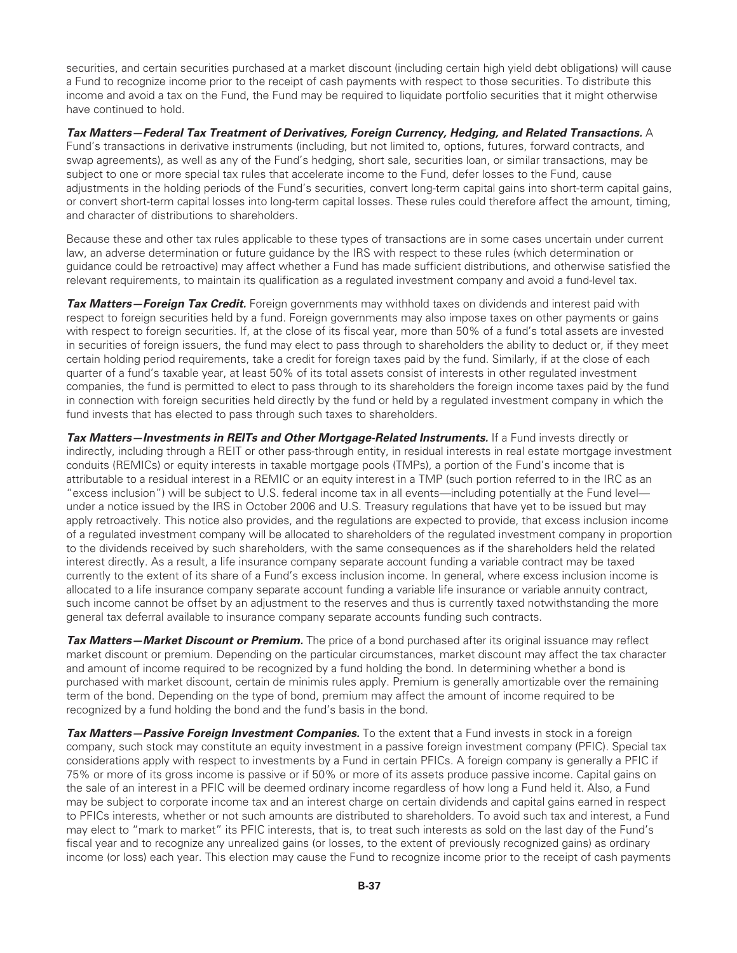securities, and certain securities purchased at a market discount (including certain high yield debt obligations) will cause a Fund to recognize income prior to the receipt of cash payments with respect to those securities. To distribute this income and avoid a tax on the Fund, the Fund may be required to liquidate portfolio securities that it might otherwise have continued to hold.

*Tax Matters—Federal Tax Treatment of Derivatives, Foreign Currency, Hedging, and Related Transactions.* A Fund's transactions in derivative instruments (including, but not limited to, options, futures, forward contracts, and swap agreements), as well as any of the Fund's hedging, short sale, securities loan, or similar transactions, may be subject to one or more special tax rules that accelerate income to the Fund, defer losses to the Fund, cause adjustments in the holding periods of the Fund's securities, convert long-term capital gains into short-term capital gains, or convert short-term capital losses into long-term capital losses. These rules could therefore affect the amount, timing, and character of distributions to shareholders.

Because these and other tax rules applicable to these types of transactions are in some cases uncertain under current law, an adverse determination or future guidance by the IRS with respect to these rules (which determination or guidance could be retroactive) may affect whether a Fund has made sufficient distributions, and otherwise satisfied the relevant requirements, to maintain its qualification as a regulated investment company and avoid a fund-level tax.

*Tax Matters—Foreign Tax Credit.* Foreign governments may withhold taxes on dividends and interest paid with respect to foreign securities held by a fund. Foreign governments may also impose taxes on other payments or gains with respect to foreign securities. If, at the close of its fiscal year, more than 50% of a fund's total assets are invested in securities of foreign issuers, the fund may elect to pass through to shareholders the ability to deduct or, if they meet certain holding period requirements, take a credit for foreign taxes paid by the fund. Similarly, if at the close of each quarter of a fund's taxable year, at least 50% of its total assets consist of interests in other regulated investment companies, the fund is permitted to elect to pass through to its shareholders the foreign income taxes paid by the fund in connection with foreign securities held directly by the fund or held by a regulated investment company in which the fund invests that has elected to pass through such taxes to shareholders.

Tax Matters—Investments in REITs and Other Mortgage-Related Instruments. If a Fund invests directly or indirectly, including through a REIT or other pass-through entity, in residual interests in real estate mortgage investment conduits (REMICs) or equity interests in taxable mortgage pools (TMPs), a portion of the Fund's income that is attributable to a residual interest in a REMIC or an equity interest in a TMP (such portion referred to in the IRC as an "excess inclusion") will be subject to U.S. federal income tax in all events—including potentially at the Fund level under a notice issued by the IRS in October 2006 and U.S. Treasury regulations that have yet to be issued but may apply retroactively. This notice also provides, and the regulations are expected to provide, that excess inclusion income of a regulated investment company will be allocated to shareholders of the regulated investment company in proportion to the dividends received by such shareholders, with the same consequences as if the shareholders held the related interest directly. As a result, a life insurance company separate account funding a variable contract may be taxed currently to the extent of its share of a Fund's excess inclusion income. In general, where excess inclusion income is allocated to a life insurance company separate account funding a variable life insurance or variable annuity contract, such income cannot be offset by an adjustment to the reserves and thus is currently taxed notwithstanding the more general tax deferral available to insurance company separate accounts funding such contracts.

*Tax Matters—Market Discount or Premium.* The price of a bond purchased after its original issuance may reflect market discount or premium. Depending on the particular circumstances, market discount may affect the tax character and amount of income required to be recognized by a fund holding the bond. In determining whether a bond is purchased with market discount, certain de minimis rules apply. Premium is generally amortizable over the remaining term of the bond. Depending on the type of bond, premium may affect the amount of income required to be recognized by a fund holding the bond and the fund's basis in the bond.

*Tax Matters—Passive Foreign Investment Companies.* To the extent that a Fund invests in stock in a foreign company, such stock may constitute an equity investment in a passive foreign investment company (PFIC). Special tax considerations apply with respect to investments by a Fund in certain PFICs. A foreign company is generally a PFIC if 75% or more of its gross income is passive or if 50% or more of its assets produce passive income. Capital gains on the sale of an interest in a PFIC will be deemed ordinary income regardless of how long a Fund held it. Also, a Fund may be subject to corporate income tax and an interest charge on certain dividends and capital gains earned in respect to PFICs interests, whether or not such amounts are distributed to shareholders. To avoid such tax and interest, a Fund may elect to "mark to market" its PFIC interests, that is, to treat such interests as sold on the last day of the Fund's fiscal year and to recognize any unrealized gains (or losses, to the extent of previously recognized gains) as ordinary income (or loss) each year. This election may cause the Fund to recognize income prior to the receipt of cash payments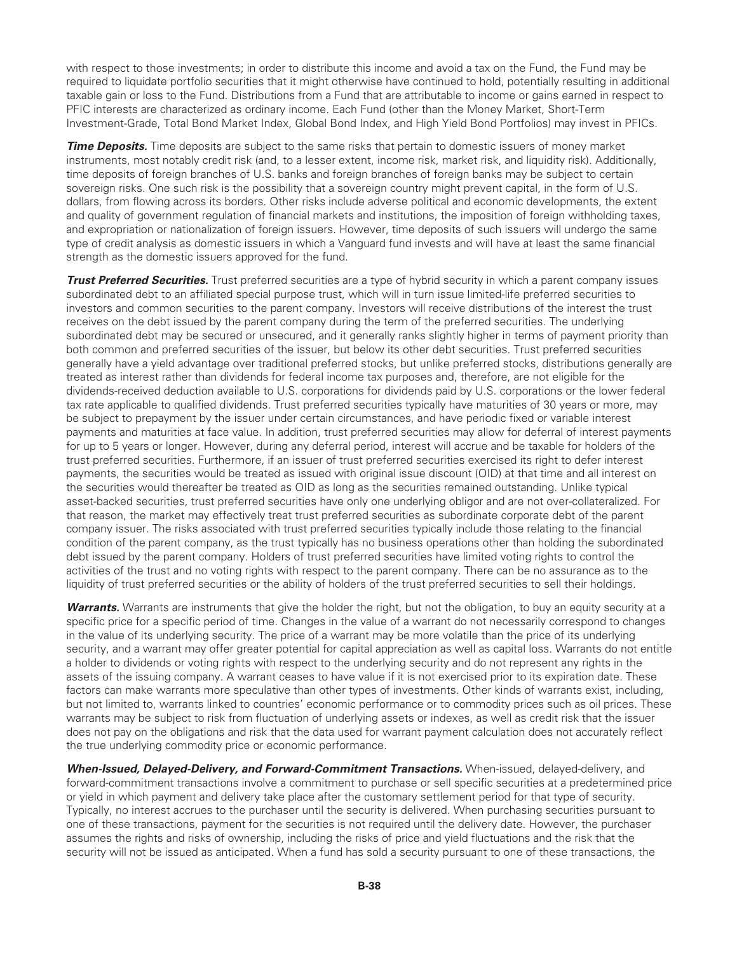with respect to those investments; in order to distribute this income and avoid a tax on the Fund, the Fund may be required to liquidate portfolio securities that it might otherwise have continued to hold, potentially resulting in additional taxable gain or loss to the Fund. Distributions from a Fund that are attributable to income or gains earned in respect to PFIC interests are characterized as ordinary income. Each Fund (other than the Money Market, Short-Term Investment-Grade, Total Bond Market Index, Global Bond Index, and High Yield Bond Portfolios) may invest in PFICs.

*Time Deposits.* Time deposits are subject to the same risks that pertain to domestic issuers of money market instruments, most notably credit risk (and, to a lesser extent, income risk, market risk, and liquidity risk). Additionally, time deposits of foreign branches of U.S. banks and foreign branches of foreign banks may be subject to certain sovereign risks. One such risk is the possibility that a sovereign country might prevent capital, in the form of U.S. dollars, from flowing across its borders. Other risks include adverse political and economic developments, the extent and quality of government regulation of financial markets and institutions, the imposition of foreign withholding taxes, and expropriation or nationalization of foreign issuers. However, time deposits of such issuers will undergo the same type of credit analysis as domestic issuers in which a Vanguard fund invests and will have at least the same financial strength as the domestic issuers approved for the fund.

*Trust Preferred Securities.* Trust preferred securities are a type of hybrid security in which a parent company issues subordinated debt to an affiliated special purpose trust, which will in turn issue limited-life preferred securities to investors and common securities to the parent company. Investors will receive distributions of the interest the trust receives on the debt issued by the parent company during the term of the preferred securities. The underlying subordinated debt may be secured or unsecured, and it generally ranks slightly higher in terms of payment priority than both common and preferred securities of the issuer, but below its other debt securities. Trust preferred securities generally have a yield advantage over traditional preferred stocks, but unlike preferred stocks, distributions generally are treated as interest rather than dividends for federal income tax purposes and, therefore, are not eligible for the dividends-received deduction available to U.S. corporations for dividends paid by U.S. corporations or the lower federal tax rate applicable to qualified dividends. Trust preferred securities typically have maturities of 30 years or more, may be subject to prepayment by the issuer under certain circumstances, and have periodic fixed or variable interest payments and maturities at face value. In addition, trust preferred securities may allow for deferral of interest payments for up to 5 years or longer. However, during any deferral period, interest will accrue and be taxable for holders of the trust preferred securities. Furthermore, if an issuer of trust preferred securities exercised its right to defer interest payments, the securities would be treated as issued with original issue discount (OID) at that time and all interest on the securities would thereafter be treated as OID as long as the securities remained outstanding. Unlike typical asset-backed securities, trust preferred securities have only one underlying obligor and are not over-collateralized. For that reason, the market may effectively treat trust preferred securities as subordinate corporate debt of the parent company issuer. The risks associated with trust preferred securities typically include those relating to the financial condition of the parent company, as the trust typically has no business operations other than holding the subordinated debt issued by the parent company. Holders of trust preferred securities have limited voting rights to control the activities of the trust and no voting rights with respect to the parent company. There can be no assurance as to the liquidity of trust preferred securities or the ability of holders of the trust preferred securities to sell their holdings.

*Warrants.* Warrants are instruments that give the holder the right, but not the obligation, to buy an equity security at a specific price for a specific period of time. Changes in the value of a warrant do not necessarily correspond to changes in the value of its underlying security. The price of a warrant may be more volatile than the price of its underlying security, and a warrant may offer greater potential for capital appreciation as well as capital loss. Warrants do not entitle a holder to dividends or voting rights with respect to the underlying security and do not represent any rights in the assets of the issuing company. A warrant ceases to have value if it is not exercised prior to its expiration date. These factors can make warrants more speculative than other types of investments. Other kinds of warrants exist, including, but not limited to, warrants linked to countries' economic performance or to commodity prices such as oil prices. These warrants may be subject to risk from fluctuation of underlying assets or indexes, as well as credit risk that the issuer does not pay on the obligations and risk that the data used for warrant payment calculation does not accurately reflect the true underlying commodity price or economic performance.

*When-Issued, Delayed-Delivery, and Forward-Commitment Transactions.* When-issued, delayed-delivery, and forward-commitment transactions involve a commitment to purchase or sell specific securities at a predetermined price or yield in which payment and delivery take place after the customary settlement period for that type of security. Typically, no interest accrues to the purchaser until the security is delivered. When purchasing securities pursuant to one of these transactions, payment for the securities is not required until the delivery date. However, the purchaser assumes the rights and risks of ownership, including the risks of price and yield fluctuations and the risk that the security will not be issued as anticipated. When a fund has sold a security pursuant to one of these transactions, the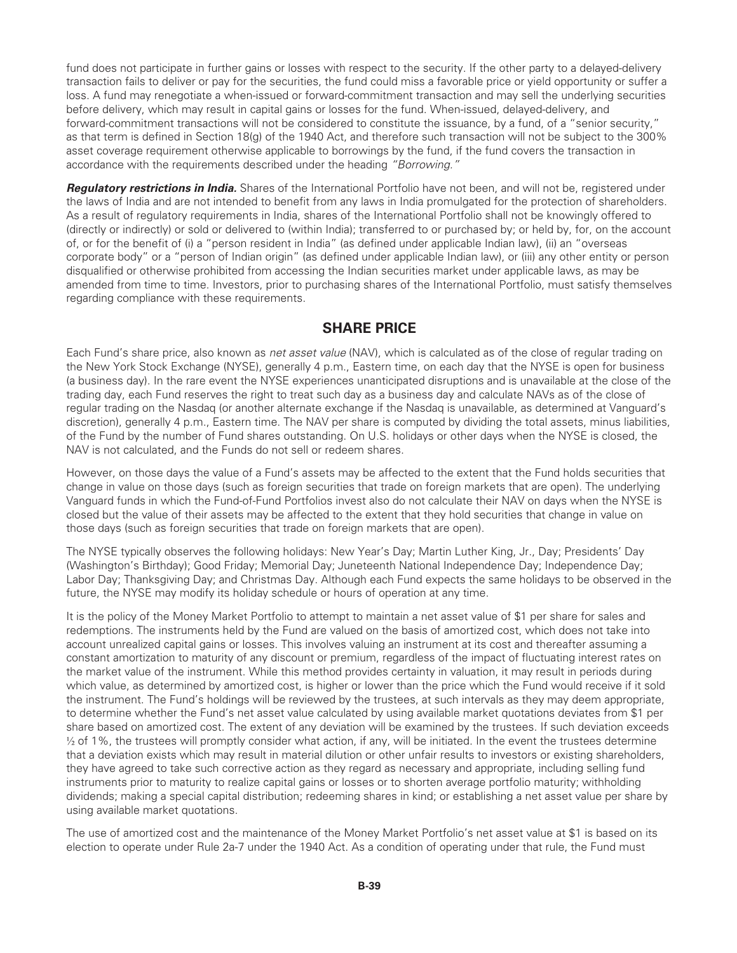fund does not participate in further gains or losses with respect to the security. If the other party to a delayed-delivery transaction fails to deliver or pay for the securities, the fund could miss a favorable price or yield opportunity or suffer a loss. A fund may renegotiate a when-issued or forward-commitment transaction and may sell the underlying securities before delivery, which may result in capital gains or losses for the fund. When-issued, delayed-delivery, and forward-commitment transactions will not be considered to constitute the issuance, by a fund, of a "senior security," as that term is defined in Section 18(g) of the 1940 Act, and therefore such transaction will not be subject to the 300% asset coverage requirement otherwise applicable to borrowings by the fund, if the fund covers the transaction in accordance with the requirements described under the heading *"Borrowing."*

*Regulatory restrictions in India.* Shares of the International Portfolio have not been, and will not be, registered under the laws of India and are not intended to benefit from any laws in India promulgated for the protection of shareholders. As a result of regulatory requirements in India, shares of the International Portfolio shall not be knowingly offered to (directly or indirectly) or sold or delivered to (within India); transferred to or purchased by; or held by, for, on the account of, or for the benefit of (i) a "person resident in India" (as defined under applicable Indian law), (ii) an "overseas corporate body" or a "person of Indian origin" (as defined under applicable Indian law), or (iii) any other entity or person disqualified or otherwise prohibited from accessing the Indian securities market under applicable laws, as may be amended from time to time. Investors, prior to purchasing shares of the International Portfolio, must satisfy themselves regarding compliance with these requirements.

# **SHARE PRICE**

Each Fund's share price, also known as *net asset value* (NAV), which is calculated as of the close of regular trading on the New York Stock Exchange (NYSE), generally 4 p.m., Eastern time, on each day that the NYSE is open for business (a business day). In the rare event the NYSE experiences unanticipated disruptions and is unavailable at the close of the trading day, each Fund reserves the right to treat such day as a business day and calculate NAVs as of the close of regular trading on the Nasdaq (or another alternate exchange if the Nasdaq is unavailable, as determined at Vanguard's discretion), generally 4 p.m., Eastern time. The NAV per share is computed by dividing the total assets, minus liabilities, of the Fund by the number of Fund shares outstanding. On U.S. holidays or other days when the NYSE is closed, the NAV is not calculated, and the Funds do not sell or redeem shares.

However, on those days the value of a Fund's assets may be affected to the extent that the Fund holds securities that change in value on those days (such as foreign securities that trade on foreign markets that are open). The underlying Vanguard funds in which the Fund-of-Fund Portfolios invest also do not calculate their NAV on days when the NYSE is closed but the value of their assets may be affected to the extent that they hold securities that change in value on those days (such as foreign securities that trade on foreign markets that are open).

The NYSE typically observes the following holidays: New Year's Day; Martin Luther King, Jr., Day; Presidents' Day (Washington's Birthday); Good Friday; Memorial Day; Juneteenth National Independence Day; Independence Day; Labor Day; Thanksgiving Day; and Christmas Day. Although each Fund expects the same holidays to be observed in the future, the NYSE may modify its holiday schedule or hours of operation at any time.

It is the policy of the Money Market Portfolio to attempt to maintain a net asset value of \$1 per share for sales and redemptions. The instruments held by the Fund are valued on the basis of amortized cost, which does not take into account unrealized capital gains or losses. This involves valuing an instrument at its cost and thereafter assuming a constant amortization to maturity of any discount or premium, regardless of the impact of fluctuating interest rates on the market value of the instrument. While this method provides certainty in valuation, it may result in periods during which value, as determined by amortized cost, is higher or lower than the price which the Fund would receive if it sold the instrument. The Fund's holdings will be reviewed by the trustees, at such intervals as they may deem appropriate, to determine whether the Fund's net asset value calculated by using available market quotations deviates from \$1 per share based on amortized cost. The extent of any deviation will be examined by the trustees. If such deviation exceeds ½ of 1%, the trustees will promptly consider what action, if any, will be initiated. In the event the trustees determine that a deviation exists which may result in material dilution or other unfair results to investors or existing shareholders, they have agreed to take such corrective action as they regard as necessary and appropriate, including selling fund instruments prior to maturity to realize capital gains or losses or to shorten average portfolio maturity; withholding dividends; making a special capital distribution; redeeming shares in kind; or establishing a net asset value per share by using available market quotations.

The use of amortized cost and the maintenance of the Money Market Portfolio's net asset value at \$1 is based on its election to operate under Rule 2a-7 under the 1940 Act. As a condition of operating under that rule, the Fund must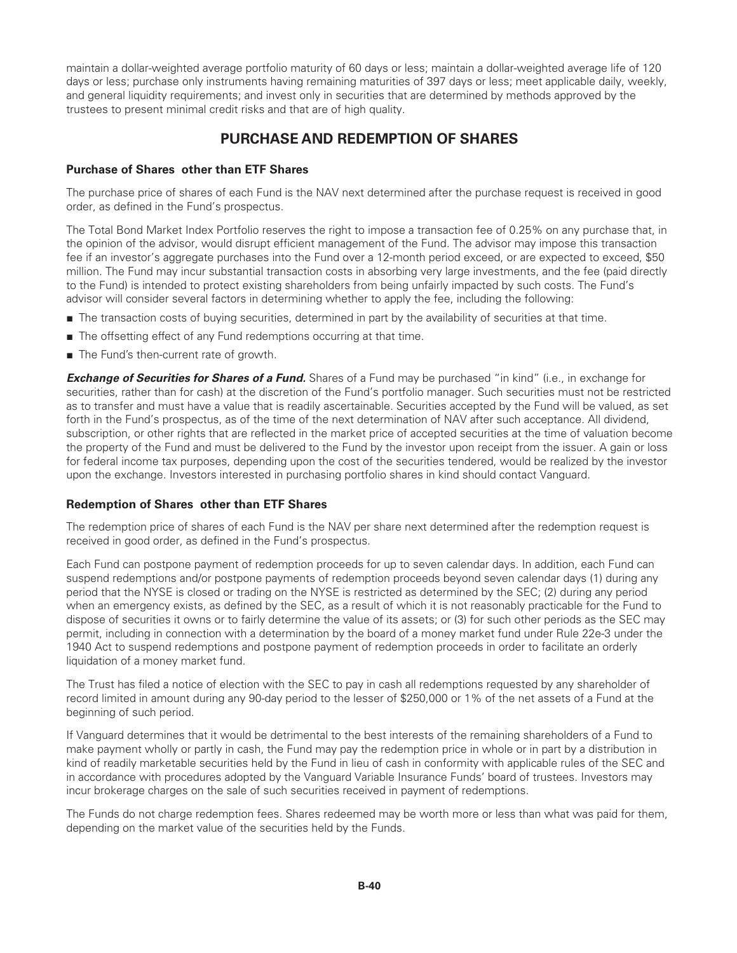maintain a dollar-weighted average portfolio maturity of 60 days or less; maintain a dollar-weighted average life of 120 days or less; purchase only instruments having remaining maturities of 397 days or less; meet applicable daily, weekly, and general liquidity requirements; and invest only in securities that are determined by methods approved by the trustees to present minimal credit risks and that are of high quality.

# **PURCHASE AND REDEMPTION OF SHARES**

# **Purchase of Shares other than ETF Shares**

The purchase price of shares of each Fund is the NAV next determined after the purchase request is received in good order, as defined in the Fund's prospectus.

The Total Bond Market Index Portfolio reserves the right to impose a transaction fee of 0.25% on any purchase that, in the opinion of the advisor, would disrupt efficient management of the Fund. The advisor may impose this transaction fee if an investor's aggregate purchases into the Fund over a 12-month period exceed, or are expected to exceed, \$50 million. The Fund may incur substantial transaction costs in absorbing very large investments, and the fee (paid directly to the Fund) is intended to protect existing shareholders from being unfairly impacted by such costs. The Fund's advisor will consider several factors in determining whether to apply the fee, including the following:

- The transaction costs of buying securities, determined in part by the availability of securities at that time.
- The offsetting effect of any Fund redemptions occurring at that time.
- The Fund's then-current rate of growth.

**Exchange of Securities for Shares of a Fund.** Shares of a Fund may be purchased "in kind" (i.e., in exchange for securities, rather than for cash) at the discretion of the Fund's portfolio manager. Such securities must not be restricted as to transfer and must have a value that is readily ascertainable. Securities accepted by the Fund will be valued, as set forth in the Fund's prospectus, as of the time of the next determination of NAV after such acceptance. All dividend, subscription, or other rights that are reflected in the market price of accepted securities at the time of valuation become the property of the Fund and must be delivered to the Fund by the investor upon receipt from the issuer. A gain or loss for federal income tax purposes, depending upon the cost of the securities tendered, would be realized by the investor upon the exchange. Investors interested in purchasing portfolio shares in kind should contact Vanguard.

#### **Redemption of Shares other than ETF Shares**

The redemption price of shares of each Fund is the NAV per share next determined after the redemption request is received in good order, as defined in the Fund's prospectus.

Each Fund can postpone payment of redemption proceeds for up to seven calendar days. In addition, each Fund can suspend redemptions and/or postpone payments of redemption proceeds beyond seven calendar days (1) during any period that the NYSE is closed or trading on the NYSE is restricted as determined by the SEC; (2) during any period when an emergency exists, as defined by the SEC, as a result of which it is not reasonably practicable for the Fund to dispose of securities it owns or to fairly determine the value of its assets; or (3) for such other periods as the SEC may permit, including in connection with a determination by the board of a money market fund under Rule 22e-3 under the 1940 Act to suspend redemptions and postpone payment of redemption proceeds in order to facilitate an orderly liquidation of a money market fund.

The Trust has filed a notice of election with the SEC to pay in cash all redemptions requested by any shareholder of record limited in amount during any 90-day period to the lesser of \$250,000 or 1% of the net assets of a Fund at the beginning of such period.

If Vanguard determines that it would be detrimental to the best interests of the remaining shareholders of a Fund to make payment wholly or partly in cash, the Fund may pay the redemption price in whole or in part by a distribution in kind of readily marketable securities held by the Fund in lieu of cash in conformity with applicable rules of the SEC and in accordance with procedures adopted by the Vanguard Variable Insurance Funds' board of trustees. Investors may incur brokerage charges on the sale of such securities received in payment of redemptions.

The Funds do not charge redemption fees. Shares redeemed may be worth more or less than what was paid for them, depending on the market value of the securities held by the Funds.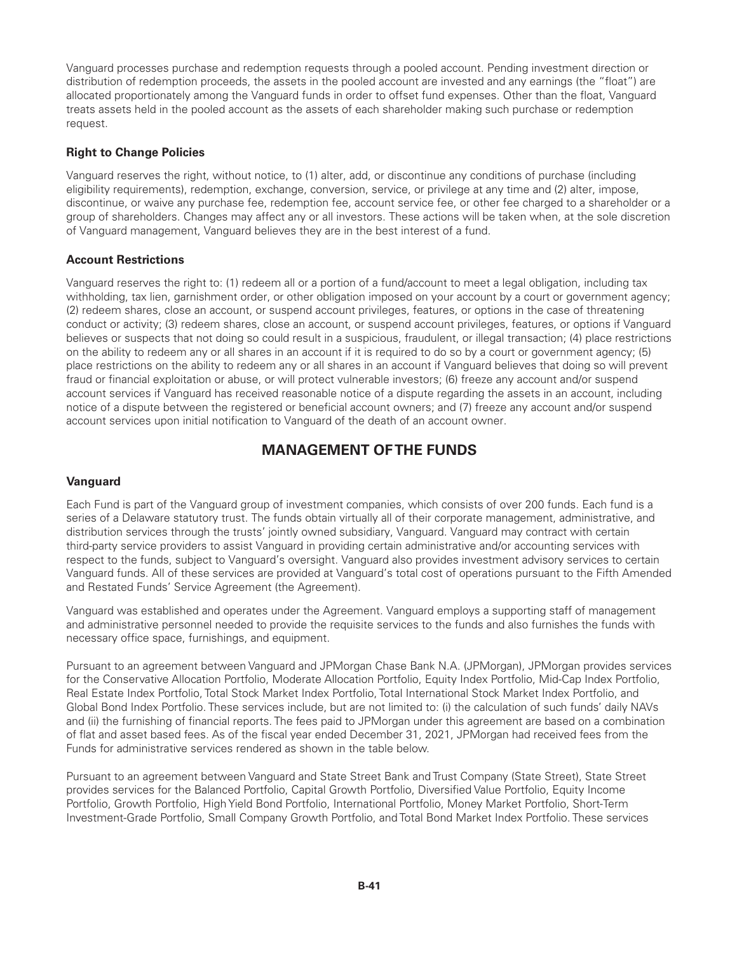Vanguard processes purchase and redemption requests through a pooled account. Pending investment direction or distribution of redemption proceeds, the assets in the pooled account are invested and any earnings (the "float") are allocated proportionately among the Vanguard funds in order to offset fund expenses. Other than the float, Vanguard treats assets held in the pooled account as the assets of each shareholder making such purchase or redemption request.

# **Right to Change Policies**

Vanguard reserves the right, without notice, to (1) alter, add, or discontinue any conditions of purchase (including eligibility requirements), redemption, exchange, conversion, service, or privilege at any time and (2) alter, impose, discontinue, or waive any purchase fee, redemption fee, account service fee, or other fee charged to a shareholder or a group of shareholders. Changes may affect any or all investors. These actions will be taken when, at the sole discretion of Vanguard management, Vanguard believes they are in the best interest of a fund.

## **Account Restrictions**

Vanguard reserves the right to: (1) redeem all or a portion of a fund/account to meet a legal obligation, including tax withholding, tax lien, garnishment order, or other obligation imposed on your account by a court or government agency; (2) redeem shares, close an account, or suspend account privileges, features, or options in the case of threatening conduct or activity; (3) redeem shares, close an account, or suspend account privileges, features, or options if Vanguard believes or suspects that not doing so could result in a suspicious, fraudulent, or illegal transaction; (4) place restrictions on the ability to redeem any or all shares in an account if it is required to do so by a court or government agency; (5) place restrictions on the ability to redeem any or all shares in an account if Vanguard believes that doing so will prevent fraud or financial exploitation or abuse, or will protect vulnerable investors; (6) freeze any account and/or suspend account services if Vanguard has received reasonable notice of a dispute regarding the assets in an account, including notice of a dispute between the registered or beneficial account owners; and (7) freeze any account and/or suspend account services upon initial notification to Vanguard of the death of an account owner.

# **MANAGEMENT OF THE FUNDS**

# **Vanguard**

Each Fund is part of the Vanguard group of investment companies, which consists of over 200 funds. Each fund is a series of a Delaware statutory trust. The funds obtain virtually all of their corporate management, administrative, and distribution services through the trusts' jointly owned subsidiary, Vanguard. Vanguard may contract with certain third-party service providers to assist Vanguard in providing certain administrative and/or accounting services with respect to the funds, subject to Vanguard's oversight. Vanguard also provides investment advisory services to certain Vanguard funds. All of these services are provided at Vanguard's total cost of operations pursuant to the Fifth Amended and Restated Funds' Service Agreement (the Agreement).

Vanguard was established and operates under the Agreement. Vanguard employs a supporting staff of management and administrative personnel needed to provide the requisite services to the funds and also furnishes the funds with necessary office space, furnishings, and equipment.

Pursuant to an agreement between Vanguard and JPMorgan Chase Bank N.A. (JPMorgan), JPMorgan provides services for the Conservative Allocation Portfolio, Moderate Allocation Portfolio, Equity Index Portfolio, Mid-Cap Index Portfolio, Real Estate Index Portfolio, Total Stock Market Index Portfolio, Total International Stock Market Index Portfolio, and Global Bond Index Portfolio. These services include, but are not limited to: (i) the calculation of such funds' daily NAVs and (ii) the furnishing of financial reports. The fees paid to JPMorgan under this agreement are based on a combination of flat and asset based fees. As of the fiscal year ended December 31, 2021, JPMorgan had received fees from the Funds for administrative services rendered as shown in the table below.

Pursuant to an agreement between Vanguard and State Street Bank and Trust Company (State Street), State Street provides services for the Balanced Portfolio, Capital Growth Portfolio, Diversified Value Portfolio, Equity Income Portfolio, Growth Portfolio, High Yield Bond Portfolio, International Portfolio, Money Market Portfolio, Short-Term Investment-Grade Portfolio, Small Company Growth Portfolio, and Total Bond Market Index Portfolio. These services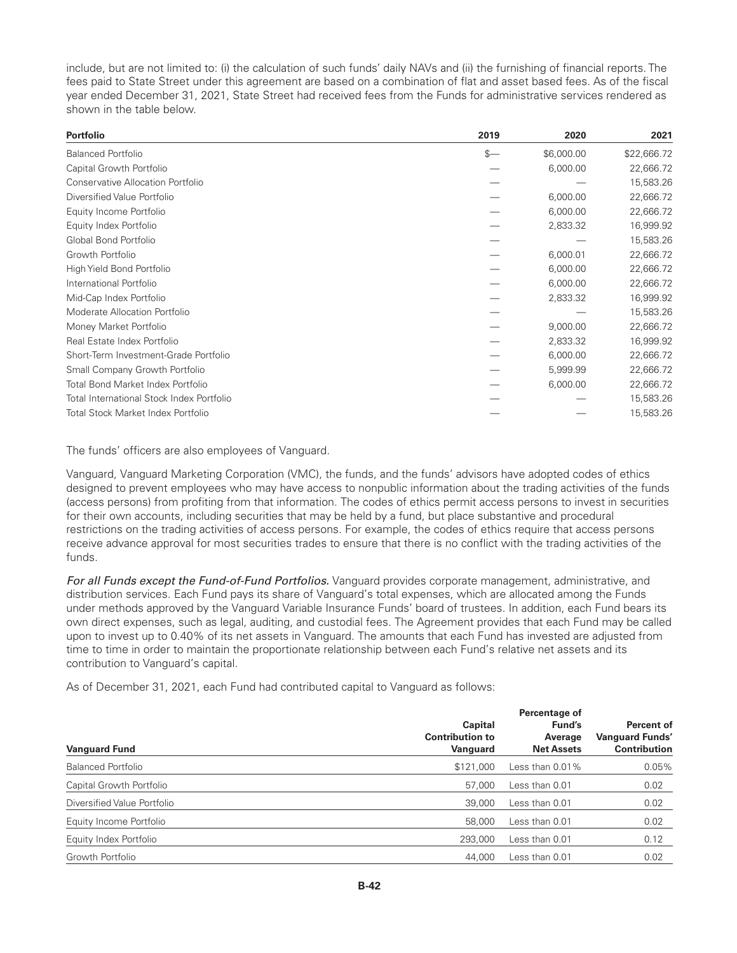include, but are not limited to: (i) the calculation of such funds' daily NAVs and (ii) the furnishing of financial reports. The fees paid to State Street under this agreement are based on a combination of flat and asset based fees. As of the fiscal year ended December 31, 2021, State Street had received fees from the Funds for administrative services rendered as shown in the table below.

| <b>Portfolio</b>                          | 2019 | 2020       | 2021        |
|-------------------------------------------|------|------------|-------------|
| <b>Balanced Portfolio</b>                 | $s-$ | \$6,000.00 | \$22,666.72 |
| Capital Growth Portfolio                  |      | 6,000.00   | 22,666.72   |
| <b>Conservative Allocation Portfolio</b>  |      |            | 15,583.26   |
| Diversified Value Portfolio               |      | 6,000.00   | 22,666.72   |
| Equity Income Portfolio                   |      | 6,000.00   | 22,666.72   |
| Equity Index Portfolio                    |      | 2,833.32   | 16,999.92   |
| Global Bond Portfolio                     |      |            | 15,583.26   |
| Growth Portfolio                          |      | 6,000.01   | 22,666.72   |
| High Yield Bond Portfolio                 |      | 6,000.00   | 22,666.72   |
| International Portfolio                   |      | 6,000.00   | 22,666.72   |
| Mid-Cap Index Portfolio                   |      | 2,833.32   | 16,999.92   |
| Moderate Allocation Portfolio             |      |            | 15,583.26   |
| Money Market Portfolio                    |      | 9,000.00   | 22,666.72   |
| Real Estate Index Portfolio               |      | 2,833.32   | 16,999.92   |
| Short-Term Investment-Grade Portfolio     |      | 6,000.00   | 22,666.72   |
| Small Company Growth Portfolio            |      | 5,999.99   | 22,666.72   |
| <b>Total Bond Market Index Portfolio</b>  |      | 6,000.00   | 22,666.72   |
| Total International Stock Index Portfolio |      |            | 15,583.26   |
| Total Stock Market Index Portfolio        |      |            | 15,583.26   |

The funds' officers are also employees of Vanguard.

Vanguard, Vanguard Marketing Corporation (VMC), the funds, and the funds' advisors have adopted codes of ethics designed to prevent employees who may have access to nonpublic information about the trading activities of the funds (access persons) from profiting from that information. The codes of ethics permit access persons to invest in securities for their own accounts, including securities that may be held by a fund, but place substantive and procedural restrictions on the trading activities of access persons. For example, the codes of ethics require that access persons receive advance approval for most securities trades to ensure that there is no conflict with the trading activities of the funds.

*For all Funds except the Fund-of-Fund Portfolios.* Vanguard provides corporate management, administrative, and distribution services. Each Fund pays its share of Vanguard's total expenses, which are allocated among the Funds under methods approved by the Vanguard Variable Insurance Funds' board of trustees. In addition, each Fund bears its own direct expenses, such as legal, auditing, and custodial fees. The Agreement provides that each Fund may be called upon to invest up to 0.40% of its net assets in Vanguard. The amounts that each Fund has invested are adjusted from time to time in order to maintain the proportionate relationship between each Fund's relative net assets and its contribution to Vanguard's capital.

As of December 31, 2021, each Fund had contributed capital to Vanguard as follows:

| <b>Vanguard Fund</b>        | Capital<br><b>Contribution to</b><br>Vanguard | Percentage of<br>Fund's<br>Average<br><b>Net Assets</b> | Percent of<br><b>Vanguard Funds'</b><br><b>Contribution</b> |
|-----------------------------|-----------------------------------------------|---------------------------------------------------------|-------------------------------------------------------------|
| <b>Balanced Portfolio</b>   | \$121,000                                     | Less than 0.01%                                         | 0.05%                                                       |
| Capital Growth Portfolio    | 57,000                                        | Less than 0.01                                          | 0.02                                                        |
| Diversified Value Portfolio | 39,000                                        | Less than 0.01                                          | 0.02                                                        |
| Equity Income Portfolio     | 58,000                                        | Less than 0.01                                          | 0.02                                                        |
| Equity Index Portfolio      | 293,000                                       | Less than 0.01                                          | 0.12                                                        |
| Growth Portfolio            | 44,000                                        | Less than 0.01                                          | 0.02                                                        |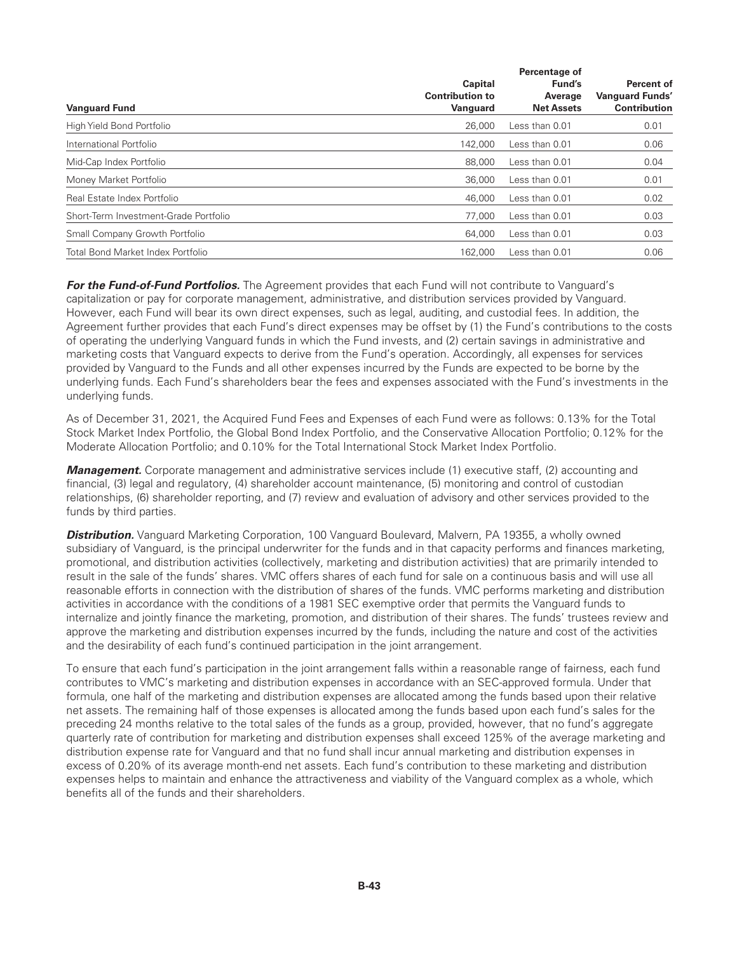| Capital<br><b>Contribution to</b><br>Vanguard | Fund's<br>Average | <b>Percent of</b><br><b>Vanguard Funds'</b> |
|-----------------------------------------------|-------------------|---------------------------------------------|
|                                               |                   |                                             |
|                                               |                   |                                             |
|                                               | <b>Net Assets</b> | <b>Contribution</b>                         |
| 26,000                                        | Less than 0.01    | 0.01                                        |
| 142.000                                       | Less than 0.01    | 0.06                                        |
| 88,000                                        | Less than 0.01    | 0.04                                        |
| 36,000                                        | Less than $0.01$  | 0.01                                        |
| 46,000                                        | Less than 0.01    | 0.02                                        |
| 77,000                                        | Less than 0.01    | 0.03                                        |
| 64,000                                        | Less than $0.01$  | 0.03                                        |
| 162,000                                       | Less than 0.01    | 0.06                                        |
|                                               |                   |                                             |

*For the Fund-of-Fund Portfolios.* The Agreement provides that each Fund will not contribute to Vanguard's capitalization or pay for corporate management, administrative, and distribution services provided by Vanguard. However, each Fund will bear its own direct expenses, such as legal, auditing, and custodial fees. In addition, the Agreement further provides that each Fund's direct expenses may be offset by (1) the Fund's contributions to the costs of operating the underlying Vanguard funds in which the Fund invests, and (2) certain savings in administrative and marketing costs that Vanguard expects to derive from the Fund's operation. Accordingly, all expenses for services provided by Vanguard to the Funds and all other expenses incurred by the Funds are expected to be borne by the underlying funds. Each Fund's shareholders bear the fees and expenses associated with the Fund's investments in the underlying funds.

As of December 31, 2021, the Acquired Fund Fees and Expenses of each Fund were as follows: 0.13% for the Total Stock Market Index Portfolio, the Global Bond Index Portfolio, and the Conservative Allocation Portfolio; 0.12% for the Moderate Allocation Portfolio; and 0.10% for the Total International Stock Market Index Portfolio.

*Management.* Corporate management and administrative services include (1) executive staff, (2) accounting and financial, (3) legal and regulatory, (4) shareholder account maintenance, (5) monitoring and control of custodian relationships, (6) shareholder reporting, and (7) review and evaluation of advisory and other services provided to the funds by third parties.

*Distribution.* Vanguard Marketing Corporation, 100 Vanguard Boulevard, Malvern, PA 19355, a wholly owned subsidiary of Vanguard, is the principal underwriter for the funds and in that capacity performs and finances marketing, promotional, and distribution activities (collectively, marketing and distribution activities) that are primarily intended to result in the sale of the funds' shares. VMC offers shares of each fund for sale on a continuous basis and will use all reasonable efforts in connection with the distribution of shares of the funds. VMC performs marketing and distribution activities in accordance with the conditions of a 1981 SEC exemptive order that permits the Vanguard funds to internalize and jointly finance the marketing, promotion, and distribution of their shares. The funds' trustees review and approve the marketing and distribution expenses incurred by the funds, including the nature and cost of the activities and the desirability of each fund's continued participation in the joint arrangement.

To ensure that each fund's participation in the joint arrangement falls within a reasonable range of fairness, each fund contributes to VMC's marketing and distribution expenses in accordance with an SEC-approved formula. Under that formula, one half of the marketing and distribution expenses are allocated among the funds based upon their relative net assets. The remaining half of those expenses is allocated among the funds based upon each fund's sales for the preceding 24 months relative to the total sales of the funds as a group, provided, however, that no fund's aggregate quarterly rate of contribution for marketing and distribution expenses shall exceed 125% of the average marketing and distribution expense rate for Vanguard and that no fund shall incur annual marketing and distribution expenses in excess of 0.20% of its average month-end net assets. Each fund's contribution to these marketing and distribution expenses helps to maintain and enhance the attractiveness and viability of the Vanguard complex as a whole, which benefits all of the funds and their shareholders.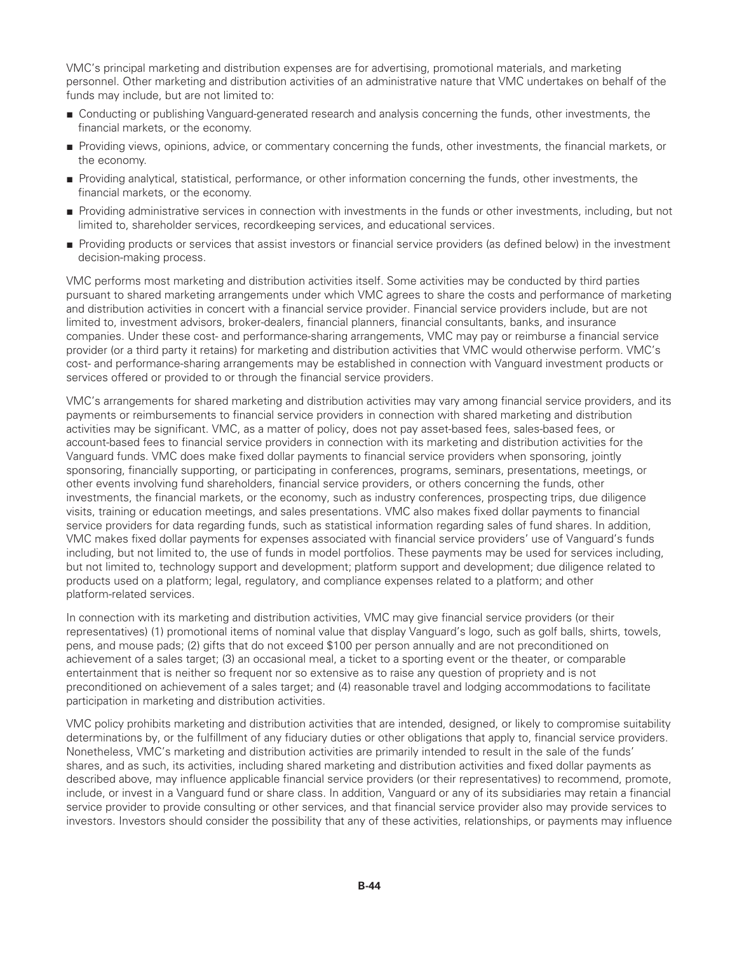VMC's principal marketing and distribution expenses are for advertising, promotional materials, and marketing personnel. Other marketing and distribution activities of an administrative nature that VMC undertakes on behalf of the funds may include, but are not limited to:

- Conducting or publishing Vanguard-generated research and analysis concerning the funds, other investments, the financial markets, or the economy.
- Providing views, opinions, advice, or commentary concerning the funds, other investments, the financial markets, or the economy.
- Providing analytical, statistical, performance, or other information concerning the funds, other investments, the financial markets, or the economy.
- Providing administrative services in connection with investments in the funds or other investments, including, but not limited to, shareholder services, recordkeeping services, and educational services.
- Providing products or services that assist investors or financial service providers (as defined below) in the investment decision-making process.

VMC performs most marketing and distribution activities itself. Some activities may be conducted by third parties pursuant to shared marketing arrangements under which VMC agrees to share the costs and performance of marketing and distribution activities in concert with a financial service provider. Financial service providers include, but are not limited to, investment advisors, broker-dealers, financial planners, financial consultants, banks, and insurance companies. Under these cost- and performance-sharing arrangements, VMC may pay or reimburse a financial service provider (or a third party it retains) for marketing and distribution activities that VMC would otherwise perform. VMC's cost- and performance-sharing arrangements may be established in connection with Vanguard investment products or services offered or provided to or through the financial service providers.

VMC's arrangements for shared marketing and distribution activities may vary among financial service providers, and its payments or reimbursements to financial service providers in connection with shared marketing and distribution activities may be significant. VMC, as a matter of policy, does not pay asset-based fees, sales-based fees, or account-based fees to financial service providers in connection with its marketing and distribution activities for the Vanguard funds. VMC does make fixed dollar payments to financial service providers when sponsoring, jointly sponsoring, financially supporting, or participating in conferences, programs, seminars, presentations, meetings, or other events involving fund shareholders, financial service providers, or others concerning the funds, other investments, the financial markets, or the economy, such as industry conferences, prospecting trips, due diligence visits, training or education meetings, and sales presentations. VMC also makes fixed dollar payments to financial service providers for data regarding funds, such as statistical information regarding sales of fund shares. In addition, VMC makes fixed dollar payments for expenses associated with financial service providers' use of Vanguard's funds including, but not limited to, the use of funds in model portfolios. These payments may be used for services including, but not limited to, technology support and development; platform support and development; due diligence related to products used on a platform; legal, regulatory, and compliance expenses related to a platform; and other platform-related services.

In connection with its marketing and distribution activities, VMC may give financial service providers (or their representatives) (1) promotional items of nominal value that display Vanguard's logo, such as golf balls, shirts, towels, pens, and mouse pads; (2) gifts that do not exceed \$100 per person annually and are not preconditioned on achievement of a sales target; (3) an occasional meal, a ticket to a sporting event or the theater, or comparable entertainment that is neither so frequent nor so extensive as to raise any question of propriety and is not preconditioned on achievement of a sales target; and (4) reasonable travel and lodging accommodations to facilitate participation in marketing and distribution activities.

VMC policy prohibits marketing and distribution activities that are intended, designed, or likely to compromise suitability determinations by, or the fulfillment of any fiduciary duties or other obligations that apply to, financial service providers. Nonetheless, VMC's marketing and distribution activities are primarily intended to result in the sale of the funds' shares, and as such, its activities, including shared marketing and distribution activities and fixed dollar payments as described above, may influence applicable financial service providers (or their representatives) to recommend, promote, include, or invest in a Vanguard fund or share class. In addition, Vanguard or any of its subsidiaries may retain a financial service provider to provide consulting or other services, and that financial service provider also may provide services to investors. Investors should consider the possibility that any of these activities, relationships, or payments may influence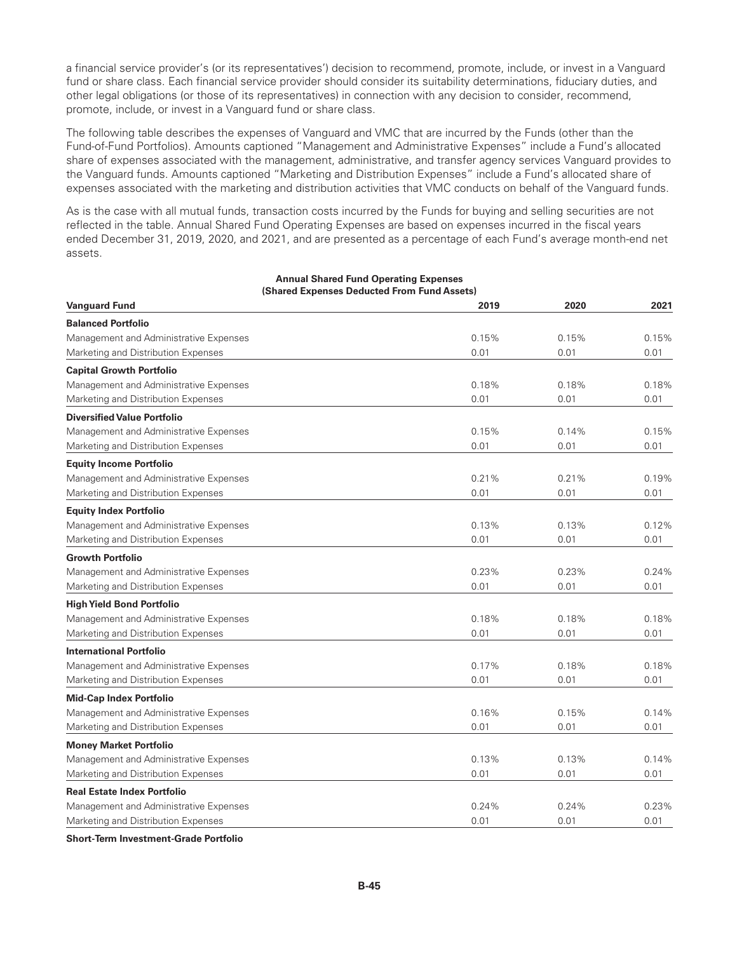a financial service provider's (or its representatives') decision to recommend, promote, include, or invest in a Vanguard fund or share class. Each financial service provider should consider its suitability determinations, fiduciary duties, and other legal obligations (or those of its representatives) in connection with any decision to consider, recommend, promote, include, or invest in a Vanguard fund or share class.

The following table describes the expenses of Vanguard and VMC that are incurred by the Funds (other than the Fund-of-Fund Portfolios). Amounts captioned "Management and Administrative Expenses" include a Fund's allocated share of expenses associated with the management, administrative, and transfer agency services Vanguard provides to the Vanguard funds. Amounts captioned "Marketing and Distribution Expenses" include a Fund's allocated share of expenses associated with the marketing and distribution activities that VMC conducts on behalf of the Vanguard funds.

As is the case with all mutual funds, transaction costs incurred by the Funds for buying and selling securities are not reflected in the table. Annual Shared Fund Operating Expenses are based on expenses incurred in the fiscal years ended December 31, 2019, 2020, and 2021, and are presented as a percentage of each Fund's average month-end net assets.

| <b>Vanguard Fund</b>                   | 2019  | 2020  | 2021  |
|----------------------------------------|-------|-------|-------|
| <b>Balanced Portfolio</b>              |       |       |       |
| Management and Administrative Expenses | 0.15% | 0.15% | 0.15% |
| Marketing and Distribution Expenses    | 0.01  | 0.01  | 0.01  |
| <b>Capital Growth Portfolio</b>        |       |       |       |
| Management and Administrative Expenses | 0.18% | 0.18% | 0.18% |
| Marketing and Distribution Expenses    | 0.01  | 0.01  | 0.01  |
| <b>Diversified Value Portfolio</b>     |       |       |       |
| Management and Administrative Expenses | 0.15% | 0.14% | 0.15% |
| Marketing and Distribution Expenses    | 0.01  | 0.01  | 0.01  |
| <b>Equity Income Portfolio</b>         |       |       |       |
| Management and Administrative Expenses | 0.21% | 0.21% | 0.19% |
| Marketing and Distribution Expenses    | 0.01  | 0.01  | 0.01  |
| <b>Equity Index Portfolio</b>          |       |       |       |
| Management and Administrative Expenses | 0.13% | 0.13% | 0.12% |
| Marketing and Distribution Expenses    | 0.01  | 0.01  | 0.01  |
| <b>Growth Portfolio</b>                |       |       |       |
| Management and Administrative Expenses | 0.23% | 0.23% | 0.24% |
| Marketing and Distribution Expenses    | 0.01  | 0.01  | 0.01  |
| <b>High Yield Bond Portfolio</b>       |       |       |       |
| Management and Administrative Expenses | 0.18% | 0.18% | 0.18% |
| Marketing and Distribution Expenses    | 0.01  | 0.01  | 0.01  |
| <b>International Portfolio</b>         |       |       |       |
| Management and Administrative Expenses | 0.17% | 0.18% | 0.18% |
| Marketing and Distribution Expenses    | 0.01  | 0.01  | 0.01  |
| <b>Mid-Cap Index Portfolio</b>         |       |       |       |
| Management and Administrative Expenses | 0.16% | 0.15% | 0.14% |
| Marketing and Distribution Expenses    | 0.01  | 0.01  | 0.01  |
| <b>Money Market Portfolio</b>          |       |       |       |
| Management and Administrative Expenses | 0.13% | 0.13% | 0.14% |
| Marketing and Distribution Expenses    | 0.01  | 0.01  | 0.01  |
| <b>Real Estate Index Portfolio</b>     |       |       |       |
| Management and Administrative Expenses | 0.24% | 0.24% | 0.23% |
| Marketing and Distribution Expenses    | 0.01  | 0.01  | 0.01  |

#### **Annual Shared Fund Operating Expenses (Shared Expenses Deducted From Fund Assets)**

**Short-Term Investment-Grade Portfolio**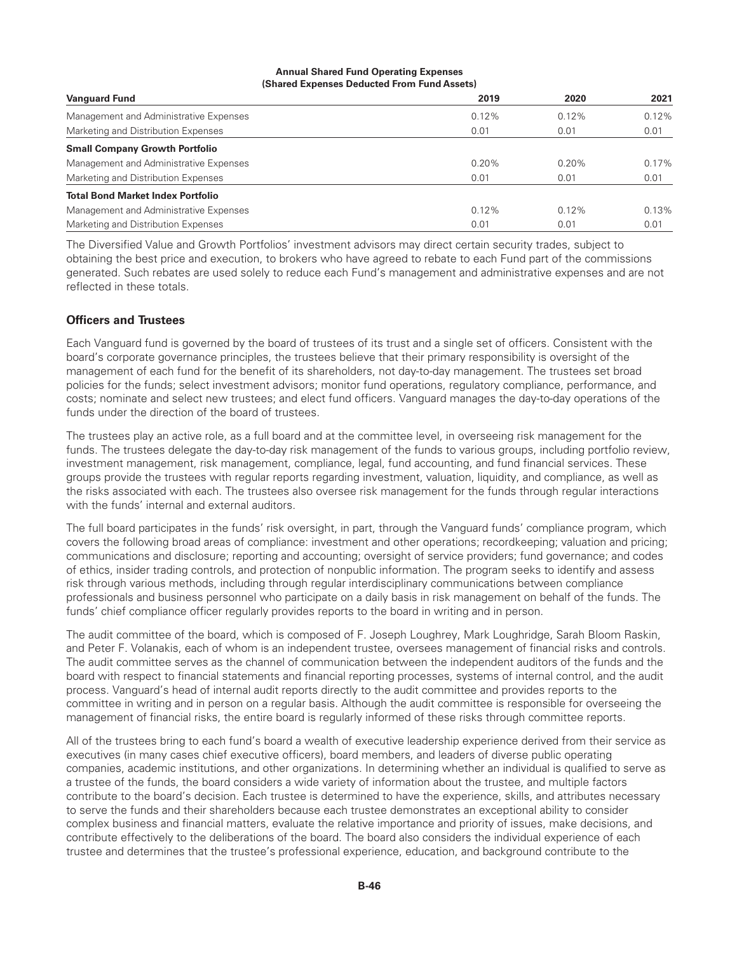#### **Annual Shared Fund Operating Expenses (Shared Expenses Deducted From Fund Assets)**

| <b>Vanguard Fund</b>                     | 2019     | 2020  | 2021  |
|------------------------------------------|----------|-------|-------|
| Management and Administrative Expenses   | $0.12\%$ | 0.12% | 0.12% |
| Marketing and Distribution Expenses      | 0.01     | 0.01  | 0.01  |
| <b>Small Company Growth Portfolio</b>    |          |       |       |
| Management and Administrative Expenses   | 0.20%    | 0.20% | 0.17% |
| Marketing and Distribution Expenses      | 0.01     | 0.01  | 0.01  |
| <b>Total Bond Market Index Portfolio</b> |          |       |       |
| Management and Administrative Expenses   | $0.12\%$ | 0.12% | 0.13% |
| Marketing and Distribution Expenses      | 0.01     | 0.01  | 0.01  |

The Diversified Value and Growth Portfolios' investment advisors may direct certain security trades, subject to obtaining the best price and execution, to brokers who have agreed to rebate to each Fund part of the commissions generated. Such rebates are used solely to reduce each Fund's management and administrative expenses and are not reflected in these totals.

# **Officers and Trustees**

Each Vanguard fund is governed by the board of trustees of its trust and a single set of officers. Consistent with the board's corporate governance principles, the trustees believe that their primary responsibility is oversight of the management of each fund for the benefit of its shareholders, not day-to-day management. The trustees set broad policies for the funds; select investment advisors; monitor fund operations, regulatory compliance, performance, and costs; nominate and select new trustees; and elect fund officers. Vanguard manages the day-to-day operations of the funds under the direction of the board of trustees.

The trustees play an active role, as a full board and at the committee level, in overseeing risk management for the funds. The trustees delegate the day-to-day risk management of the funds to various groups, including portfolio review, investment management, risk management, compliance, legal, fund accounting, and fund financial services. These groups provide the trustees with regular reports regarding investment, valuation, liquidity, and compliance, as well as the risks associated with each. The trustees also oversee risk management for the funds through regular interactions with the funds' internal and external auditors.

The full board participates in the funds' risk oversight, in part, through the Vanguard funds' compliance program, which covers the following broad areas of compliance: investment and other operations; recordkeeping; valuation and pricing; communications and disclosure; reporting and accounting; oversight of service providers; fund governance; and codes of ethics, insider trading controls, and protection of nonpublic information. The program seeks to identify and assess risk through various methods, including through regular interdisciplinary communications between compliance professionals and business personnel who participate on a daily basis in risk management on behalf of the funds. The funds' chief compliance officer regularly provides reports to the board in writing and in person.

The audit committee of the board, which is composed of F. Joseph Loughrey, Mark Loughridge, Sarah Bloom Raskin, and Peter F. Volanakis, each of whom is an independent trustee, oversees management of financial risks and controls. The audit committee serves as the channel of communication between the independent auditors of the funds and the board with respect to financial statements and financial reporting processes, systems of internal control, and the audit process. Vanguard's head of internal audit reports directly to the audit committee and provides reports to the committee in writing and in person on a regular basis. Although the audit committee is responsible for overseeing the management of financial risks, the entire board is regularly informed of these risks through committee reports.

All of the trustees bring to each fund's board a wealth of executive leadership experience derived from their service as executives (in many cases chief executive officers), board members, and leaders of diverse public operating companies, academic institutions, and other organizations. In determining whether an individual is qualified to serve as a trustee of the funds, the board considers a wide variety of information about the trustee, and multiple factors contribute to the board's decision. Each trustee is determined to have the experience, skills, and attributes necessary to serve the funds and their shareholders because each trustee demonstrates an exceptional ability to consider complex business and financial matters, evaluate the relative importance and priority of issues, make decisions, and contribute effectively to the deliberations of the board. The board also considers the individual experience of each trustee and determines that the trustee's professional experience, education, and background contribute to the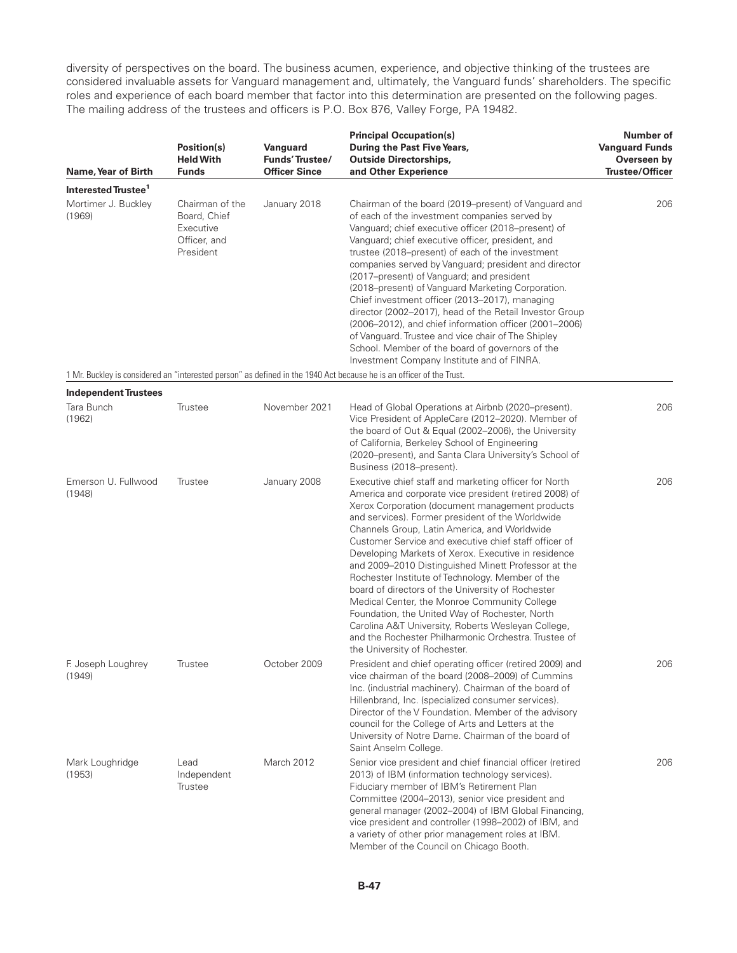diversity of perspectives on the board. The business acumen, experience, and objective thinking of the trustees are considered invaluable assets for Vanguard management and, ultimately, the Vanguard funds' shareholders. The specific roles and experience of each board member that factor into this determination are presented on the following pages. The mailing address of the trustees and officers is P.O. Box 876, Valley Forge, PA 19482.

| Name, Year of Birth             | <b>Position(s)</b><br><b>Held With</b><br><b>Funds</b>                    | Vanguard<br>Funds' Trustee/<br><b>Officer Since</b> | <b>Principal Occupation(s)</b><br>During the Past Five Years,<br><b>Outside Directorships,</b><br>and Other Experience                                                                                                                                                                                                                                                                                                                                                                                                                                                                                                                                                                                                                                                                                 | Number of<br><b>Vanguard Funds</b><br>Overseen by<br><b>Trustee/Officer</b> |
|---------------------------------|---------------------------------------------------------------------------|-----------------------------------------------------|--------------------------------------------------------------------------------------------------------------------------------------------------------------------------------------------------------------------------------------------------------------------------------------------------------------------------------------------------------------------------------------------------------------------------------------------------------------------------------------------------------------------------------------------------------------------------------------------------------------------------------------------------------------------------------------------------------------------------------------------------------------------------------------------------------|-----------------------------------------------------------------------------|
| Interested Trustee <sup>1</sup> |                                                                           |                                                     |                                                                                                                                                                                                                                                                                                                                                                                                                                                                                                                                                                                                                                                                                                                                                                                                        |                                                                             |
| Mortimer J. Buckley<br>(1969)   | Chairman of the<br>Board, Chief<br>Executive<br>Officer, and<br>President | January 2018                                        | Chairman of the board (2019–present) of Vanguard and<br>of each of the investment companies served by<br>Vanguard; chief executive officer (2018–present) of<br>Vanguard; chief executive officer, president, and<br>trustee (2018–present) of each of the investment<br>companies served by Vanguard; president and director<br>(2017–present) of Vanguard; and president<br>(2018–present) of Vanguard Marketing Corporation.<br>Chief investment officer (2013-2017), managing<br>director (2002-2017), head of the Retail Investor Group<br>(2006–2012), and chief information officer (2001–2006)<br>of Vanguard. Trustee and vice chair of The Shipley<br>School. Member of the board of governors of the<br>Investment Company Institute and of FINRA.                                          | 206                                                                         |
|                                 |                                                                           |                                                     | 1 Mr. Buckley is considered an "interested person" as defined in the 1940 Act because he is an officer of the Trust.                                                                                                                                                                                                                                                                                                                                                                                                                                                                                                                                                                                                                                                                                   |                                                                             |
| <b>Independent Trustees</b>     |                                                                           |                                                     |                                                                                                                                                                                                                                                                                                                                                                                                                                                                                                                                                                                                                                                                                                                                                                                                        |                                                                             |
| Tara Bunch<br>(1962)            | Trustee                                                                   | November 2021                                       | Head of Global Operations at Airbnb (2020-present).<br>Vice President of AppleCare (2012-2020). Member of<br>the board of Out & Equal (2002-2006), the University<br>of California, Berkeley School of Engineering<br>(2020-present), and Santa Clara University's School of<br>Business (2018–present).                                                                                                                                                                                                                                                                                                                                                                                                                                                                                               | 206                                                                         |
| Emerson U. Fullwood<br>(1948)   | Trustee                                                                   | January 2008                                        | Executive chief staff and marketing officer for North<br>America and corporate vice president (retired 2008) of<br>Xerox Corporation (document management products<br>and services). Former president of the Worldwide<br>Channels Group, Latin America, and Worldwide<br>Customer Service and executive chief staff officer of<br>Developing Markets of Xerox. Executive in residence<br>and 2009–2010 Distinguished Minett Professor at the<br>Rochester Institute of Technology. Member of the<br>board of directors of the University of Rochester<br>Medical Center, the Monroe Community College<br>Foundation, the United Way of Rochester, North<br>Carolina A&T University, Roberts Wesleyan College,<br>and the Rochester Philharmonic Orchestra. Trustee of<br>the University of Rochester. | 206                                                                         |
| F. Joseph Loughrey<br>(1949)    | Trustee                                                                   | October 2009                                        | President and chief operating officer (retired 2009) and<br>vice chairman of the board (2008-2009) of Cummins<br>Inc. (industrial machinery). Chairman of the board of<br>Hillenbrand, Inc. (specialized consumer services).<br>Director of the V Foundation. Member of the advisory<br>council for the College of Arts and Letters at the<br>University of Notre Dame. Chairman of the board of<br>Saint Anselm College.                                                                                                                                                                                                                                                                                                                                                                              | 206                                                                         |
| Mark Loughridge<br>(1953)       | Lead<br>Independent<br>Trustee                                            | March 2012                                          | Senior vice president and chief financial officer (retired<br>2013) of IBM (information technology services).<br>Fiduciary member of IBM's Retirement Plan<br>Committee (2004-2013), senior vice president and<br>general manager (2002-2004) of IBM Global Financing,<br>vice president and controller (1998-2002) of IBM, and<br>a variety of other prior management roles at IBM.<br>Member of the Council on Chicago Booth.                                                                                                                                                                                                                                                                                                                                                                        | 206                                                                         |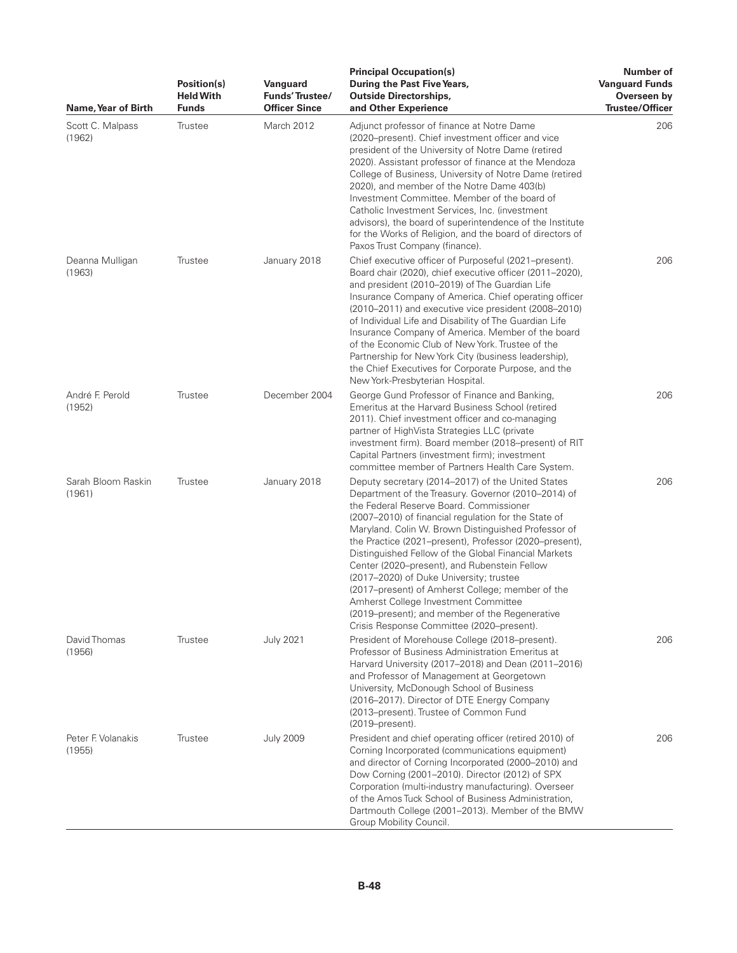| Name, Year of Birth          | Position(s)<br><b>Held With</b><br><b>Funds</b> | Vanguard<br>Funds' Trustee/<br><b>Officer Since</b> | <b>Principal Occupation(s)</b><br>During the Past Five Years,<br><b>Outside Directorships,</b><br>and Other Experience                                                                                                                                                                                                                                                                                                                                                                                                                                                                                                                                                     | Number of<br><b>Vanguard Funds</b><br>Overseen by<br>Trustee/Officer |
|------------------------------|-------------------------------------------------|-----------------------------------------------------|----------------------------------------------------------------------------------------------------------------------------------------------------------------------------------------------------------------------------------------------------------------------------------------------------------------------------------------------------------------------------------------------------------------------------------------------------------------------------------------------------------------------------------------------------------------------------------------------------------------------------------------------------------------------------|----------------------------------------------------------------------|
| Scott C. Malpass<br>(1962)   | Trustee                                         | March 2012                                          | Adjunct professor of finance at Notre Dame<br>(2020–present). Chief investment officer and vice<br>president of the University of Notre Dame (retired<br>2020). Assistant professor of finance at the Mendoza<br>College of Business, University of Notre Dame (retired<br>2020), and member of the Notre Dame 403(b)<br>Investment Committee. Member of the board of<br>Catholic Investment Services, Inc. (investment<br>advisors), the board of superintendence of the Institute<br>for the Works of Religion, and the board of directors of<br>Paxos Trust Company (finance).                                                                                          | 206                                                                  |
| Deanna Mulligan<br>(1963)    | Trustee                                         | January 2018                                        | Chief executive officer of Purposeful (2021-present).<br>Board chair (2020), chief executive officer (2011-2020),<br>and president (2010-2019) of The Guardian Life<br>Insurance Company of America. Chief operating officer<br>(2010–2011) and executive vice president (2008–2010)<br>of Individual Life and Disability of The Guardian Life<br>Insurance Company of America. Member of the board<br>of the Economic Club of New York. Trustee of the<br>Partnership for New York City (business leadership),<br>the Chief Executives for Corporate Purpose, and the<br>New York-Presbyterian Hospital.                                                                  | 206                                                                  |
| André F. Perold<br>(1952)    | Trustee                                         | December 2004                                       | George Gund Professor of Finance and Banking,<br>Emeritus at the Harvard Business School (retired<br>2011). Chief investment officer and co-managing<br>partner of HighVista Strategies LLC (private<br>investment firm). Board member (2018–present) of RIT<br>Capital Partners (investment firm); investment<br>committee member of Partners Health Care System.                                                                                                                                                                                                                                                                                                         | 206                                                                  |
| Sarah Bloom Raskin<br>(1961) | Trustee                                         | January 2018                                        | Deputy secretary (2014–2017) of the United States<br>Department of the Treasury. Governor (2010–2014) of<br>the Federal Reserve Board. Commissioner<br>(2007–2010) of financial regulation for the State of<br>Maryland. Colin W. Brown Distinguished Professor of<br>the Practice (2021–present), Professor (2020–present),<br>Distinguished Fellow of the Global Financial Markets<br>Center (2020-present), and Rubenstein Fellow<br>(2017-2020) of Duke University; trustee<br>(2017–present) of Amherst College; member of the<br>Amherst College Investment Committee<br>(2019–present); and member of the Regenerative<br>Crisis Response Committee (2020–present). | 206                                                                  |
| David Thomas<br>(1956)       | Trustee                                         | <b>July 2021</b>                                    | President of Morehouse College (2018-present).<br>Professor of Business Administration Emeritus at<br>Harvard University (2017-2018) and Dean (2011-2016)<br>and Professor of Management at Georgetown<br>University, McDonough School of Business<br>(2016-2017). Director of DTE Energy Company<br>(2013–present). Trustee of Common Fund<br>(2019–present).                                                                                                                                                                                                                                                                                                             | 206                                                                  |
| Peter F. Volanakis<br>(1955) | Trustee                                         | <b>July 2009</b>                                    | President and chief operating officer (retired 2010) of<br>Corning Incorporated (communications equipment)<br>and director of Corning Incorporated (2000–2010) and<br>Dow Corning (2001-2010). Director (2012) of SPX<br>Corporation (multi-industry manufacturing). Overseer<br>of the Amos Tuck School of Business Administration,<br>Dartmouth College (2001-2013). Member of the BMW<br>Group Mobility Council.                                                                                                                                                                                                                                                        | 206                                                                  |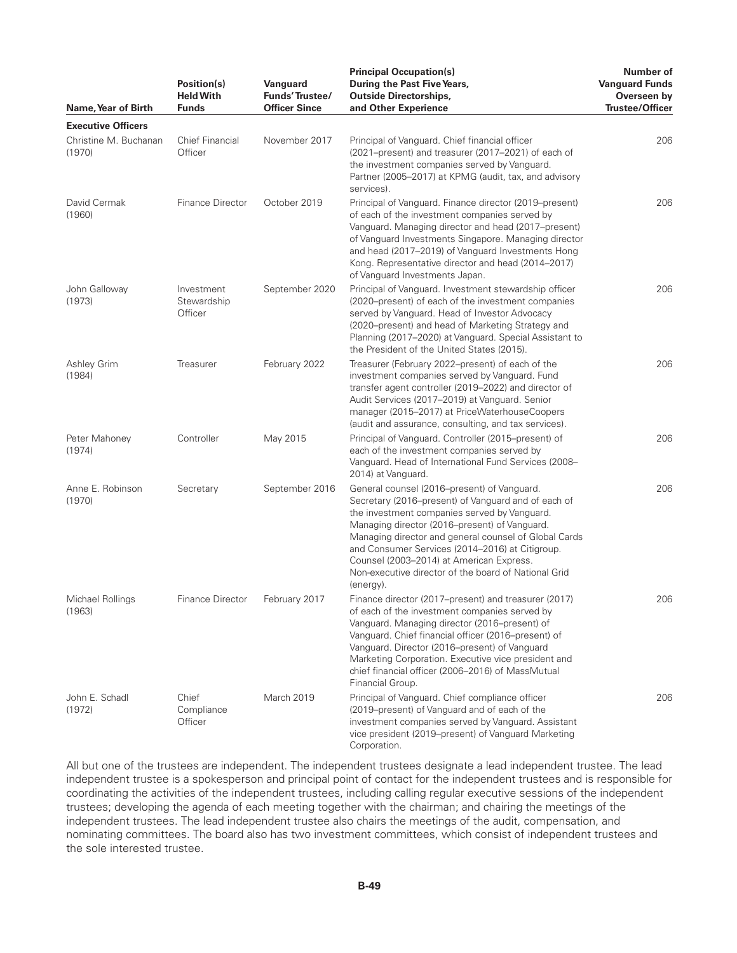| Name, Year of Birth             | Position(s)<br><b>Held With</b><br><b>Funds</b> | Vanguard<br>Funds' Trustee/<br><b>Officer Since</b> | <b>Principal Occupation(s)</b><br>During the Past Five Years,<br><b>Outside Directorships,</b><br>and Other Experience                                                                                                                                                                                                                                                                                                           | Number of<br><b>Vanguard Funds</b><br>Overseen by<br><b>Trustee/Officer</b> |
|---------------------------------|-------------------------------------------------|-----------------------------------------------------|----------------------------------------------------------------------------------------------------------------------------------------------------------------------------------------------------------------------------------------------------------------------------------------------------------------------------------------------------------------------------------------------------------------------------------|-----------------------------------------------------------------------------|
| <b>Executive Officers</b>       |                                                 |                                                     |                                                                                                                                                                                                                                                                                                                                                                                                                                  |                                                                             |
| Christine M. Buchanan<br>(1970) | <b>Chief Financial</b><br>Officer               | November 2017                                       | Principal of Vanguard. Chief financial officer<br>(2021–present) and treasurer (2017–2021) of each of<br>the investment companies served by Vanguard.<br>Partner (2005-2017) at KPMG (audit, tax, and advisory<br>services).                                                                                                                                                                                                     | 206                                                                         |
| David Cermak<br>(1960)          | Finance Director                                | October 2019                                        | Principal of Vanguard. Finance director (2019–present)<br>of each of the investment companies served by<br>Vanguard. Managing director and head (2017-present)<br>of Vanguard Investments Singapore. Managing director<br>and head (2017-2019) of Vanguard Investments Hong<br>Kong. Representative director and head (2014–2017)<br>of Vanguard Investments Japan.                                                              | 206                                                                         |
| John Galloway<br>(1973)         | Investment<br>Stewardship<br>Officer            | September 2020                                      | Principal of Vanguard. Investment stewardship officer<br>(2020–present) of each of the investment companies<br>served by Vanguard. Head of Investor Advocacy<br>(2020-present) and head of Marketing Strategy and<br>Planning (2017–2020) at Vanguard. Special Assistant to<br>the President of the United States (2015).                                                                                                        | 206                                                                         |
| Ashley Grim<br>(1984)           | Treasurer                                       | February 2022                                       | Treasurer (February 2022-present) of each of the<br>investment companies served by Vanguard. Fund<br>transfer agent controller (2019-2022) and director of<br>Audit Services (2017-2019) at Vanguard. Senior<br>manager (2015-2017) at PriceWaterhouseCoopers<br>(audit and assurance, consulting, and tax services).                                                                                                            | 206                                                                         |
| Peter Mahoney<br>(1974)         | Controller                                      | May 2015                                            | Principal of Vanguard. Controller (2015–present) of<br>each of the investment companies served by<br>Vanguard. Head of International Fund Services (2008-<br>2014) at Vanguard.                                                                                                                                                                                                                                                  | 206                                                                         |
| Anne E. Robinson<br>(1970)      | Secretary                                       | September 2016                                      | General counsel (2016–present) of Vanguard.<br>Secretary (2016-present) of Vanguard and of each of<br>the investment companies served by Vanguard.<br>Managing director (2016–present) of Vanguard.<br>Managing director and general counsel of Global Cards<br>and Consumer Services (2014-2016) at Citigroup.<br>Counsel (2003-2014) at American Express.<br>Non-executive director of the board of National Grid<br>(energy). | 206                                                                         |
| Michael Rollings<br>(1963)      | <b>Finance Director</b>                         | February 2017                                       | Finance director (2017–present) and treasurer (2017)<br>of each of the investment companies served by<br>Vanguard. Managing director (2016–present) of<br>Vanquard. Chief financial officer (2016–present) of<br>Vanguard. Director (2016–present) of Vanguard<br>Marketing Corporation. Executive vice president and<br>chief financial officer (2006-2016) of MassMutual<br>Financial Group.                                   | 206                                                                         |
| John E. Schadl<br>(1972)        | Chief<br>Compliance<br>Officer                  | March 2019                                          | Principal of Vanguard. Chief compliance officer<br>(2019–present) of Vanguard and of each of the<br>investment companies served by Vanguard. Assistant<br>vice president (2019–present) of Vanguard Marketing<br>Corporation.                                                                                                                                                                                                    | 206                                                                         |

All but one of the trustees are independent. The independent trustees designate a lead independent trustee. The lead independent trustee is a spokesperson and principal point of contact for the independent trustees and is responsible for coordinating the activities of the independent trustees, including calling regular executive sessions of the independent trustees; developing the agenda of each meeting together with the chairman; and chairing the meetings of the independent trustees. The lead independent trustee also chairs the meetings of the audit, compensation, and nominating committees. The board also has two investment committees, which consist of independent trustees and the sole interested trustee.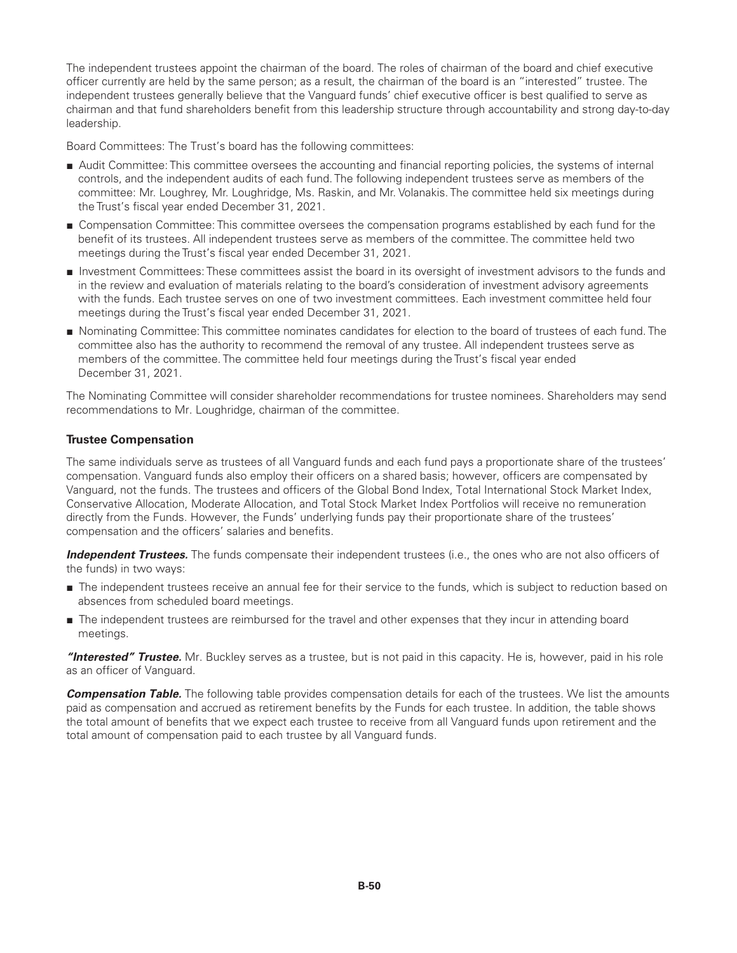The independent trustees appoint the chairman of the board. The roles of chairman of the board and chief executive officer currently are held by the same person; as a result, the chairman of the board is an "interested" trustee. The independent trustees generally believe that the Vanguard funds' chief executive officer is best qualified to serve as chairman and that fund shareholders benefit from this leadership structure through accountability and strong day-to-day leadership.

Board Committees: The Trust's board has the following committees:

- Audit Committee: This committee oversees the accounting and financial reporting policies, the systems of internal controls, and the independent audits of each fund. The following independent trustees serve as members of the committee: Mr. Loughrey, Mr. Loughridge, Ms. Raskin, and Mr. Volanakis. The committee held six meetings during the Trust's fiscal year ended December 31, 2021.
- Compensation Committee: This committee oversees the compensation programs established by each fund for the benefit of its trustees. All independent trustees serve as members of the committee. The committee held two meetings during the Trust's fiscal year ended December 31, 2021.
- Investment Committees: These committees assist the board in its oversight of investment advisors to the funds and in the review and evaluation of materials relating to the board's consideration of investment advisory agreements with the funds. Each trustee serves on one of two investment committees. Each investment committee held four meetings during the Trust's fiscal year ended December 31, 2021.
- Nominating Committee: This committee nominates candidates for election to the board of trustees of each fund. The committee also has the authority to recommend the removal of any trustee. All independent trustees serve as members of the committee. The committee held four meetings during the Trust's fiscal year ended December 31, 2021.

The Nominating Committee will consider shareholder recommendations for trustee nominees. Shareholders may send recommendations to Mr. Loughridge, chairman of the committee.

# **Trustee Compensation**

The same individuals serve as trustees of all Vanguard funds and each fund pays a proportionate share of the trustees' compensation. Vanguard funds also employ their officers on a shared basis; however, officers are compensated by Vanguard, not the funds. The trustees and officers of the Global Bond Index, Total International Stock Market Index, Conservative Allocation, Moderate Allocation, and Total Stock Market Index Portfolios will receive no remuneration directly from the Funds. However, the Funds' underlying funds pay their proportionate share of the trustees' compensation and the officers' salaries and benefits.

*Independent Trustees.* The funds compensate their independent trustees (i.e., the ones who are not also officers of the funds) in two ways:

- The independent trustees receive an annual fee for their service to the funds, which is subject to reduction based on absences from scheduled board meetings.
- The independent trustees are reimbursed for the travel and other expenses that they incur in attending board meetings.

*"Interested" Trustee.* Mr. Buckley serves as a trustee, but is not paid in this capacity. He is, however, paid in his role as an officer of Vanguard.

*Compensation Table.* The following table provides compensation details for each of the trustees. We list the amounts paid as compensation and accrued as retirement benefits by the Funds for each trustee. In addition, the table shows the total amount of benefits that we expect each trustee to receive from all Vanguard funds upon retirement and the total amount of compensation paid to each trustee by all Vanguard funds.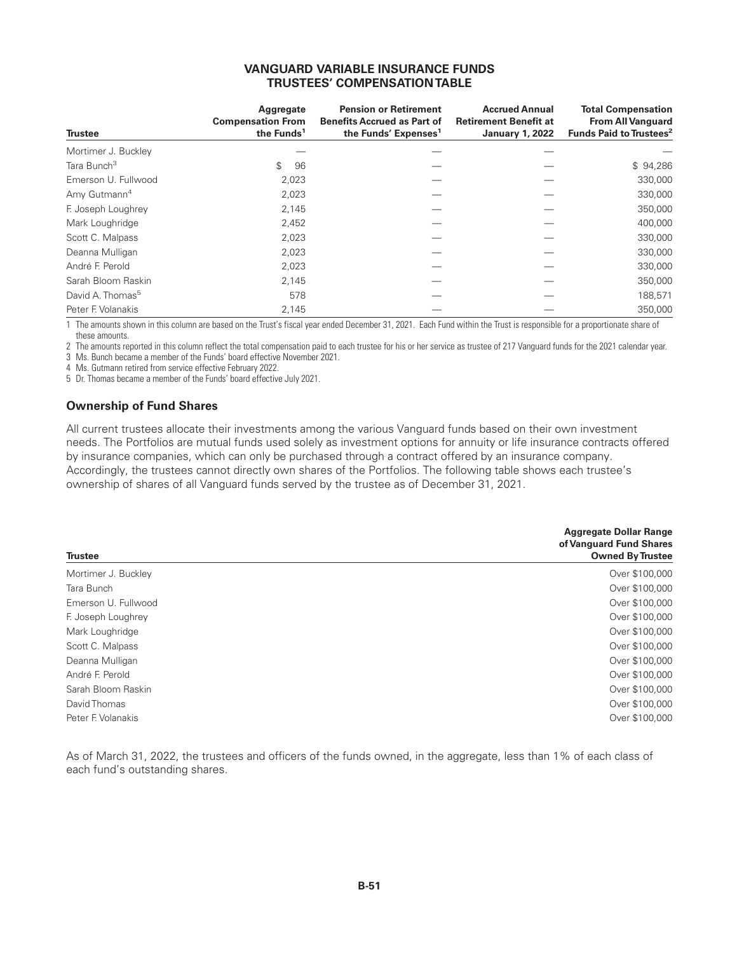### **VANGUARD VARIABLE INSURANCE FUNDS TRUSTEES' COMPENSATION TABLE**

| <b>Trustee</b>               | Aggregate<br><b>Compensation From</b><br>the Funds <sup>1</sup> | <b>Pension or Retirement</b><br><b>Benefits Accrued as Part of</b><br>the Funds' Expenses <sup>1</sup> | <b>Accrued Annual</b><br><b>Retirement Benefit at</b><br><b>January 1, 2022</b> | <b>Total Compensation</b><br><b>From All Vanguard</b><br>Funds Paid to Trustees <sup>2</sup> |
|------------------------------|-----------------------------------------------------------------|--------------------------------------------------------------------------------------------------------|---------------------------------------------------------------------------------|----------------------------------------------------------------------------------------------|
| Mortimer J. Buckley          |                                                                 |                                                                                                        |                                                                                 |                                                                                              |
| Tara Bunch <sup>3</sup>      | \$<br>96                                                        |                                                                                                        |                                                                                 | \$94,286                                                                                     |
| Emerson U. Fullwood          | 2,023                                                           |                                                                                                        |                                                                                 | 330,000                                                                                      |
| Amy Gutmann <sup>4</sup>     | 2,023                                                           |                                                                                                        |                                                                                 | 330,000                                                                                      |
| F. Joseph Loughrey           | 2,145                                                           |                                                                                                        |                                                                                 | 350,000                                                                                      |
| Mark Loughridge              | 2,452                                                           |                                                                                                        |                                                                                 | 400,000                                                                                      |
| Scott C. Malpass             | 2,023                                                           |                                                                                                        |                                                                                 | 330,000                                                                                      |
| Deanna Mulligan              | 2,023                                                           |                                                                                                        |                                                                                 | 330,000                                                                                      |
| André F. Perold              | 2,023                                                           |                                                                                                        |                                                                                 | 330,000                                                                                      |
| Sarah Bloom Raskin           | 2.145                                                           |                                                                                                        |                                                                                 | 350,000                                                                                      |
| David A. Thomas <sup>5</sup> | 578                                                             |                                                                                                        |                                                                                 | 188,571                                                                                      |
| Peter F. Volanakis           | 2,145                                                           |                                                                                                        |                                                                                 | 350,000                                                                                      |

1 The amounts shown in this column are based on the Trust's fiscal year ended December 31, 2021. Each Fund within the Trust is responsible for a proportionate share of these amounts.

2 The amounts reported in this column reflect the total compensation paid to each trustee for his or her service as trustee of 217 Vanguard funds for the 2021 calendar year. 3 Ms. Bunch became a member of the Funds' board effective November 2021.

4 Ms. Gutmann retired from service effective February 2022.

5 Dr. Thomas became a member of the Funds' board effective July 2021.

## **Ownership of Fund Shares**

All current trustees allocate their investments among the various Vanguard funds based on their own investment needs. The Portfolios are mutual funds used solely as investment options for annuity or life insurance contracts offered by insurance companies, which can only be purchased through a contract offered by an insurance company. Accordingly, the trustees cannot directly own shares of the Portfolios. The following table shows each trustee's ownership of shares of all Vanguard funds served by the trustee as of December 31, 2021.

| <b>Trustee</b>      | <b>Aggregate Dollar Range</b><br>of Vanguard Fund Shares<br><b>Owned By Trustee</b> |
|---------------------|-------------------------------------------------------------------------------------|
| Mortimer J. Buckley | Over \$100,000                                                                      |
| Tara Bunch          | Over \$100,000                                                                      |
| Emerson U. Fullwood | Over \$100,000                                                                      |
| F. Joseph Loughrey  | Over \$100,000                                                                      |
| Mark Loughridge     | Over \$100,000                                                                      |
| Scott C. Malpass    | Over \$100,000                                                                      |
| Deanna Mulligan     | Over \$100,000                                                                      |
| André F. Perold     | Over \$100,000                                                                      |
| Sarah Bloom Raskin  | Over \$100,000                                                                      |
| David Thomas        | Over \$100,000                                                                      |
| Peter F. Volanakis  | Over \$100,000                                                                      |

As of March 31, 2022, the trustees and officers of the funds owned, in the aggregate, less than 1% of each class of each fund's outstanding shares.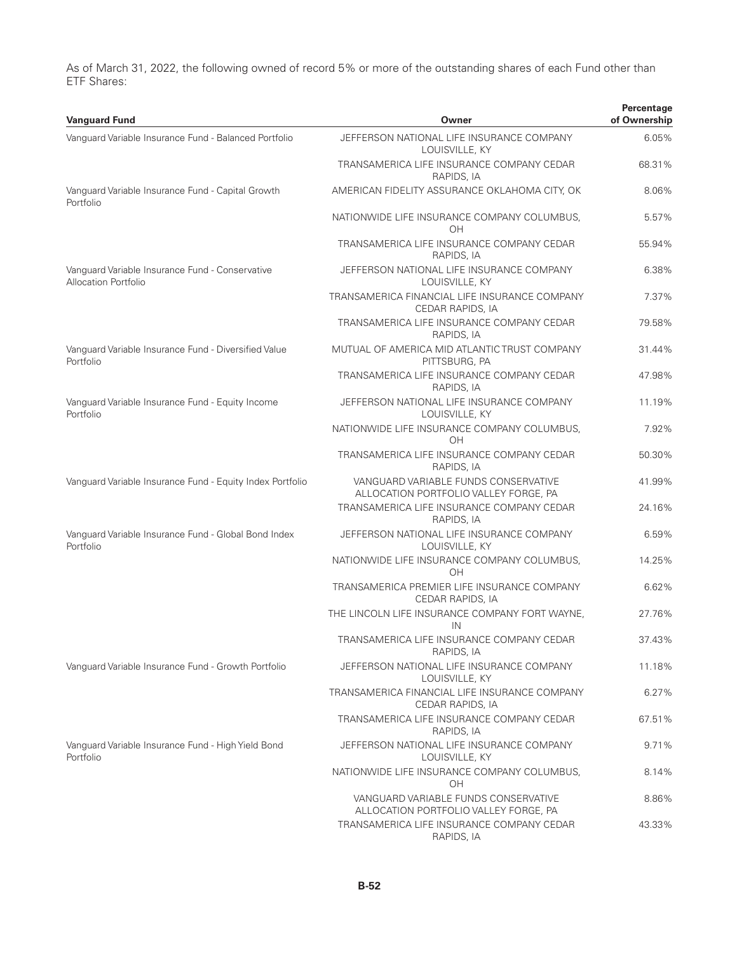As of March 31, 2022, the following owned of record 5% or more of the outstanding shares of each Fund other than ETF Shares:

| <b>Vanguard Fund</b>                                                           | Owner                                                                         | Percentage<br>of Ownership |
|--------------------------------------------------------------------------------|-------------------------------------------------------------------------------|----------------------------|
| Vanguard Variable Insurance Fund - Balanced Portfolio                          | JEFFERSON NATIONAL LIFE INSURANCE COMPANY<br>LOUISVILLE, KY                   | 6.05%                      |
|                                                                                | TRANSAMERICA LIFE INSURANCE COMPANY CEDAR<br>RAPIDS, IA                       | 68.31%                     |
| Vanguard Variable Insurance Fund - Capital Growth<br>Portfolio                 | AMERICAN FIDELITY ASSURANCE OKLAHOMA CITY, OK                                 | 8.06%                      |
|                                                                                | NATIONWIDE LIFE INSURANCE COMPANY COLUMBUS,<br>OН                             | 5.57%                      |
|                                                                                | TRANSAMERICA LIFE INSURANCE COMPANY CEDAR<br>RAPIDS, IA                       | 55.94%                     |
| Vanguard Variable Insurance Fund - Conservative<br><b>Allocation Portfolio</b> | JEFFERSON NATIONAL LIFE INSURANCE COMPANY<br>LOUISVILLE, KY                   | 6.38%                      |
|                                                                                | TRANSAMERICA FINANCIAL LIFE INSURANCE COMPANY<br>CEDAR RAPIDS, IA             | 7.37%                      |
|                                                                                | TRANSAMERICA LIFE INSURANCE COMPANY CEDAR<br>RAPIDS, IA                       | 79.58%                     |
| Vanguard Variable Insurance Fund - Diversified Value<br>Portfolio              | MUTUAL OF AMERICA MID ATLANTIC TRUST COMPANY<br>PITTSBURG, PA                 | 31.44%                     |
|                                                                                | TRANSAMERICA LIFE INSURANCE COMPANY CEDAR<br>RAPIDS, IA                       | 47.98%                     |
| Vanguard Variable Insurance Fund - Equity Income<br>Portfolio                  | JEFFERSON NATIONAL LIFE INSURANCE COMPANY<br>LOUISVILLE, KY                   | 11.19%                     |
|                                                                                | NATIONWIDE LIFE INSURANCE COMPANY COLUMBUS,<br><b>OH</b>                      | 7.92%                      |
|                                                                                | TRANSAMERICA LIFE INSURANCE COMPANY CEDAR<br>RAPIDS, IA                       | 50.30%                     |
| Vanguard Variable Insurance Fund - Equity Index Portfolio                      | VANGUARD VARIABLE FUNDS CONSERVATIVE<br>ALLOCATION PORTFOLIO VALLEY FORGE, PA | 41.99%                     |
|                                                                                | TRANSAMERICA LIFE INSURANCE COMPANY CEDAR<br>RAPIDS, IA                       | 24.16%                     |
| Vanguard Variable Insurance Fund - Global Bond Index<br>Portfolio              | JEFFERSON NATIONAL LIFE INSURANCE COMPANY<br>LOUISVILLE, KY                   | 6.59%                      |
|                                                                                | NATIONWIDE LIFE INSURANCE COMPANY COLUMBUS,<br>OH                             | 14.25%                     |
|                                                                                | TRANSAMERICA PREMIER LIFE INSURANCE COMPANY<br>CEDAR RAPIDS, IA               | 6.62%                      |
|                                                                                | THE LINCOLN LIFE INSURANCE COMPANY FORT WAYNE,<br>IN                          | 27.76%                     |
|                                                                                | TRANSAMERICA LIFE INSURANCE COMPANY CEDAR<br>RAPIDS, IA                       | 37.43%                     |
| Vanguard Variable Insurance Fund - Growth Portfolio                            | JEFFERSON NATIONAL LIFE INSURANCE COMPANY<br>LOUISVILLE, KY                   | 11.18%                     |
|                                                                                | TRANSAMERICA FINANCIAL LIFE INSURANCE COMPANY<br>CEDAR RAPIDS, IA             | 6.27%                      |
|                                                                                | TRANSAMERICA LIFE INSURANCE COMPANY CEDAR<br>RAPIDS, IA                       | 67.51%                     |
| Vanguard Variable Insurance Fund - High Yield Bond<br>Portfolio                | JEFFERSON NATIONAL LIFE INSURANCE COMPANY<br>LOUISVILLE, KY                   | 9.71%                      |
|                                                                                | NATIONWIDE LIFE INSURANCE COMPANY COLUMBUS,<br>OН                             | 8.14%                      |
|                                                                                | VANGUARD VARIABLE FUNDS CONSERVATIVE<br>ALLOCATION PORTFOLIO VALLEY FORGE, PA | 8.86%                      |
|                                                                                | TRANSAMERICA LIFE INSURANCE COMPANY CEDAR<br>RAPIDS, IA                       | 43.33%                     |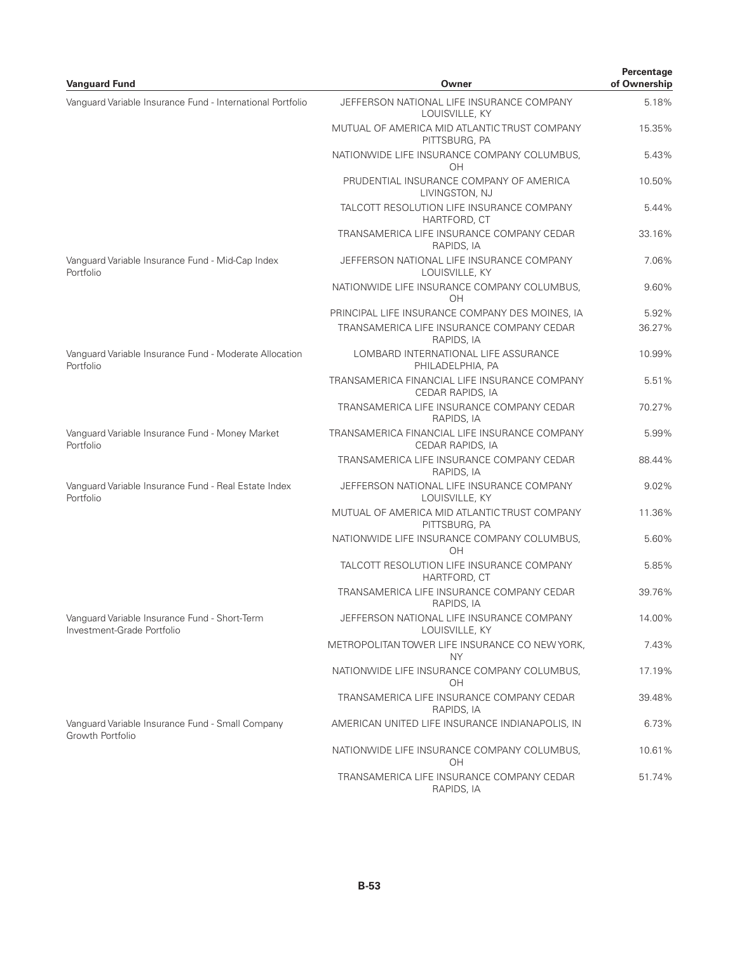| <b>Vanguard Fund</b>                                                        | Owner                                                                                                      | Percentage<br>of Ownership |
|-----------------------------------------------------------------------------|------------------------------------------------------------------------------------------------------------|----------------------------|
| Vanguard Variable Insurance Fund - International Portfolio                  | JEFFERSON NATIONAL LIFE INSURANCE COMPANY<br>LOUISVILLE, KY                                                | 5.18%                      |
|                                                                             | MUTUAL OF AMERICA MID ATLANTIC TRUST COMPANY<br>PITTSBURG, PA                                              | 15.35%                     |
|                                                                             | NATIONWIDE LIFE INSURANCE COMPANY COLUMBUS,<br>OH                                                          | 5.43%                      |
|                                                                             | PRUDENTIAL INSURANCE COMPANY OF AMERICA<br>LIVINGSTON, NJ                                                  | 10.50%                     |
|                                                                             | TALCOTT RESOLUTION LIFE INSURANCE COMPANY<br>HARTFORD, CT                                                  | 5.44%                      |
|                                                                             | TRANSAMERICA LIFE INSURANCE COMPANY CEDAR<br>RAPIDS, IA                                                    | 33.16%                     |
| Vanguard Variable Insurance Fund - Mid-Cap Index<br>Portfolio               | JEFFERSON NATIONAL LIFE INSURANCE COMPANY<br>LOUISVILLE, KY                                                | 7.06%                      |
|                                                                             | NATIONWIDE LIFE INSURANCE COMPANY COLUMBUS,<br>OH                                                          | 9.60%                      |
|                                                                             | PRINCIPAL LIFE INSURANCE COMPANY DES MOINES, IA<br>TRANSAMERICA LIFE INSURANCE COMPANY CEDAR<br>RAPIDS, IA | 5.92%<br>36.27%            |
| Vanguard Variable Insurance Fund - Moderate Allocation<br>Portfolio         | LOMBARD INTERNATIONAL LIFE ASSURANCE<br>PHILADELPHIA, PA                                                   | 10.99%                     |
|                                                                             | TRANSAMERICA FINANCIAL LIFE INSURANCE COMPANY<br>CEDAR RAPIDS, IA                                          | 5.51%                      |
|                                                                             | TRANSAMERICA LIFE INSURANCE COMPANY CEDAR<br>RAPIDS, IA                                                    | 70.27%                     |
| Vanguard Variable Insurance Fund - Money Market<br>Portfolio                | TRANSAMERICA FINANCIAL LIFE INSURANCE COMPANY<br>CEDAR RAPIDS, IA                                          | 5.99%                      |
|                                                                             | TRANSAMERICA LIFE INSURANCE COMPANY CEDAR<br>RAPIDS, IA                                                    | 88.44%                     |
| Vanguard Variable Insurance Fund - Real Estate Index<br>Portfolio           | JEFFERSON NATIONAL LIFE INSURANCE COMPANY<br>LOUISVILLE, KY                                                | 9.02%                      |
|                                                                             | MUTUAL OF AMERICA MID ATLANTIC TRUST COMPANY<br>PITTSBURG, PA                                              | 11.36%                     |
|                                                                             | NATIONWIDE LIFE INSURANCE COMPANY COLUMBUS,<br>OH                                                          | 5.60%                      |
|                                                                             | TALCOTT RESOLUTION LIFE INSURANCE COMPANY<br>HARTFORD, CT                                                  | 5.85%                      |
|                                                                             | TRANSAMERICA LIFE INSURANCE COMPANY CEDAR<br>RAPIDS, IA                                                    | 39.76%                     |
| Vanquard Variable Insurance Fund - Short-Term<br>Investment-Grade Portfolio | JEFFERSON NATIONAL LIFE INSURANCE COMPANY<br>LOUISVILLE, KY                                                | 14.00%                     |
|                                                                             | METROPOLITAN TOWER LIFE INSURANCE CO NEW YORK,<br><b>NY</b>                                                | 7.43%                      |
|                                                                             | NATIONWIDE LIFE INSURANCE COMPANY COLUMBUS,<br>OΗ                                                          | 17.19%                     |
|                                                                             | TRANSAMERICA LIFE INSURANCE COMPANY CEDAR<br>RAPIDS, IA                                                    | 39.48%                     |
| Vanquard Variable Insurance Fund - Small Company<br>Growth Portfolio        | AMERICAN UNITED LIFE INSURANCE INDIANAPOLIS, IN                                                            | 6.73%                      |
|                                                                             | NATIONWIDE LIFE INSURANCE COMPANY COLUMBUS,<br>OH                                                          | 10.61%                     |
|                                                                             | TRANSAMERICA LIFE INSURANCE COMPANY CEDAR<br>RAPIDS, IA                                                    | 51.74%                     |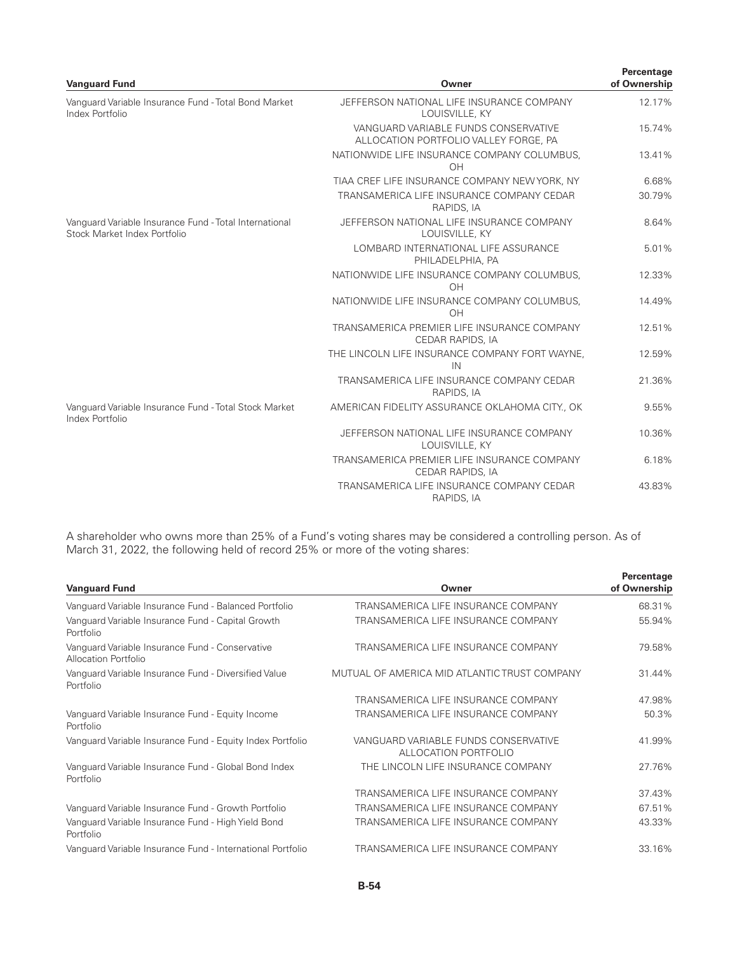| <b>Vanguard Fund</b>                                                                   | Owner                                                                         | Percentage<br>of Ownership |
|----------------------------------------------------------------------------------------|-------------------------------------------------------------------------------|----------------------------|
| Vanguard Variable Insurance Fund - Total Bond Market<br>Index Portfolio                | JEFFERSON NATIONAL LIFE INSURANCE COMPANY<br>LOUISVILLE, KY                   | 12.17%                     |
|                                                                                        | VANGUARD VARIABLE FUNDS CONSERVATIVE<br>ALLOCATION PORTFOLIO VALLEY FORGE, PA | 15.74%                     |
|                                                                                        | NATIONWIDE LIFE INSURANCE COMPANY COLUMBUS,<br>OH                             | 13.41%                     |
|                                                                                        | TIAA CREF LIFE INSURANCE COMPANY NEW YORK, NY                                 | 6.68%                      |
|                                                                                        | TRANSAMERICA LIFE INSURANCE COMPANY CEDAR<br>RAPIDS, IA                       | 30.79%                     |
| Vanquard Variable Insurance Fund - Total International<br>Stock Market Index Portfolio | JEFFERSON NATIONAL LIFE INSURANCE COMPANY<br>LOUISVILLE, KY                   | 8.64%                      |
|                                                                                        | LOMBARD INTERNATIONAL LIFE ASSURANCE<br>PHILADELPHIA, PA                      | 5.01%                      |
|                                                                                        | NATIONWIDE LIFE INSURANCE COMPANY COLUMBUS,<br>OH                             | 12.33%                     |
|                                                                                        | NATIONWIDE LIFE INSURANCE COMPANY COLUMBUS.<br>OH                             | 14.49%                     |
|                                                                                        | TRANSAMERICA PREMIER LIFE INSURANCE COMPANY<br>CEDAR RAPIDS, IA               | 12.51%                     |
|                                                                                        | THE LINCOLN LIFE INSURANCE COMPANY FORT WAYNE,<br>IN                          | 12.59%                     |
|                                                                                        | TRANSAMERICA LIFE INSURANCE COMPANY CEDAR<br>RAPIDS, IA                       | 21.36%                     |
| Vanguard Variable Insurance Fund - Total Stock Market<br>Index Portfolio               | AMERICAN FIDELITY ASSURANCE OKLAHOMA CITY., OK                                | 9.55%                      |
|                                                                                        | JEFFERSON NATIONAL LIFE INSURANCE COMPANY<br>LOUISVILLE, KY                   | 10.36%                     |
|                                                                                        | TRANSAMERICA PREMIER LIFE INSURANCE COMPANY<br>CEDAR RAPIDS, IA               | 6.18%                      |
|                                                                                        | TRANSAMERICA LIFE INSURANCE COMPANY CEDAR<br>RAPIDS, IA                       | 43.83%                     |

A shareholder who owns more than 25% of a Fund's voting shares may be considered a controlling person. As of March 31, 2022, the following held of record 25% or more of the voting shares:

| <b>Vanguard Fund</b>                                                    | Owner                                                        | Percentage<br>of Ownership |
|-------------------------------------------------------------------------|--------------------------------------------------------------|----------------------------|
| Vanguard Variable Insurance Fund - Balanced Portfolio                   | TRANSAMERICA LIFE INSURANCE COMPANY                          | 68.31%                     |
| Vanguard Variable Insurance Fund - Capital Growth<br>Portfolio          | TRANSAMERICA LIFE INSURANCE COMPANY                          | 55.94%                     |
| Vanguard Variable Insurance Fund - Conservative<br>Allocation Portfolio | TRANSAMERICA LIFE INSURANCE COMPANY                          | 79.58%                     |
| Vanguard Variable Insurance Fund - Diversified Value<br>Portfolio       | MUTUAL OF AMERICA MID ATLANTIC TRUST COMPANY                 | 31.44%                     |
|                                                                         | TRANSAMERICA LIFE INSURANCE COMPANY                          | 47.98%                     |
| Vanguard Variable Insurance Fund - Equity Income<br>Portfolio           | TRANSAMERICA LIFE INSURANCE COMPANY                          | 50.3%                      |
| Vanguard Variable Insurance Fund - Equity Index Portfolio               | VANGUARD VARIABLE FUNDS CONSERVATIVE<br>ALLOCATION PORTFOLIO | 41.99%                     |
| Vanguard Variable Insurance Fund - Global Bond Index<br>Portfolio       | THE LINCOLN LIFE INSURANCE COMPANY                           | 27.76%                     |
|                                                                         | TRANSAMERICA LIFE INSURANCE COMPANY                          | 37.43%                     |
| Vanguard Variable Insurance Fund - Growth Portfolio                     | TRANSAMERICA LIFE INSURANCE COMPANY                          | 67.51%                     |
| Vanguard Variable Insurance Fund - High Yield Bond<br>Portfolio         | TRANSAMERICA LIFE INSURANCE COMPANY                          | 43.33%                     |
| Vanguard Variable Insurance Fund - International Portfolio              | TRANSAMERICA LIFE INSURANCE COMPANY                          | 33.16%                     |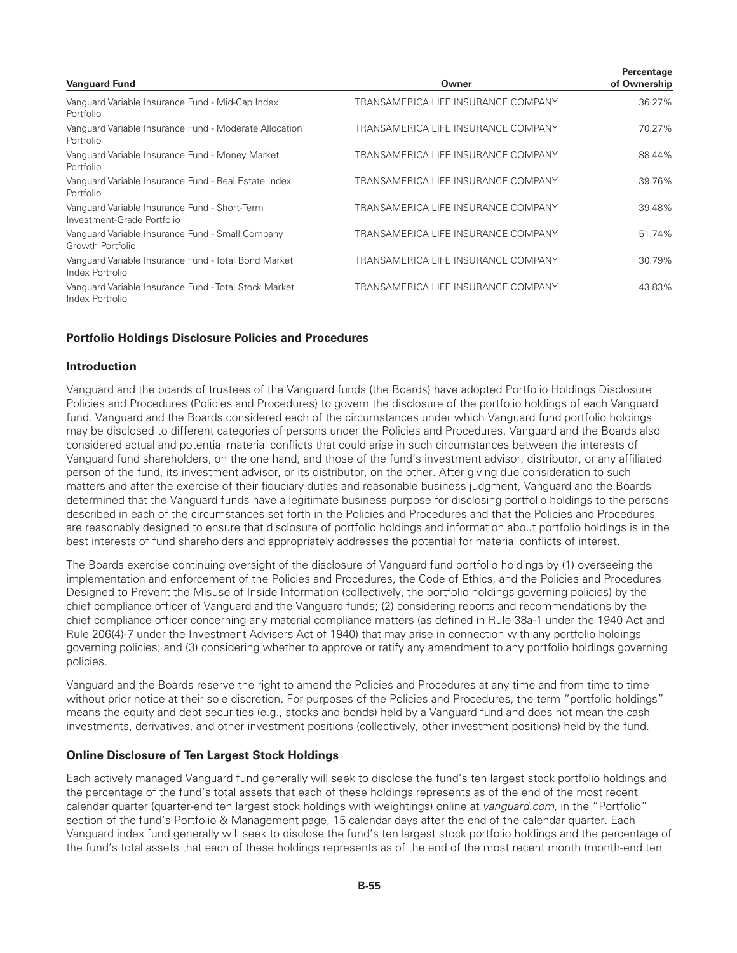| <b>Vanguard Fund</b>                                                        | Owner                               | Percentage<br>of Ownership |
|-----------------------------------------------------------------------------|-------------------------------------|----------------------------|
| Vanguard Variable Insurance Fund - Mid-Cap Index<br>Portfolio               | TRANSAMERICA LIFE INSURANCE COMPANY | 36.27%                     |
| Vanguard Variable Insurance Fund - Moderate Allocation<br>Portfolio         | TRANSAMERICA LIFE INSURANCE COMPANY | 70.27%                     |
| Vanguard Variable Insurance Fund - Money Market<br>Portfolio                | TRANSAMERICA LIFE INSURANCE COMPANY | 88.44%                     |
| Vanguard Variable Insurance Fund - Real Estate Index<br>Portfolio           | TRANSAMERICA LIFE INSURANCE COMPANY | 39.76%                     |
| Vanguard Variable Insurance Fund - Short-Term<br>Investment-Grade Portfolio | TRANSAMERICA LIFE INSURANCE COMPANY | 39.48%                     |
| Vanguard Variable Insurance Fund - Small Company<br>Growth Portfolio        | TRANSAMERICA LIFE INSURANCE COMPANY | 51.74%                     |
| Vanguard Variable Insurance Fund - Total Bond Market<br>Index Portfolio     | TRANSAMERICA LIFE INSURANCE COMPANY | 30.79%                     |
| Vanguard Variable Insurance Fund - Total Stock Market<br>Index Portfolio    | TRANSAMERICA LIFE INSURANCE COMPANY | 43.83%                     |

#### **Portfolio Holdings Disclosure Policies and Procedures**

#### **Introduction**

Vanguard and the boards of trustees of the Vanguard funds (the Boards) have adopted Portfolio Holdings Disclosure Policies and Procedures (Policies and Procedures) to govern the disclosure of the portfolio holdings of each Vanguard fund. Vanguard and the Boards considered each of the circumstances under which Vanguard fund portfolio holdings may be disclosed to different categories of persons under the Policies and Procedures. Vanguard and the Boards also considered actual and potential material conflicts that could arise in such circumstances between the interests of Vanguard fund shareholders, on the one hand, and those of the fund's investment advisor, distributor, or any affiliated person of the fund, its investment advisor, or its distributor, on the other. After giving due consideration to such matters and after the exercise of their fiduciary duties and reasonable business judgment, Vanguard and the Boards determined that the Vanguard funds have a legitimate business purpose for disclosing portfolio holdings to the persons described in each of the circumstances set forth in the Policies and Procedures and that the Policies and Procedures are reasonably designed to ensure that disclosure of portfolio holdings and information about portfolio holdings is in the best interests of fund shareholders and appropriately addresses the potential for material conflicts of interest.

The Boards exercise continuing oversight of the disclosure of Vanguard fund portfolio holdings by (1) overseeing the implementation and enforcement of the Policies and Procedures, the Code of Ethics, and the Policies and Procedures Designed to Prevent the Misuse of Inside Information (collectively, the portfolio holdings governing policies) by the chief compliance officer of Vanguard and the Vanguard funds; (2) considering reports and recommendations by the chief compliance officer concerning any material compliance matters (as defined in Rule 38a-1 under the 1940 Act and Rule 206(4)-7 under the Investment Advisers Act of 1940) that may arise in connection with any portfolio holdings governing policies; and (3) considering whether to approve or ratify any amendment to any portfolio holdings governing policies.

Vanguard and the Boards reserve the right to amend the Policies and Procedures at any time and from time to time without prior notice at their sole discretion. For purposes of the Policies and Procedures, the term "portfolio holdings" means the equity and debt securities (e.g., stocks and bonds) held by a Vanguard fund and does not mean the cash investments, derivatives, and other investment positions (collectively, other investment positions) held by the fund.

#### **Online Disclosure of Ten Largest Stock Holdings**

Each actively managed Vanguard fund generally will seek to disclose the fund's ten largest stock portfolio holdings and the percentage of the fund's total assets that each of these holdings represents as of the end of the most recent calendar quarter (quarter-end ten largest stock holdings with weightings) online at *vanguard.com,* in the "Portfolio" section of the fund's Portfolio & Management page, 15 calendar days after the end of the calendar quarter. Each Vanguard index fund generally will seek to disclose the fund's ten largest stock portfolio holdings and the percentage of the fund's total assets that each of these holdings represents as of the end of the most recent month (month-end ten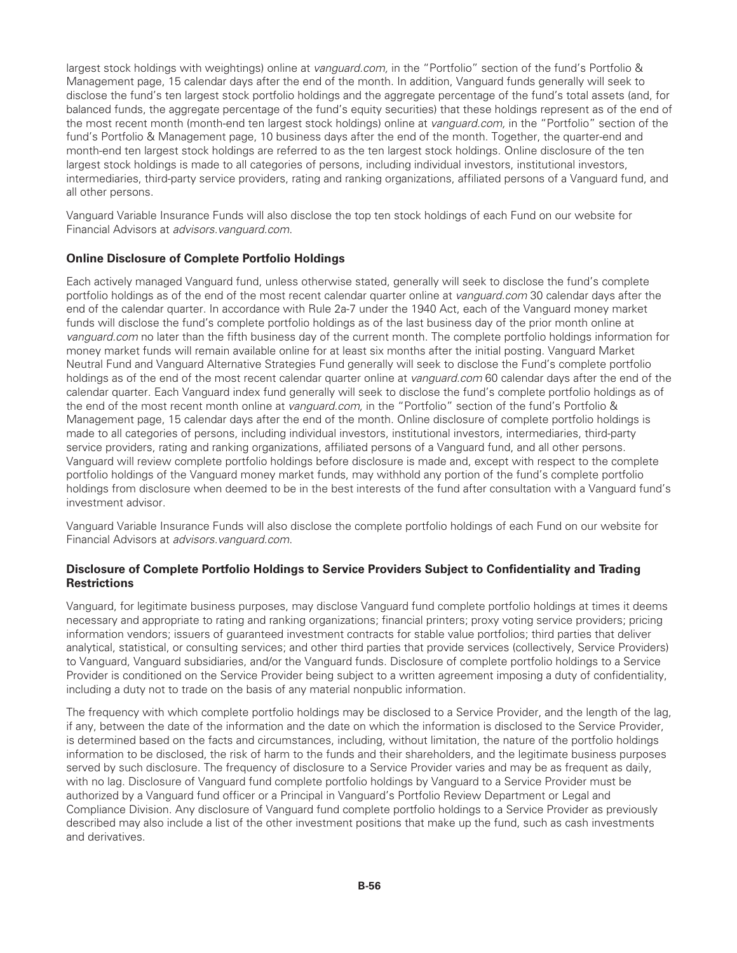largest stock holdings with weightings) online at *vanguard.com,* in the "Portfolio" section of the fund's Portfolio & Management page, 15 calendar days after the end of the month. In addition, Vanguard funds generally will seek to disclose the fund's ten largest stock portfolio holdings and the aggregate percentage of the fund's total assets (and, for balanced funds, the aggregate percentage of the fund's equity securities) that these holdings represent as of the end of the most recent month (month-end ten largest stock holdings) online at *vanguard.com,* in the "Portfolio" section of the fund's Portfolio & Management page, 10 business days after the end of the month. Together, the quarter-end and month-end ten largest stock holdings are referred to as the ten largest stock holdings. Online disclosure of the ten largest stock holdings is made to all categories of persons, including individual investors, institutional investors, intermediaries, third-party service providers, rating and ranking organizations, affiliated persons of a Vanguard fund, and all other persons.

Vanguard Variable Insurance Funds will also disclose the top ten stock holdings of each Fund on our website for Financial Advisors at *advisors.vanguard.com*.

# **Online Disclosure of Complete Portfolio Holdings**

Each actively managed Vanguard fund, unless otherwise stated, generally will seek to disclose the fund's complete portfolio holdings as of the end of the most recent calendar quarter online at *vanguard.com* 30 calendar days after the end of the calendar quarter. In accordance with Rule 2a-7 under the 1940 Act, each of the Vanguard money market funds will disclose the fund's complete portfolio holdings as of the last business day of the prior month online at *vanguard.com* no later than the fifth business day of the current month. The complete portfolio holdings information for money market funds will remain available online for at least six months after the initial posting. Vanguard Market Neutral Fund and Vanguard Alternative Strategies Fund generally will seek to disclose the Fund's complete portfolio holdings as of the end of the most recent calendar quarter online at *vanguard.com* 60 calendar days after the end of the calendar quarter. Each Vanguard index fund generally will seek to disclose the fund's complete portfolio holdings as of the end of the most recent month online at *vanguard.com,* in the "Portfolio" section of the fund's Portfolio & Management page, 15 calendar days after the end of the month. Online disclosure of complete portfolio holdings is made to all categories of persons, including individual investors, institutional investors, intermediaries, third-party service providers, rating and ranking organizations, affiliated persons of a Vanguard fund, and all other persons. Vanguard will review complete portfolio holdings before disclosure is made and, except with respect to the complete portfolio holdings of the Vanguard money market funds, may withhold any portion of the fund's complete portfolio holdings from disclosure when deemed to be in the best interests of the fund after consultation with a Vanguard fund's investment advisor.

Vanguard Variable Insurance Funds will also disclose the complete portfolio holdings of each Fund on our website for Financial Advisors at *advisors.vanguard.com*.

## **Disclosure of Complete Portfolio Holdings to Service Providers Subject to Confidentiality and Trading Restrictions**

Vanguard, for legitimate business purposes, may disclose Vanguard fund complete portfolio holdings at times it deems necessary and appropriate to rating and ranking organizations; financial printers; proxy voting service providers; pricing information vendors; issuers of guaranteed investment contracts for stable value portfolios; third parties that deliver analytical, statistical, or consulting services; and other third parties that provide services (collectively, Service Providers) to Vanguard, Vanguard subsidiaries, and/or the Vanguard funds. Disclosure of complete portfolio holdings to a Service Provider is conditioned on the Service Provider being subject to a written agreement imposing a duty of confidentiality, including a duty not to trade on the basis of any material nonpublic information.

The frequency with which complete portfolio holdings may be disclosed to a Service Provider, and the length of the lag, if any, between the date of the information and the date on which the information is disclosed to the Service Provider, is determined based on the facts and circumstances, including, without limitation, the nature of the portfolio holdings information to be disclosed, the risk of harm to the funds and their shareholders, and the legitimate business purposes served by such disclosure. The frequency of disclosure to a Service Provider varies and may be as frequent as daily, with no lag. Disclosure of Vanguard fund complete portfolio holdings by Vanguard to a Service Provider must be authorized by a Vanguard fund officer or a Principal in Vanguard's Portfolio Review Department or Legal and Compliance Division. Any disclosure of Vanguard fund complete portfolio holdings to a Service Provider as previously described may also include a list of the other investment positions that make up the fund, such as cash investments and derivatives.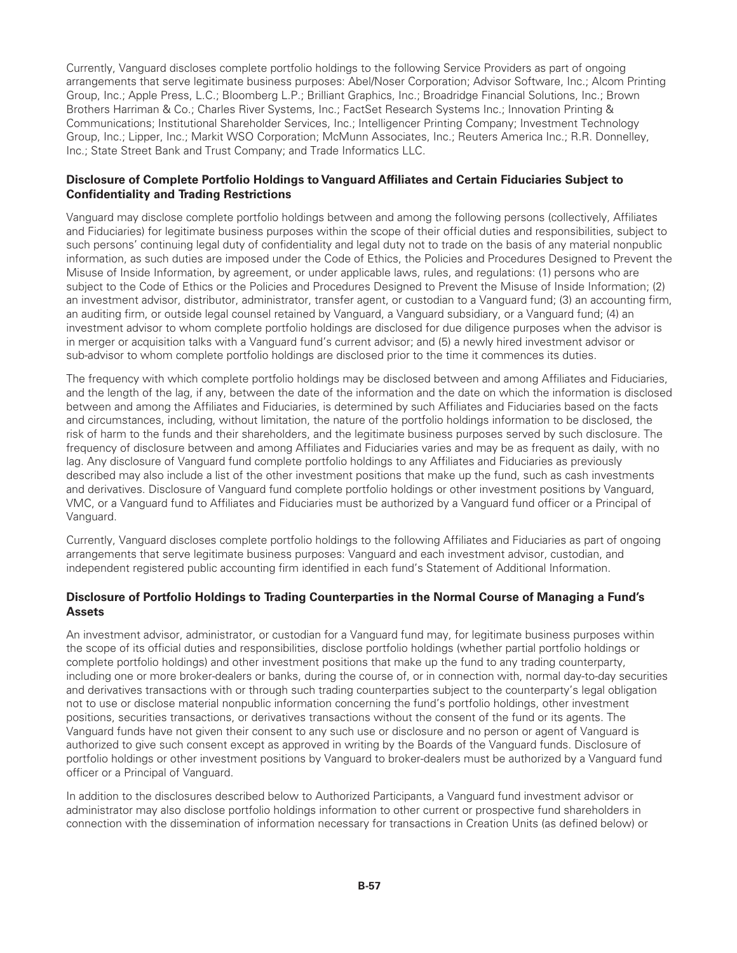Currently, Vanguard discloses complete portfolio holdings to the following Service Providers as part of ongoing arrangements that serve legitimate business purposes: Abel/Noser Corporation; Advisor Software, Inc.; Alcom Printing Group, Inc.; Apple Press, L.C.; Bloomberg L.P.; Brilliant Graphics, Inc.; Broadridge Financial Solutions, Inc.; Brown Brothers Harriman & Co.; Charles River Systems, Inc.; FactSet Research Systems Inc.; Innovation Printing & Communications; Institutional Shareholder Services, Inc.; Intelligencer Printing Company; Investment Technology Group, Inc.; Lipper, Inc.; Markit WSO Corporation; McMunn Associates, Inc.; Reuters America Inc.; R.R. Donnelley, Inc.; State Street Bank and Trust Company; and Trade Informatics LLC.

#### **Disclosure of Complete Portfolio Holdings to Vanguard Affiliates and Certain Fiduciaries Subject to Confidentiality and Trading Restrictions**

Vanguard may disclose complete portfolio holdings between and among the following persons (collectively, Affiliates and Fiduciaries) for legitimate business purposes within the scope of their official duties and responsibilities, subject to such persons' continuing legal duty of confidentiality and legal duty not to trade on the basis of any material nonpublic information, as such duties are imposed under the Code of Ethics, the Policies and Procedures Designed to Prevent the Misuse of Inside Information, by agreement, or under applicable laws, rules, and regulations: (1) persons who are subject to the Code of Ethics or the Policies and Procedures Designed to Prevent the Misuse of Inside Information; (2) an investment advisor, distributor, administrator, transfer agent, or custodian to a Vanguard fund; (3) an accounting firm, an auditing firm, or outside legal counsel retained by Vanguard, a Vanguard subsidiary, or a Vanguard fund; (4) an investment advisor to whom complete portfolio holdings are disclosed for due diligence purposes when the advisor is in merger or acquisition talks with a Vanguard fund's current advisor; and (5) a newly hired investment advisor or sub-advisor to whom complete portfolio holdings are disclosed prior to the time it commences its duties.

The frequency with which complete portfolio holdings may be disclosed between and among Affiliates and Fiduciaries, and the length of the lag, if any, between the date of the information and the date on which the information is disclosed between and among the Affiliates and Fiduciaries, is determined by such Affiliates and Fiduciaries based on the facts and circumstances, including, without limitation, the nature of the portfolio holdings information to be disclosed, the risk of harm to the funds and their shareholders, and the legitimate business purposes served by such disclosure. The frequency of disclosure between and among Affiliates and Fiduciaries varies and may be as frequent as daily, with no lag. Any disclosure of Vanguard fund complete portfolio holdings to any Affiliates and Fiduciaries as previously described may also include a list of the other investment positions that make up the fund, such as cash investments and derivatives. Disclosure of Vanguard fund complete portfolio holdings or other investment positions by Vanguard, VMC, or a Vanguard fund to Affiliates and Fiduciaries must be authorized by a Vanguard fund officer or a Principal of Vanguard.

Currently, Vanguard discloses complete portfolio holdings to the following Affiliates and Fiduciaries as part of ongoing arrangements that serve legitimate business purposes: Vanguard and each investment advisor, custodian, and independent registered public accounting firm identified in each fund's Statement of Additional Information.

# **Disclosure of Portfolio Holdings to Trading Counterparties in the Normal Course of Managing a Fund's Assets**

An investment advisor, administrator, or custodian for a Vanguard fund may, for legitimate business purposes within the scope of its official duties and responsibilities, disclose portfolio holdings (whether partial portfolio holdings or complete portfolio holdings) and other investment positions that make up the fund to any trading counterparty, including one or more broker-dealers or banks, during the course of, or in connection with, normal day-to-day securities and derivatives transactions with or through such trading counterparties subject to the counterparty's legal obligation not to use or disclose material nonpublic information concerning the fund's portfolio holdings, other investment positions, securities transactions, or derivatives transactions without the consent of the fund or its agents. The Vanguard funds have not given their consent to any such use or disclosure and no person or agent of Vanguard is authorized to give such consent except as approved in writing by the Boards of the Vanguard funds. Disclosure of portfolio holdings or other investment positions by Vanguard to broker-dealers must be authorized by a Vanguard fund officer or a Principal of Vanguard.

In addition to the disclosures described below to Authorized Participants, a Vanguard fund investment advisor or administrator may also disclose portfolio holdings information to other current or prospective fund shareholders in connection with the dissemination of information necessary for transactions in Creation Units (as defined below) or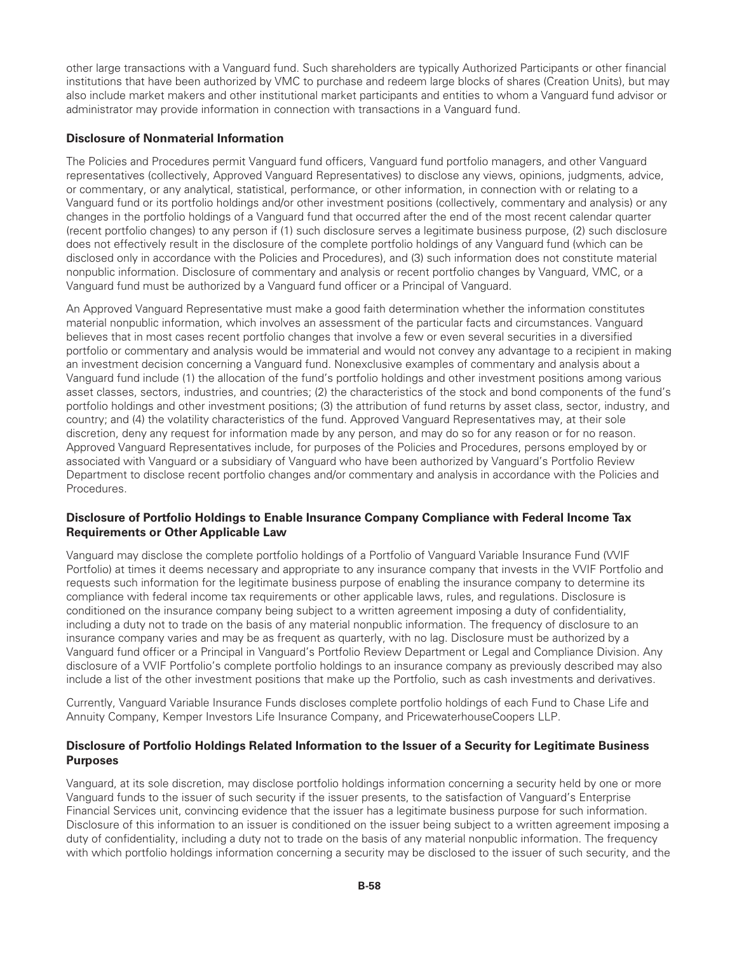other large transactions with a Vanguard fund. Such shareholders are typically Authorized Participants or other financial institutions that have been authorized by VMC to purchase and redeem large blocks of shares (Creation Units), but may also include market makers and other institutional market participants and entities to whom a Vanguard fund advisor or administrator may provide information in connection with transactions in a Vanguard fund.

# **Disclosure of Nonmaterial Information**

The Policies and Procedures permit Vanguard fund officers, Vanguard fund portfolio managers, and other Vanguard representatives (collectively, Approved Vanguard Representatives) to disclose any views, opinions, judgments, advice, or commentary, or any analytical, statistical, performance, or other information, in connection with or relating to a Vanguard fund or its portfolio holdings and/or other investment positions (collectively, commentary and analysis) or any changes in the portfolio holdings of a Vanguard fund that occurred after the end of the most recent calendar quarter (recent portfolio changes) to any person if (1) such disclosure serves a legitimate business purpose, (2) such disclosure does not effectively result in the disclosure of the complete portfolio holdings of any Vanguard fund (which can be disclosed only in accordance with the Policies and Procedures), and (3) such information does not constitute material nonpublic information. Disclosure of commentary and analysis or recent portfolio changes by Vanguard, VMC, or a Vanguard fund must be authorized by a Vanguard fund officer or a Principal of Vanguard.

An Approved Vanguard Representative must make a good faith determination whether the information constitutes material nonpublic information, which involves an assessment of the particular facts and circumstances. Vanguard believes that in most cases recent portfolio changes that involve a few or even several securities in a diversified portfolio or commentary and analysis would be immaterial and would not convey any advantage to a recipient in making an investment decision concerning a Vanguard fund. Nonexclusive examples of commentary and analysis about a Vanguard fund include (1) the allocation of the fund's portfolio holdings and other investment positions among various asset classes, sectors, industries, and countries; (2) the characteristics of the stock and bond components of the fund's portfolio holdings and other investment positions; (3) the attribution of fund returns by asset class, sector, industry, and country; and (4) the volatility characteristics of the fund. Approved Vanguard Representatives may, at their sole discretion, deny any request for information made by any person, and may do so for any reason or for no reason. Approved Vanguard Representatives include, for purposes of the Policies and Procedures, persons employed by or associated with Vanguard or a subsidiary of Vanguard who have been authorized by Vanguard's Portfolio Review Department to disclose recent portfolio changes and/or commentary and analysis in accordance with the Policies and Procedures.

## **Disclosure of Portfolio Holdings to Enable Insurance Company Compliance with Federal Income Tax Requirements or Other Applicable Law**

Vanguard may disclose the complete portfolio holdings of a Portfolio of Vanguard Variable Insurance Fund (VVIF Portfolio) at times it deems necessary and appropriate to any insurance company that invests in the VVIF Portfolio and requests such information for the legitimate business purpose of enabling the insurance company to determine its compliance with federal income tax requirements or other applicable laws, rules, and regulations. Disclosure is conditioned on the insurance company being subject to a written agreement imposing a duty of confidentiality, including a duty not to trade on the basis of any material nonpublic information. The frequency of disclosure to an insurance company varies and may be as frequent as quarterly, with no lag. Disclosure must be authorized by a Vanguard fund officer or a Principal in Vanguard's Portfolio Review Department or Legal and Compliance Division. Any disclosure of a VVIF Portfolio's complete portfolio holdings to an insurance company as previously described may also include a list of the other investment positions that make up the Portfolio, such as cash investments and derivatives.

Currently, Vanguard Variable Insurance Funds discloses complete portfolio holdings of each Fund to Chase Life and Annuity Company, Kemper Investors Life Insurance Company, and PricewaterhouseCoopers LLP.

## **Disclosure of Portfolio Holdings Related Information to the Issuer of a Security for Legitimate Business Purposes**

Vanguard, at its sole discretion, may disclose portfolio holdings information concerning a security held by one or more Vanguard funds to the issuer of such security if the issuer presents, to the satisfaction of Vanguard's Enterprise Financial Services unit, convincing evidence that the issuer has a legitimate business purpose for such information. Disclosure of this information to an issuer is conditioned on the issuer being subject to a written agreement imposing a duty of confidentiality, including a duty not to trade on the basis of any material nonpublic information. The frequency with which portfolio holdings information concerning a security may be disclosed to the issuer of such security, and the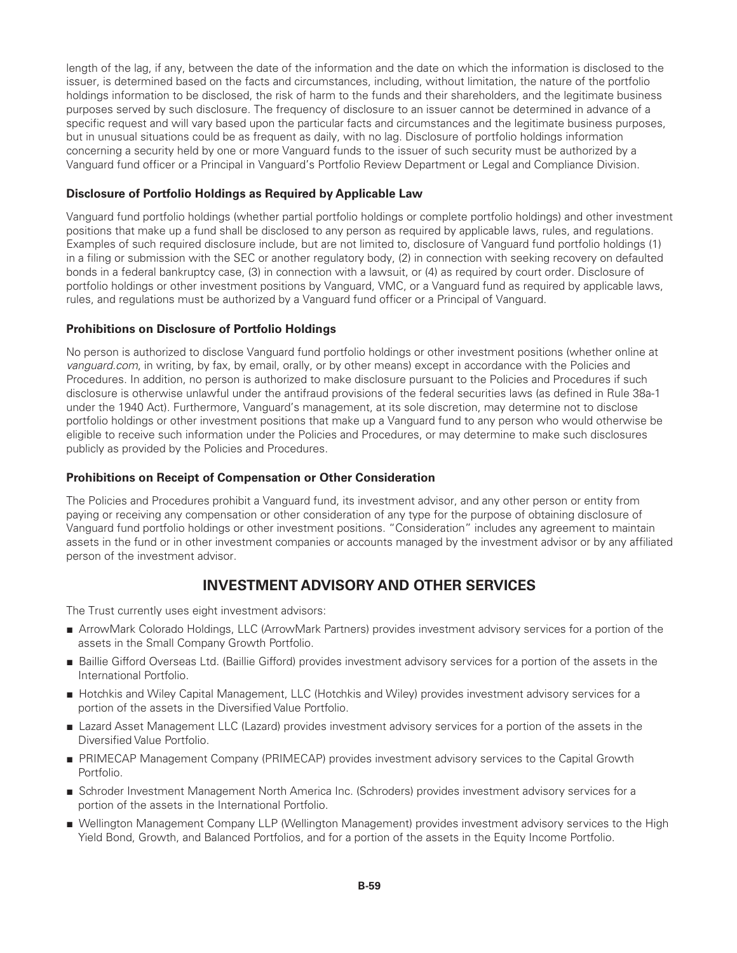length of the lag, if any, between the date of the information and the date on which the information is disclosed to the issuer, is determined based on the facts and circumstances, including, without limitation, the nature of the portfolio holdings information to be disclosed, the risk of harm to the funds and their shareholders, and the legitimate business purposes served by such disclosure. The frequency of disclosure to an issuer cannot be determined in advance of a specific request and will vary based upon the particular facts and circumstances and the legitimate business purposes, but in unusual situations could be as frequent as daily, with no lag. Disclosure of portfolio holdings information concerning a security held by one or more Vanguard funds to the issuer of such security must be authorized by a Vanguard fund officer or a Principal in Vanguard's Portfolio Review Department or Legal and Compliance Division.

# **Disclosure of Portfolio Holdings as Required by Applicable Law**

Vanguard fund portfolio holdings (whether partial portfolio holdings or complete portfolio holdings) and other investment positions that make up a fund shall be disclosed to any person as required by applicable laws, rules, and regulations. Examples of such required disclosure include, but are not limited to, disclosure of Vanguard fund portfolio holdings (1) in a filing or submission with the SEC or another regulatory body, (2) in connection with seeking recovery on defaulted bonds in a federal bankruptcy case, (3) in connection with a lawsuit, or (4) as required by court order. Disclosure of portfolio holdings or other investment positions by Vanguard, VMC, or a Vanguard fund as required by applicable laws, rules, and regulations must be authorized by a Vanguard fund officer or a Principal of Vanguard.

# **Prohibitions on Disclosure of Portfolio Holdings**

No person is authorized to disclose Vanguard fund portfolio holdings or other investment positions (whether online at *vanguard.com*, in writing, by fax, by email, orally, or by other means) except in accordance with the Policies and Procedures. In addition, no person is authorized to make disclosure pursuant to the Policies and Procedures if such disclosure is otherwise unlawful under the antifraud provisions of the federal securities laws (as defined in Rule 38a-1 under the 1940 Act). Furthermore, Vanguard's management, at its sole discretion, may determine not to disclose portfolio holdings or other investment positions that make up a Vanguard fund to any person who would otherwise be eligible to receive such information under the Policies and Procedures, or may determine to make such disclosures publicly as provided by the Policies and Procedures.

#### **Prohibitions on Receipt of Compensation or Other Consideration**

The Policies and Procedures prohibit a Vanguard fund, its investment advisor, and any other person or entity from paying or receiving any compensation or other consideration of any type for the purpose of obtaining disclosure of Vanguard fund portfolio holdings or other investment positions. "Consideration" includes any agreement to maintain assets in the fund or in other investment companies or accounts managed by the investment advisor or by any affiliated person of the investment advisor.

# **INVESTMENT ADVISORY AND OTHER SERVICES**

The Trust currently uses eight investment advisors:

- ArrowMark Colorado Holdings, LLC (ArrowMark Partners) provides investment advisory services for a portion of the assets in the Small Company Growth Portfolio.
- Baillie Gifford Overseas Ltd. (Baillie Gifford) provides investment advisory services for a portion of the assets in the International Portfolio.
- Hotchkis and Wiley Capital Management, LLC (Hotchkis and Wiley) provides investment advisory services for a portion of the assets in the Diversified Value Portfolio.
- Lazard Asset Management LLC (Lazard) provides investment advisory services for a portion of the assets in the Diversified Value Portfolio.
- PRIMECAP Management Company (PRIMECAP) provides investment advisory services to the Capital Growth Portfolio.
- Schroder Investment Management North America Inc. (Schroders) provides investment advisory services for a portion of the assets in the International Portfolio.
- Wellington Management Company LLP (Wellington Management) provides investment advisory services to the High Yield Bond, Growth, and Balanced Portfolios, and for a portion of the assets in the Equity Income Portfolio.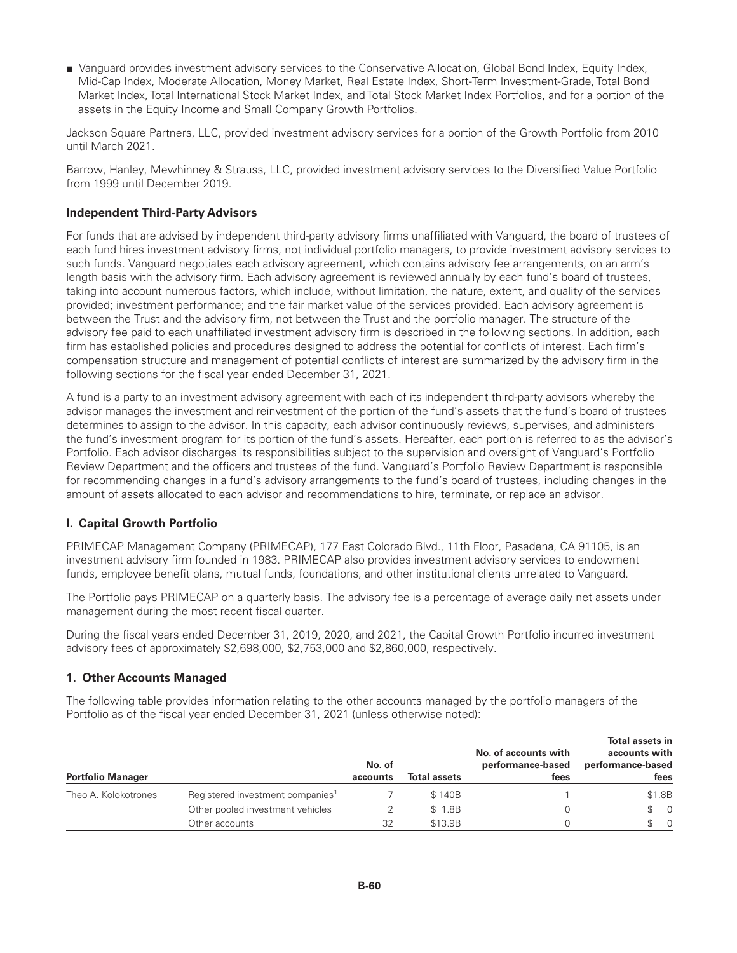■ Vanguard provides investment advisory services to the Conservative Allocation, Global Bond Index, Equity Index, Mid-Cap Index, Moderate Allocation, Money Market, Real Estate Index, Short-Term Investment-Grade, Total Bond Market Index, Total International Stock Market Index, and Total Stock Market Index Portfolios, and for a portion of the assets in the Equity Income and Small Company Growth Portfolios.

Jackson Square Partners, LLC, provided investment advisory services for a portion of the Growth Portfolio from 2010 until March 2021.

Barrow, Hanley, Mewhinney & Strauss, LLC, provided investment advisory services to the Diversified Value Portfolio from 1999 until December 2019.

#### **Independent Third-Party Advisors**

For funds that are advised by independent third-party advisory firms unaffiliated with Vanguard, the board of trustees of each fund hires investment advisory firms, not individual portfolio managers, to provide investment advisory services to such funds. Vanguard negotiates each advisory agreement, which contains advisory fee arrangements, on an arm's length basis with the advisory firm. Each advisory agreement is reviewed annually by each fund's board of trustees, taking into account numerous factors, which include, without limitation, the nature, extent, and quality of the services provided; investment performance; and the fair market value of the services provided. Each advisory agreement is between the Trust and the advisory firm, not between the Trust and the portfolio manager. The structure of the advisory fee paid to each unaffiliated investment advisory firm is described in the following sections. In addition, each firm has established policies and procedures designed to address the potential for conflicts of interest. Each firm's compensation structure and management of potential conflicts of interest are summarized by the advisory firm in the following sections for the fiscal year ended December 31, 2021.

A fund is a party to an investment advisory agreement with each of its independent third-party advisors whereby the advisor manages the investment and reinvestment of the portion of the fund's assets that the fund's board of trustees determines to assign to the advisor. In this capacity, each advisor continuously reviews, supervises, and administers the fund's investment program for its portion of the fund's assets. Hereafter, each portion is referred to as the advisor's Portfolio. Each advisor discharges its responsibilities subject to the supervision and oversight of Vanguard's Portfolio Review Department and the officers and trustees of the fund. Vanguard's Portfolio Review Department is responsible for recommending changes in a fund's advisory arrangements to the fund's board of trustees, including changes in the amount of assets allocated to each advisor and recommendations to hire, terminate, or replace an advisor.

# **I. Capital Growth Portfolio**

PRIMECAP Management Company (PRIMECAP), 177 East Colorado Blvd., 11th Floor, Pasadena, CA 91105, is an investment advisory firm founded in 1983. PRIMECAP also provides investment advisory services to endowment funds, employee benefit plans, mutual funds, foundations, and other institutional clients unrelated to Vanguard.

The Portfolio pays PRIMECAP on a quarterly basis. The advisory fee is a percentage of average daily net assets under management during the most recent fiscal quarter.

During the fiscal years ended December 31, 2019, 2020, and 2021, the Capital Growth Portfolio incurred investment advisory fees of approximately \$2,698,000, \$2,753,000 and \$2,860,000, respectively.

#### **1. Other Accounts Managed**

The following table provides information relating to the other accounts managed by the portfolio managers of the Portfolio as of the fiscal year ended December 31, 2021 (unless otherwise noted):

| <b>Portfolio Manager</b> |                                              | No. of<br>accounts | <b>Total assets</b> | No. of accounts with<br>performance-based<br>fees | <b>Total assets in</b><br>accounts with<br>performance-based<br>fees |
|--------------------------|----------------------------------------------|--------------------|---------------------|---------------------------------------------------|----------------------------------------------------------------------|
| Theo A. Kolokotrones     | Registered investment companies <sup>1</sup> |                    | \$140B              |                                                   | \$1.8B                                                               |
|                          | Other pooled investment vehicles             |                    | \$ 1.8B             |                                                   | $\begin{matrix} 1 & 0 \\ 0 & 1 \end{matrix}$                         |
|                          | Other accounts                               | 32                 | \$13.9B             |                                                   | $\textcircled{S}$ 0                                                  |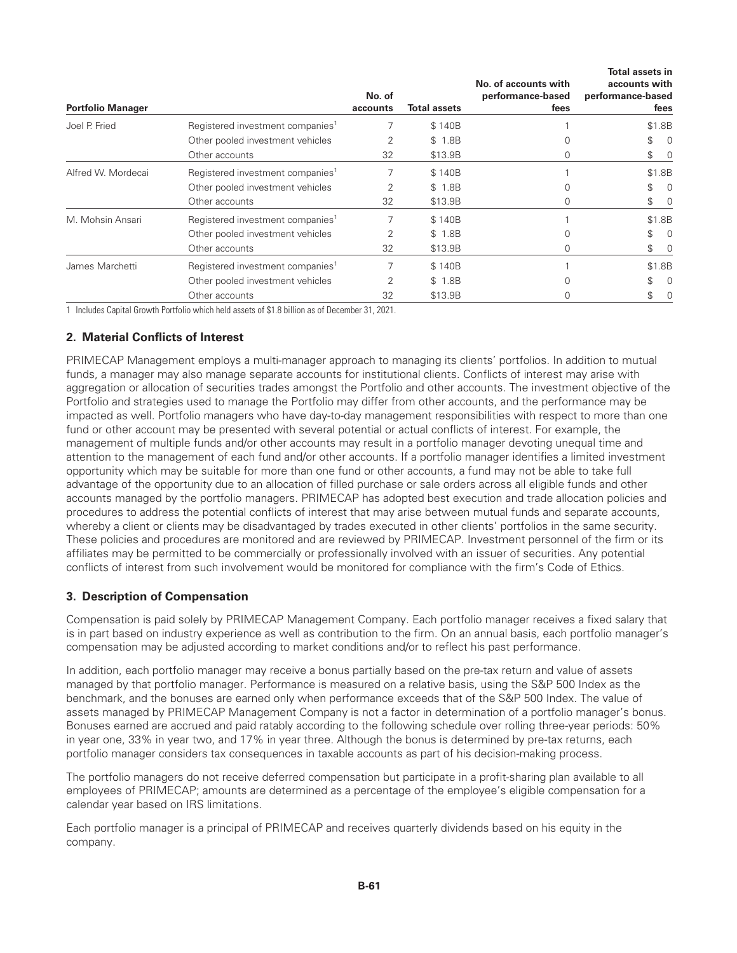| <b>Portfolio Manager</b> |                                              | No. of<br>accounts | <b>Total assets</b> | No. of accounts with<br>performance-based<br>fees | Total assets in<br>accounts with<br>performance-based<br>fees |
|--------------------------|----------------------------------------------|--------------------|---------------------|---------------------------------------------------|---------------------------------------------------------------|
| Joel P. Fried            | Registered investment companies <sup>1</sup> |                    | \$140B              |                                                   | \$1.8B                                                        |
|                          | Other pooled investment vehicles             |                    | \$ 1.8B             |                                                   | \$<br>0                                                       |
|                          | Other accounts                               | 32                 | \$13.9B             | 0                                                 | $\begin{matrix} 1 & 0 \\ 0 & 0 \end{matrix}$                  |
| Alfred W. Mordecai       | Registered investment companies <sup>1</sup> |                    | \$140B              |                                                   | \$1.8B                                                        |
|                          | Other pooled investment vehicles             |                    | \$ 1.8B             |                                                   | \$<br>0                                                       |
|                          | Other accounts                               | 32                 | \$13.9B             | 0                                                 | \$<br>$\overline{\phantom{0}}$                                |
| M. Mohsin Ansari         | Registered investment companies <sup>1</sup> |                    | \$140B              |                                                   | \$1.8B                                                        |
|                          | Other pooled investment vehicles             | 2                  | \$ 1.8B             |                                                   | \$<br>$\Omega$                                                |
|                          | Other accounts                               | 32                 | \$13.9B             | 0                                                 | \$<br>$\overline{0}$                                          |
| James Marchetti          | Registered investment companies <sup>1</sup> |                    | \$140B              |                                                   | \$1.8B                                                        |
|                          | Other pooled investment vehicles             | 2                  | \$ 1.8B             |                                                   | \$<br>0                                                       |
|                          | Other accounts                               | 32                 | \$13.9B             | 0                                                 | \$<br>0                                                       |

1 Includes Capital Growth Portfolio which held assets of \$1.8 billion as of December 31, 2021.

#### **2. Material Conflicts of Interest**

PRIMECAP Management employs a multi-manager approach to managing its clients' portfolios. In addition to mutual funds, a manager may also manage separate accounts for institutional clients. Conflicts of interest may arise with aggregation or allocation of securities trades amongst the Portfolio and other accounts. The investment objective of the Portfolio and strategies used to manage the Portfolio may differ from other accounts, and the performance may be impacted as well. Portfolio managers who have day-to-day management responsibilities with respect to more than one fund or other account may be presented with several potential or actual conflicts of interest. For example, the management of multiple funds and/or other accounts may result in a portfolio manager devoting unequal time and attention to the management of each fund and/or other accounts. If a portfolio manager identifies a limited investment opportunity which may be suitable for more than one fund or other accounts, a fund may not be able to take full advantage of the opportunity due to an allocation of filled purchase or sale orders across all eligible funds and other accounts managed by the portfolio managers. PRIMECAP has adopted best execution and trade allocation policies and procedures to address the potential conflicts of interest that may arise between mutual funds and separate accounts, whereby a client or clients may be disadvantaged by trades executed in other clients' portfolios in the same security. These policies and procedures are monitored and are reviewed by PRIMECAP. Investment personnel of the firm or its affiliates may be permitted to be commercially or professionally involved with an issuer of securities. Any potential conflicts of interest from such involvement would be monitored for compliance with the firm's Code of Ethics.

#### **3. Description of Compensation**

Compensation is paid solely by PRIMECAP Management Company. Each portfolio manager receives a fixed salary that is in part based on industry experience as well as contribution to the firm. On an annual basis, each portfolio manager's compensation may be adjusted according to market conditions and/or to reflect his past performance.

In addition, each portfolio manager may receive a bonus partially based on the pre-tax return and value of assets managed by that portfolio manager. Performance is measured on a relative basis, using the S&P 500 Index as the benchmark, and the bonuses are earned only when performance exceeds that of the S&P 500 Index. The value of assets managed by PRIMECAP Management Company is not a factor in determination of a portfolio manager's bonus. Bonuses earned are accrued and paid ratably according to the following schedule over rolling three-year periods: 50% in year one, 33% in year two, and 17% in year three. Although the bonus is determined by pre-tax returns, each portfolio manager considers tax consequences in taxable accounts as part of his decision-making process.

The portfolio managers do not receive deferred compensation but participate in a profit-sharing plan available to all employees of PRIMECAP; amounts are determined as a percentage of the employee's eligible compensation for a calendar year based on IRS limitations.

Each portfolio manager is a principal of PRIMECAP and receives quarterly dividends based on his equity in the company.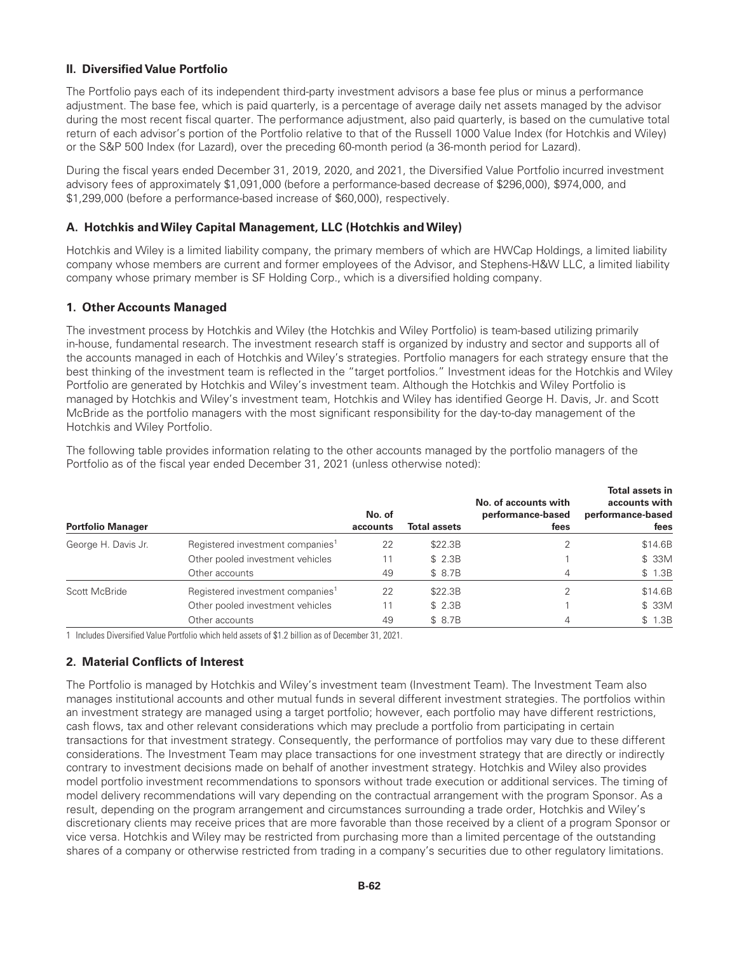# **II. Diversified Value Portfolio**

The Portfolio pays each of its independent third-party investment advisors a base fee plus or minus a performance adjustment. The base fee, which is paid quarterly, is a percentage of average daily net assets managed by the advisor during the most recent fiscal quarter. The performance adjustment, also paid quarterly, is based on the cumulative total return of each advisor's portion of the Portfolio relative to that of the Russell 1000 Value Index (for Hotchkis and Wiley) or the S&P 500 Index (for Lazard), over the preceding 60-month period (a 36-month period for Lazard).

During the fiscal years ended December 31, 2019, 2020, and 2021, the Diversified Value Portfolio incurred investment advisory fees of approximately \$1,091,000 (before a performance-based decrease of \$296,000), \$974,000, and \$1,299,000 (before a performance-based increase of \$60,000), respectively.

#### **A. Hotchkis andWiley Capital Management, LLC (Hotchkis andWiley)**

Hotchkis and Wiley is a limited liability company, the primary members of which are HWCap Holdings, a limited liability company whose members are current and former employees of the Advisor, and Stephens-H&W LLC, a limited liability company whose primary member is SF Holding Corp., which is a diversified holding company.

## **1. Other Accounts Managed**

The investment process by Hotchkis and Wiley (the Hotchkis and Wiley Portfolio) is team-based utilizing primarily in-house, fundamental research. The investment research staff is organized by industry and sector and supports all of the accounts managed in each of Hotchkis and Wiley's strategies. Portfolio managers for each strategy ensure that the best thinking of the investment team is reflected in the "target portfolios." Investment ideas for the Hotchkis and Wiley Portfolio are generated by Hotchkis and Wiley's investment team. Although the Hotchkis and Wiley Portfolio is managed by Hotchkis and Wiley's investment team, Hotchkis and Wiley has identified George H. Davis, Jr. and Scott McBride as the portfolio managers with the most significant responsibility for the day-to-day management of the Hotchkis and Wiley Portfolio.

The following table provides information relating to the other accounts managed by the portfolio managers of the Portfolio as of the fiscal year ended December 31, 2021 (unless otherwise noted):

| <b>Portfolio Manager</b> |                                              | No. of<br>accounts | <b>Total assets</b> | No. of accounts with<br>performance-based<br>fees | Total assets in<br>accounts with<br>performance-based<br>fees |
|--------------------------|----------------------------------------------|--------------------|---------------------|---------------------------------------------------|---------------------------------------------------------------|
| George H. Davis Jr.      | Registered investment companies <sup>1</sup> | 22                 | \$22.3B             |                                                   | \$14.6B                                                       |
|                          | Other pooled investment vehicles             | 11                 | \$2.3B              |                                                   | \$ 33M                                                        |
|                          | Other accounts                               | 49                 | \$ 8.7B             | 4                                                 | \$1.3B                                                        |
| Scott McBride            | Registered investment companies <sup>1</sup> | 22                 | \$22.3B             |                                                   | \$14.6B                                                       |
|                          | Other pooled investment vehicles             | 11                 | \$2.3B              |                                                   | \$ 33M                                                        |
|                          | Other accounts                               | 49                 | \$ 8.7B             | 4                                                 | \$ 1.3B                                                       |

1 Includes Diversified Value Portfolio which held assets of \$1.2 billion as of December 31, 2021.

# **2. Material Conflicts of Interest**

The Portfolio is managed by Hotchkis and Wiley's investment team (Investment Team). The Investment Team also manages institutional accounts and other mutual funds in several different investment strategies. The portfolios within an investment strategy are managed using a target portfolio; however, each portfolio may have different restrictions, cash flows, tax and other relevant considerations which may preclude a portfolio from participating in certain transactions for that investment strategy. Consequently, the performance of portfolios may vary due to these different considerations. The Investment Team may place transactions for one investment strategy that are directly or indirectly contrary to investment decisions made on behalf of another investment strategy. Hotchkis and Wiley also provides model portfolio investment recommendations to sponsors without trade execution or additional services. The timing of model delivery recommendations will vary depending on the contractual arrangement with the program Sponsor. As a result, depending on the program arrangement and circumstances surrounding a trade order, Hotchkis and Wiley's discretionary clients may receive prices that are more favorable than those received by a client of a program Sponsor or vice versa. Hotchkis and Wiley may be restricted from purchasing more than a limited percentage of the outstanding shares of a company or otherwise restricted from trading in a company's securities due to other regulatory limitations.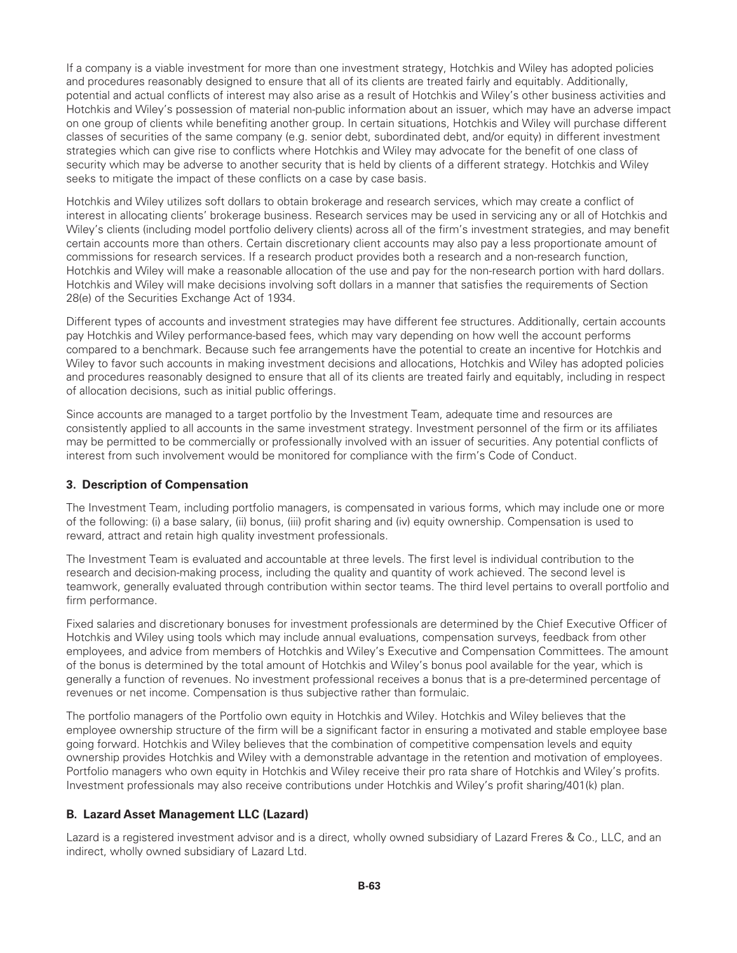If a company is a viable investment for more than one investment strategy, Hotchkis and Wiley has adopted policies and procedures reasonably designed to ensure that all of its clients are treated fairly and equitably. Additionally, potential and actual conflicts of interest may also arise as a result of Hotchkis and Wiley's other business activities and Hotchkis and Wiley's possession of material non-public information about an issuer, which may have an adverse impact on one group of clients while benefiting another group. In certain situations, Hotchkis and Wiley will purchase different classes of securities of the same company (e.g. senior debt, subordinated debt, and/or equity) in different investment strategies which can give rise to conflicts where Hotchkis and Wiley may advocate for the benefit of one class of security which may be adverse to another security that is held by clients of a different strategy. Hotchkis and Wiley seeks to mitigate the impact of these conflicts on a case by case basis.

Hotchkis and Wiley utilizes soft dollars to obtain brokerage and research services, which may create a conflict of interest in allocating clients' brokerage business. Research services may be used in servicing any or all of Hotchkis and Wiley's clients (including model portfolio delivery clients) across all of the firm's investment strategies, and may benefit certain accounts more than others. Certain discretionary client accounts may also pay a less proportionate amount of commissions for research services. If a research product provides both a research and a non-research function, Hotchkis and Wiley will make a reasonable allocation of the use and pay for the non-research portion with hard dollars. Hotchkis and Wiley will make decisions involving soft dollars in a manner that satisfies the requirements of Section 28(e) of the Securities Exchange Act of 1934.

Different types of accounts and investment strategies may have different fee structures. Additionally, certain accounts pay Hotchkis and Wiley performance-based fees, which may vary depending on how well the account performs compared to a benchmark. Because such fee arrangements have the potential to create an incentive for Hotchkis and Wiley to favor such accounts in making investment decisions and allocations, Hotchkis and Wiley has adopted policies and procedures reasonably designed to ensure that all of its clients are treated fairly and equitably, including in respect of allocation decisions, such as initial public offerings.

Since accounts are managed to a target portfolio by the Investment Team, adequate time and resources are consistently applied to all accounts in the same investment strategy. Investment personnel of the firm or its affiliates may be permitted to be commercially or professionally involved with an issuer of securities. Any potential conflicts of interest from such involvement would be monitored for compliance with the firm's Code of Conduct.

# **3. Description of Compensation**

The Investment Team, including portfolio managers, is compensated in various forms, which may include one or more of the following: (i) a base salary, (ii) bonus, (iii) profit sharing and (iv) equity ownership. Compensation is used to reward, attract and retain high quality investment professionals.

The Investment Team is evaluated and accountable at three levels. The first level is individual contribution to the research and decision-making process, including the quality and quantity of work achieved. The second level is teamwork, generally evaluated through contribution within sector teams. The third level pertains to overall portfolio and firm performance.

Fixed salaries and discretionary bonuses for investment professionals are determined by the Chief Executive Officer of Hotchkis and Wiley using tools which may include annual evaluations, compensation surveys, feedback from other employees, and advice from members of Hotchkis and Wiley's Executive and Compensation Committees. The amount of the bonus is determined by the total amount of Hotchkis and Wiley's bonus pool available for the year, which is generally a function of revenues. No investment professional receives a bonus that is a pre-determined percentage of revenues or net income. Compensation is thus subjective rather than formulaic.

The portfolio managers of the Portfolio own equity in Hotchkis and Wiley. Hotchkis and Wiley believes that the employee ownership structure of the firm will be a significant factor in ensuring a motivated and stable employee base going forward. Hotchkis and Wiley believes that the combination of competitive compensation levels and equity ownership provides Hotchkis and Wiley with a demonstrable advantage in the retention and motivation of employees. Portfolio managers who own equity in Hotchkis and Wiley receive their pro rata share of Hotchkis and Wiley's profits. Investment professionals may also receive contributions under Hotchkis and Wiley's profit sharing/401(k) plan.

# **B. Lazard Asset Management LLC (Lazard)**

Lazard is a registered investment advisor and is a direct, wholly owned subsidiary of Lazard Freres & Co., LLC, and an indirect, wholly owned subsidiary of Lazard Ltd.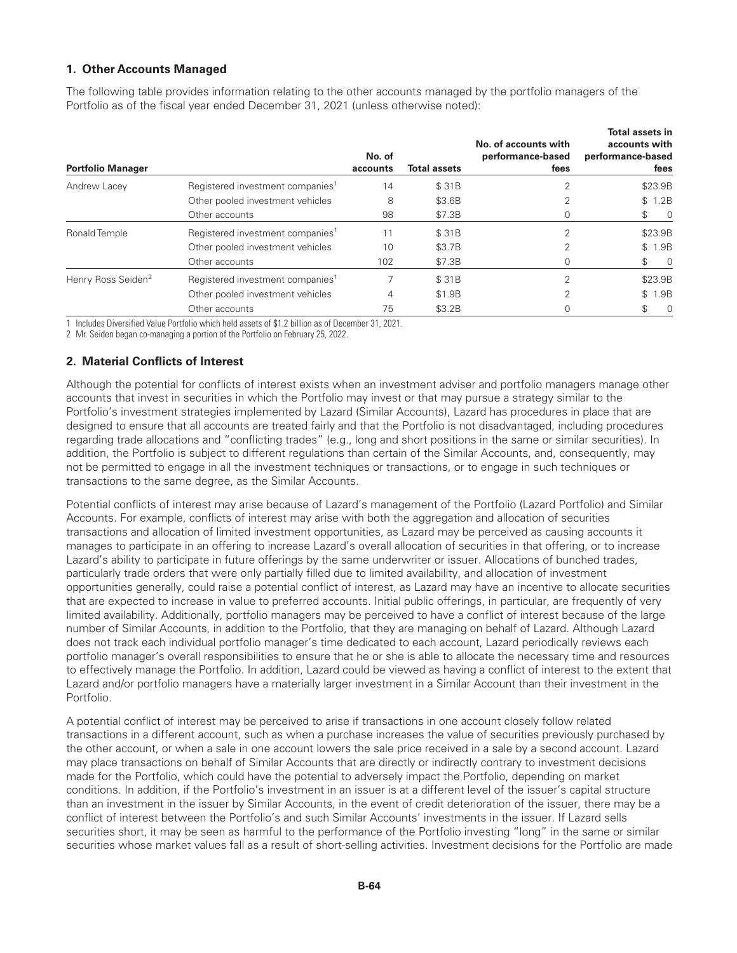# **1. Other Accounts Managed**

The following table provides information relating to the other accounts managed by the portfolio managers of the Portfolio as of the fiscal year ended December 31, 2021 (unless otherwise noted):

| <b>Portfolio Manager</b>       |                                              | No. of<br>accounts | <b>Total assets</b> | No. of accounts with<br>performance-based<br>fees | Total assets in<br>accounts with<br>performance-based<br>fees |
|--------------------------------|----------------------------------------------|--------------------|---------------------|---------------------------------------------------|---------------------------------------------------------------|
| Andrew Lacey                   | Registered investment companies <sup>1</sup> | 14                 | \$31B               |                                                   | \$23.9B                                                       |
|                                | Other pooled investment vehicles             | 8                  | \$3.6B              |                                                   | \$1.2B                                                        |
|                                | Other accounts                               | 98                 | \$7.3B              |                                                   | S.<br>$\overline{0}$                                          |
| Ronald Temple                  | Registered investment companies <sup>1</sup> | 11                 | \$31B               | $\mathcal{P}$                                     | \$23.9B                                                       |
|                                | Other pooled investment vehicles             | 10                 | \$3.7B              |                                                   | \$ 1.9B                                                       |
|                                | Other accounts                               | 102                | \$7.3B              |                                                   | $\overline{0}$<br>S                                           |
| Henry Ross Seiden <sup>2</sup> | Registered investment companies <sup>1</sup> |                    | \$31B               |                                                   | \$23.9B                                                       |
|                                | Other pooled investment vehicles             | 4                  | \$1.9B              |                                                   | \$ 1.9B                                                       |
|                                | Other accounts                               | 75                 | \$3.2B              |                                                   | \$<br>$\Omega$                                                |

1 Includes Diversified Value Portfolio which held assets of \$1.2 billion as of December 31, 2021.

2 Mr. Seiden began co-managing a portion of the Portfolio on February 25, 2022.

# **2. Material Conflicts of Interest**

Although the potential for conflicts of interest exists when an investment adviser and portfolio managers manage other accounts that invest in securities in which the Portfolio may invest or that may pursue a strategy similar to the Portfolio's investment strategies implemented by Lazard (Similar Accounts), Lazard has procedures in place that are designed to ensure that all accounts are treated fairly and that the Portfolio is not disadvantaged, including procedures regarding trade allocations and "conflicting trades" (e.g., long and short positions in the same or similar securities). In addition, the Portfolio is subject to different regulations than certain of the Similar Accounts, and, consequently, may not be permitted to engage in all the investment techniques or transactions, or to engage in such techniques or transactions to the same degree, as the Similar Accounts.

Potential conflicts of interest may arise because of Lazard's management of the Portfolio (Lazard Portfolio) and Similar Accounts. For example, conflicts of interest may arise with both the aggregation and allocation of securities transactions and allocation of limited investment opportunities, as Lazard may be perceived as causing accounts it manages to participate in an offering to increase Lazard's overall allocation of securities in that offering, or to increase Lazard's ability to participate in future offerings by the same underwriter or issuer. Allocations of bunched trades, particularly trade orders that were only partially filled due to limited availability, and allocation of investment opportunities generally, could raise a potential conflict of interest, as Lazard may have an incentive to allocate securities that are expected to increase in value to preferred accounts. Initial public offerings, in particular, are frequently of very limited availability. Additionally, portfolio managers may be perceived to have a conflict of interest because of the large number of Similar Accounts, in addition to the Portfolio, that they are managing on behalf of Lazard. Although Lazard does not track each individual portfolio manager's time dedicated to each account, Lazard periodically reviews each portfolio manager's overall responsibilities to ensure that he or she is able to allocate the necessary time and resources to effectively manage the Portfolio. In addition, Lazard could be viewed as having a conflict of interest to the extent that Lazard and/or portfolio managers have a materially larger investment in a Similar Account than their investment in the Portfolio.

A potential conflict of interest may be perceived to arise if transactions in one account closely follow related transactions in a different account, such as when a purchase increases the value of securities previously purchased by the other account, or when a sale in one account lowers the sale price received in a sale by a second account. Lazard may place transactions on behalf of Similar Accounts that are directly or indirectly contrary to investment decisions made for the Portfolio, which could have the potential to adversely impact the Portfolio, depending on market conditions. In addition, if the Portfolio's investment in an issuer is at a different level of the issuer's capital structure than an investment in the issuer by Similar Accounts, in the event of credit deterioration of the issuer, there may be a conflict of interest between the Portfolio's and such Similar Accounts' investments in the issuer. If Lazard sells securities short, it may be seen as harmful to the performance of the Portfolio investing "long" in the same or similar securities whose market values fall as a result of short-selling activities. Investment decisions for the Portfolio are made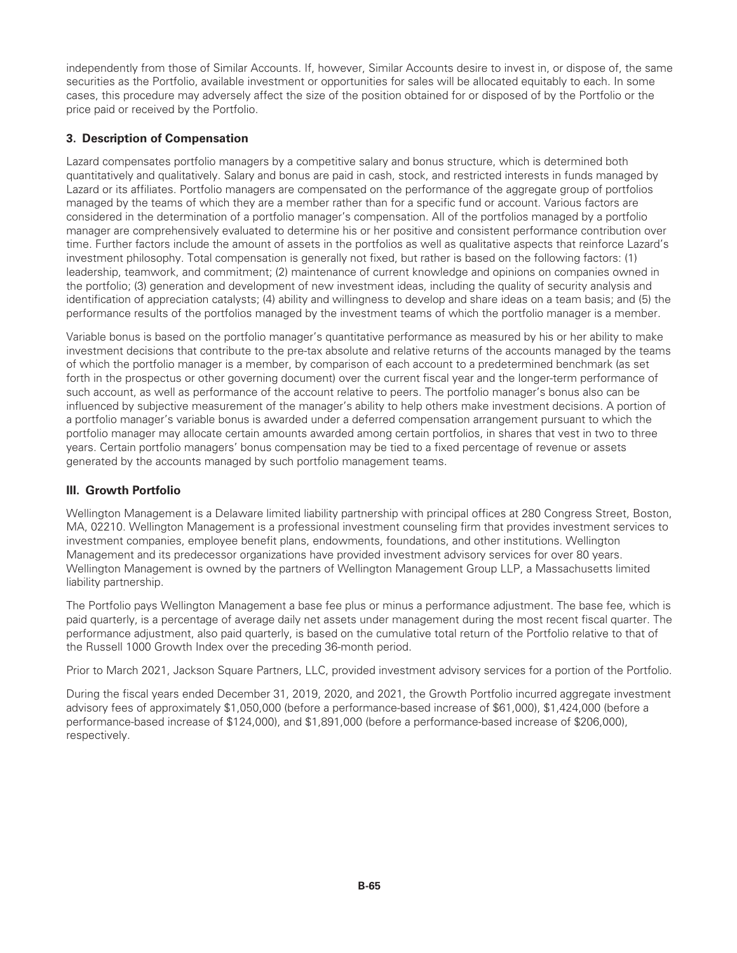independently from those of Similar Accounts. If, however, Similar Accounts desire to invest in, or dispose of, the same securities as the Portfolio, available investment or opportunities for sales will be allocated equitably to each. In some cases, this procedure may adversely affect the size of the position obtained for or disposed of by the Portfolio or the price paid or received by the Portfolio.

# **3. Description of Compensation**

Lazard compensates portfolio managers by a competitive salary and bonus structure, which is determined both quantitatively and qualitatively. Salary and bonus are paid in cash, stock, and restricted interests in funds managed by Lazard or its affiliates. Portfolio managers are compensated on the performance of the aggregate group of portfolios managed by the teams of which they are a member rather than for a specific fund or account. Various factors are considered in the determination of a portfolio manager's compensation. All of the portfolios managed by a portfolio manager are comprehensively evaluated to determine his or her positive and consistent performance contribution over time. Further factors include the amount of assets in the portfolios as well as qualitative aspects that reinforce Lazard's investment philosophy. Total compensation is generally not fixed, but rather is based on the following factors: (1) leadership, teamwork, and commitment; (2) maintenance of current knowledge and opinions on companies owned in the portfolio; (3) generation and development of new investment ideas, including the quality of security analysis and identification of appreciation catalysts; (4) ability and willingness to develop and share ideas on a team basis; and (5) the performance results of the portfolios managed by the investment teams of which the portfolio manager is a member.

Variable bonus is based on the portfolio manager's quantitative performance as measured by his or her ability to make investment decisions that contribute to the pre-tax absolute and relative returns of the accounts managed by the teams of which the portfolio manager is a member, by comparison of each account to a predetermined benchmark (as set forth in the prospectus or other governing document) over the current fiscal year and the longer-term performance of such account, as well as performance of the account relative to peers. The portfolio manager's bonus also can be influenced by subjective measurement of the manager's ability to help others make investment decisions. A portion of a portfolio manager's variable bonus is awarded under a deferred compensation arrangement pursuant to which the portfolio manager may allocate certain amounts awarded among certain portfolios, in shares that vest in two to three years. Certain portfolio managers' bonus compensation may be tied to a fixed percentage of revenue or assets generated by the accounts managed by such portfolio management teams.

# **III. Growth Portfolio**

Wellington Management is a Delaware limited liability partnership with principal offices at 280 Congress Street, Boston, MA, 02210. Wellington Management is a professional investment counseling firm that provides investment services to investment companies, employee benefit plans, endowments, foundations, and other institutions. Wellington Management and its predecessor organizations have provided investment advisory services for over 80 years. Wellington Management is owned by the partners of Wellington Management Group LLP, a Massachusetts limited liability partnership.

The Portfolio pays Wellington Management a base fee plus or minus a performance adjustment. The base fee, which is paid quarterly, is a percentage of average daily net assets under management during the most recent fiscal quarter. The performance adjustment, also paid quarterly, is based on the cumulative total return of the Portfolio relative to that of the Russell 1000 Growth Index over the preceding 36-month period.

Prior to March 2021, Jackson Square Partners, LLC, provided investment advisory services for a portion of the Portfolio.

During the fiscal years ended December 31, 2019, 2020, and 2021, the Growth Portfolio incurred aggregate investment advisory fees of approximately \$1,050,000 (before a performance-based increase of \$61,000), \$1,424,000 (before a performance-based increase of \$124,000), and \$1,891,000 (before a performance-based increase of \$206,000), respectively.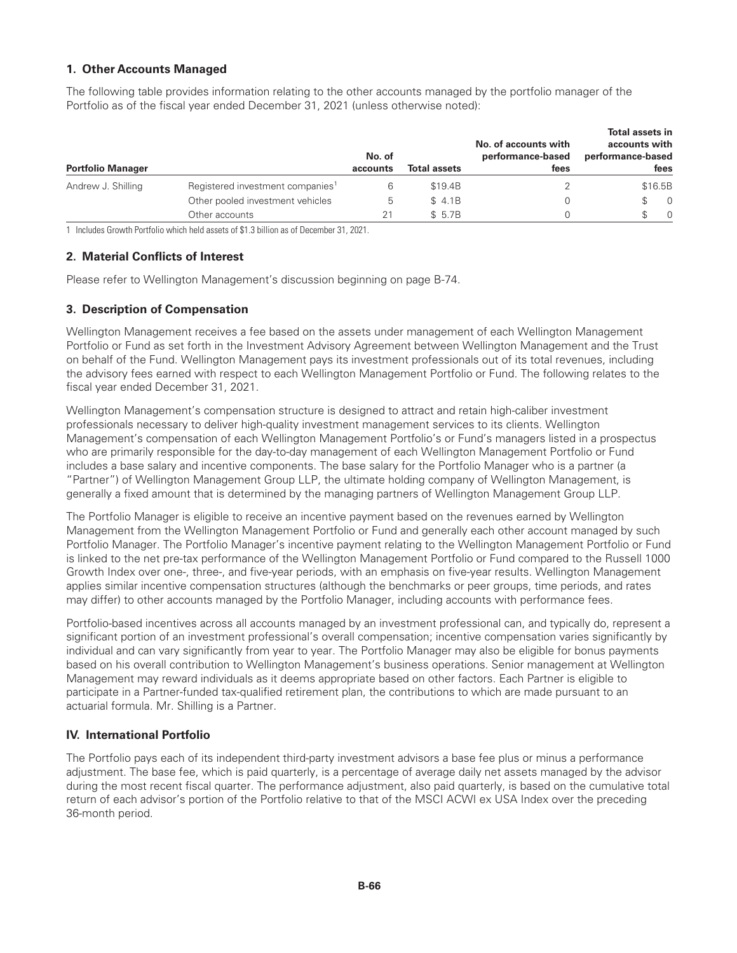# **1. Other Accounts Managed**

The following table provides information relating to the other accounts managed by the portfolio manager of the Portfolio as of the fiscal year ended December 31, 2021 (unless otherwise noted):

| <b>Portfolio Manager</b> |                                              | No. of<br>accounts | <b>Total assets</b> | No. of accounts with<br>performance-based<br>fees | Total assets in<br>accounts with<br>performance-based<br>fees |
|--------------------------|----------------------------------------------|--------------------|---------------------|---------------------------------------------------|---------------------------------------------------------------|
| Andrew J. Shilling       | Registered investment companies <sup>1</sup> |                    | \$19.4B             |                                                   | \$16.5B                                                       |
|                          | Other pooled investment vehicles             | 5.                 | \$4.1B              |                                                   | - 0                                                           |
|                          | Other accounts                               |                    | \$5.7B              |                                                   | $\Omega$                                                      |

1 Includes Growth Portfolio which held assets of \$1.3 billion as of December 31, 2021.

## **2. Material Conflicts of Interest**

Please refer to Wellington Management's discussion beginning on page B-74.

# **3. Description of Compensation**

Wellington Management receives a fee based on the assets under management of each Wellington Management Portfolio or Fund as set forth in the Investment Advisory Agreement between Wellington Management and the Trust on behalf of the Fund. Wellington Management pays its investment professionals out of its total revenues, including the advisory fees earned with respect to each Wellington Management Portfolio or Fund. The following relates to the fiscal year ended December 31, 2021.

Wellington Management's compensation structure is designed to attract and retain high-caliber investment professionals necessary to deliver high-quality investment management services to its clients. Wellington Management's compensation of each Wellington Management Portfolio's or Fund's managers listed in a prospectus who are primarily responsible for the day-to-day management of each Wellington Management Portfolio or Fund includes a base salary and incentive components. The base salary for the Portfolio Manager who is a partner (a "Partner") of Wellington Management Group LLP, the ultimate holding company of Wellington Management, is generally a fixed amount that is determined by the managing partners of Wellington Management Group LLP.

The Portfolio Manager is eligible to receive an incentive payment based on the revenues earned by Wellington Management from the Wellington Management Portfolio or Fund and generally each other account managed by such Portfolio Manager. The Portfolio Manager's incentive payment relating to the Wellington Management Portfolio or Fund is linked to the net pre-tax performance of the Wellington Management Portfolio or Fund compared to the Russell 1000 Growth Index over one-, three-, and five-year periods, with an emphasis on five-year results. Wellington Management applies similar incentive compensation structures (although the benchmarks or peer groups, time periods, and rates may differ) to other accounts managed by the Portfolio Manager, including accounts with performance fees.

Portfolio-based incentives across all accounts managed by an investment professional can, and typically do, represent a significant portion of an investment professional's overall compensation; incentive compensation varies significantly by individual and can vary significantly from year to year. The Portfolio Manager may also be eligible for bonus payments based on his overall contribution to Wellington Management's business operations. Senior management at Wellington Management may reward individuals as it deems appropriate based on other factors. Each Partner is eligible to participate in a Partner-funded tax-qualified retirement plan, the contributions to which are made pursuant to an actuarial formula. Mr. Shilling is a Partner.

# **IV. International Portfolio**

The Portfolio pays each of its independent third-party investment advisors a base fee plus or minus a performance adjustment. The base fee, which is paid quarterly, is a percentage of average daily net assets managed by the advisor during the most recent fiscal quarter. The performance adjustment, also paid quarterly, is based on the cumulative total return of each advisor's portion of the Portfolio relative to that of the MSCI ACWI ex USA Index over the preceding 36-month period.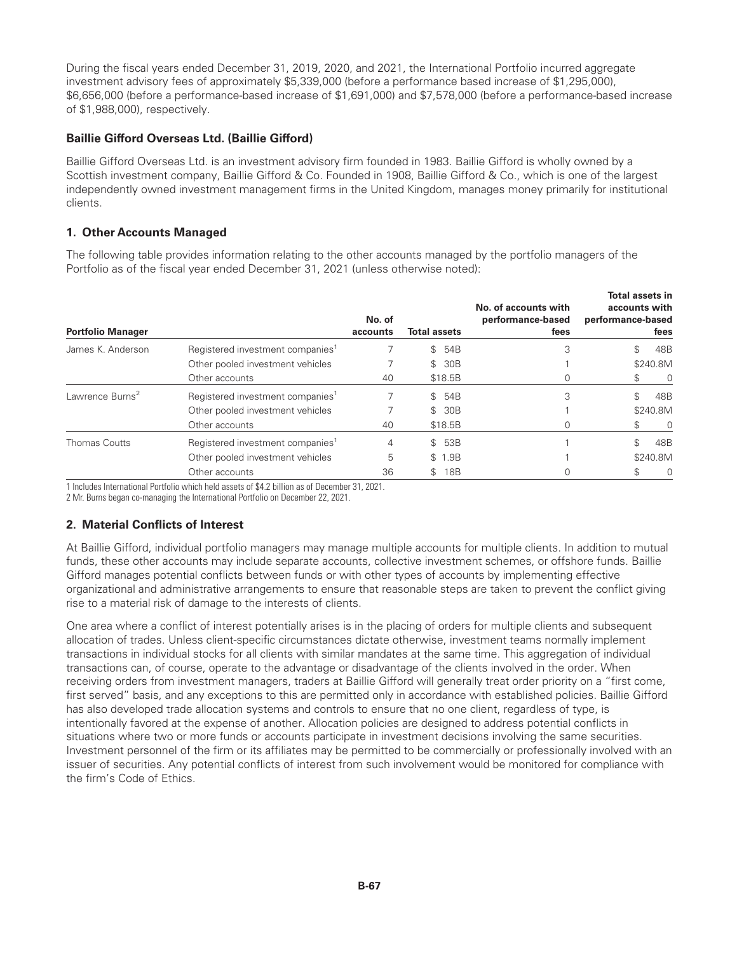During the fiscal years ended December 31, 2019, 2020, and 2021, the International Portfolio incurred aggregate investment advisory fees of approximately \$5,339,000 (before a performance based increase of \$1,295,000), \$6,656,000 (before a performance-based increase of \$1,691,000) and \$7,578,000 (before a performance-based increase of \$1,988,000), respectively.

# **Baillie Gifford Overseas Ltd. (Baillie Gifford)**

Baillie Gifford Overseas Ltd. is an investment advisory firm founded in 1983. Baillie Gifford is wholly owned by a Scottish investment company, Baillie Gifford & Co. Founded in 1908, Baillie Gifford & Co., which is one of the largest independently owned investment management firms in the United Kingdom, manages money primarily for institutional clients.

# **1. Other Accounts Managed**

The following table provides information relating to the other accounts managed by the portfolio managers of the Portfolio as of the fiscal year ended December 31, 2021 (unless otherwise noted):

| <b>Portfolio Manager</b>    |                                              | No. of<br>accounts | <b>Total assets</b> | No. of accounts with<br>performance-based<br>fees | <b>Total assets in</b><br>accounts with<br>performance-based<br>fees |
|-----------------------------|----------------------------------------------|--------------------|---------------------|---------------------------------------------------|----------------------------------------------------------------------|
| James K. Anderson           | Registered investment companies <sup>1</sup> |                    | \$54B               | 3                                                 | 48B<br>\$                                                            |
|                             | Other pooled investment vehicles             |                    | 30B<br>$\mathbb{S}$ |                                                   | \$240.8M                                                             |
|                             | Other accounts                               | 40                 | \$18.5B             |                                                   | 0<br>S                                                               |
| Lawrence Burns <sup>2</sup> | Registered investment companies <sup>1</sup> |                    | \$54B               | 3                                                 | 48B<br>\$                                                            |
|                             | Other pooled investment vehicles             |                    | \$ 30B              |                                                   | \$240.8M                                                             |
|                             | Other accounts                               | 40                 | \$18.5B             |                                                   | 0<br>S                                                               |
| <b>Thomas Coutts</b>        | Registered investment companies <sup>1</sup> | 4                  | 53B<br>$\mathbb{S}$ |                                                   | \$<br>48B                                                            |
|                             | Other pooled investment vehicles             | 5                  | \$ 1.9B             |                                                   | \$240.8M                                                             |
|                             | Other accounts                               | 36                 | 18B<br>\$           |                                                   | 0<br>S                                                               |

1 Includes International Portfolio which held assets of \$4.2 billion as of December 31, 2021.

2 Mr. Burns began co-managing the International Portfolio on December 22, 2021.

# **2. Material Conflicts of Interest**

At Baillie Gifford, individual portfolio managers may manage multiple accounts for multiple clients. In addition to mutual funds, these other accounts may include separate accounts, collective investment schemes, or offshore funds. Baillie Gifford manages potential conflicts between funds or with other types of accounts by implementing effective organizational and administrative arrangements to ensure that reasonable steps are taken to prevent the conflict giving rise to a material risk of damage to the interests of clients.

One area where a conflict of interest potentially arises is in the placing of orders for multiple clients and subsequent allocation of trades. Unless client-specific circumstances dictate otherwise, investment teams normally implement transactions in individual stocks for all clients with similar mandates at the same time. This aggregation of individual transactions can, of course, operate to the advantage or disadvantage of the clients involved in the order. When receiving orders from investment managers, traders at Baillie Gifford will generally treat order priority on a "first come, first served" basis, and any exceptions to this are permitted only in accordance with established policies. Baillie Gifford has also developed trade allocation systems and controls to ensure that no one client, regardless of type, is intentionally favored at the expense of another. Allocation policies are designed to address potential conflicts in situations where two or more funds or accounts participate in investment decisions involving the same securities. Investment personnel of the firm or its affiliates may be permitted to be commercially or professionally involved with an issuer of securities. Any potential conflicts of interest from such involvement would be monitored for compliance with the firm's Code of Ethics.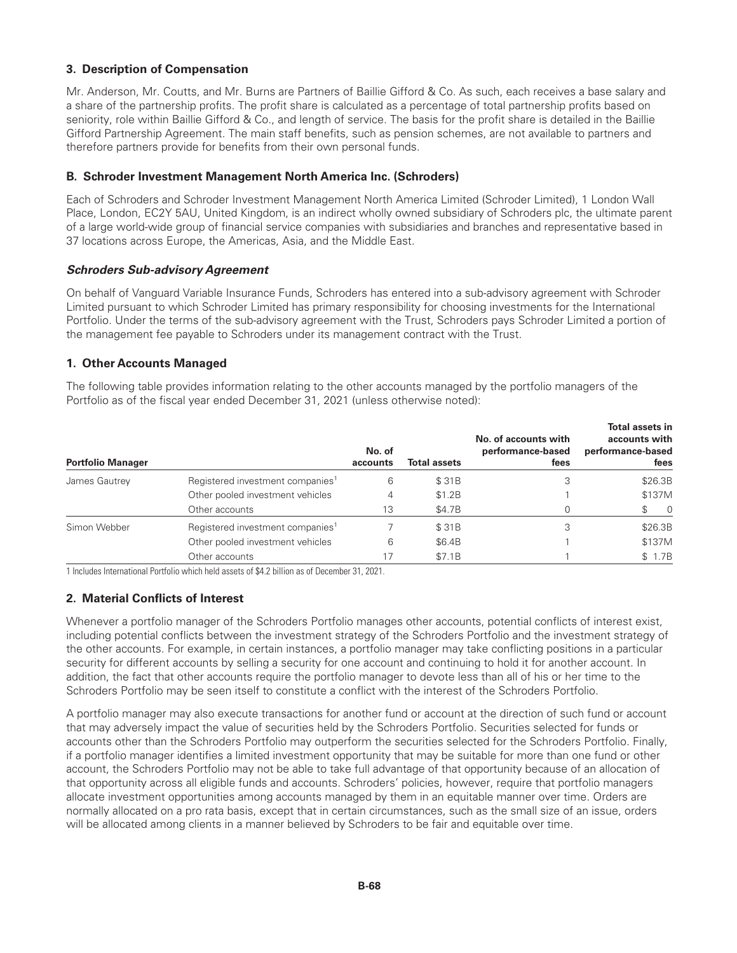## **3. Description of Compensation**

Mr. Anderson, Mr. Coutts, and Mr. Burns are Partners of Baillie Gifford & Co. As such, each receives a base salary and a share of the partnership profits. The profit share is calculated as a percentage of total partnership profits based on seniority, role within Baillie Gifford & Co., and length of service. The basis for the profit share is detailed in the Baillie Gifford Partnership Agreement. The main staff benefits, such as pension schemes, are not available to partners and therefore partners provide for benefits from their own personal funds.

## **B. Schroder Investment Management North America Inc. (Schroders)**

Each of Schroders and Schroder Investment Management North America Limited (Schroder Limited), 1 London Wall Place, London, EC2Y 5AU, United Kingdom, is an indirect wholly owned subsidiary of Schroders plc, the ultimate parent of a large world-wide group of financial service companies with subsidiaries and branches and representative based in 37 locations across Europe, the Americas, Asia, and the Middle East.

#### *Schroders Sub-advisory Agreement*

On behalf of Vanguard Variable Insurance Funds, Schroders has entered into a sub-advisory agreement with Schroder Limited pursuant to which Schroder Limited has primary responsibility for choosing investments for the International Portfolio. Under the terms of the sub-advisory agreement with the Trust, Schroders pays Schroder Limited a portion of the management fee payable to Schroders under its management contract with the Trust.

## **1. Other Accounts Managed**

The following table provides information relating to the other accounts managed by the portfolio managers of the Portfolio as of the fiscal year ended December 31, 2021 (unless otherwise noted):

| <b>Portfolio Manager</b> |                                              | No. of<br>accounts | Total assets | No. of accounts with<br>performance-based<br>fees | <b>Total assets in</b><br>accounts with<br>performance-based<br>fees |
|--------------------------|----------------------------------------------|--------------------|--------------|---------------------------------------------------|----------------------------------------------------------------------|
| James Gautrey            | Registered investment companies <sup>1</sup> | 6                  | \$31B        | 3                                                 | \$26.3B                                                              |
|                          | Other pooled investment vehicles             | 4                  | \$1.2B       |                                                   | \$137M                                                               |
|                          | Other accounts                               | 13                 | \$4.7B       |                                                   | $\overline{0}$                                                       |
| Simon Webber             | Registered investment companies <sup>1</sup> |                    | \$31B        | 3                                                 | \$26.3B                                                              |
|                          | Other pooled investment vehicles             | 6                  | \$6.4B       |                                                   | \$137M                                                               |
|                          | Other accounts                               |                    | \$7.1B       |                                                   | \$ 1.7B                                                              |

1 Includes International Portfolio which held assets of \$4.2 billion as of December 31, 2021.

# **2. Material Conflicts of Interest**

Whenever a portfolio manager of the Schroders Portfolio manages other accounts, potential conflicts of interest exist, including potential conflicts between the investment strategy of the Schroders Portfolio and the investment strategy of the other accounts. For example, in certain instances, a portfolio manager may take conflicting positions in a particular security for different accounts by selling a security for one account and continuing to hold it for another account. In addition, the fact that other accounts require the portfolio manager to devote less than all of his or her time to the Schroders Portfolio may be seen itself to constitute a conflict with the interest of the Schroders Portfolio.

A portfolio manager may also execute transactions for another fund or account at the direction of such fund or account that may adversely impact the value of securities held by the Schroders Portfolio. Securities selected for funds or accounts other than the Schroders Portfolio may outperform the securities selected for the Schroders Portfolio. Finally, if a portfolio manager identifies a limited investment opportunity that may be suitable for more than one fund or other account, the Schroders Portfolio may not be able to take full advantage of that opportunity because of an allocation of that opportunity across all eligible funds and accounts. Schroders' policies, however, require that portfolio managers allocate investment opportunities among accounts managed by them in an equitable manner over time. Orders are normally allocated on a pro rata basis, except that in certain circumstances, such as the small size of an issue, orders will be allocated among clients in a manner believed by Schroders to be fair and equitable over time.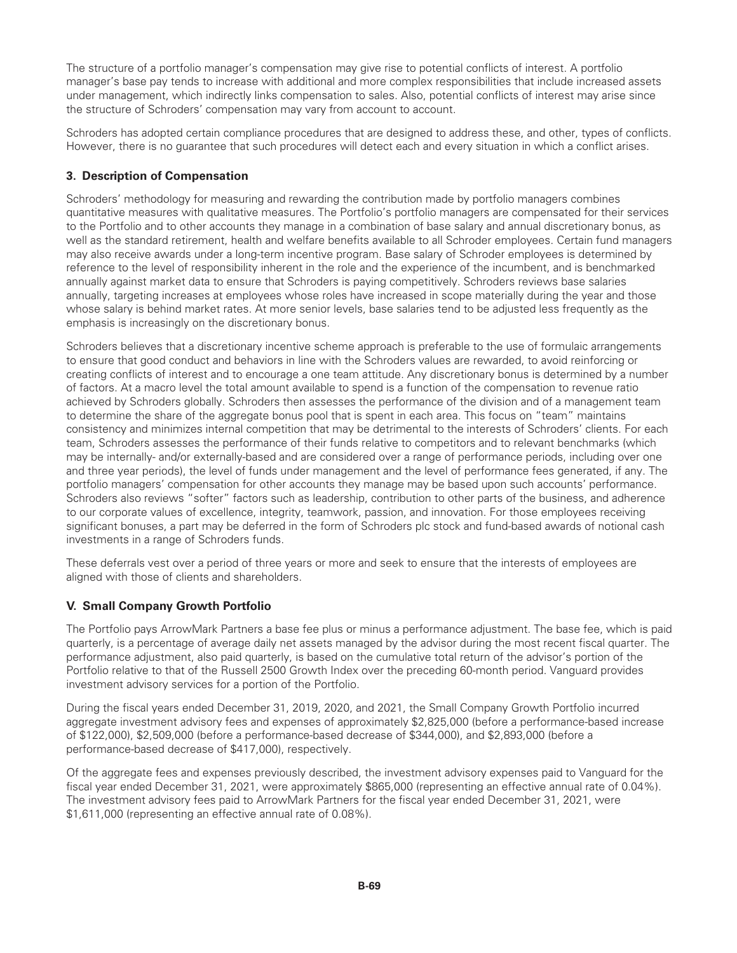The structure of a portfolio manager's compensation may give rise to potential conflicts of interest. A portfolio manager's base pay tends to increase with additional and more complex responsibilities that include increased assets under management, which indirectly links compensation to sales. Also, potential conflicts of interest may arise since the structure of Schroders' compensation may vary from account to account.

Schroders has adopted certain compliance procedures that are designed to address these, and other, types of conflicts. However, there is no guarantee that such procedures will detect each and every situation in which a conflict arises.

# **3. Description of Compensation**

Schroders' methodology for measuring and rewarding the contribution made by portfolio managers combines quantitative measures with qualitative measures. The Portfolio's portfolio managers are compensated for their services to the Portfolio and to other accounts they manage in a combination of base salary and annual discretionary bonus, as well as the standard retirement, health and welfare benefits available to all Schroder employees. Certain fund managers may also receive awards under a long-term incentive program. Base salary of Schroder employees is determined by reference to the level of responsibility inherent in the role and the experience of the incumbent, and is benchmarked annually against market data to ensure that Schroders is paying competitively. Schroders reviews base salaries annually, targeting increases at employees whose roles have increased in scope materially during the year and those whose salary is behind market rates. At more senior levels, base salaries tend to be adjusted less frequently as the emphasis is increasingly on the discretionary bonus.

Schroders believes that a discretionary incentive scheme approach is preferable to the use of formulaic arrangements to ensure that good conduct and behaviors in line with the Schroders values are rewarded, to avoid reinforcing or creating conflicts of interest and to encourage a one team attitude. Any discretionary bonus is determined by a number of factors. At a macro level the total amount available to spend is a function of the compensation to revenue ratio achieved by Schroders globally. Schroders then assesses the performance of the division and of a management team to determine the share of the aggregate bonus pool that is spent in each area. This focus on "team" maintains consistency and minimizes internal competition that may be detrimental to the interests of Schroders' clients. For each team, Schroders assesses the performance of their funds relative to competitors and to relevant benchmarks (which may be internally- and/or externally-based and are considered over a range of performance periods, including over one and three year periods), the level of funds under management and the level of performance fees generated, if any. The portfolio managers' compensation for other accounts they manage may be based upon such accounts' performance. Schroders also reviews "softer" factors such as leadership, contribution to other parts of the business, and adherence to our corporate values of excellence, integrity, teamwork, passion, and innovation. For those employees receiving significant bonuses, a part may be deferred in the form of Schroders plc stock and fund-based awards of notional cash investments in a range of Schroders funds.

These deferrals vest over a period of three years or more and seek to ensure that the interests of employees are aligned with those of clients and shareholders.

# **V. Small Company Growth Portfolio**

The Portfolio pays ArrowMark Partners a base fee plus or minus a performance adjustment. The base fee, which is paid quarterly, is a percentage of average daily net assets managed by the advisor during the most recent fiscal quarter. The performance adjustment, also paid quarterly, is based on the cumulative total return of the advisor's portion of the Portfolio relative to that of the Russell 2500 Growth Index over the preceding 60-month period. Vanguard provides investment advisory services for a portion of the Portfolio.

During the fiscal years ended December 31, 2019, 2020, and 2021, the Small Company Growth Portfolio incurred aggregate investment advisory fees and expenses of approximately \$2,825,000 (before a performance-based increase of \$122,000), \$2,509,000 (before a performance-based decrease of \$344,000), and \$2,893,000 (before a performance-based decrease of \$417,000), respectively.

Of the aggregate fees and expenses previously described, the investment advisory expenses paid to Vanguard for the fiscal year ended December 31, 2021, were approximately \$865,000 (representing an effective annual rate of 0.04%). The investment advisory fees paid to ArrowMark Partners for the fiscal year ended December 31, 2021, were \$1,611,000 (representing an effective annual rate of 0.08%).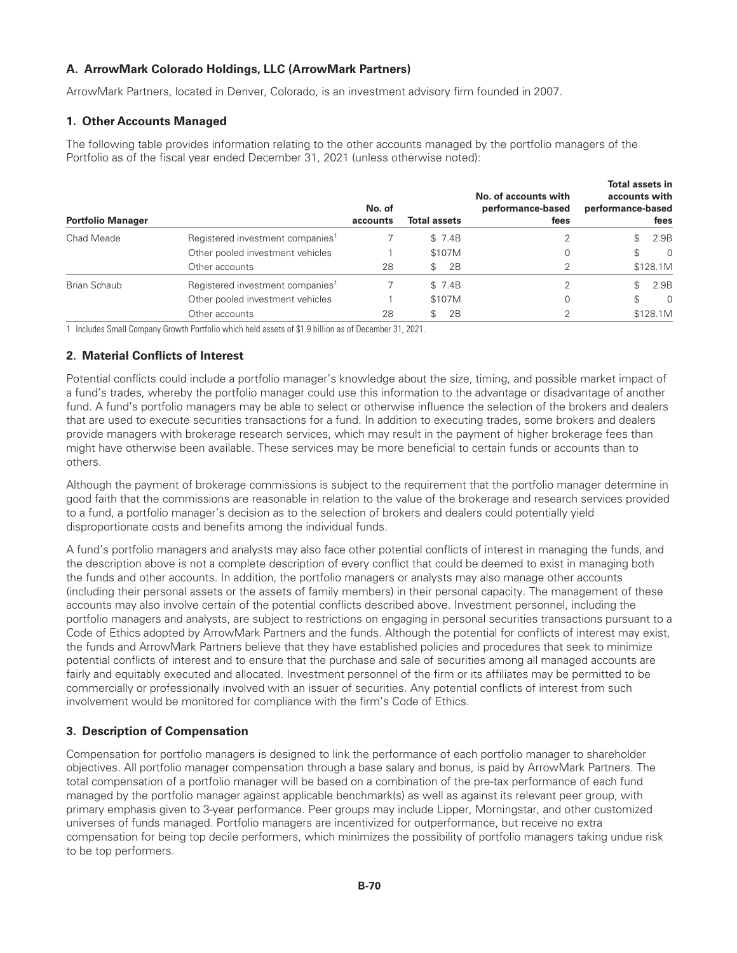# **A. ArrowMark Colorado Holdings, LLC (ArrowMark Partners)**

ArrowMark Partners, located in Denver, Colorado, is an investment advisory firm founded in 2007.

#### **1. Other Accounts Managed**

The following table provides information relating to the other accounts managed by the portfolio managers of the Portfolio as of the fiscal year ended December 31, 2021 (unless otherwise noted):

| <b>Portfolio Manager</b> |                                              | No. of<br>accounts | <b>Total assets</b> | No. of accounts with<br>performance-based<br>fees | <b>Total assets in</b><br>accounts with<br>performance-based<br>fees |
|--------------------------|----------------------------------------------|--------------------|---------------------|---------------------------------------------------|----------------------------------------------------------------------|
| Chad Meade               | Registered investment companies <sup>1</sup> |                    | \$7.4B              |                                                   | 2.9B                                                                 |
|                          | Other pooled investment vehicles             |                    | \$107M              |                                                   | $\Omega$<br>\$                                                       |
|                          | Other accounts                               | 28                 | 2B<br>\$            |                                                   | \$128.1M                                                             |
| Brian Schaub             | Registered investment companies <sup>1</sup> |                    | \$7.4B              |                                                   | 2.9B                                                                 |
|                          | Other pooled investment vehicles             |                    | \$107M              | 0                                                 | \$<br>$\Omega$                                                       |
|                          | Other accounts                               | 28                 | 2B<br>\$            |                                                   | \$128.1M                                                             |

1 Includes Small Company Growth Portfolio which held assets of \$1.9 billion as of December 31, 2021.

#### **2. Material Conflicts of Interest**

Potential conflicts could include a portfolio manager's knowledge about the size, timing, and possible market impact of a fund's trades, whereby the portfolio manager could use this information to the advantage or disadvantage of another fund. A fund's portfolio managers may be able to select or otherwise influence the selection of the brokers and dealers that are used to execute securities transactions for a fund. In addition to executing trades, some brokers and dealers provide managers with brokerage research services, which may result in the payment of higher brokerage fees than might have otherwise been available. These services may be more beneficial to certain funds or accounts than to others.

Although the payment of brokerage commissions is subject to the requirement that the portfolio manager determine in good faith that the commissions are reasonable in relation to the value of the brokerage and research services provided to a fund, a portfolio manager's decision as to the selection of brokers and dealers could potentially yield disproportionate costs and benefits among the individual funds.

A fund's portfolio managers and analysts may also face other potential conflicts of interest in managing the funds, and the description above is not a complete description of every conflict that could be deemed to exist in managing both the funds and other accounts. In addition, the portfolio managers or analysts may also manage other accounts (including their personal assets or the assets of family members) in their personal capacity. The management of these accounts may also involve certain of the potential conflicts described above. Investment personnel, including the portfolio managers and analysts, are subject to restrictions on engaging in personal securities transactions pursuant to a Code of Ethics adopted by ArrowMark Partners and the funds. Although the potential for conflicts of interest may exist, the funds and ArrowMark Partners believe that they have established policies and procedures that seek to minimize potential conflicts of interest and to ensure that the purchase and sale of securities among all managed accounts are fairly and equitably executed and allocated. Investment personnel of the firm or its affiliates may be permitted to be commercially or professionally involved with an issuer of securities. Any potential conflicts of interest from such involvement would be monitored for compliance with the firm's Code of Ethics.

# **3. Description of Compensation**

Compensation for portfolio managers is designed to link the performance of each portfolio manager to shareholder objectives. All portfolio manager compensation through a base salary and bonus, is paid by ArrowMark Partners. The total compensation of a portfolio manager will be based on a combination of the pre-tax performance of each fund managed by the portfolio manager against applicable benchmark(s) as well as against its relevant peer group, with primary emphasis given to 3-year performance. Peer groups may include Lipper, Morningstar, and other customized universes of funds managed. Portfolio managers are incentivized for outperformance, but receive no extra compensation for being top decile performers, which minimizes the possibility of portfolio managers taking undue risk to be top performers.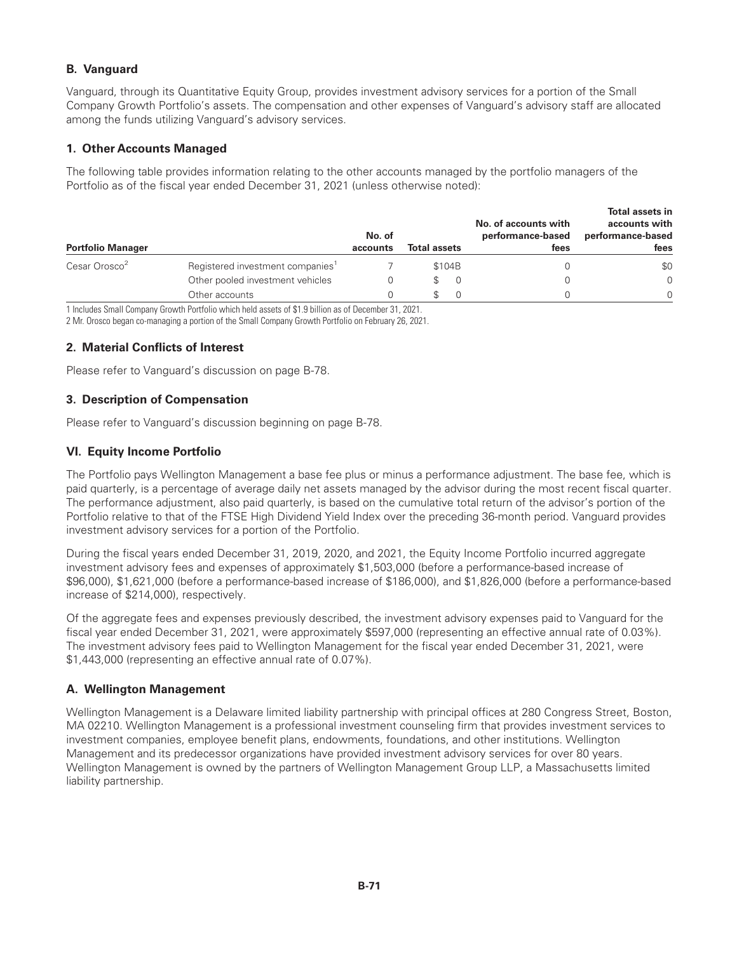# **B. Vanguard**

Vanguard, through its Quantitative Equity Group, provides investment advisory services for a portion of the Small Company Growth Portfolio's assets. The compensation and other expenses of Vanguard's advisory staff are allocated among the funds utilizing Vanguard's advisory services.

# **1. Other Accounts Managed**

The following table provides information relating to the other accounts managed by the portfolio managers of the Portfolio as of the fiscal year ended December 31, 2021 (unless otherwise noted):

| <b>Portfolio Manager</b>  |                                              | No. of<br>accounts | <b>Total assets</b> | No. of accounts with<br>performance-based<br>fees | Total assets in<br>accounts with<br>performance-based<br>fees |
|---------------------------|----------------------------------------------|--------------------|---------------------|---------------------------------------------------|---------------------------------------------------------------|
| Cesar Orosco <sup>2</sup> | Registered investment companies <sup>1</sup> |                    | \$104B              |                                                   | \$0                                                           |
|                           | Other pooled investment vehicles             |                    |                     | 0                                                 | $\Omega$                                                      |
|                           | Other accounts                               |                    |                     |                                                   | $\Omega$                                                      |

1 Includes Small Company Growth Portfolio which held assets of \$1.9 billion as of December 31, 2021.

2 Mr. Orosco began co-managing a portion of the Small Company Growth Portfolio on February 26, 2021.

## **2. Material Conflicts of Interest**

Please refer to Vanguard's discussion on page B-78.

## **3. Description of Compensation**

Please refer to Vanguard's discussion beginning on page B-78.

## **VI. Equity Income Portfolio**

The Portfolio pays Wellington Management a base fee plus or minus a performance adjustment. The base fee, which is paid quarterly, is a percentage of average daily net assets managed by the advisor during the most recent fiscal quarter. The performance adjustment, also paid quarterly, is based on the cumulative total return of the advisor's portion of the Portfolio relative to that of the FTSE High Dividend Yield Index over the preceding 36-month period. Vanguard provides investment advisory services for a portion of the Portfolio.

During the fiscal years ended December 31, 2019, 2020, and 2021, the Equity Income Portfolio incurred aggregate investment advisory fees and expenses of approximately \$1,503,000 (before a performance-based increase of \$96,000), \$1,621,000 (before a performance-based increase of \$186,000), and \$1,826,000 (before a performance-based increase of \$214,000), respectively.

Of the aggregate fees and expenses previously described, the investment advisory expenses paid to Vanguard for the fiscal year ended December 31, 2021, were approximately \$597,000 (representing an effective annual rate of 0.03%). The investment advisory fees paid to Wellington Management for the fiscal year ended December 31, 2021, were \$1,443,000 (representing an effective annual rate of 0.07%).

#### **A. Wellington Management**

Wellington Management is a Delaware limited liability partnership with principal offices at 280 Congress Street, Boston, MA 02210. Wellington Management is a professional investment counseling firm that provides investment services to investment companies, employee benefit plans, endowments, foundations, and other institutions. Wellington Management and its predecessor organizations have provided investment advisory services for over 80 years. Wellington Management is owned by the partners of Wellington Management Group LLP, a Massachusetts limited liability partnership.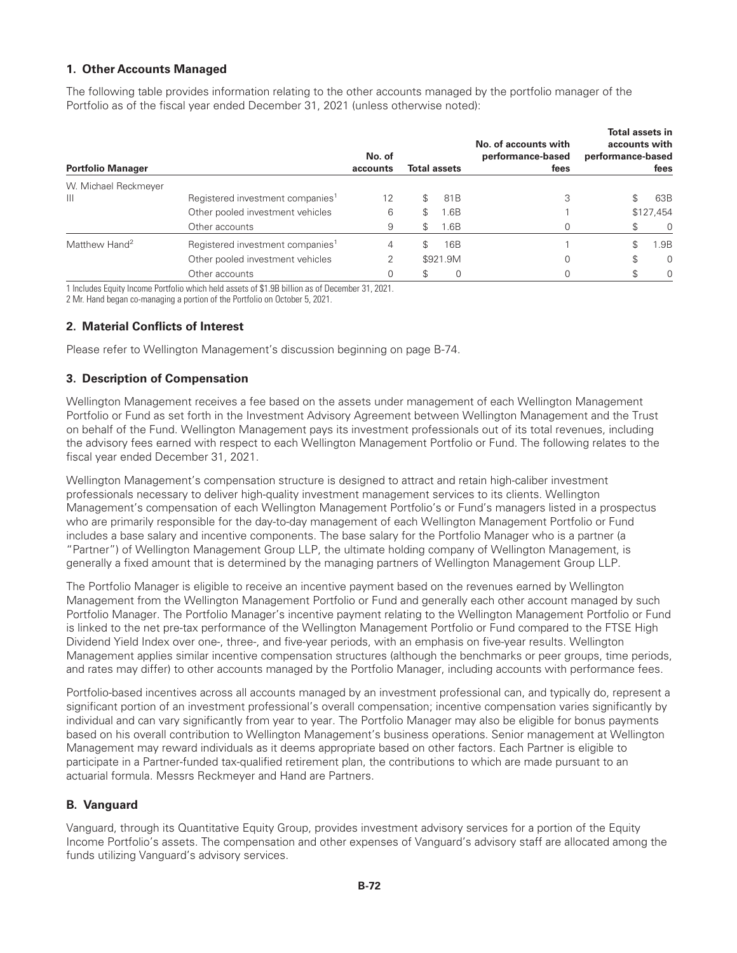# **1. Other Accounts Managed**

The following table provides information relating to the other accounts managed by the portfolio manager of the Portfolio as of the fiscal year ended December 31, 2021 (unless otherwise noted):

| <b>Portfolio Manager</b>  |                                              | No. of<br>accounts | <b>Total assets</b> |          | No. of accounts with<br>performance-based<br>fees | Total assets in<br>accounts with<br>performance-based<br>fees |           |
|---------------------------|----------------------------------------------|--------------------|---------------------|----------|---------------------------------------------------|---------------------------------------------------------------|-----------|
| W. Michael Reckmeyer      |                                              |                    |                     |          |                                                   |                                                               |           |
| $\mathbf{III}$            | Registered investment companies <sup>1</sup> | 12                 |                     | 81B      | 3                                                 | \$                                                            | 63B       |
|                           | Other pooled investment vehicles             | 6                  | \$                  | ⊦.6B     |                                                   |                                                               | \$127,454 |
|                           | Other accounts                               | 9                  | \$                  | 1.6B     |                                                   |                                                               | $\Omega$  |
| Matthew Hand <sup>2</sup> | Registered investment companies <sup>1</sup> | 4                  | \$                  | 16B      |                                                   | \$                                                            | 1.9B      |
|                           | Other pooled investment vehicles             | 2                  |                     | \$921.9M |                                                   | \$                                                            | $\Omega$  |
|                           | Other accounts                               | 0                  | \$                  | 0        |                                                   |                                                               | $\Omega$  |

1 Includes Equity Income Portfolio which held assets of \$1.9B billion as of December 31, 2021.

2 Mr. Hand began co-managing a portion of the Portfolio on October 5, 2021.

## **2. Material Conflicts of Interest**

Please refer to Wellington Management's discussion beginning on page B-74.

#### **3. Description of Compensation**

Wellington Management receives a fee based on the assets under management of each Wellington Management Portfolio or Fund as set forth in the Investment Advisory Agreement between Wellington Management and the Trust on behalf of the Fund. Wellington Management pays its investment professionals out of its total revenues, including the advisory fees earned with respect to each Wellington Management Portfolio or Fund. The following relates to the fiscal year ended December 31, 2021.

Wellington Management's compensation structure is designed to attract and retain high-caliber investment professionals necessary to deliver high-quality investment management services to its clients. Wellington Management's compensation of each Wellington Management Portfolio's or Fund's managers listed in a prospectus who are primarily responsible for the day-to-day management of each Wellington Management Portfolio or Fund includes a base salary and incentive components. The base salary for the Portfolio Manager who is a partner (a "Partner") of Wellington Management Group LLP, the ultimate holding company of Wellington Management, is generally a fixed amount that is determined by the managing partners of Wellington Management Group LLP.

The Portfolio Manager is eligible to receive an incentive payment based on the revenues earned by Wellington Management from the Wellington Management Portfolio or Fund and generally each other account managed by such Portfolio Manager. The Portfolio Manager's incentive payment relating to the Wellington Management Portfolio or Fund is linked to the net pre-tax performance of the Wellington Management Portfolio or Fund compared to the FTSE High Dividend Yield Index over one-, three-, and five-year periods, with an emphasis on five-year results. Wellington Management applies similar incentive compensation structures (although the benchmarks or peer groups, time periods, and rates may differ) to other accounts managed by the Portfolio Manager, including accounts with performance fees.

Portfolio-based incentives across all accounts managed by an investment professional can, and typically do, represent a significant portion of an investment professional's overall compensation; incentive compensation varies significantly by individual and can vary significantly from year to year. The Portfolio Manager may also be eligible for bonus payments based on his overall contribution to Wellington Management's business operations. Senior management at Wellington Management may reward individuals as it deems appropriate based on other factors. Each Partner is eligible to participate in a Partner-funded tax-qualified retirement plan, the contributions to which are made pursuant to an actuarial formula. Messrs Reckmeyer and Hand are Partners.

# **B. Vanguard**

Vanguard, through its Quantitative Equity Group, provides investment advisory services for a portion of the Equity Income Portfolio's assets. The compensation and other expenses of Vanguard's advisory staff are allocated among the funds utilizing Vanguard's advisory services.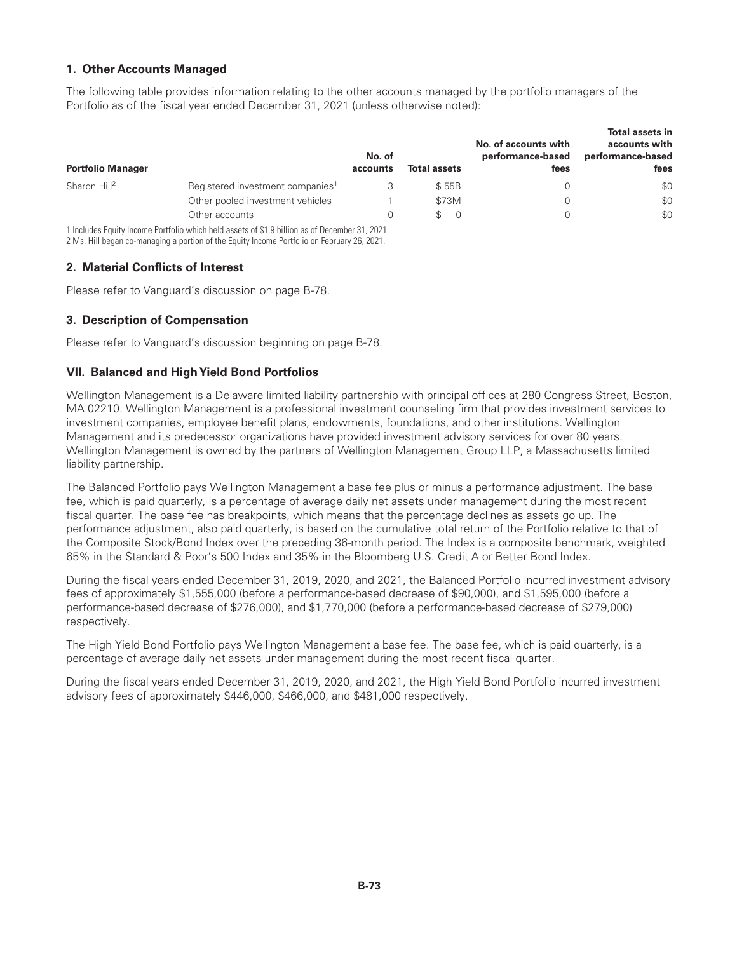## **1. Other Accounts Managed**

The following table provides information relating to the other accounts managed by the portfolio managers of the Portfolio as of the fiscal year ended December 31, 2021 (unless otherwise noted):

| <b>Portfolio Manager</b> |                                              | No. of<br>accounts | <b>Total assets</b> | No. of accounts with<br>performance-based<br>fees | <b>Total assets in</b><br>accounts with<br>performance-based<br>fees |
|--------------------------|----------------------------------------------|--------------------|---------------------|---------------------------------------------------|----------------------------------------------------------------------|
| Sharon Hill <sup>2</sup> | Registered investment companies <sup>1</sup> |                    | \$55B               |                                                   | \$0                                                                  |
|                          | Other pooled investment vehicles             |                    | \$73M               |                                                   | \$0                                                                  |
|                          | Other accounts                               | 0                  |                     |                                                   | \$0                                                                  |

1 Includes Equity Income Portfolio which held assets of \$1.9 billion as of December 31, 2021.

2 Ms. Hill began co-managing a portion of the Equity Income Portfolio on February 26, 2021.

# **2. Material Conflicts of Interest**

Please refer to Vanguard's discussion on page B-78.

### **3. Description of Compensation**

Please refer to Vanguard's discussion beginning on page B-78.

### **VII. Balanced and HighYield Bond Portfolios**

Wellington Management is a Delaware limited liability partnership with principal offices at 280 Congress Street, Boston, MA 02210. Wellington Management is a professional investment counseling firm that provides investment services to investment companies, employee benefit plans, endowments, foundations, and other institutions. Wellington Management and its predecessor organizations have provided investment advisory services for over 80 years. Wellington Management is owned by the partners of Wellington Management Group LLP, a Massachusetts limited liability partnership.

The Balanced Portfolio pays Wellington Management a base fee plus or minus a performance adjustment. The base fee, which is paid quarterly, is a percentage of average daily net assets under management during the most recent fiscal quarter. The base fee has breakpoints, which means that the percentage declines as assets go up. The performance adjustment, also paid quarterly, is based on the cumulative total return of the Portfolio relative to that of the Composite Stock/Bond Index over the preceding 36-month period. The Index is a composite benchmark, weighted 65% in the Standard & Poor's 500 Index and 35% in the Bloomberg U.S. Credit A or Better Bond Index.

During the fiscal years ended December 31, 2019, 2020, and 2021, the Balanced Portfolio incurred investment advisory fees of approximately \$1,555,000 (before a performance-based decrease of \$90,000), and \$1,595,000 (before a performance-based decrease of \$276,000), and \$1,770,000 (before a performance-based decrease of \$279,000) respectively.

The High Yield Bond Portfolio pays Wellington Management a base fee. The base fee, which is paid quarterly, is a percentage of average daily net assets under management during the most recent fiscal quarter.

During the fiscal years ended December 31, 2019, 2020, and 2021, the High Yield Bond Portfolio incurred investment advisory fees of approximately \$446,000, \$466,000, and \$481,000 respectively.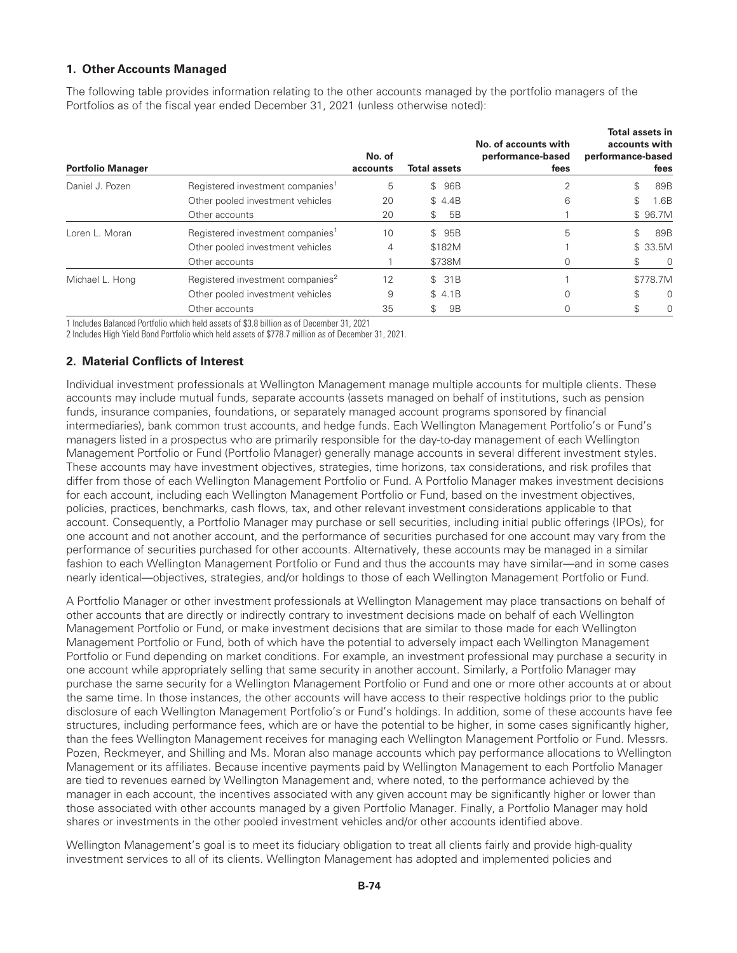### **1. Other Accounts Managed**

The following table provides information relating to the other accounts managed by the portfolio managers of the Portfolios as of the fiscal year ended December 31, 2021 (unless otherwise noted):

| <b>Portfolio Manager</b> |                                              | No. of<br>accounts | <b>Total assets</b> |        | No. of accounts with<br>performance-based<br>fees | <b>Total assets in</b><br>accounts with<br>performance-based | fees     |
|--------------------------|----------------------------------------------|--------------------|---------------------|--------|---------------------------------------------------|--------------------------------------------------------------|----------|
| Daniel J. Pozen          | Registered investment companies <sup>1</sup> | 5                  |                     | \$ 96B |                                                   | \$                                                           | 89B      |
|                          | Other pooled investment vehicles             | 20                 |                     | \$4.4B | 6                                                 | \$                                                           | 1.6B     |
|                          | Other accounts                               | 20                 | \$                  | 5B     |                                                   |                                                              | \$96.7M  |
| Loren L. Moran           | Registered investment companies <sup>1</sup> | 10                 |                     | \$ 95B | 5                                                 | \$                                                           | 89B      |
|                          | Other pooled investment vehicles             | 4                  |                     | \$182M |                                                   |                                                              | \$33.5M  |
|                          | Other accounts                               |                    |                     | \$738M |                                                   | \$                                                           | 0        |
| Michael L. Hong          | Registered investment companies <sup>2</sup> | 12                 |                     | \$31B  |                                                   |                                                              | \$778.7M |
|                          | Other pooled investment vehicles             | 9                  |                     | \$4.1B | $\Omega$                                          | \$                                                           | $\Omega$ |
|                          | Other accounts                               | 35                 | \$                  | 9B     |                                                   |                                                              | $\Omega$ |

1 Includes Balanced Portfolio which held assets of \$3.8 billion as of December 31, 2021

2 Includes High Yield Bond Portfolio which held assets of \$778.7 million as of December 31, 2021.

### **2. Material Conflicts of Interest**

Individual investment professionals at Wellington Management manage multiple accounts for multiple clients. These accounts may include mutual funds, separate accounts (assets managed on behalf of institutions, such as pension funds, insurance companies, foundations, or separately managed account programs sponsored by financial intermediaries), bank common trust accounts, and hedge funds. Each Wellington Management Portfolio's or Fund's managers listed in a prospectus who are primarily responsible for the day-to-day management of each Wellington Management Portfolio or Fund (Portfolio Manager) generally manage accounts in several different investment styles. These accounts may have investment objectives, strategies, time horizons, tax considerations, and risk profiles that differ from those of each Wellington Management Portfolio or Fund. A Portfolio Manager makes investment decisions for each account, including each Wellington Management Portfolio or Fund, based on the investment objectives, policies, practices, benchmarks, cash flows, tax, and other relevant investment considerations applicable to that account. Consequently, a Portfolio Manager may purchase or sell securities, including initial public offerings (IPOs), for one account and not another account, and the performance of securities purchased for one account may vary from the performance of securities purchased for other accounts. Alternatively, these accounts may be managed in a similar fashion to each Wellington Management Portfolio or Fund and thus the accounts may have similar—and in some cases nearly identical—objectives, strategies, and/or holdings to those of each Wellington Management Portfolio or Fund.

A Portfolio Manager or other investment professionals at Wellington Management may place transactions on behalf of other accounts that are directly or indirectly contrary to investment decisions made on behalf of each Wellington Management Portfolio or Fund, or make investment decisions that are similar to those made for each Wellington Management Portfolio or Fund, both of which have the potential to adversely impact each Wellington Management Portfolio or Fund depending on market conditions. For example, an investment professional may purchase a security in one account while appropriately selling that same security in another account. Similarly, a Portfolio Manager may purchase the same security for a Wellington Management Portfolio or Fund and one or more other accounts at or about the same time. In those instances, the other accounts will have access to their respective holdings prior to the public disclosure of each Wellington Management Portfolio's or Fund's holdings. In addition, some of these accounts have fee structures, including performance fees, which are or have the potential to be higher, in some cases significantly higher, than the fees Wellington Management receives for managing each Wellington Management Portfolio or Fund. Messrs. Pozen, Reckmeyer, and Shilling and Ms. Moran also manage accounts which pay performance allocations to Wellington Management or its affiliates. Because incentive payments paid by Wellington Management to each Portfolio Manager are tied to revenues earned by Wellington Management and, where noted, to the performance achieved by the manager in each account, the incentives associated with any given account may be significantly higher or lower than those associated with other accounts managed by a given Portfolio Manager. Finally, a Portfolio Manager may hold shares or investments in the other pooled investment vehicles and/or other accounts identified above.

Wellington Management's goal is to meet its fiduciary obligation to treat all clients fairly and provide high-quality investment services to all of its clients. Wellington Management has adopted and implemented policies and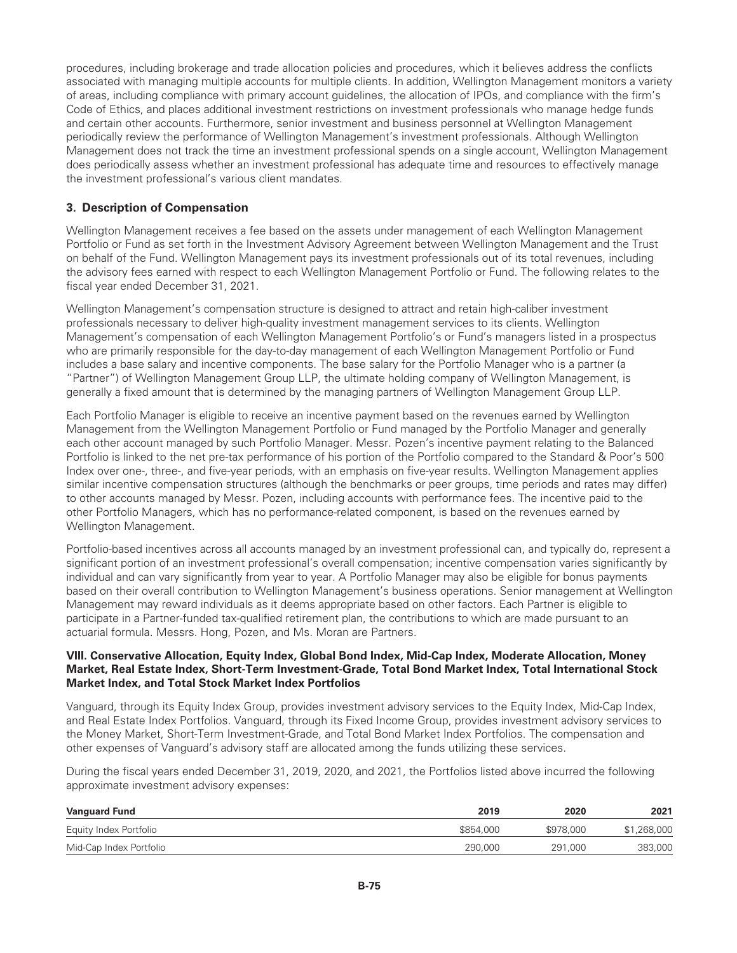procedures, including brokerage and trade allocation policies and procedures, which it believes address the conflicts associated with managing multiple accounts for multiple clients. In addition, Wellington Management monitors a variety of areas, including compliance with primary account guidelines, the allocation of IPOs, and compliance with the firm's Code of Ethics, and places additional investment restrictions on investment professionals who manage hedge funds and certain other accounts. Furthermore, senior investment and business personnel at Wellington Management periodically review the performance of Wellington Management's investment professionals. Although Wellington Management does not track the time an investment professional spends on a single account, Wellington Management does periodically assess whether an investment professional has adequate time and resources to effectively manage the investment professional's various client mandates.

# **3. Description of Compensation**

Wellington Management receives a fee based on the assets under management of each Wellington Management Portfolio or Fund as set forth in the Investment Advisory Agreement between Wellington Management and the Trust on behalf of the Fund. Wellington Management pays its investment professionals out of its total revenues, including the advisory fees earned with respect to each Wellington Management Portfolio or Fund. The following relates to the fiscal year ended December 31, 2021.

Wellington Management's compensation structure is designed to attract and retain high-caliber investment professionals necessary to deliver high-quality investment management services to its clients. Wellington Management's compensation of each Wellington Management Portfolio's or Fund's managers listed in a prospectus who are primarily responsible for the day-to-day management of each Wellington Management Portfolio or Fund includes a base salary and incentive components. The base salary for the Portfolio Manager who is a partner (a "Partner") of Wellington Management Group LLP, the ultimate holding company of Wellington Management, is generally a fixed amount that is determined by the managing partners of Wellington Management Group LLP.

Each Portfolio Manager is eligible to receive an incentive payment based on the revenues earned by Wellington Management from the Wellington Management Portfolio or Fund managed by the Portfolio Manager and generally each other account managed by such Portfolio Manager. Messr. Pozen's incentive payment relating to the Balanced Portfolio is linked to the net pre-tax performance of his portion of the Portfolio compared to the Standard & Poor's 500 Index over one-, three-, and five-year periods, with an emphasis on five-year results. Wellington Management applies similar incentive compensation structures (although the benchmarks or peer groups, time periods and rates may differ) to other accounts managed by Messr. Pozen, including accounts with performance fees. The incentive paid to the other Portfolio Managers, which has no performance-related component, is based on the revenues earned by Wellington Management.

Portfolio-based incentives across all accounts managed by an investment professional can, and typically do, represent a significant portion of an investment professional's overall compensation; incentive compensation varies significantly by individual and can vary significantly from year to year. A Portfolio Manager may also be eligible for bonus payments based on their overall contribution to Wellington Management's business operations. Senior management at Wellington Management may reward individuals as it deems appropriate based on other factors. Each Partner is eligible to participate in a Partner-funded tax-qualified retirement plan, the contributions to which are made pursuant to an actuarial formula. Messrs. Hong, Pozen, and Ms. Moran are Partners.

### **VIII. Conservative Allocation, Equity Index, Global Bond Index, Mid-Cap Index, Moderate Allocation, Money Market, Real Estate Index, Short-Term Investment-Grade, Total Bond Market Index, Total International Stock Market Index, and Total Stock Market Index Portfolios**

Vanguard, through its Equity Index Group, provides investment advisory services to the Equity Index, Mid-Cap Index, and Real Estate Index Portfolios. Vanguard, through its Fixed Income Group, provides investment advisory services to the Money Market, Short-Term Investment-Grade, and Total Bond Market Index Portfolios. The compensation and other expenses of Vanguard's advisory staff are allocated among the funds utilizing these services.

During the fiscal years ended December 31, 2019, 2020, and 2021, the Portfolios listed above incurred the following approximate investment advisory expenses:

| <b>Vanguard Fund</b>    | 2019      | 2020      | 2021        |
|-------------------------|-----------|-----------|-------------|
| Equity Index Portfolio  | \$854,000 | \$978,000 | \$1,268,000 |
| Mid-Cap Index Portfolio | 290,000   | 291.000   | 383,000     |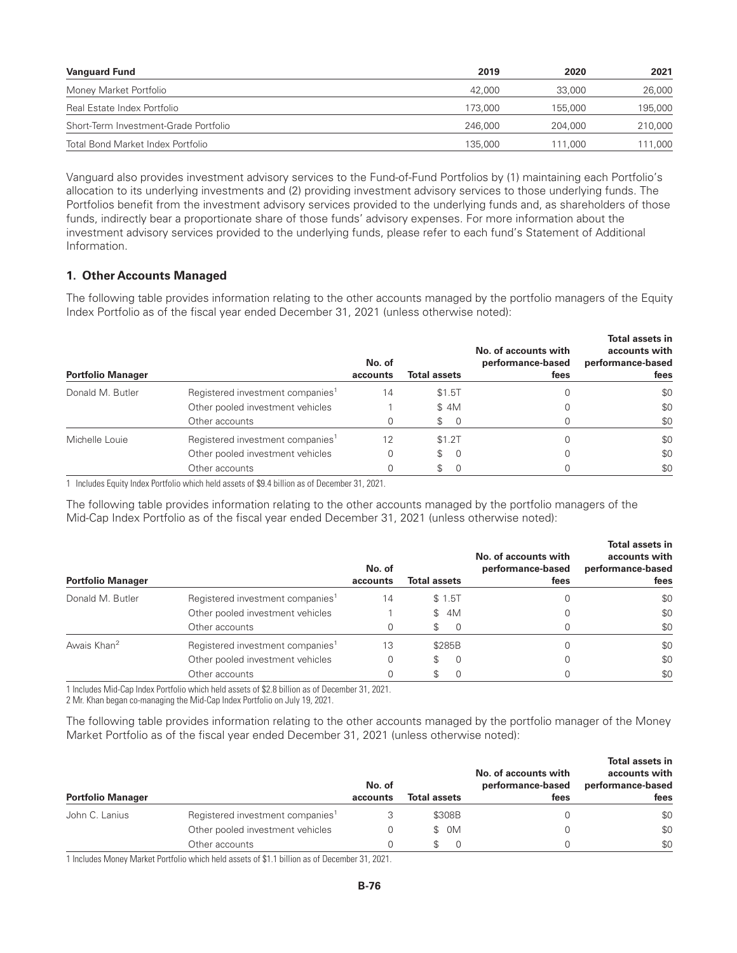| <b>Vanguard Fund</b>                  | 2019    | 2020    | 2021    |
|---------------------------------------|---------|---------|---------|
| Money Market Portfolio                | 42,000  | 33,000  | 26,000  |
| Real Estate Index Portfolio           | 173,000 | 155.000 | 195,000 |
| Short-Term Investment-Grade Portfolio | 246,000 | 204.000 | 210,000 |
| Total Bond Market Index Portfolio     | 135,000 | 111.000 | 11,000  |

Vanguard also provides investment advisory services to the Fund-of-Fund Portfolios by (1) maintaining each Portfolio's allocation to its underlying investments and (2) providing investment advisory services to those underlying funds. The Portfolios benefit from the investment advisory services provided to the underlying funds and, as shareholders of those funds, indirectly bear a proportionate share of those funds' advisory expenses. For more information about the investment advisory services provided to the underlying funds, please refer to each fund's Statement of Additional Information.

# **1. Other Accounts Managed**

The following table provides information relating to the other accounts managed by the portfolio managers of the Equity Index Portfolio as of the fiscal year ended December 31, 2021 (unless otherwise noted):

| <b>Portfolio Manager</b> |                                              | No. of<br>accounts | <b>Total assets</b>                          | No. of accounts with<br>performance-based<br>fees | Total assets in<br>accounts with<br>performance-based<br>fees |
|--------------------------|----------------------------------------------|--------------------|----------------------------------------------|---------------------------------------------------|---------------------------------------------------------------|
| Donald M. Butler         | Registered investment companies <sup>1</sup> | 14                 | \$1.5T                                       |                                                   | \$0                                                           |
|                          | Other pooled investment vehicles             |                    | \$4M                                         |                                                   | \$0                                                           |
|                          | Other accounts                               |                    | SS.<br>$\Omega$                              |                                                   | \$0                                                           |
| Michelle Louie           | Registered investment companies <sup>1</sup> | 12                 | \$1.2T                                       |                                                   | \$0                                                           |
|                          | Other pooled investment vehicles             |                    | $\begin{matrix} 1 & 0 \\ 0 & 1 \end{matrix}$ |                                                   | \$0                                                           |
|                          | Other accounts                               |                    | \$.                                          |                                                   | \$0                                                           |

1 Includes Equity Index Portfolio which held assets of \$9.4 billion as of December 31, 2021.

The following table provides information relating to the other accounts managed by the portfolio managers of the Mid-Cap Index Portfolio as of the fiscal year ended December 31, 2021 (unless otherwise noted):

| <b>Portfolio Manager</b> |                                              | No. of<br>accounts | <b>Total assets</b> | No. of accounts with<br>performance-based<br>fees | Total assets in<br>accounts with<br>performance-based<br>fees |
|--------------------------|----------------------------------------------|--------------------|---------------------|---------------------------------------------------|---------------------------------------------------------------|
| Donald M. Butler         | Registered investment companies <sup>1</sup> | 14                 | \$1.5T              |                                                   | \$0                                                           |
|                          | Other pooled investment vehicles             |                    | 4M<br>\$            |                                                   | \$0                                                           |
|                          | Other accounts                               |                    | $\Omega$            |                                                   | \$0                                                           |
| Awais Khan <sup>2</sup>  | Registered investment companies <sup>1</sup> | 13                 | \$285B              |                                                   | \$0                                                           |
|                          | Other pooled investment vehicles             |                    | 0<br>S              |                                                   | \$0                                                           |
|                          | Other accounts                               |                    | $\Omega$            |                                                   | \$0                                                           |

1 Includes Mid-Cap Index Portfolio which held assets of \$2.8 billion as of December 31, 2021.

2 Mr. Khan began co-managing the Mid-Cap Index Portfolio on July 19, 2021.

The following table provides information relating to the other accounts managed by the portfolio manager of the Money Market Portfolio as of the fiscal year ended December 31, 2021 (unless otherwise noted):

| <b>Portfolio Manager</b> |                                              | No. of<br>accounts | <b>Total assets</b> | No. of accounts with<br>performance-based<br>fees | Total assets in<br>accounts with<br>performance-based<br>fees |
|--------------------------|----------------------------------------------|--------------------|---------------------|---------------------------------------------------|---------------------------------------------------------------|
| John C. Lanius           | Registered investment companies <sup>1</sup> |                    | \$308B              |                                                   | \$0                                                           |
|                          | Other pooled investment vehicles             | O                  | \$ OM               |                                                   | \$0                                                           |
|                          | Other accounts                               | n                  |                     |                                                   | \$0                                                           |

1 Includes Money Market Portfolio which held assets of \$1.1 billion as of December 31, 2021.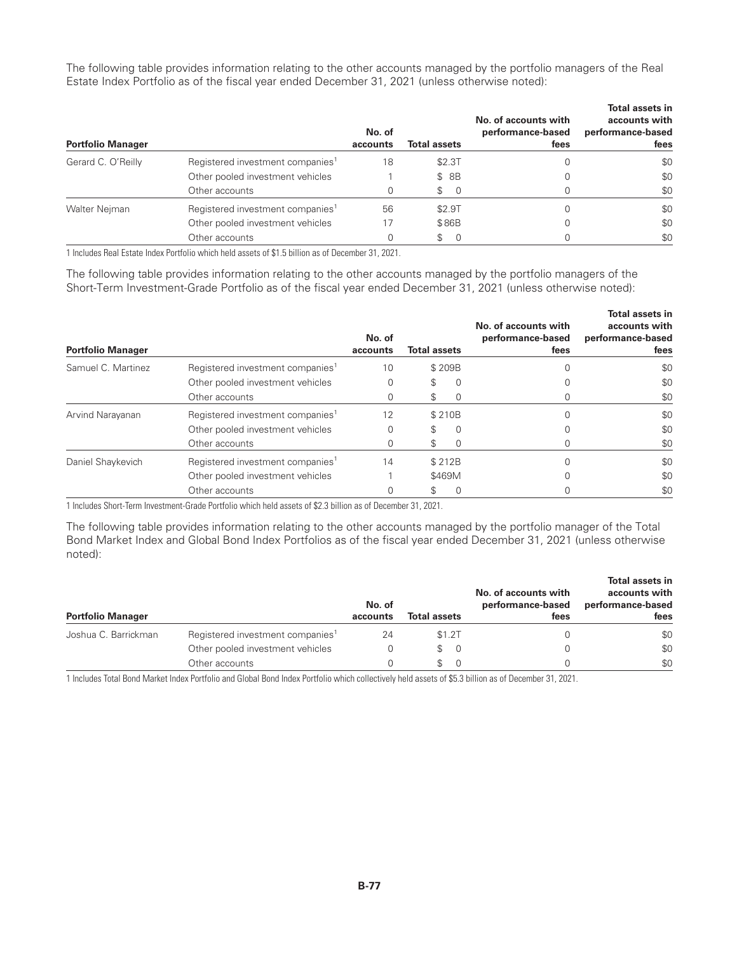The following table provides information relating to the other accounts managed by the portfolio managers of the Real Estate Index Portfolio as of the fiscal year ended December 31, 2021 (unless otherwise noted):

| <b>Portfolio Manager</b> |                                              | No. of<br>accounts | <b>Total assets</b> | No. of accounts with<br>performance-based<br>fees | <b>Total assets in</b><br>accounts with<br>performance-based<br>fees |
|--------------------------|----------------------------------------------|--------------------|---------------------|---------------------------------------------------|----------------------------------------------------------------------|
| Gerard C. O'Reilly       | Registered investment companies <sup>1</sup> | 18                 | \$2.3T              |                                                   | \$0                                                                  |
|                          | Other pooled investment vehicles             |                    | \$ 8B               |                                                   | \$0                                                                  |
|                          | Other accounts                               |                    | \$<br>- 0           |                                                   | \$0                                                                  |
| Walter Nejman            | Registered investment companies <sup>1</sup> | 56                 | \$2.9T              |                                                   | \$0                                                                  |
|                          | Other pooled investment vehicles             |                    | \$86B               |                                                   | \$0                                                                  |
|                          | Other accounts                               | 0                  | \$<br>$\Omega$      |                                                   | \$0                                                                  |

1 Includes Real Estate Index Portfolio which held assets of \$1.5 billion as of December 31, 2021.

The following table provides information relating to the other accounts managed by the portfolio managers of the Short-Term Investment-Grade Portfolio as of the fiscal year ended December 31, 2021 (unless otherwise noted):

| <b>Portfolio Manager</b> |                                              | No. of<br>accounts | <b>Total assets</b> |          | No. of accounts with<br>performance-based<br>fees | Total assets in<br>accounts with<br>performance-based<br>fees |
|--------------------------|----------------------------------------------|--------------------|---------------------|----------|---------------------------------------------------|---------------------------------------------------------------|
| Samuel C. Martinez       | Registered investment companies <sup>1</sup> | 10                 |                     | \$209B   |                                                   | \$0                                                           |
|                          | Other pooled investment vehicles             |                    |                     | 0        |                                                   | \$0                                                           |
|                          | Other accounts                               |                    |                     | $\Omega$ |                                                   | \$0                                                           |
| Arvind Narayanan         | Registered investment companies <sup>1</sup> | 12                 |                     | \$210B   |                                                   | \$0                                                           |
|                          | Other pooled investment vehicles             |                    | \$                  | $\Omega$ |                                                   | \$0                                                           |
|                          | Other accounts                               |                    |                     |          |                                                   | \$0                                                           |
| Daniel Shaykevich        | Registered investment companies <sup>1</sup> | 14                 |                     | \$212B   |                                                   | \$0                                                           |
|                          | Other pooled investment vehicles             |                    |                     | \$469M   |                                                   | \$0                                                           |
|                          | Other accounts                               |                    |                     |          |                                                   | \$0                                                           |

1 Includes Short-Term Investment-Grade Portfolio which held assets of \$2.3 billion as of December 31, 2021.

The following table provides information relating to the other accounts managed by the portfolio manager of the Total Bond Market Index and Global Bond Index Portfolios as of the fiscal year ended December 31, 2021 (unless otherwise noted):

| <b>Portfolio Manager</b> |                                              | No. of<br>accounts | <b>Total assets</b> |        | No. of accounts with<br>performance-based<br>fees | Total assets in<br>accounts with<br>performance-based<br>fees |
|--------------------------|----------------------------------------------|--------------------|---------------------|--------|---------------------------------------------------|---------------------------------------------------------------|
| Joshua C. Barrickman     | Registered investment companies <sup>1</sup> | 24                 |                     | \$1.2T |                                                   | \$0                                                           |
|                          | Other pooled investment vehicles             |                    | SS.                 | - 0    |                                                   | \$0                                                           |
|                          | Other accounts                               |                    |                     |        |                                                   | \$0                                                           |

1 Includes Total Bond Market Index Portfolio and Global Bond Index Portfolio which collectively held assets of \$5.3 billion as of December 31, 2021.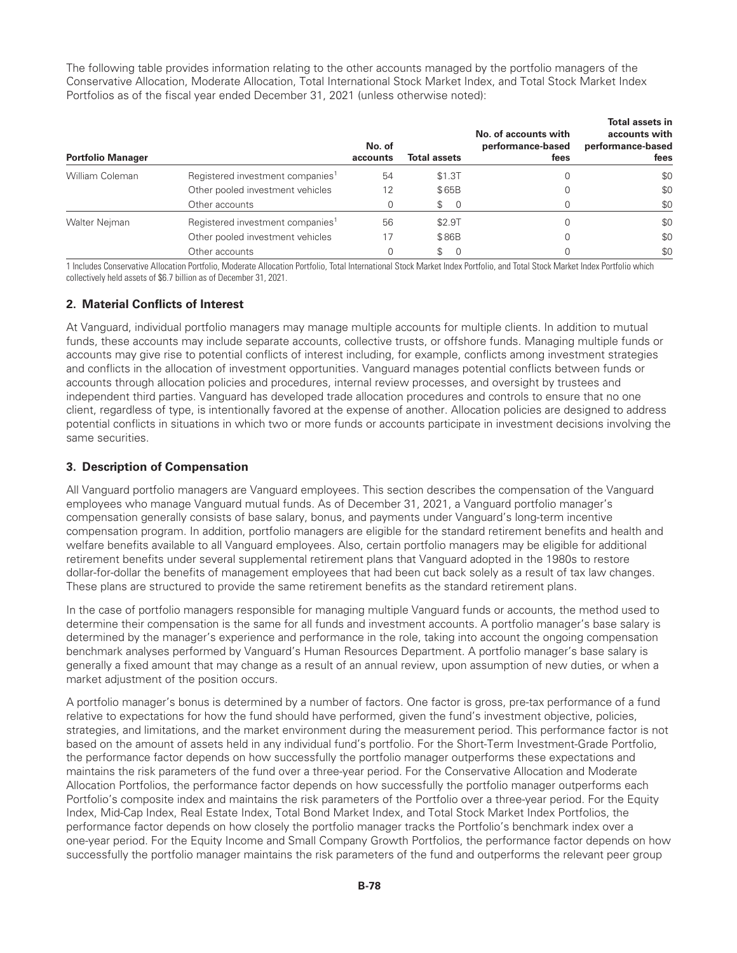The following table provides information relating to the other accounts managed by the portfolio managers of the Conservative Allocation, Moderate Allocation, Total International Stock Market Index, and Total Stock Market Index Portfolios as of the fiscal year ended December 31, 2021 (unless otherwise noted):

| <b>Portfolio Manager</b> |                                              | No. of<br>accounts | <b>Total assets</b> | No. of accounts with<br>performance-based<br>fees | <b>Total assets in</b><br>accounts with<br>performance-based<br>fees |
|--------------------------|----------------------------------------------|--------------------|---------------------|---------------------------------------------------|----------------------------------------------------------------------|
| William Coleman          | Registered investment companies <sup>1</sup> | 54                 | \$1.3T              |                                                   | \$0                                                                  |
|                          | Other pooled investment vehicles             | 12                 | \$65B               |                                                   | \$0                                                                  |
|                          | Other accounts                               | 0                  | \$<br>- 0           |                                                   | \$0                                                                  |
| Walter Nejman            | Registered investment companies <sup>1</sup> | 56                 | \$2.9T              |                                                   | \$0                                                                  |
|                          | Other pooled investment vehicles             | 17                 | \$86B               |                                                   | \$0                                                                  |
|                          | Other accounts                               | 0                  | \$<br>$\Omega$      |                                                   | \$0                                                                  |

1 Includes Conservative Allocation Portfolio, Moderate Allocation Portfolio, Total International Stock Market Index Portfolio, and Total Stock Market Index Portfolio which collectively held assets of \$6.7 billion as of December 31, 2021.

# **2. Material Conflicts of Interest**

At Vanguard, individual portfolio managers may manage multiple accounts for multiple clients. In addition to mutual funds, these accounts may include separate accounts, collective trusts, or offshore funds. Managing multiple funds or accounts may give rise to potential conflicts of interest including, for example, conflicts among investment strategies and conflicts in the allocation of investment opportunities. Vanguard manages potential conflicts between funds or accounts through allocation policies and procedures, internal review processes, and oversight by trustees and independent third parties. Vanguard has developed trade allocation procedures and controls to ensure that no one client, regardless of type, is intentionally favored at the expense of another. Allocation policies are designed to address potential conflicts in situations in which two or more funds or accounts participate in investment decisions involving the same securities.

# **3. Description of Compensation**

All Vanguard portfolio managers are Vanguard employees. This section describes the compensation of the Vanguard employees who manage Vanguard mutual funds. As of December 31, 2021, a Vanguard portfolio manager's compensation generally consists of base salary, bonus, and payments under Vanguard's long-term incentive compensation program. In addition, portfolio managers are eligible for the standard retirement benefits and health and welfare benefits available to all Vanguard employees. Also, certain portfolio managers may be eligible for additional retirement benefits under several supplemental retirement plans that Vanguard adopted in the 1980s to restore dollar-for-dollar the benefits of management employees that had been cut back solely as a result of tax law changes. These plans are structured to provide the same retirement benefits as the standard retirement plans.

In the case of portfolio managers responsible for managing multiple Vanguard funds or accounts, the method used to determine their compensation is the same for all funds and investment accounts. A portfolio manager's base salary is determined by the manager's experience and performance in the role, taking into account the ongoing compensation benchmark analyses performed by Vanguard's Human Resources Department. A portfolio manager's base salary is generally a fixed amount that may change as a result of an annual review, upon assumption of new duties, or when a market adjustment of the position occurs.

A portfolio manager's bonus is determined by a number of factors. One factor is gross, pre-tax performance of a fund relative to expectations for how the fund should have performed, given the fund's investment objective, policies, strategies, and limitations, and the market environment during the measurement period. This performance factor is not based on the amount of assets held in any individual fund's portfolio. For the Short-Term Investment-Grade Portfolio, the performance factor depends on how successfully the portfolio manager outperforms these expectations and maintains the risk parameters of the fund over a three-year period. For the Conservative Allocation and Moderate Allocation Portfolios, the performance factor depends on how successfully the portfolio manager outperforms each Portfolio's composite index and maintains the risk parameters of the Portfolio over a three-year period. For the Equity Index, Mid-Cap Index, Real Estate Index, Total Bond Market Index, and Total Stock Market Index Portfolios, the performance factor depends on how closely the portfolio manager tracks the Portfolio's benchmark index over a one-year period. For the Equity Income and Small Company Growth Portfolios, the performance factor depends on how successfully the portfolio manager maintains the risk parameters of the fund and outperforms the relevant peer group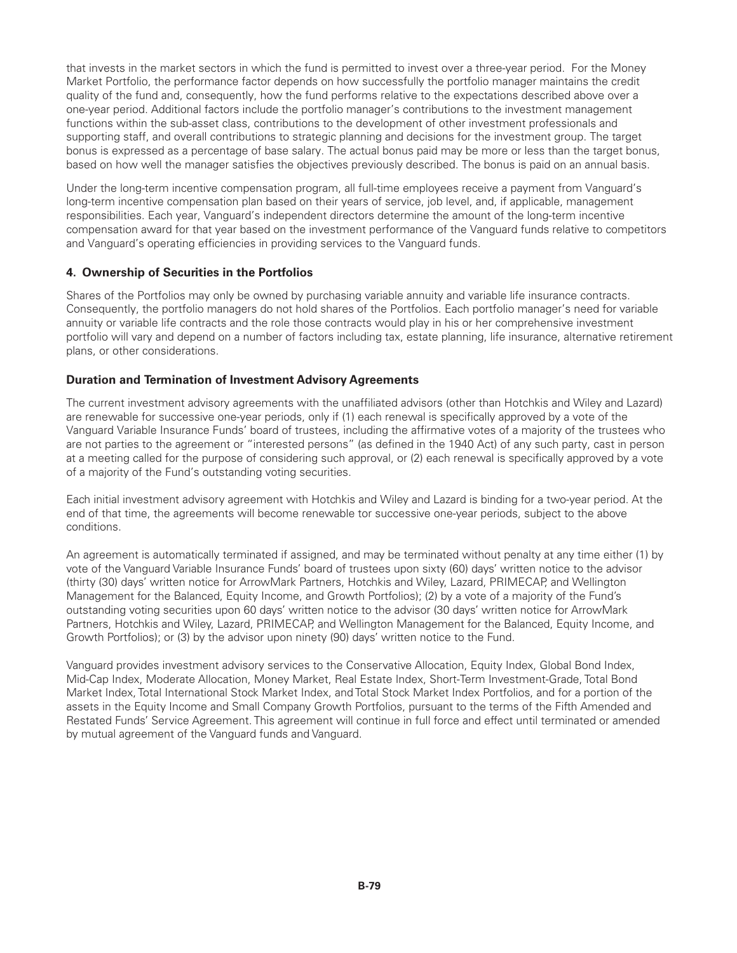that invests in the market sectors in which the fund is permitted to invest over a three-year period. For the Money Market Portfolio, the performance factor depends on how successfully the portfolio manager maintains the credit quality of the fund and, consequently, how the fund performs relative to the expectations described above over a one-year period. Additional factors include the portfolio manager's contributions to the investment management functions within the sub-asset class, contributions to the development of other investment professionals and supporting staff, and overall contributions to strategic planning and decisions for the investment group. The target bonus is expressed as a percentage of base salary. The actual bonus paid may be more or less than the target bonus, based on how well the manager satisfies the objectives previously described. The bonus is paid on an annual basis.

Under the long-term incentive compensation program, all full-time employees receive a payment from Vanguard's long-term incentive compensation plan based on their years of service, job level, and, if applicable, management responsibilities. Each year, Vanguard's independent directors determine the amount of the long-term incentive compensation award for that year based on the investment performance of the Vanguard funds relative to competitors and Vanguard's operating efficiencies in providing services to the Vanguard funds.

### **4. Ownership of Securities in the Portfolios**

Shares of the Portfolios may only be owned by purchasing variable annuity and variable life insurance contracts. Consequently, the portfolio managers do not hold shares of the Portfolios. Each portfolio manager's need for variable annuity or variable life contracts and the role those contracts would play in his or her comprehensive investment portfolio will vary and depend on a number of factors including tax, estate planning, life insurance, alternative retirement plans, or other considerations.

### **Duration and Termination of Investment Advisory Agreements**

The current investment advisory agreements with the unaffiliated advisors (other than Hotchkis and Wiley and Lazard) are renewable for successive one-year periods, only if (1) each renewal is specifically approved by a vote of the Vanguard Variable Insurance Funds' board of trustees, including the affirmative votes of a majority of the trustees who are not parties to the agreement or "interested persons" (as defined in the 1940 Act) of any such party, cast in person at a meeting called for the purpose of considering such approval, or (2) each renewal is specifically approved by a vote of a majority of the Fund's outstanding voting securities.

Each initial investment advisory agreement with Hotchkis and Wiley and Lazard is binding for a two-year period. At the end of that time, the agreements will become renewable tor successive one-year periods, subject to the above conditions.

An agreement is automatically terminated if assigned, and may be terminated without penalty at any time either (1) by vote of the Vanguard Variable Insurance Funds' board of trustees upon sixty (60) days' written notice to the advisor (thirty (30) days' written notice for ArrowMark Partners, Hotchkis and Wiley, Lazard, PRIMECAP, and Wellington Management for the Balanced, Equity Income, and Growth Portfolios); (2) by a vote of a majority of the Fund's outstanding voting securities upon 60 days' written notice to the advisor (30 days' written notice for ArrowMark Partners, Hotchkis and Wiley, Lazard, PRIMECAP, and Wellington Management for the Balanced, Equity Income, and Growth Portfolios); or (3) by the advisor upon ninety (90) days' written notice to the Fund.

Vanguard provides investment advisory services to the Conservative Allocation, Equity Index, Global Bond Index, Mid-Cap Index, Moderate Allocation, Money Market, Real Estate Index, Short-Term Investment-Grade, Total Bond Market Index, Total International Stock Market Index, and Total Stock Market Index Portfolios, and for a portion of the assets in the Equity Income and Small Company Growth Portfolios, pursuant to the terms of the Fifth Amended and Restated Funds' Service Agreement. This agreement will continue in full force and effect until terminated or amended by mutual agreement of the Vanguard funds and Vanguard.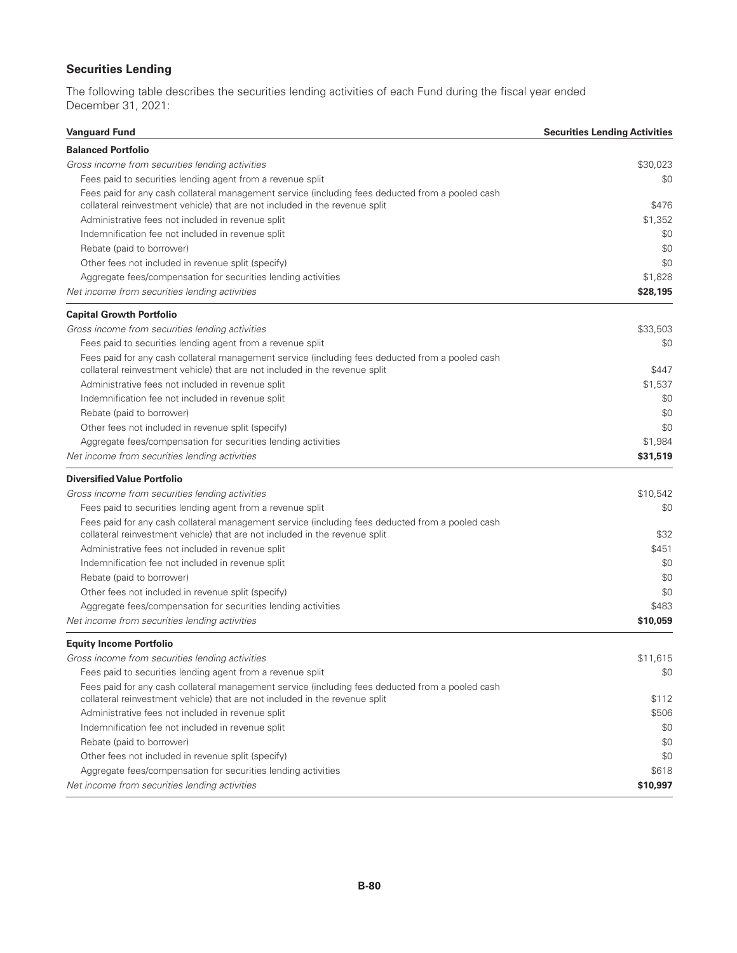# **Securities Lending**

The following table describes the securities lending activities of each Fund during the fiscal year ended December 31, 2021:

| <b>Balanced Portfolio</b><br>Gross income from securities lending activities<br>Fees paid to securities lending agent from a revenue split<br>Fees paid for any cash collateral management service (including fees deducted from a pooled cash<br>collateral reinvestment vehicle) that are not included in the revenue split<br>Administrative fees not included in revenue split<br>Indemnification fee not included in revenue split<br>Rebate (paid to borrower)<br>Other fees not included in revenue split (specify)<br>Aggregate fees/compensation for securities lending activities<br>Net income from securities lending activities<br><b>Capital Growth Portfolio</b><br>Gross income from securities lending activities<br>Fees paid to securities lending agent from a revenue split<br>Fees paid for any cash collateral management service (including fees deducted from a pooled cash<br>collateral reinvestment vehicle) that are not included in the revenue split<br>Administrative fees not included in revenue split<br>Indemnification fee not included in revenue split<br>Rebate (paid to borrower)<br>Other fees not included in revenue split (specify)<br>Aggregate fees/compensation for securities lending activities<br>Net income from securities lending activities<br><b>Diversified Value Portfolio</b><br>Gross income from securities lending activities<br>Fees paid to securities lending agent from a revenue split<br>Fees paid for any cash collateral management service (including fees deducted from a pooled cash<br>collateral reinvestment vehicle) that are not included in the revenue split<br>Administrative fees not included in revenue split<br>Indemnification fee not included in revenue split<br>Rebate (paid to borrower)<br>Other fees not included in revenue split (specify)<br>Aggregate fees/compensation for securities lending activities<br>Net income from securities lending activities<br><b>Equity Income Portfolio</b><br>Gross income from securities lending activities<br>Fees paid to securities lending agent from a revenue split | <b>Vanguard Fund</b> | <b>Securities Lending Activities</b> |
|----------------------------------------------------------------------------------------------------------------------------------------------------------------------------------------------------------------------------------------------------------------------------------------------------------------------------------------------------------------------------------------------------------------------------------------------------------------------------------------------------------------------------------------------------------------------------------------------------------------------------------------------------------------------------------------------------------------------------------------------------------------------------------------------------------------------------------------------------------------------------------------------------------------------------------------------------------------------------------------------------------------------------------------------------------------------------------------------------------------------------------------------------------------------------------------------------------------------------------------------------------------------------------------------------------------------------------------------------------------------------------------------------------------------------------------------------------------------------------------------------------------------------------------------------------------------------------------------------------------------------------------------------------------------------------------------------------------------------------------------------------------------------------------------------------------------------------------------------------------------------------------------------------------------------------------------------------------------------------------------------------------------------------------------------------------------------------------------------------------|----------------------|--------------------------------------|
|                                                                                                                                                                                                                                                                                                                                                                                                                                                                                                                                                                                                                                                                                                                                                                                                                                                                                                                                                                                                                                                                                                                                                                                                                                                                                                                                                                                                                                                                                                                                                                                                                                                                                                                                                                                                                                                                                                                                                                                                                                                                                                                |                      |                                      |
|                                                                                                                                                                                                                                                                                                                                                                                                                                                                                                                                                                                                                                                                                                                                                                                                                                                                                                                                                                                                                                                                                                                                                                                                                                                                                                                                                                                                                                                                                                                                                                                                                                                                                                                                                                                                                                                                                                                                                                                                                                                                                                                |                      | \$30.023                             |
|                                                                                                                                                                                                                                                                                                                                                                                                                                                                                                                                                                                                                                                                                                                                                                                                                                                                                                                                                                                                                                                                                                                                                                                                                                                                                                                                                                                                                                                                                                                                                                                                                                                                                                                                                                                                                                                                                                                                                                                                                                                                                                                |                      | \$0                                  |
|                                                                                                                                                                                                                                                                                                                                                                                                                                                                                                                                                                                                                                                                                                                                                                                                                                                                                                                                                                                                                                                                                                                                                                                                                                                                                                                                                                                                                                                                                                                                                                                                                                                                                                                                                                                                                                                                                                                                                                                                                                                                                                                |                      | \$476                                |
|                                                                                                                                                                                                                                                                                                                                                                                                                                                                                                                                                                                                                                                                                                                                                                                                                                                                                                                                                                                                                                                                                                                                                                                                                                                                                                                                                                                                                                                                                                                                                                                                                                                                                                                                                                                                                                                                                                                                                                                                                                                                                                                |                      | \$1,352                              |
|                                                                                                                                                                                                                                                                                                                                                                                                                                                                                                                                                                                                                                                                                                                                                                                                                                                                                                                                                                                                                                                                                                                                                                                                                                                                                                                                                                                                                                                                                                                                                                                                                                                                                                                                                                                                                                                                                                                                                                                                                                                                                                                |                      | \$0                                  |
|                                                                                                                                                                                                                                                                                                                                                                                                                                                                                                                                                                                                                                                                                                                                                                                                                                                                                                                                                                                                                                                                                                                                                                                                                                                                                                                                                                                                                                                                                                                                                                                                                                                                                                                                                                                                                                                                                                                                                                                                                                                                                                                |                      | \$0                                  |
|                                                                                                                                                                                                                                                                                                                                                                                                                                                                                                                                                                                                                                                                                                                                                                                                                                                                                                                                                                                                                                                                                                                                                                                                                                                                                                                                                                                                                                                                                                                                                                                                                                                                                                                                                                                                                                                                                                                                                                                                                                                                                                                |                      | \$0                                  |
|                                                                                                                                                                                                                                                                                                                                                                                                                                                                                                                                                                                                                                                                                                                                                                                                                                                                                                                                                                                                                                                                                                                                                                                                                                                                                                                                                                                                                                                                                                                                                                                                                                                                                                                                                                                                                                                                                                                                                                                                                                                                                                                |                      | \$1,828                              |
|                                                                                                                                                                                                                                                                                                                                                                                                                                                                                                                                                                                                                                                                                                                                                                                                                                                                                                                                                                                                                                                                                                                                                                                                                                                                                                                                                                                                                                                                                                                                                                                                                                                                                                                                                                                                                                                                                                                                                                                                                                                                                                                |                      | \$28,195                             |
|                                                                                                                                                                                                                                                                                                                                                                                                                                                                                                                                                                                                                                                                                                                                                                                                                                                                                                                                                                                                                                                                                                                                                                                                                                                                                                                                                                                                                                                                                                                                                                                                                                                                                                                                                                                                                                                                                                                                                                                                                                                                                                                |                      |                                      |
|                                                                                                                                                                                                                                                                                                                                                                                                                                                                                                                                                                                                                                                                                                                                                                                                                                                                                                                                                                                                                                                                                                                                                                                                                                                                                                                                                                                                                                                                                                                                                                                                                                                                                                                                                                                                                                                                                                                                                                                                                                                                                                                |                      | \$33,503                             |
|                                                                                                                                                                                                                                                                                                                                                                                                                                                                                                                                                                                                                                                                                                                                                                                                                                                                                                                                                                                                                                                                                                                                                                                                                                                                                                                                                                                                                                                                                                                                                                                                                                                                                                                                                                                                                                                                                                                                                                                                                                                                                                                |                      | \$0                                  |
|                                                                                                                                                                                                                                                                                                                                                                                                                                                                                                                                                                                                                                                                                                                                                                                                                                                                                                                                                                                                                                                                                                                                                                                                                                                                                                                                                                                                                                                                                                                                                                                                                                                                                                                                                                                                                                                                                                                                                                                                                                                                                                                |                      |                                      |
|                                                                                                                                                                                                                                                                                                                                                                                                                                                                                                                                                                                                                                                                                                                                                                                                                                                                                                                                                                                                                                                                                                                                                                                                                                                                                                                                                                                                                                                                                                                                                                                                                                                                                                                                                                                                                                                                                                                                                                                                                                                                                                                |                      | \$447                                |
|                                                                                                                                                                                                                                                                                                                                                                                                                                                                                                                                                                                                                                                                                                                                                                                                                                                                                                                                                                                                                                                                                                                                                                                                                                                                                                                                                                                                                                                                                                                                                                                                                                                                                                                                                                                                                                                                                                                                                                                                                                                                                                                |                      | \$1,537                              |
|                                                                                                                                                                                                                                                                                                                                                                                                                                                                                                                                                                                                                                                                                                                                                                                                                                                                                                                                                                                                                                                                                                                                                                                                                                                                                                                                                                                                                                                                                                                                                                                                                                                                                                                                                                                                                                                                                                                                                                                                                                                                                                                |                      | \$0                                  |
|                                                                                                                                                                                                                                                                                                                                                                                                                                                                                                                                                                                                                                                                                                                                                                                                                                                                                                                                                                                                                                                                                                                                                                                                                                                                                                                                                                                                                                                                                                                                                                                                                                                                                                                                                                                                                                                                                                                                                                                                                                                                                                                |                      | \$0                                  |
|                                                                                                                                                                                                                                                                                                                                                                                                                                                                                                                                                                                                                                                                                                                                                                                                                                                                                                                                                                                                                                                                                                                                                                                                                                                                                                                                                                                                                                                                                                                                                                                                                                                                                                                                                                                                                                                                                                                                                                                                                                                                                                                |                      | \$0                                  |
|                                                                                                                                                                                                                                                                                                                                                                                                                                                                                                                                                                                                                                                                                                                                                                                                                                                                                                                                                                                                                                                                                                                                                                                                                                                                                                                                                                                                                                                                                                                                                                                                                                                                                                                                                                                                                                                                                                                                                                                                                                                                                                                |                      | \$1,984                              |
|                                                                                                                                                                                                                                                                                                                                                                                                                                                                                                                                                                                                                                                                                                                                                                                                                                                                                                                                                                                                                                                                                                                                                                                                                                                                                                                                                                                                                                                                                                                                                                                                                                                                                                                                                                                                                                                                                                                                                                                                                                                                                                                |                      | \$31,519                             |
|                                                                                                                                                                                                                                                                                                                                                                                                                                                                                                                                                                                                                                                                                                                                                                                                                                                                                                                                                                                                                                                                                                                                                                                                                                                                                                                                                                                                                                                                                                                                                                                                                                                                                                                                                                                                                                                                                                                                                                                                                                                                                                                |                      |                                      |
|                                                                                                                                                                                                                                                                                                                                                                                                                                                                                                                                                                                                                                                                                                                                                                                                                                                                                                                                                                                                                                                                                                                                                                                                                                                                                                                                                                                                                                                                                                                                                                                                                                                                                                                                                                                                                                                                                                                                                                                                                                                                                                                |                      | \$10,542                             |
|                                                                                                                                                                                                                                                                                                                                                                                                                                                                                                                                                                                                                                                                                                                                                                                                                                                                                                                                                                                                                                                                                                                                                                                                                                                                                                                                                                                                                                                                                                                                                                                                                                                                                                                                                                                                                                                                                                                                                                                                                                                                                                                |                      | \$0                                  |
|                                                                                                                                                                                                                                                                                                                                                                                                                                                                                                                                                                                                                                                                                                                                                                                                                                                                                                                                                                                                                                                                                                                                                                                                                                                                                                                                                                                                                                                                                                                                                                                                                                                                                                                                                                                                                                                                                                                                                                                                                                                                                                                |                      | \$32                                 |
|                                                                                                                                                                                                                                                                                                                                                                                                                                                                                                                                                                                                                                                                                                                                                                                                                                                                                                                                                                                                                                                                                                                                                                                                                                                                                                                                                                                                                                                                                                                                                                                                                                                                                                                                                                                                                                                                                                                                                                                                                                                                                                                |                      | \$451                                |
|                                                                                                                                                                                                                                                                                                                                                                                                                                                                                                                                                                                                                                                                                                                                                                                                                                                                                                                                                                                                                                                                                                                                                                                                                                                                                                                                                                                                                                                                                                                                                                                                                                                                                                                                                                                                                                                                                                                                                                                                                                                                                                                |                      | \$0                                  |
|                                                                                                                                                                                                                                                                                                                                                                                                                                                                                                                                                                                                                                                                                                                                                                                                                                                                                                                                                                                                                                                                                                                                                                                                                                                                                                                                                                                                                                                                                                                                                                                                                                                                                                                                                                                                                                                                                                                                                                                                                                                                                                                |                      | \$0                                  |
|                                                                                                                                                                                                                                                                                                                                                                                                                                                                                                                                                                                                                                                                                                                                                                                                                                                                                                                                                                                                                                                                                                                                                                                                                                                                                                                                                                                                                                                                                                                                                                                                                                                                                                                                                                                                                                                                                                                                                                                                                                                                                                                |                      | \$0                                  |
|                                                                                                                                                                                                                                                                                                                                                                                                                                                                                                                                                                                                                                                                                                                                                                                                                                                                                                                                                                                                                                                                                                                                                                                                                                                                                                                                                                                                                                                                                                                                                                                                                                                                                                                                                                                                                                                                                                                                                                                                                                                                                                                |                      | \$483                                |
|                                                                                                                                                                                                                                                                                                                                                                                                                                                                                                                                                                                                                                                                                                                                                                                                                                                                                                                                                                                                                                                                                                                                                                                                                                                                                                                                                                                                                                                                                                                                                                                                                                                                                                                                                                                                                                                                                                                                                                                                                                                                                                                |                      | \$10,059                             |
|                                                                                                                                                                                                                                                                                                                                                                                                                                                                                                                                                                                                                                                                                                                                                                                                                                                                                                                                                                                                                                                                                                                                                                                                                                                                                                                                                                                                                                                                                                                                                                                                                                                                                                                                                                                                                                                                                                                                                                                                                                                                                                                |                      |                                      |
|                                                                                                                                                                                                                                                                                                                                                                                                                                                                                                                                                                                                                                                                                                                                                                                                                                                                                                                                                                                                                                                                                                                                                                                                                                                                                                                                                                                                                                                                                                                                                                                                                                                                                                                                                                                                                                                                                                                                                                                                                                                                                                                |                      | \$11,615                             |
|                                                                                                                                                                                                                                                                                                                                                                                                                                                                                                                                                                                                                                                                                                                                                                                                                                                                                                                                                                                                                                                                                                                                                                                                                                                                                                                                                                                                                                                                                                                                                                                                                                                                                                                                                                                                                                                                                                                                                                                                                                                                                                                |                      | \$0                                  |
| Fees paid for any cash collateral management service (including fees deducted from a pooled cash<br>collateral reinvestment vehicle) that are not included in the revenue split                                                                                                                                                                                                                                                                                                                                                                                                                                                                                                                                                                                                                                                                                                                                                                                                                                                                                                                                                                                                                                                                                                                                                                                                                                                                                                                                                                                                                                                                                                                                                                                                                                                                                                                                                                                                                                                                                                                                |                      | \$112                                |
| Administrative fees not included in revenue split                                                                                                                                                                                                                                                                                                                                                                                                                                                                                                                                                                                                                                                                                                                                                                                                                                                                                                                                                                                                                                                                                                                                                                                                                                                                                                                                                                                                                                                                                                                                                                                                                                                                                                                                                                                                                                                                                                                                                                                                                                                              |                      | \$506                                |
| Indemnification fee not included in revenue split                                                                                                                                                                                                                                                                                                                                                                                                                                                                                                                                                                                                                                                                                                                                                                                                                                                                                                                                                                                                                                                                                                                                                                                                                                                                                                                                                                                                                                                                                                                                                                                                                                                                                                                                                                                                                                                                                                                                                                                                                                                              |                      | \$0                                  |
| Rebate (paid to borrower)                                                                                                                                                                                                                                                                                                                                                                                                                                                                                                                                                                                                                                                                                                                                                                                                                                                                                                                                                                                                                                                                                                                                                                                                                                                                                                                                                                                                                                                                                                                                                                                                                                                                                                                                                                                                                                                                                                                                                                                                                                                                                      |                      | \$0                                  |
| Other fees not included in revenue split (specify)                                                                                                                                                                                                                                                                                                                                                                                                                                                                                                                                                                                                                                                                                                                                                                                                                                                                                                                                                                                                                                                                                                                                                                                                                                                                                                                                                                                                                                                                                                                                                                                                                                                                                                                                                                                                                                                                                                                                                                                                                                                             |                      | \$0                                  |
| Aggregate fees/compensation for securities lending activities                                                                                                                                                                                                                                                                                                                                                                                                                                                                                                                                                                                                                                                                                                                                                                                                                                                                                                                                                                                                                                                                                                                                                                                                                                                                                                                                                                                                                                                                                                                                                                                                                                                                                                                                                                                                                                                                                                                                                                                                                                                  |                      | \$618                                |
| Net income from securities lending activities                                                                                                                                                                                                                                                                                                                                                                                                                                                                                                                                                                                                                                                                                                                                                                                                                                                                                                                                                                                                                                                                                                                                                                                                                                                                                                                                                                                                                                                                                                                                                                                                                                                                                                                                                                                                                                                                                                                                                                                                                                                                  |                      | \$10,997                             |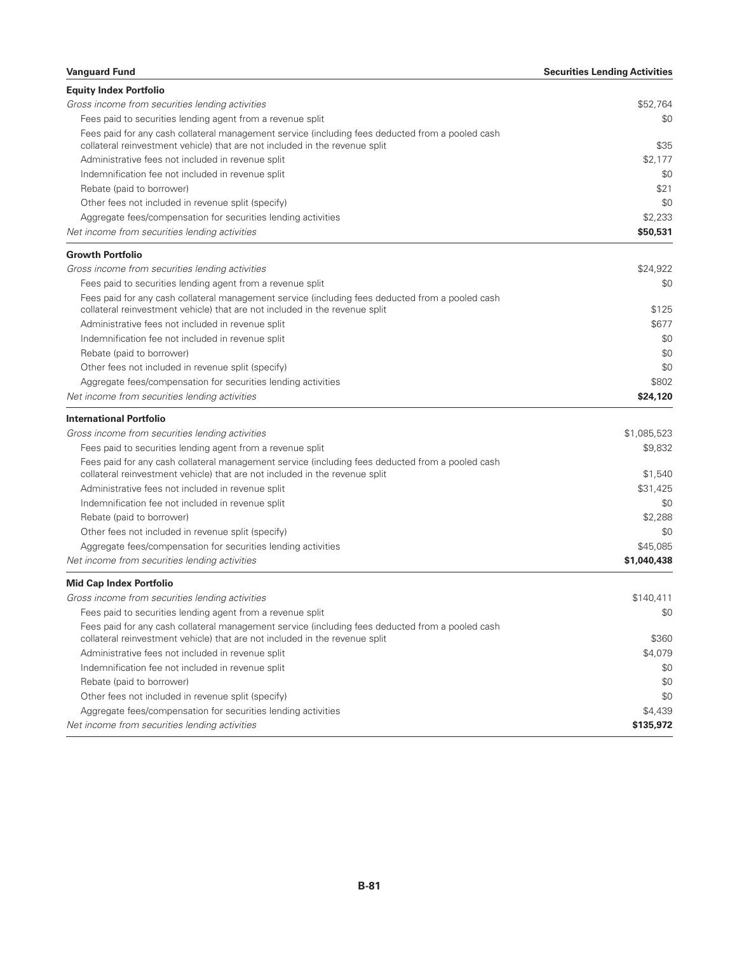| <b>Vanguard Fund</b>                                                                                                                                                            | <b>Securities Lending Activities</b> |
|---------------------------------------------------------------------------------------------------------------------------------------------------------------------------------|--------------------------------------|
| <b>Equity Index Portfolio</b>                                                                                                                                                   |                                      |
| Gross income from securities lending activities                                                                                                                                 | \$52,764                             |
| Fees paid to securities lending agent from a revenue split                                                                                                                      | \$0                                  |
| Fees paid for any cash collateral management service (including fees deducted from a pooled cash<br>collateral reinvestment vehicle) that are not included in the revenue split | \$35                                 |
| Administrative fees not included in revenue split                                                                                                                               | \$2,177                              |
| Indemnification fee not included in revenue split                                                                                                                               | \$0                                  |
| Rebate (paid to borrower)                                                                                                                                                       | \$21                                 |
| Other fees not included in revenue split (specify)                                                                                                                              | \$0                                  |
| Aggregate fees/compensation for securities lending activities                                                                                                                   | \$2,233                              |
| Net income from securities lending activities                                                                                                                                   | \$50,531                             |
| <b>Growth Portfolio</b>                                                                                                                                                         |                                      |
| Gross income from securities lending activities                                                                                                                                 | \$24,922                             |
| Fees paid to securities lending agent from a revenue split                                                                                                                      | \$0                                  |
| Fees paid for any cash collateral management service (including fees deducted from a pooled cash                                                                                |                                      |
| collateral reinvestment vehicle) that are not included in the revenue split                                                                                                     | \$125                                |
| Administrative fees not included in revenue split                                                                                                                               | \$677                                |
| Indemnification fee not included in revenue split                                                                                                                               | \$0                                  |
| Rebate (paid to borrower)                                                                                                                                                       | \$0                                  |
| Other fees not included in revenue split (specify)                                                                                                                              | \$0                                  |
| Aggregate fees/compensation for securities lending activities                                                                                                                   | \$802                                |
| Net income from securities lending activities                                                                                                                                   | \$24,120                             |
| <b>International Portfolio</b>                                                                                                                                                  |                                      |
| Gross income from securities lending activities                                                                                                                                 | \$1,085,523                          |
| Fees paid to securities lending agent from a revenue split                                                                                                                      | \$9,832                              |
| Fees paid for any cash collateral management service (including fees deducted from a pooled cash                                                                                |                                      |
| collateral reinvestment vehicle) that are not included in the revenue split                                                                                                     | \$1,540                              |
| Administrative fees not included in revenue split                                                                                                                               | \$31,425                             |
| Indemnification fee not included in revenue split                                                                                                                               | \$0                                  |
| Rebate (paid to borrower)                                                                                                                                                       | \$2,288                              |
| Other fees not included in revenue split (specify)                                                                                                                              | \$0                                  |
| Aggregate fees/compensation for securities lending activities                                                                                                                   | \$45.085                             |
| Net income from securities lending activities                                                                                                                                   | \$1,040,438                          |
| <b>Mid Cap Index Portfolio</b>                                                                                                                                                  |                                      |
| Gross income from securities lending activities                                                                                                                                 | \$140,411                            |
| Fees paid to securities lending agent from a revenue split                                                                                                                      | \$0                                  |
| Fees paid for any cash collateral management service (including fees deducted from a pooled cash<br>collateral reinvestment vehicle) that are not included in the revenue split | \$360                                |
| Administrative fees not included in revenue split                                                                                                                               | \$4,079                              |
| Indemnification fee not included in revenue split                                                                                                                               | \$0                                  |
| Rebate (paid to borrower)                                                                                                                                                       | \$0                                  |
| Other fees not included in revenue split (specify)                                                                                                                              | \$0                                  |
| Aggregate fees/compensation for securities lending activities                                                                                                                   | \$4,439                              |
| Net income from securities lending activities                                                                                                                                   | \$135,972                            |
|                                                                                                                                                                                 |                                      |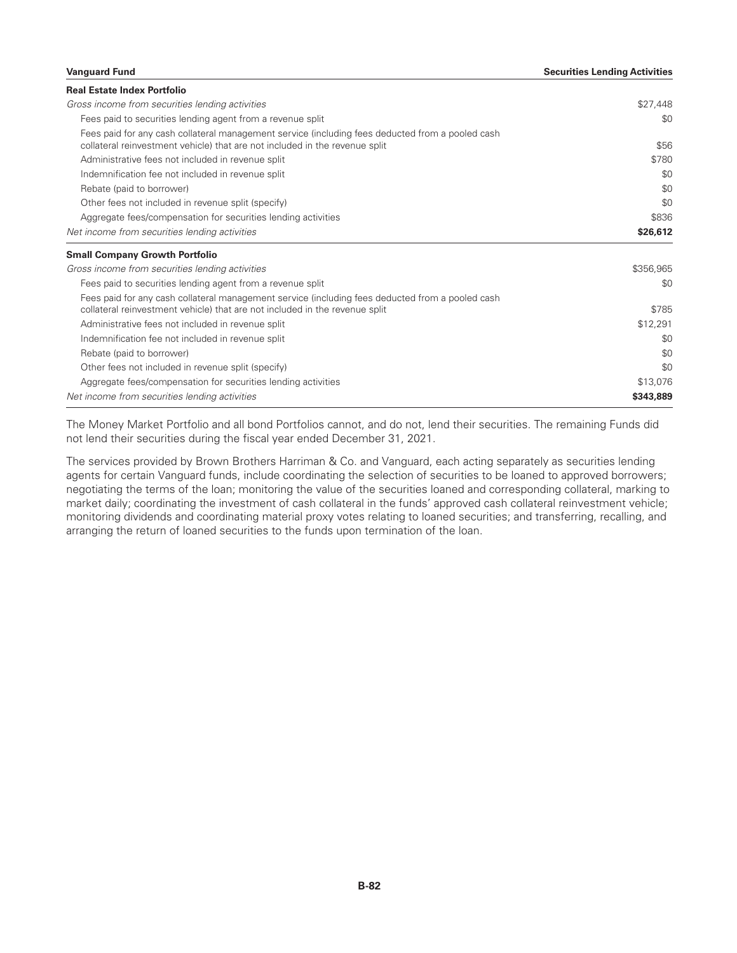#### **Vanguard Fund Securities Lending Activities**

| <b>Real Estate Index Portfolio</b>                                                               |              |
|--------------------------------------------------------------------------------------------------|--------------|
| Gross income from securities lending activities                                                  | \$27,448     |
| Fees paid to securities lending agent from a revenue split                                       | \$0          |
| Fees paid for any cash collateral management service (including fees deducted from a pooled cash |              |
| collateral reinvestment vehicle) that are not included in the revenue split                      | \$56         |
| Administrative fees not included in revenue split                                                | \$780<br>\$0 |
| Indemnification fee not included in revenue split                                                |              |
| Rebate (paid to borrower)                                                                        | \$0          |
| Other fees not included in revenue split (specify)                                               | \$0          |
| Aggregate fees/compensation for securities lending activities                                    | \$836        |
| Net income from securities lending activities                                                    | \$26,612     |
| <b>Small Company Growth Portfolio</b>                                                            |              |
| Gross income from securities lending activities                                                  | \$356,965    |
| Fees paid to securities lending agent from a revenue split                                       | \$0          |
| Fees paid for any cash collateral management service (including fees deducted from a pooled cash |              |
| collateral reinvestment vehicle) that are not included in the revenue split                      | \$785        |
|                                                                                                  |              |
| Administrative fees not included in revenue split                                                | \$12,291     |
| Indemnification fee not included in revenue split                                                | \$0          |
| Rebate (paid to borrower)                                                                        | \$0          |
| Other fees not included in revenue split (specify)                                               | \$0          |
| Aggregate fees/compensation for securities lending activities                                    | \$13,076     |

The Money Market Portfolio and all bond Portfolios cannot, and do not, lend their securities. The remaining Funds did not lend their securities during the fiscal year ended December 31, 2021.

The services provided by Brown Brothers Harriman & Co. and Vanguard, each acting separately as securities lending agents for certain Vanguard funds, include coordinating the selection of securities to be loaned to approved borrowers; negotiating the terms of the loan; monitoring the value of the securities loaned and corresponding collateral, marking to market daily; coordinating the investment of cash collateral in the funds' approved cash collateral reinvestment vehicle; monitoring dividends and coordinating material proxy votes relating to loaned securities; and transferring, recalling, and arranging the return of loaned securities to the funds upon termination of the loan.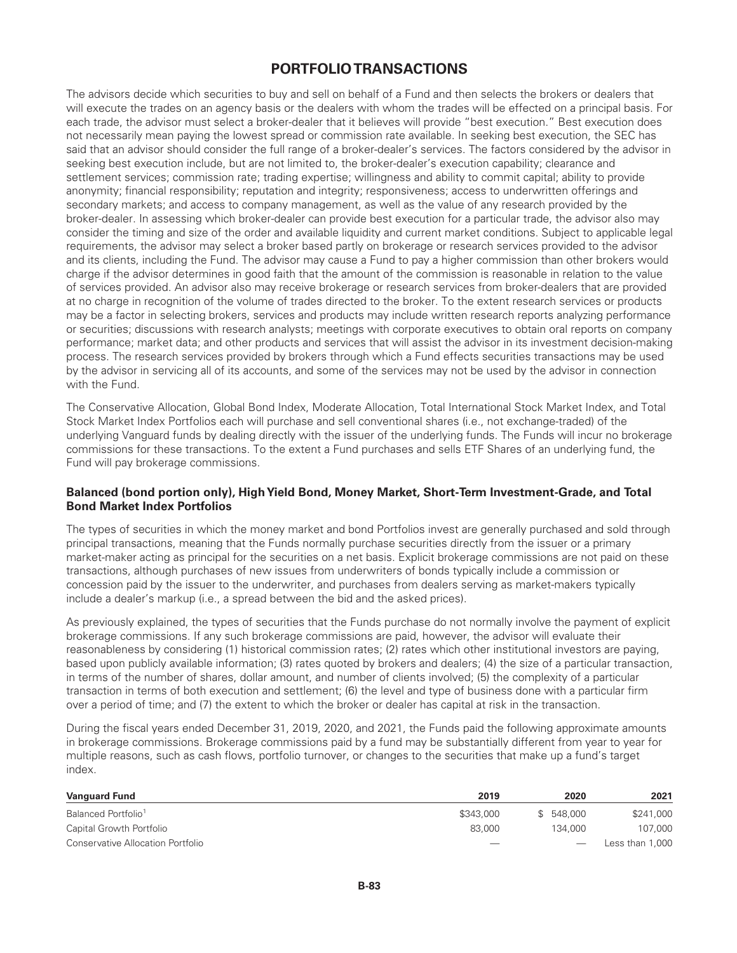# **PORTFOLIO TRANSACTIONS**

The advisors decide which securities to buy and sell on behalf of a Fund and then selects the brokers or dealers that will execute the trades on an agency basis or the dealers with whom the trades will be effected on a principal basis. For each trade, the advisor must select a broker-dealer that it believes will provide "best execution." Best execution does not necessarily mean paying the lowest spread or commission rate available. In seeking best execution, the SEC has said that an advisor should consider the full range of a broker-dealer's services. The factors considered by the advisor in seeking best execution include, but are not limited to, the broker-dealer's execution capability; clearance and settlement services; commission rate; trading expertise; willingness and ability to commit capital; ability to provide anonymity; financial responsibility; reputation and integrity; responsiveness; access to underwritten offerings and secondary markets; and access to company management, as well as the value of any research provided by the broker-dealer. In assessing which broker-dealer can provide best execution for a particular trade, the advisor also may consider the timing and size of the order and available liquidity and current market conditions. Subject to applicable legal requirements, the advisor may select a broker based partly on brokerage or research services provided to the advisor and its clients, including the Fund. The advisor may cause a Fund to pay a higher commission than other brokers would charge if the advisor determines in good faith that the amount of the commission is reasonable in relation to the value of services provided. An advisor also may receive brokerage or research services from broker-dealers that are provided at no charge in recognition of the volume of trades directed to the broker. To the extent research services or products may be a factor in selecting brokers, services and products may include written research reports analyzing performance or securities; discussions with research analysts; meetings with corporate executives to obtain oral reports on company performance; market data; and other products and services that will assist the advisor in its investment decision-making process. The research services provided by brokers through which a Fund effects securities transactions may be used by the advisor in servicing all of its accounts, and some of the services may not be used by the advisor in connection with the Fund.

The Conservative Allocation, Global Bond Index, Moderate Allocation, Total International Stock Market Index, and Total Stock Market Index Portfolios each will purchase and sell conventional shares (i.e., not exchange-traded) of the underlying Vanguard funds by dealing directly with the issuer of the underlying funds. The Funds will incur no brokerage commissions for these transactions. To the extent a Fund purchases and sells ETF Shares of an underlying fund, the Fund will pay brokerage commissions.

### **Balanced (bond portion only), HighYield Bond, Money Market, Short-Term Investment-Grade, and Total Bond Market Index Portfolios**

The types of securities in which the money market and bond Portfolios invest are generally purchased and sold through principal transactions, meaning that the Funds normally purchase securities directly from the issuer or a primary market-maker acting as principal for the securities on a net basis. Explicit brokerage commissions are not paid on these transactions, although purchases of new issues from underwriters of bonds typically include a commission or concession paid by the issuer to the underwriter, and purchases from dealers serving as market-makers typically include a dealer's markup (i.e., a spread between the bid and the asked prices).

As previously explained, the types of securities that the Funds purchase do not normally involve the payment of explicit brokerage commissions. If any such brokerage commissions are paid, however, the advisor will evaluate their reasonableness by considering (1) historical commission rates; (2) rates which other institutional investors are paying, based upon publicly available information; (3) rates quoted by brokers and dealers; (4) the size of a particular transaction, in terms of the number of shares, dollar amount, and number of clients involved; (5) the complexity of a particular transaction in terms of both execution and settlement; (6) the level and type of business done with a particular firm over a period of time; and (7) the extent to which the broker or dealer has capital at risk in the transaction.

During the fiscal years ended December 31, 2019, 2020, and 2021, the Funds paid the following approximate amounts in brokerage commissions. Brokerage commissions paid by a fund may be substantially different from year to year for multiple reasons, such as cash flows, portfolio turnover, or changes to the securities that make up a fund's target index.

| <b>Vanguard Fund</b>              | 2019              | 2020       | 2021            |
|-----------------------------------|-------------------|------------|-----------------|
| Balanced Portfolio <sup>1</sup>   | \$343,000         | \$ 548,000 | \$241,000       |
| Capital Growth Portfolio          | 83,000            | 134,000    | 107.000         |
| Conservative Allocation Portfolio | $\hspace{0.05cm}$ |            | Less than 1,000 |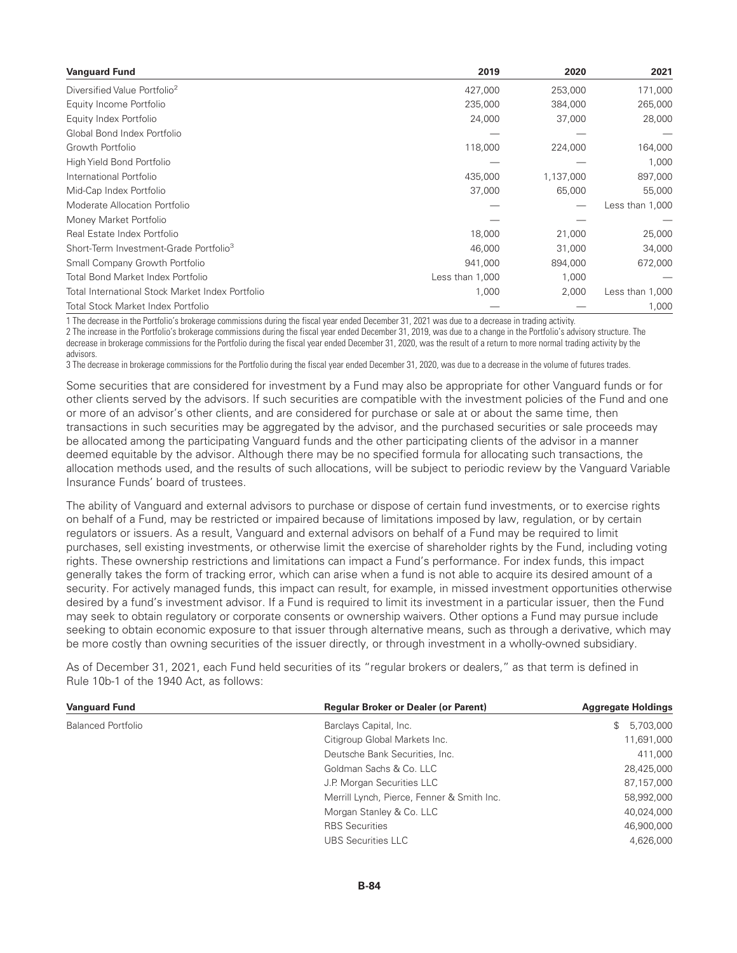| <b>Vanguard Fund</b>                               | 2019            | 2020      | 2021            |
|----------------------------------------------------|-----------------|-----------|-----------------|
| Diversified Value Portfolio <sup>2</sup>           | 427,000         | 253,000   | 171,000         |
| Equity Income Portfolio                            | 235,000         | 384,000   | 265,000         |
| Equity Index Portfolio                             | 24,000          | 37,000    | 28,000          |
| Global Bond Index Portfolio                        |                 |           |                 |
| Growth Portfolio                                   | 118,000         | 224,000   | 164,000         |
| High Yield Bond Portfolio                          |                 |           | 1,000           |
| International Portfolio                            | 435,000         | 1,137,000 | 897,000         |
| Mid-Cap Index Portfolio                            | 37,000          | 65,000    | 55,000          |
| Moderate Allocation Portfolio                      |                 |           | Less than 1,000 |
| Money Market Portfolio                             |                 |           |                 |
| Real Estate Index Portfolio                        | 18,000          | 21,000    | 25,000          |
| Short-Term Investment-Grade Portfolio <sup>3</sup> | 46,000          | 31,000    | 34,000          |
| Small Company Growth Portfolio                     | 941,000         | 894,000   | 672,000         |
| Total Bond Market Index Portfolio                  | Less than 1,000 | 1,000     |                 |
| Total International Stock Market Index Portfolio   | 1,000           | 2,000     | Less than 1,000 |
| Total Stock Market Index Portfolio                 |                 |           | 1,000           |

1 The decrease in the Portfolio's brokerage commissions during the fiscal year ended December 31, 2021 was due to a decrease in trading activity.

2 The increase in the Portfolio's brokerage commissions during the fiscal year ended December 31, 2019, was due to a change in the Portfolio's advisory structure. The decrease in brokerage commissions for the Portfolio during the fiscal year ended December 31, 2020, was the result of a return to more normal trading activity by the advisors.

3 The decrease in brokerage commissions for the Portfolio during the fiscal year ended December 31, 2020, was due to a decrease in the volume of futures trades.

Some securities that are considered for investment by a Fund may also be appropriate for other Vanguard funds or for other clients served by the advisors. If such securities are compatible with the investment policies of the Fund and one or more of an advisor's other clients, and are considered for purchase or sale at or about the same time, then transactions in such securities may be aggregated by the advisor, and the purchased securities or sale proceeds may be allocated among the participating Vanguard funds and the other participating clients of the advisor in a manner deemed equitable by the advisor. Although there may be no specified formula for allocating such transactions, the allocation methods used, and the results of such allocations, will be subject to periodic review by the Vanguard Variable Insurance Funds' board of trustees.

The ability of Vanguard and external advisors to purchase or dispose of certain fund investments, or to exercise rights on behalf of a Fund, may be restricted or impaired because of limitations imposed by law, regulation, or by certain regulators or issuers. As a result, Vanguard and external advisors on behalf of a Fund may be required to limit purchases, sell existing investments, or otherwise limit the exercise of shareholder rights by the Fund, including voting rights. These ownership restrictions and limitations can impact a Fund's performance. For index funds, this impact generally takes the form of tracking error, which can arise when a fund is not able to acquire its desired amount of a security. For actively managed funds, this impact can result, for example, in missed investment opportunities otherwise desired by a fund's investment advisor. If a Fund is required to limit its investment in a particular issuer, then the Fund may seek to obtain regulatory or corporate consents or ownership waivers. Other options a Fund may pursue include seeking to obtain economic exposure to that issuer through alternative means, such as through a derivative, which may be more costly than owning securities of the issuer directly, or through investment in a wholly-owned subsidiary.

As of December 31, 2021, each Fund held securities of its "regular brokers or dealers," as that term is defined in Rule 10b-1 of the 1940 Act, as follows:

| <b>Vanguard Fund</b>      | <b>Regular Broker or Dealer (or Parent)</b> | <b>Aggregate Holdings</b> |
|---------------------------|---------------------------------------------|---------------------------|
| <b>Balanced Portfolio</b> | Barclays Capital, Inc.                      | 5,703,000<br>\$           |
|                           | Citigroup Global Markets Inc.               | 11,691,000                |
|                           | Deutsche Bank Securities, Inc.              | 411,000                   |
|                           | Goldman Sachs & Co. LLC                     | 28,425,000                |
|                           | J.P. Morgan Securities LLC                  | 87,157,000                |
|                           | Merrill Lynch, Pierce, Fenner & Smith Inc.  | 58,992,000                |
|                           | Morgan Stanley & Co. LLC                    | 40,024,000                |
|                           | <b>RBS</b> Securities                       | 46,900,000                |
|                           | <b>UBS Securities LLC</b>                   | 4.626.000                 |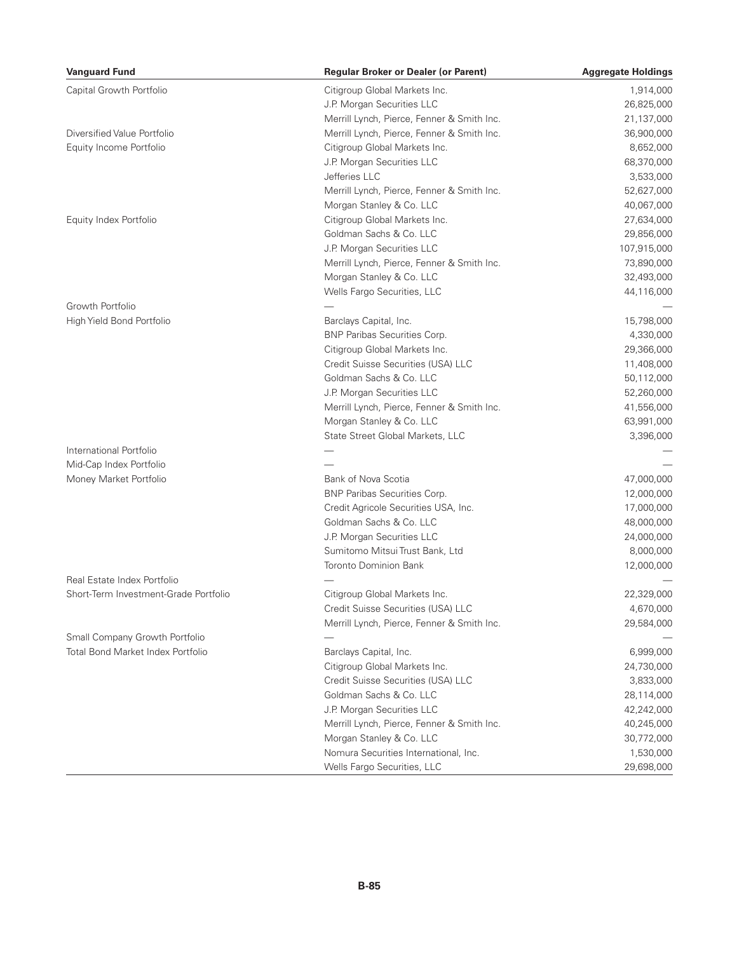| <b>Vanguard Fund</b>                  | <b>Regular Broker or Dealer (or Parent)</b> | <b>Aggregate Holdings</b> |
|---------------------------------------|---------------------------------------------|---------------------------|
| Capital Growth Portfolio              | Citigroup Global Markets Inc.               | 1,914,000                 |
|                                       | J.P. Morgan Securities LLC                  | 26,825,000                |
|                                       | Merrill Lynch, Pierce, Fenner & Smith Inc.  | 21,137,000                |
| Diversified Value Portfolio           | Merrill Lynch, Pierce, Fenner & Smith Inc.  | 36,900,000                |
| Equity Income Portfolio               | Citigroup Global Markets Inc.               | 8,652,000                 |
|                                       | J.P. Morgan Securities LLC                  | 68,370,000                |
|                                       | Jefferies LLC                               | 3,533,000                 |
|                                       | Merrill Lynch, Pierce, Fenner & Smith Inc.  | 52,627,000                |
|                                       | Morgan Stanley & Co. LLC                    | 40,067,000                |
| Equity Index Portfolio                | Citigroup Global Markets Inc.               | 27,634,000                |
|                                       | Goldman Sachs & Co. LLC                     | 29,856,000                |
|                                       | J.P. Morgan Securities LLC                  | 107,915,000               |
|                                       | Merrill Lynch, Pierce, Fenner & Smith Inc.  | 73,890,000                |
|                                       | Morgan Stanley & Co. LLC                    | 32,493,000                |
|                                       | Wells Fargo Securities, LLC                 | 44,116,000                |
| Growth Portfolio                      |                                             |                           |
| High Yield Bond Portfolio             | Barclays Capital, Inc.                      | 15,798,000                |
|                                       | BNP Paribas Securities Corp.                | 4,330,000                 |
|                                       | Citigroup Global Markets Inc.               | 29,366,000                |
|                                       | Credit Suisse Securities (USA) LLC          | 11,408,000                |
|                                       | Goldman Sachs & Co. LLC                     | 50,112,000                |
|                                       | J.P. Morgan Securities LLC                  | 52,260,000                |
|                                       | Merrill Lynch, Pierce, Fenner & Smith Inc.  | 41,556,000                |
|                                       | Morgan Stanley & Co. LLC                    | 63,991,000                |
|                                       | State Street Global Markets, LLC            | 3,396,000                 |
| International Portfolio               |                                             |                           |
| Mid-Cap Index Portfolio               |                                             |                           |
| Money Market Portfolio                | Bank of Nova Scotia                         | 47,000,000                |
|                                       | BNP Paribas Securities Corp.                | 12,000,000                |
|                                       | Credit Agricole Securities USA, Inc.        | 17,000,000                |
|                                       | Goldman Sachs & Co. LLC                     | 48,000,000                |
|                                       | J.P. Morgan Securities LLC                  | 24,000,000                |
|                                       | Sumitomo Mitsui Trust Bank, Ltd             | 8,000,000                 |
|                                       | <b>Toronto Dominion Bank</b>                | 12,000,000                |
| Real Estate Index Portfolio           |                                             |                           |
| Short-Term Investment-Grade Portfolio | Citigroup Global Markets Inc.               | 22,329,000                |
|                                       | Credit Suisse Securities (USA) LLC          | 4,670,000                 |
|                                       | Merrill Lynch, Pierce, Fenner & Smith Inc.  | 29,584,000                |
| Small Company Growth Portfolio        |                                             |                           |
| Total Bond Market Index Portfolio     | Barclays Capital, Inc.                      | 6,999,000                 |
|                                       | Citigroup Global Markets Inc.               | 24,730,000                |
|                                       | Credit Suisse Securities (USA) LLC          | 3,833,000                 |
|                                       | Goldman Sachs & Co. LLC                     | 28,114,000                |
|                                       | J.P. Morgan Securities LLC                  | 42,242,000                |
|                                       | Merrill Lynch, Pierce, Fenner & Smith Inc.  | 40,245,000                |
|                                       | Morgan Stanley & Co. LLC                    | 30,772,000                |
|                                       | Nomura Securities International, Inc.       | 1,530,000                 |
|                                       | Wells Fargo Securities, LLC                 | 29,698,000                |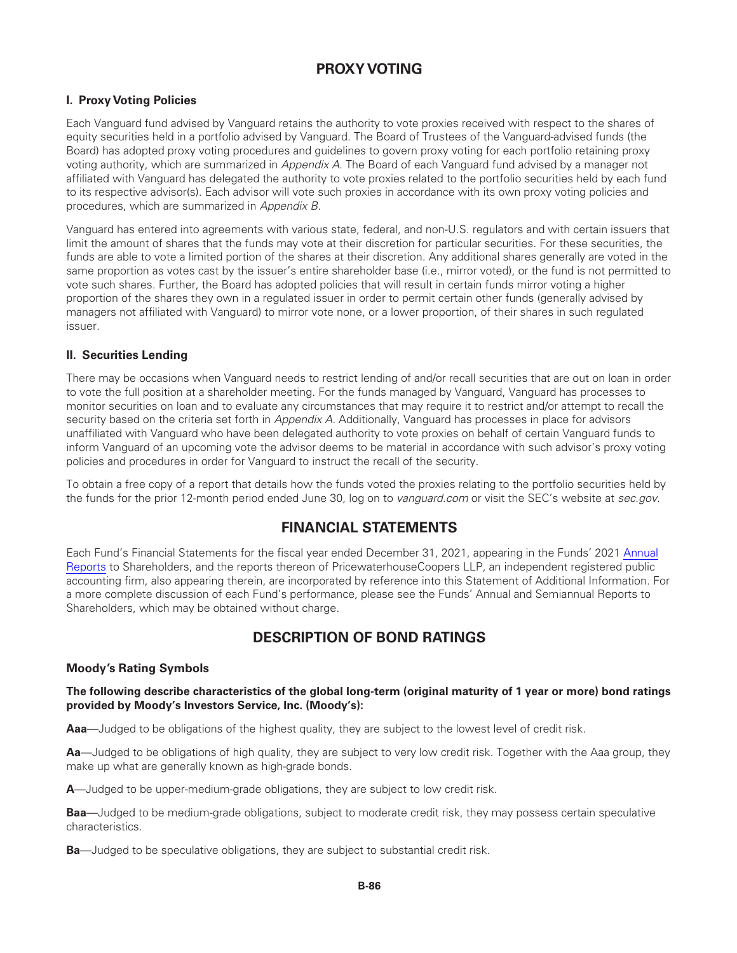# **PROXY VOTING**

# **I. Proxy Voting Policies**

Each Vanguard fund advised by Vanguard retains the authority to vote proxies received with respect to the shares of equity securities held in a portfolio advised by Vanguard. The Board of Trustees of the Vanguard-advised funds (the Board) has adopted proxy voting procedures and guidelines to govern proxy voting for each portfolio retaining proxy voting authority, which are summarized in *Appendix A*. The Board of each Vanguard fund advised by a manager not affiliated with Vanguard has delegated the authority to vote proxies related to the portfolio securities held by each fund to its respective advisor(s). Each advisor will vote such proxies in accordance with its own proxy voting policies and procedures, which are summarized in *Appendix B*.

Vanguard has entered into agreements with various state, federal, and non-U.S. regulators and with certain issuers that limit the amount of shares that the funds may vote at their discretion for particular securities. For these securities, the funds are able to vote a limited portion of the shares at their discretion. Any additional shares generally are voted in the same proportion as votes cast by the issuer's entire shareholder base (i.e., mirror voted), or the fund is not permitted to vote such shares. Further, the Board has adopted policies that will result in certain funds mirror voting a higher proportion of the shares they own in a regulated issuer in order to permit certain other funds (generally advised by managers not affiliated with Vanguard) to mirror vote none, or a lower proportion, of their shares in such regulated issuer.

### **II. Securities Lending**

There may be occasions when Vanguard needs to restrict lending of and/or recall securities that are out on loan in order to vote the full position at a shareholder meeting. For the funds managed by Vanguard, Vanguard has processes to monitor securities on loan and to evaluate any circumstances that may require it to restrict and/or attempt to recall the security based on the criteria set forth in *Appendix A*. Additionally, Vanguard has processes in place for advisors unaffiliated with Vanguard who have been delegated authority to vote proxies on behalf of certain Vanguard funds to inform Vanguard of an upcoming vote the advisor deems to be material in accordance with such advisor's proxy voting policies and procedures in order for Vanguard to instruct the recall of the security.

To obtain a free copy of a report that details how the funds voted the proxies relating to the portfolio securities held by the funds for the prior 12-month period ended June 30, log on to *vanguard.com* or visit the SEC's website at *sec.gov*.

# **FINANCIAL STATEMENTS**

Each Fund's Financial Statements for the fiscal year ended December 31, 2021, appearing in the Funds' 2021 [Annual](https://www.sec.gov/Archives/edgar/data/857490/000110465922028466/tm225037d7_ncsr.htm) [Reports](https://www.sec.gov/Archives/edgar/data/857490/000110465922028466/tm225037d7_ncsr.htm) to Shareholders, and the reports thereon of PricewaterhouseCoopers LLP, an independent registered public accounting firm, also appearing therein, are incorporated by reference into this Statement of Additional Information. For a more complete discussion of each Fund's performance, please see the Funds' Annual and Semiannual Reports to Shareholders, which may be obtained without charge.

# **DESCRIPTION OF BOND RATINGS**

### **Moody's Rating Symbols**

### **The following describe characteristics of the global long-term (original maturity of 1 year or more) bond ratings provided by Moody's Investors Service, Inc. (Moody's):**

**Aaa**—Judged to be obligations of the highest quality, they are subject to the lowest level of credit risk.

**Aa**—Judged to be obligations of high quality, they are subject to very low credit risk. Together with the Aaa group, they make up what are generally known as high-grade bonds.

**A**—Judged to be upper-medium-grade obligations, they are subject to low credit risk.

**Baa**—Judged to be medium-grade obligations, subject to moderate credit risk, they may possess certain speculative characteristics.

**Ba**—Judged to be speculative obligations, they are subject to substantial credit risk.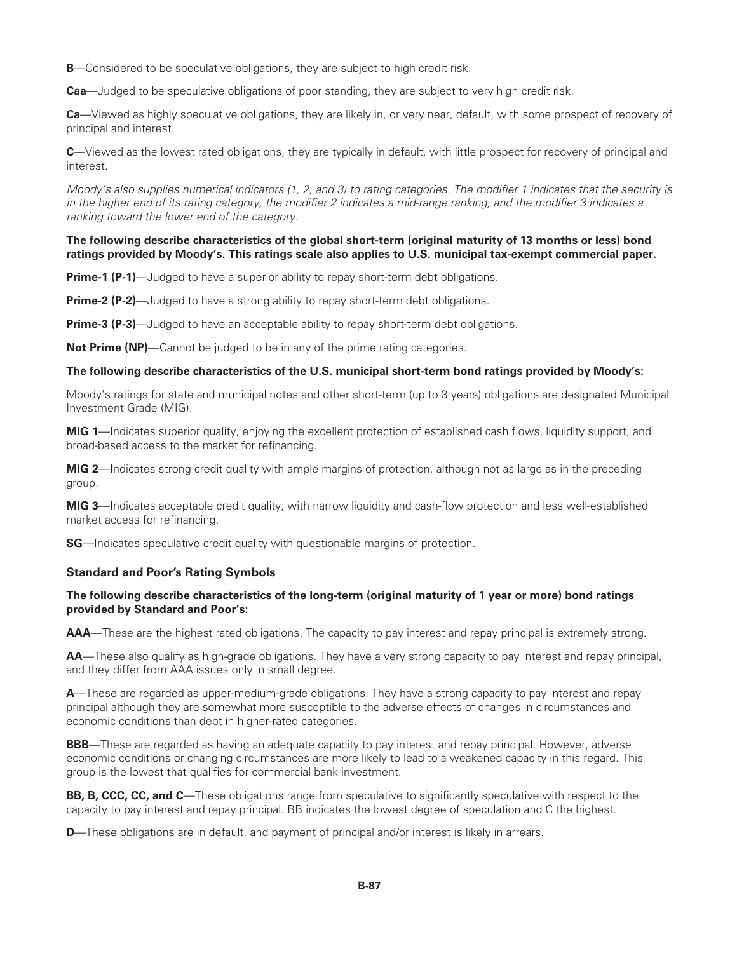**B**—Considered to be speculative obligations, they are subject to high credit risk.

**Caa**—Judged to be speculative obligations of poor standing, they are subject to very high credit risk.

**Ca**—Viewed as highly speculative obligations, they are likely in, or very near, default, with some prospect of recovery of principal and interest.

**C**—Viewed as the lowest rated obligations, they are typically in default, with little prospect for recovery of principal and interest.

*Moody's also supplies numerical indicators (1, 2, and 3) to rating categories. The modifier 1 indicates that the security is in the higher end of its rating category, the modifier 2 indicates a mid-range ranking, and the modifier 3 indicates a ranking toward the lower end of the category.*

#### **The following describe characteristics of the global short-term (original maturity of 13 months or less) bond ratings provided by Moody's. This ratings scale also applies to U.S. municipal tax-exempt commercial paper.**

**Prime-1 (P-1)**—Judged to have a superior ability to repay short-term debt obligations.

**Prime-2 (P-2)**—Judged to have a strong ability to repay short-term debt obligations.

**Prime-3 (P-3)**—Judged to have an acceptable ability to repay short-term debt obligations.

**Not Prime (NP)—Cannot be judged to be in any of the prime rating categories.** 

#### **The following describe characteristics of the U.S. municipal short-term bond ratings provided by Moody's:**

Moody's ratings for state and municipal notes and other short-term (up to 3 years) obligations are designated Municipal Investment Grade (MIG).

**MIG 1**—Indicates superior quality, enjoying the excellent protection of established cash flows, liquidity support, and broad-based access to the market for refinancing.

**MIG 2**—Indicates strong credit quality with ample margins of protection, although not as large as in the preceding group.

**MIG 3**—Indicates acceptable credit quality, with narrow liquidity and cash-flow protection and less well-established market access for refinancing.

**SG**—Indicates speculative credit quality with questionable margins of protection.

#### **Standard and Poor's Rating Symbols**

### **The following describe characteristics of the long-term (original maturity of 1 year or more) bond ratings provided by Standard and Poor's:**

**AAA**—These are the highest rated obligations. The capacity to pay interest and repay principal is extremely strong.

**AA**—These also qualify as high-grade obligations. They have a very strong capacity to pay interest and repay principal, and they differ from AAA issues only in small degree.

**A**—These are regarded as upper-medium-grade obligations. They have a strong capacity to pay interest and repay principal although they are somewhat more susceptible to the adverse effects of changes in circumstances and economic conditions than debt in higher-rated categories.

**BBB**—These are regarded as having an adequate capacity to pay interest and repay principal. However, adverse economic conditions or changing circumstances are more likely to lead to a weakened capacity in this regard. This group is the lowest that qualifies for commercial bank investment.

**BB, B, CCC, CC, and C**—These obligations range from speculative to significantly speculative with respect to the capacity to pay interest and repay principal. BB indicates the lowest degree of speculation and C the highest.

**D**—These obligations are in default, and payment of principal and/or interest is likely in arrears.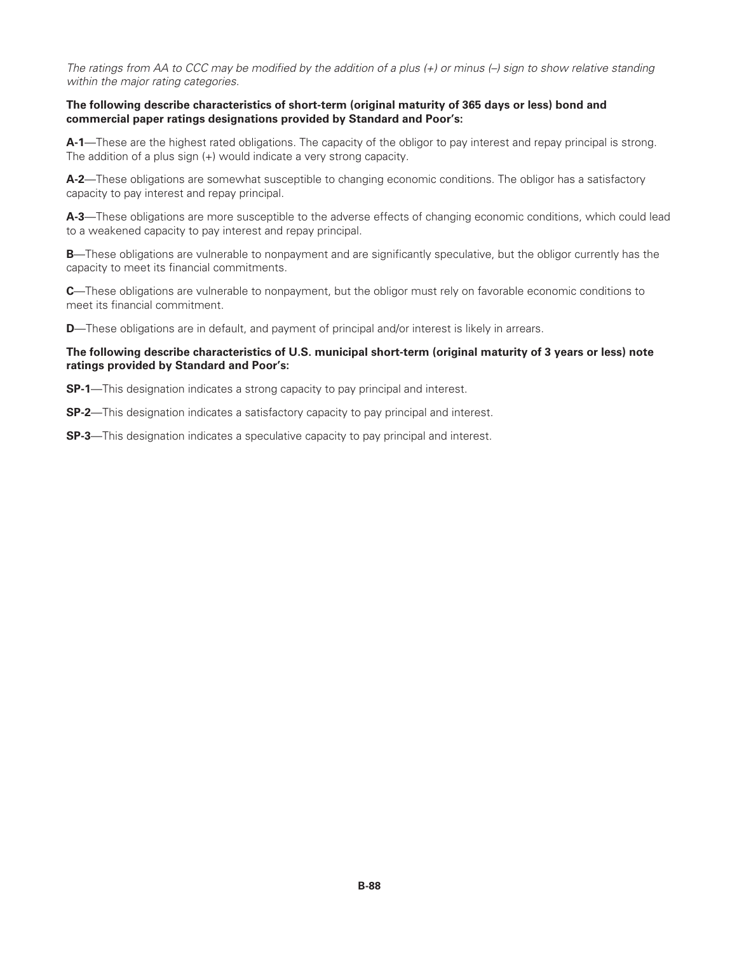*The ratings from AA to CCC may be modified by the addition of a plus (+) or minus (–) sign to show relative standing within the major rating categories.*

#### **The following describe characteristics of short-term (original maturity of 365 days or less) bond and commercial paper ratings designations provided by Standard and Poor's:**

**A-1**—These are the highest rated obligations. The capacity of the obligor to pay interest and repay principal is strong. The addition of a plus sign (+) would indicate a very strong capacity.

**A-2**—These obligations are somewhat susceptible to changing economic conditions. The obligor has a satisfactory capacity to pay interest and repay principal.

**A-3**—These obligations are more susceptible to the adverse effects of changing economic conditions, which could lead to a weakened capacity to pay interest and repay principal.

**B**—These obligations are vulnerable to nonpayment and are significantly speculative, but the obligor currently has the capacity to meet its financial commitments.

**C**—These obligations are vulnerable to nonpayment, but the obligor must rely on favorable economic conditions to meet its financial commitment.

**D**—These obligations are in default, and payment of principal and/or interest is likely in arrears.

#### **The following describe characteristics of U.S. municipal short-term (original maturity of 3 years or less) note ratings provided by Standard and Poor's:**

**SP-1**—This designation indicates a strong capacity to pay principal and interest.

**SP-2**—This designation indicates a satisfactory capacity to pay principal and interest.

**SP-3**—This designation indicates a speculative capacity to pay principal and interest.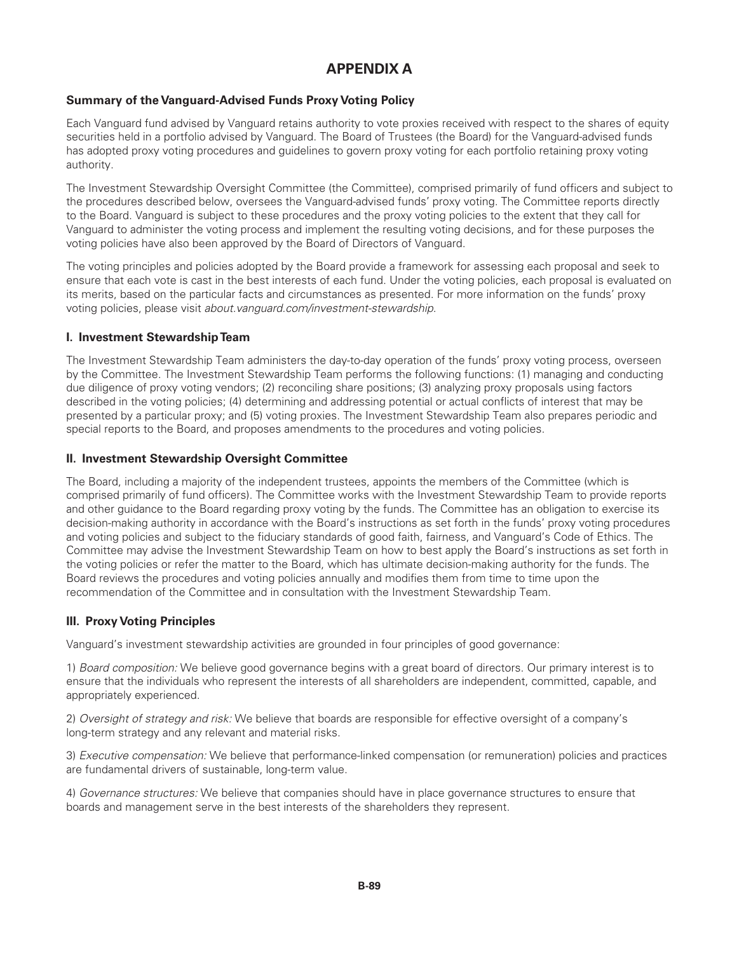# **APPENDIX A**

# **Summary of the Vanguard-Advised Funds Proxy Voting Policy**

Each Vanguard fund advised by Vanguard retains authority to vote proxies received with respect to the shares of equity securities held in a portfolio advised by Vanguard. The Board of Trustees (the Board) for the Vanguard-advised funds has adopted proxy voting procedures and guidelines to govern proxy voting for each portfolio retaining proxy voting authority.

The Investment Stewardship Oversight Committee (the Committee), comprised primarily of fund officers and subject to the procedures described below, oversees the Vanguard-advised funds' proxy voting. The Committee reports directly to the Board. Vanguard is subject to these procedures and the proxy voting policies to the extent that they call for Vanguard to administer the voting process and implement the resulting voting decisions, and for these purposes the voting policies have also been approved by the Board of Directors of Vanguard.

The voting principles and policies adopted by the Board provide a framework for assessing each proposal and seek to ensure that each vote is cast in the best interests of each fund. Under the voting policies, each proposal is evaluated on its merits, based on the particular facts and circumstances as presented. For more information on the funds' proxy voting policies, please visit *about.vanguard.com/investment-stewardship*.

# **I. Investment Stewardship Team**

The Investment Stewardship Team administers the day-to-day operation of the funds' proxy voting process, overseen by the Committee. The Investment Stewardship Team performs the following functions: (1) managing and conducting due diligence of proxy voting vendors; (2) reconciling share positions; (3) analyzing proxy proposals using factors described in the voting policies; (4) determining and addressing potential or actual conflicts of interest that may be presented by a particular proxy; and (5) voting proxies. The Investment Stewardship Team also prepares periodic and special reports to the Board, and proposes amendments to the procedures and voting policies.

### **II. Investment Stewardship Oversight Committee**

The Board, including a majority of the independent trustees, appoints the members of the Committee (which is comprised primarily of fund officers). The Committee works with the Investment Stewardship Team to provide reports and other guidance to the Board regarding proxy voting by the funds. The Committee has an obligation to exercise its decision-making authority in accordance with the Board's instructions as set forth in the funds' proxy voting procedures and voting policies and subject to the fiduciary standards of good faith, fairness, and Vanguard's Code of Ethics. The Committee may advise the Investment Stewardship Team on how to best apply the Board's instructions as set forth in the voting policies or refer the matter to the Board, which has ultimate decision-making authority for the funds. The Board reviews the procedures and voting policies annually and modifies them from time to time upon the recommendation of the Committee and in consultation with the Investment Stewardship Team.

# **III. Proxy Voting Principles**

Vanguard's investment stewardship activities are grounded in four principles of good governance:

1) *Board composition:* We believe good governance begins with a great board of directors. Our primary interest is to ensure that the individuals who represent the interests of all shareholders are independent, committed, capable, and appropriately experienced.

2) *Oversight of strategy and risk:* We believe that boards are responsible for effective oversight of a company's long-term strategy and any relevant and material risks.

3) *Executive compensation:* We believe that performance-linked compensation (or remuneration) policies and practices are fundamental drivers of sustainable, long-term value.

4) *Governance structures:* We believe that companies should have in place governance structures to ensure that boards and management serve in the best interests of the shareholders they represent.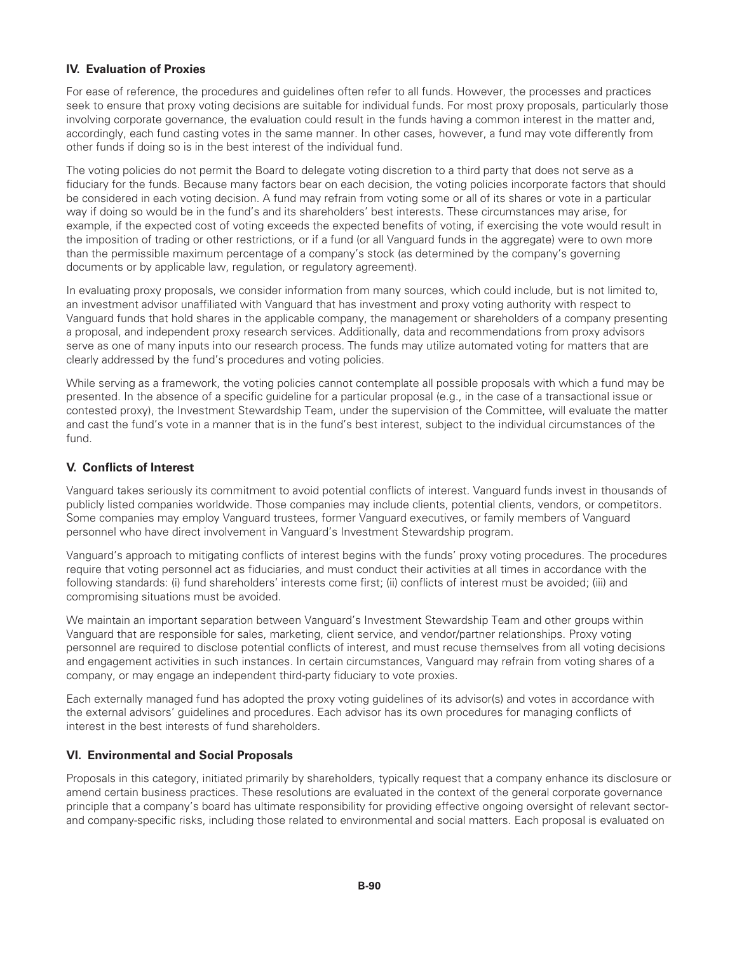# **IV. Evaluation of Proxies**

For ease of reference, the procedures and guidelines often refer to all funds. However, the processes and practices seek to ensure that proxy voting decisions are suitable for individual funds. For most proxy proposals, particularly those involving corporate governance, the evaluation could result in the funds having a common interest in the matter and, accordingly, each fund casting votes in the same manner. In other cases, however, a fund may vote differently from other funds if doing so is in the best interest of the individual fund.

The voting policies do not permit the Board to delegate voting discretion to a third party that does not serve as a fiduciary for the funds. Because many factors bear on each decision, the voting policies incorporate factors that should be considered in each voting decision. A fund may refrain from voting some or all of its shares or vote in a particular way if doing so would be in the fund's and its shareholders' best interests. These circumstances may arise, for example, if the expected cost of voting exceeds the expected benefits of voting, if exercising the vote would result in the imposition of trading or other restrictions, or if a fund (or all Vanguard funds in the aggregate) were to own more than the permissible maximum percentage of a company's stock (as determined by the company's governing documents or by applicable law, regulation, or regulatory agreement).

In evaluating proxy proposals, we consider information from many sources, which could include, but is not limited to, an investment advisor unaffiliated with Vanguard that has investment and proxy voting authority with respect to Vanguard funds that hold shares in the applicable company, the management or shareholders of a company presenting a proposal, and independent proxy research services. Additionally, data and recommendations from proxy advisors serve as one of many inputs into our research process. The funds may utilize automated voting for matters that are clearly addressed by the fund's procedures and voting policies.

While serving as a framework, the voting policies cannot contemplate all possible proposals with which a fund may be presented. In the absence of a specific guideline for a particular proposal (e.g., in the case of a transactional issue or contested proxy), the Investment Stewardship Team, under the supervision of the Committee, will evaluate the matter and cast the fund's vote in a manner that is in the fund's best interest, subject to the individual circumstances of the fund.

### **V. Conflicts of Interest**

Vanguard takes seriously its commitment to avoid potential conflicts of interest. Vanguard funds invest in thousands of publicly listed companies worldwide. Those companies may include clients, potential clients, vendors, or competitors. Some companies may employ Vanguard trustees, former Vanguard executives, or family members of Vanguard personnel who have direct involvement in Vanguard's Investment Stewardship program.

Vanguard's approach to mitigating conflicts of interest begins with the funds' proxy voting procedures. The procedures require that voting personnel act as fiduciaries, and must conduct their activities at all times in accordance with the following standards: (i) fund shareholders' interests come first; (ii) conflicts of interest must be avoided; (iii) and compromising situations must be avoided.

We maintain an important separation between Vanguard's Investment Stewardship Team and other groups within Vanguard that are responsible for sales, marketing, client service, and vendor/partner relationships. Proxy voting personnel are required to disclose potential conflicts of interest, and must recuse themselves from all voting decisions and engagement activities in such instances. In certain circumstances, Vanguard may refrain from voting shares of a company, or may engage an independent third-party fiduciary to vote proxies.

Each externally managed fund has adopted the proxy voting guidelines of its advisor(s) and votes in accordance with the external advisors' guidelines and procedures. Each advisor has its own procedures for managing conflicts of interest in the best interests of fund shareholders.

# **VI. Environmental and Social Proposals**

Proposals in this category, initiated primarily by shareholders, typically request that a company enhance its disclosure or amend certain business practices. These resolutions are evaluated in the context of the general corporate governance principle that a company's board has ultimate responsibility for providing effective ongoing oversight of relevant sectorand company-specific risks, including those related to environmental and social matters. Each proposal is evaluated on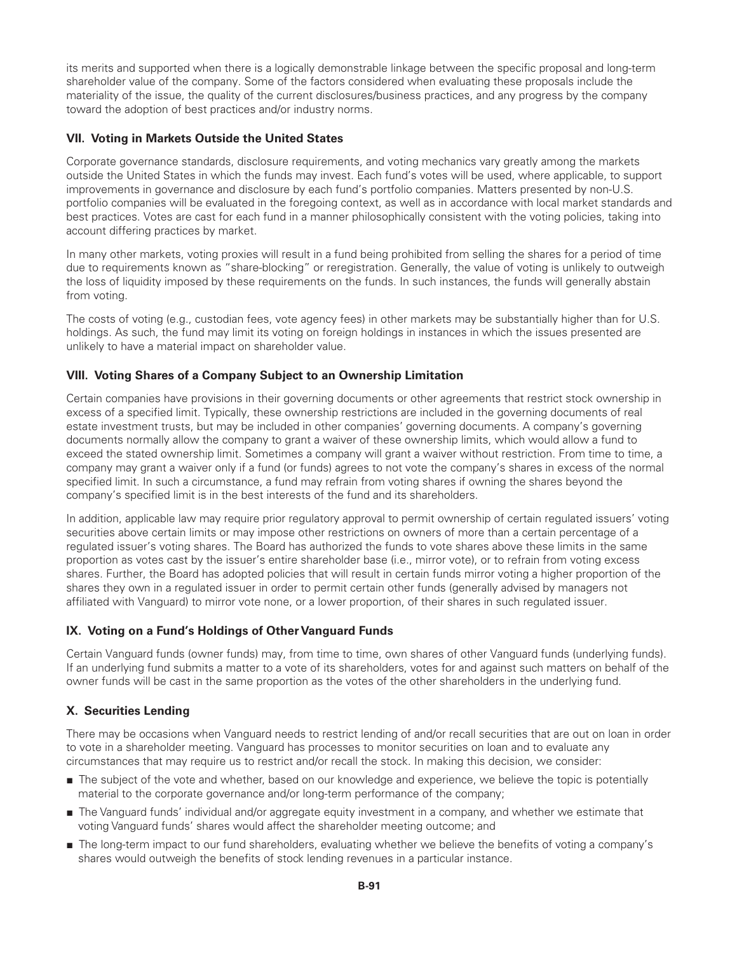its merits and supported when there is a logically demonstrable linkage between the specific proposal and long-term shareholder value of the company. Some of the factors considered when evaluating these proposals include the materiality of the issue, the quality of the current disclosures/business practices, and any progress by the company toward the adoption of best practices and/or industry norms.

# **VII. Voting in Markets Outside the United States**

Corporate governance standards, disclosure requirements, and voting mechanics vary greatly among the markets outside the United States in which the funds may invest. Each fund's votes will be used, where applicable, to support improvements in governance and disclosure by each fund's portfolio companies. Matters presented by non-U.S. portfolio companies will be evaluated in the foregoing context, as well as in accordance with local market standards and best practices. Votes are cast for each fund in a manner philosophically consistent with the voting policies, taking into account differing practices by market.

In many other markets, voting proxies will result in a fund being prohibited from selling the shares for a period of time due to requirements known as "share-blocking" or reregistration. Generally, the value of voting is unlikely to outweigh the loss of liquidity imposed by these requirements on the funds. In such instances, the funds will generally abstain from voting.

The costs of voting (e.g., custodian fees, vote agency fees) in other markets may be substantially higher than for U.S. holdings. As such, the fund may limit its voting on foreign holdings in instances in which the issues presented are unlikely to have a material impact on shareholder value.

# **VIII. Voting Shares of a Company Subject to an Ownership Limitation**

Certain companies have provisions in their governing documents or other agreements that restrict stock ownership in excess of a specified limit. Typically, these ownership restrictions are included in the governing documents of real estate investment trusts, but may be included in other companies' governing documents. A company's governing documents normally allow the company to grant a waiver of these ownership limits, which would allow a fund to exceed the stated ownership limit. Sometimes a company will grant a waiver without restriction. From time to time, a company may grant a waiver only if a fund (or funds) agrees to not vote the company's shares in excess of the normal specified limit. In such a circumstance, a fund may refrain from voting shares if owning the shares beyond the company's specified limit is in the best interests of the fund and its shareholders.

In addition, applicable law may require prior regulatory approval to permit ownership of certain regulated issuers' voting securities above certain limits or may impose other restrictions on owners of more than a certain percentage of a regulated issuer's voting shares. The Board has authorized the funds to vote shares above these limits in the same proportion as votes cast by the issuer's entire shareholder base (i.e., mirror vote), or to refrain from voting excess shares. Further, the Board has adopted policies that will result in certain funds mirror voting a higher proportion of the shares they own in a regulated issuer in order to permit certain other funds (generally advised by managers not affiliated with Vanguard) to mirror vote none, or a lower proportion, of their shares in such regulated issuer.

# **IX. Voting on a Fund's Holdings of Other Vanguard Funds**

Certain Vanguard funds (owner funds) may, from time to time, own shares of other Vanguard funds (underlying funds). If an underlying fund submits a matter to a vote of its shareholders, votes for and against such matters on behalf of the owner funds will be cast in the same proportion as the votes of the other shareholders in the underlying fund.

# **X. Securities Lending**

There may be occasions when Vanguard needs to restrict lending of and/or recall securities that are out on loan in order to vote in a shareholder meeting. Vanguard has processes to monitor securities on loan and to evaluate any circumstances that may require us to restrict and/or recall the stock. In making this decision, we consider:

- The subject of the vote and whether, based on our knowledge and experience, we believe the topic is potentially material to the corporate governance and/or long-term performance of the company;
- The Vanguard funds' individual and/or aggregate equity investment in a company, and whether we estimate that voting Vanguard funds' shares would affect the shareholder meeting outcome; and
- The long-term impact to our fund shareholders, evaluating whether we believe the benefits of voting a company's shares would outweigh the benefits of stock lending revenues in a particular instance.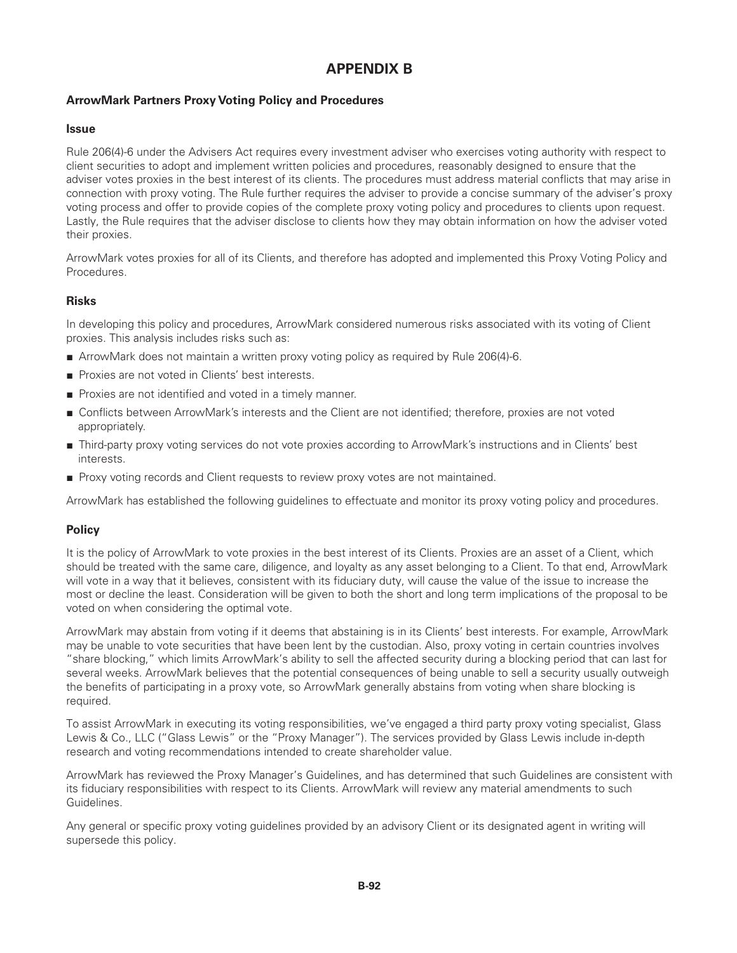# **APPENDIX B**

# **ArrowMark Partners Proxy Voting Policy and Procedures**

### **Issue**

Rule 206(4)-6 under the Advisers Act requires every investment adviser who exercises voting authority with respect to client securities to adopt and implement written policies and procedures, reasonably designed to ensure that the adviser votes proxies in the best interest of its clients. The procedures must address material conflicts that may arise in connection with proxy voting. The Rule further requires the adviser to provide a concise summary of the adviser's proxy voting process and offer to provide copies of the complete proxy voting policy and procedures to clients upon request. Lastly, the Rule requires that the adviser disclose to clients how they may obtain information on how the adviser voted their proxies.

ArrowMark votes proxies for all of its Clients, and therefore has adopted and implemented this Proxy Voting Policy and Procedures.

### **Risks**

In developing this policy and procedures, ArrowMark considered numerous risks associated with its voting of Client proxies. This analysis includes risks such as:

- ArrowMark does not maintain a written proxy voting policy as required by Rule 206(4)-6.
- Proxies are not voted in Clients' best interests.
- Proxies are not identified and voted in a timely manner.
- Conflicts between ArrowMark's interests and the Client are not identified; therefore, proxies are not voted appropriately.
- Third-party proxy voting services do not vote proxies according to ArrowMark's instructions and in Clients' best interests.
- Proxy voting records and Client requests to review proxy votes are not maintained.

ArrowMark has established the following guidelines to effectuate and monitor its proxy voting policy and procedures.

# **Policy**

It is the policy of ArrowMark to vote proxies in the best interest of its Clients. Proxies are an asset of a Client, which should be treated with the same care, diligence, and loyalty as any asset belonging to a Client. To that end, ArrowMark will vote in a way that it believes, consistent with its fiduciary duty, will cause the value of the issue to increase the most or decline the least. Consideration will be given to both the short and long term implications of the proposal to be voted on when considering the optimal vote.

ArrowMark may abstain from voting if it deems that abstaining is in its Clients' best interests. For example, ArrowMark may be unable to vote securities that have been lent by the custodian. Also, proxy voting in certain countries involves "share blocking," which limits ArrowMark's ability to sell the affected security during a blocking period that can last for several weeks. ArrowMark believes that the potential consequences of being unable to sell a security usually outweigh the benefits of participating in a proxy vote, so ArrowMark generally abstains from voting when share blocking is required.

To assist ArrowMark in executing its voting responsibilities, we've engaged a third party proxy voting specialist, Glass Lewis & Co., LLC ("Glass Lewis" or the "Proxy Manager"). The services provided by Glass Lewis include in-depth research and voting recommendations intended to create shareholder value.

ArrowMark has reviewed the Proxy Manager's Guidelines, and has determined that such Guidelines are consistent with its fiduciary responsibilities with respect to its Clients. ArrowMark will review any material amendments to such Guidelines.

Any general or specific proxy voting guidelines provided by an advisory Client or its designated agent in writing will supersede this policy.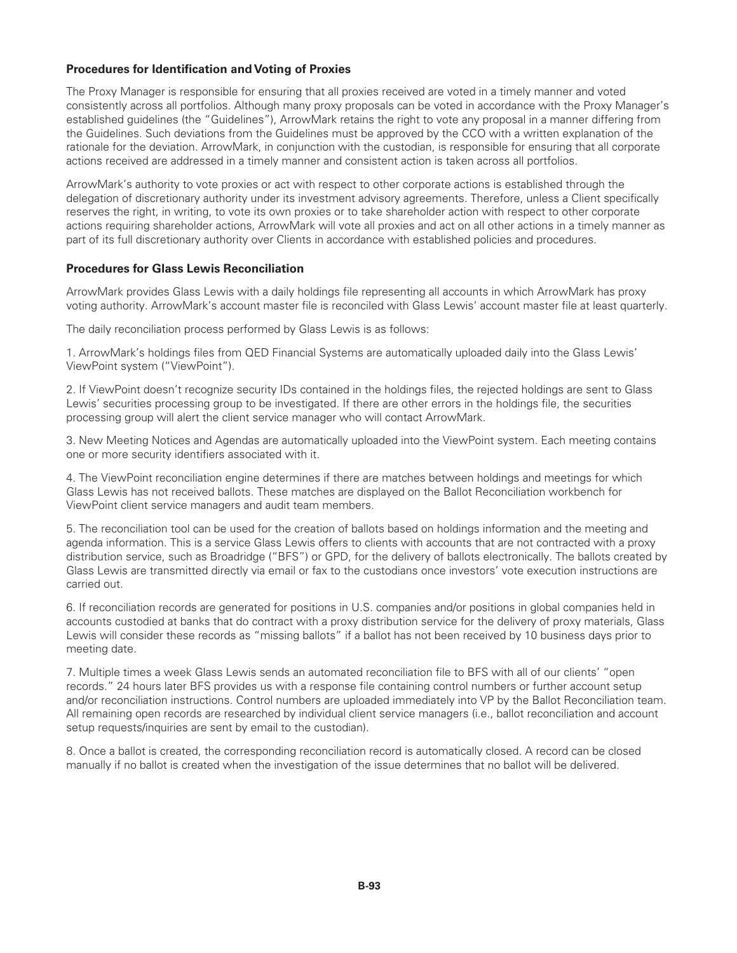## **Procedures for Identification and Voting of Proxies**

The Proxy Manager is responsible for ensuring that all proxies received are voted in a timely manner and voted consistently across all portfolios. Although many proxy proposals can be voted in accordance with the Proxy Manager's established guidelines (the "Guidelines"), ArrowMark retains the right to vote any proposal in a manner differing from the Guidelines. Such deviations from the Guidelines must be approved by the CCO with a written explanation of the rationale for the deviation. ArrowMark, in conjunction with the custodian, is responsible for ensuring that all corporate actions received are addressed in a timely manner and consistent action is taken across all portfolios.

ArrowMark's authority to vote proxies or act with respect to other corporate actions is established through the delegation of discretionary authority under its investment advisory agreements. Therefore, unless a Client specifically reserves the right, in writing, to vote its own proxies or to take shareholder action with respect to other corporate actions requiring shareholder actions, ArrowMark will vote all proxies and act on all other actions in a timely manner as part of its full discretionary authority over Clients in accordance with established policies and procedures.

### **Procedures for Glass Lewis Reconciliation**

ArrowMark provides Glass Lewis with a daily holdings file representing all accounts in which ArrowMark has proxy voting authority. ArrowMark's account master file is reconciled with Glass Lewis' account master file at least quarterly.

The daily reconciliation process performed by Glass Lewis is as follows:

1. ArrowMark's holdings files from QED Financial Systems are automatically uploaded daily into the Glass Lewis' ViewPoint system ("ViewPoint").

2. If ViewPoint doesn't recognize security IDs contained in the holdings files, the rejected holdings are sent to Glass Lewis' securities processing group to be investigated. If there are other errors in the holdings file, the securities processing group will alert the client service manager who will contact ArrowMark.

3. New Meeting Notices and Agendas are automatically uploaded into the ViewPoint system. Each meeting contains one or more security identifiers associated with it.

4. The ViewPoint reconciliation engine determines if there are matches between holdings and meetings for which Glass Lewis has not received ballots. These matches are displayed on the Ballot Reconciliation workbench for ViewPoint client service managers and audit team members.

5. The reconciliation tool can be used for the creation of ballots based on holdings information and the meeting and agenda information. This is a service Glass Lewis offers to clients with accounts that are not contracted with a proxy distribution service, such as Broadridge ("BFS") or GPD, for the delivery of ballots electronically. The ballots created by Glass Lewis are transmitted directly via email or fax to the custodians once investors' vote execution instructions are carried out.

6. If reconciliation records are generated for positions in U.S. companies and/or positions in global companies held in accounts custodied at banks that do contract with a proxy distribution service for the delivery of proxy materials, Glass Lewis will consider these records as "missing ballots" if a ballot has not been received by 10 business days prior to meeting date.

7. Multiple times a week Glass Lewis sends an automated reconciliation file to BFS with all of our clients' "open records." 24 hours later BFS provides us with a response file containing control numbers or further account setup and/or reconciliation instructions. Control numbers are uploaded immediately into VP by the Ballot Reconciliation team. All remaining open records are researched by individual client service managers (i.e., ballot reconciliation and account setup requests/inquiries are sent by email to the custodian).

8. Once a ballot is created, the corresponding reconciliation record is automatically closed. A record can be closed manually if no ballot is created when the investigation of the issue determines that no ballot will be delivered.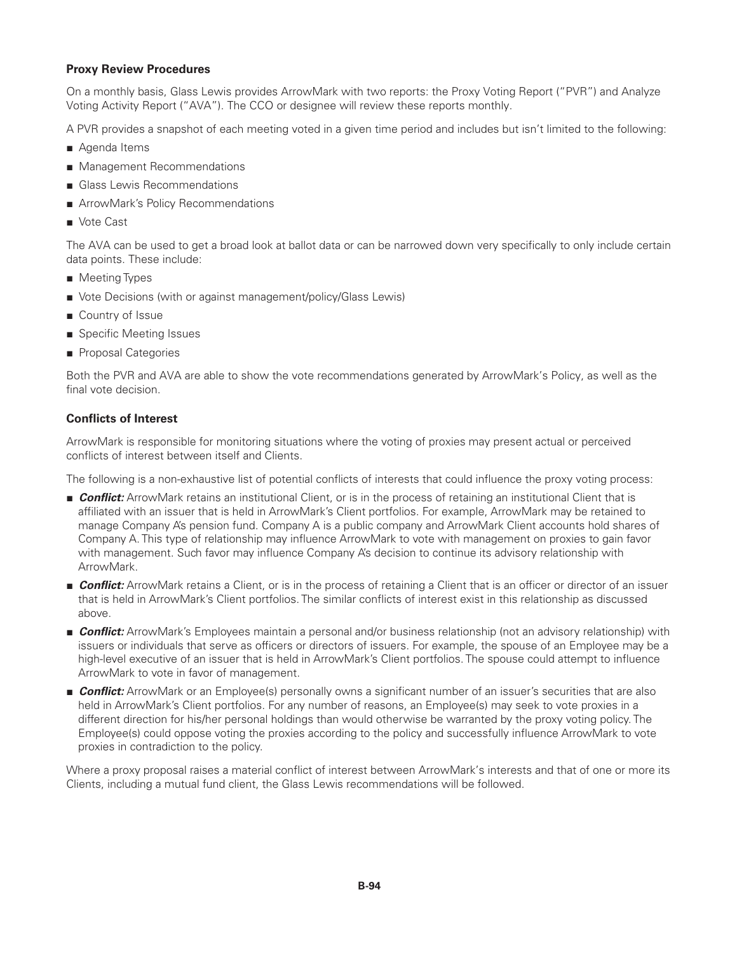### **Proxy Review Procedures**

On a monthly basis, Glass Lewis provides ArrowMark with two reports: the Proxy Voting Report ("PVR") and Analyze Voting Activity Report ("AVA"). The CCO or designee will review these reports monthly.

A PVR provides a snapshot of each meeting voted in a given time period and includes but isn't limited to the following:

- Agenda Items
- Management Recommendations
- Glass Lewis Recommendations
- ArrowMark's Policy Recommendations
- Vote Cast

The AVA can be used to get a broad look at ballot data or can be narrowed down very specifically to only include certain data points. These include:

- Meeting Types
- Vote Decisions (with or against management/policy/Glass Lewis)
- Country of Issue
- Specific Meeting Issues
- Proposal Categories

Both the PVR and AVA are able to show the vote recommendations generated by ArrowMark's Policy, as well as the final vote decision.

# **Conflicts of Interest**

ArrowMark is responsible for monitoring situations where the voting of proxies may present actual or perceived conflicts of interest between itself and Clients.

The following is a non-exhaustive list of potential conflicts of interests that could influence the proxy voting process:

- *Conflict:* ArrowMark retains an institutional Client, or is in the process of retaining an institutional Client that is affiliated with an issuer that is held in ArrowMark's Client portfolios. For example, ArrowMark may be retained to manage Company A's pension fund. Company A is a public company and ArrowMark Client accounts hold shares of Company A. This type of relationship may influence ArrowMark to vote with management on proxies to gain favor with management. Such favor may influence Company A's decision to continue its advisory relationship with ArrowMark.
- *Conflict:* ArrowMark retains a Client, or is in the process of retaining a Client that is an officer or director of an issuer that is held in ArrowMark's Client portfolios. The similar conflicts of interest exist in this relationship as discussed above.
- *Conflict:* ArrowMark's Employees maintain a personal and/or business relationship (not an advisory relationship) with issuers or individuals that serve as officers or directors of issuers. For example, the spouse of an Employee may be a high-level executive of an issuer that is held in ArrowMark's Client portfolios. The spouse could attempt to influence ArrowMark to vote in favor of management.
- **Conflict:** ArrowMark or an Employee(s) personally owns a significant number of an issuer's securities that are also held in ArrowMark's Client portfolios. For any number of reasons, an Employee(s) may seek to vote proxies in a different direction for his/her personal holdings than would otherwise be warranted by the proxy voting policy. The Employee(s) could oppose voting the proxies according to the policy and successfully influence ArrowMark to vote proxies in contradiction to the policy.

Where a proxy proposal raises a material conflict of interest between ArrowMark's interests and that of one or more its Clients, including a mutual fund client, the Glass Lewis recommendations will be followed.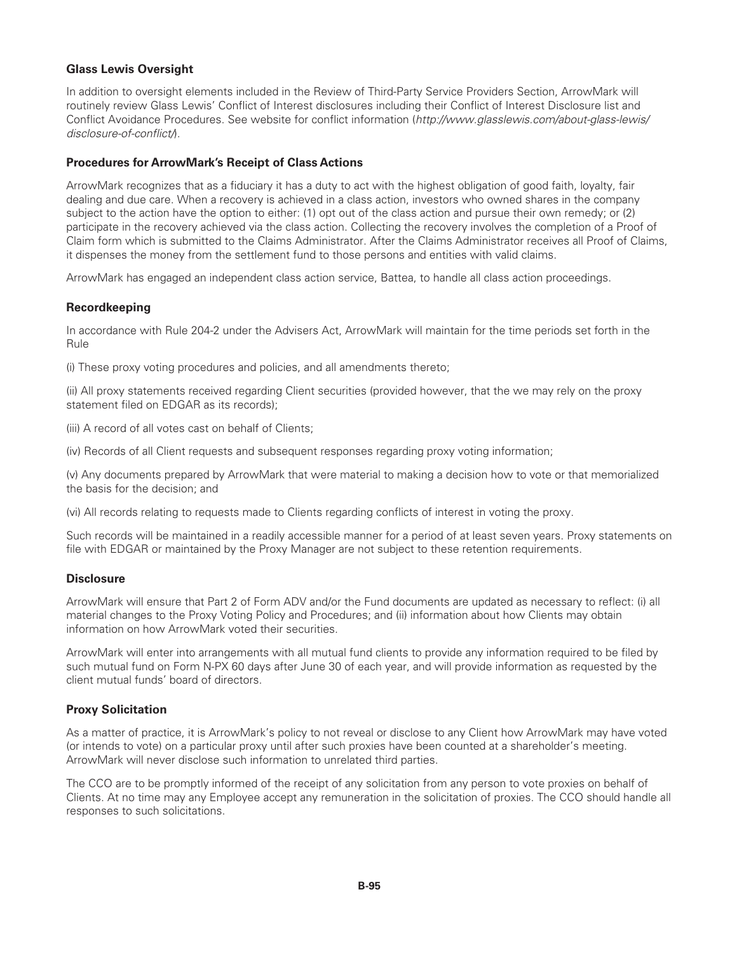# **Glass Lewis Oversight**

In addition to oversight elements included in the Review of Third-Party Service Providers Section, ArrowMark will routinely review Glass Lewis' Conflict of Interest disclosures including their Conflict of Interest Disclosure list and Conflict Avoidance Procedures. See website for conflict information (*http://www.glasslewis.com/about-glass-lewis/ disclosure-of-conflict/*).

## **Procedures for ArrowMark's Receipt of Class Actions**

ArrowMark recognizes that as a fiduciary it has a duty to act with the highest obligation of good faith, loyalty, fair dealing and due care. When a recovery is achieved in a class action, investors who owned shares in the company subject to the action have the option to either: (1) opt out of the class action and pursue their own remedy; or (2) participate in the recovery achieved via the class action. Collecting the recovery involves the completion of a Proof of Claim form which is submitted to the Claims Administrator. After the Claims Administrator receives all Proof of Claims, it dispenses the money from the settlement fund to those persons and entities with valid claims.

ArrowMark has engaged an independent class action service, Battea, to handle all class action proceedings.

### **Recordkeeping**

In accordance with Rule 204-2 under the Advisers Act, ArrowMark will maintain for the time periods set forth in the Rule

(i) These proxy voting procedures and policies, and all amendments thereto;

(ii) All proxy statements received regarding Client securities (provided however, that the we may rely on the proxy statement filed on EDGAR as its records);

(iii) A record of all votes cast on behalf of Clients;

(iv) Records of all Client requests and subsequent responses regarding proxy voting information;

(v) Any documents prepared by ArrowMark that were material to making a decision how to vote or that memorialized the basis for the decision; and

(vi) All records relating to requests made to Clients regarding conflicts of interest in voting the proxy.

Such records will be maintained in a readily accessible manner for a period of at least seven years. Proxy statements on file with EDGAR or maintained by the Proxy Manager are not subject to these retention requirements.

### **Disclosure**

ArrowMark will ensure that Part 2 of Form ADV and/or the Fund documents are updated as necessary to reflect: (i) all material changes to the Proxy Voting Policy and Procedures; and (ii) information about how Clients may obtain information on how ArrowMark voted their securities.

ArrowMark will enter into arrangements with all mutual fund clients to provide any information required to be filed by such mutual fund on Form N-PX 60 days after June 30 of each year, and will provide information as requested by the client mutual funds' board of directors.

### **Proxy Solicitation**

As a matter of practice, it is ArrowMark's policy to not reveal or disclose to any Client how ArrowMark may have voted (or intends to vote) on a particular proxy until after such proxies have been counted at a shareholder's meeting. ArrowMark will never disclose such information to unrelated third parties.

The CCO are to be promptly informed of the receipt of any solicitation from any person to vote proxies on behalf of Clients. At no time may any Employee accept any remuneration in the solicitation of proxies. The CCO should handle all responses to such solicitations.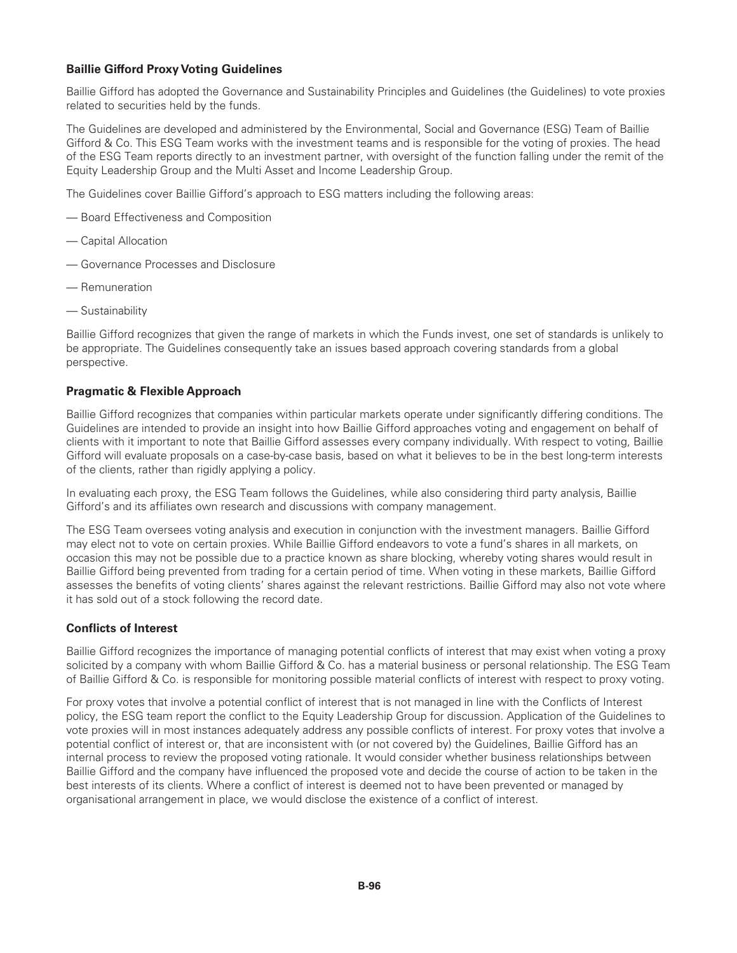# **Baillie Gifford Proxy Voting Guidelines**

Baillie Gifford has adopted the Governance and Sustainability Principles and Guidelines (the Guidelines) to vote proxies related to securities held by the funds.

The Guidelines are developed and administered by the Environmental, Social and Governance (ESG) Team of Baillie Gifford & Co. This ESG Team works with the investment teams and is responsible for the voting of proxies. The head of the ESG Team reports directly to an investment partner, with oversight of the function falling under the remit of the Equity Leadership Group and the Multi Asset and Income Leadership Group.

The Guidelines cover Baillie Gifford's approach to ESG matters including the following areas:

- Board Effectiveness and Composition
- Capital Allocation
- Governance Processes and Disclosure
- Remuneration
- Sustainability

Baillie Gifford recognizes that given the range of markets in which the Funds invest, one set of standards is unlikely to be appropriate. The Guidelines consequently take an issues based approach covering standards from a global perspective.

### **Pragmatic & Flexible Approach**

Baillie Gifford recognizes that companies within particular markets operate under significantly differing conditions. The Guidelines are intended to provide an insight into how Baillie Gifford approaches voting and engagement on behalf of clients with it important to note that Baillie Gifford assesses every company individually. With respect to voting, Baillie Gifford will evaluate proposals on a case-by-case basis, based on what it believes to be in the best long-term interests of the clients, rather than rigidly applying a policy.

In evaluating each proxy, the ESG Team follows the Guidelines, while also considering third party analysis, Baillie Gifford's and its affiliates own research and discussions with company management.

The ESG Team oversees voting analysis and execution in conjunction with the investment managers. Baillie Gifford may elect not to vote on certain proxies. While Baillie Gifford endeavors to vote a fund's shares in all markets, on occasion this may not be possible due to a practice known as share blocking, whereby voting shares would result in Baillie Gifford being prevented from trading for a certain period of time. When voting in these markets, Baillie Gifford assesses the benefits of voting clients' shares against the relevant restrictions. Baillie Gifford may also not vote where it has sold out of a stock following the record date.

### **Conflicts of Interest**

Baillie Gifford recognizes the importance of managing potential conflicts of interest that may exist when voting a proxy solicited by a company with whom Baillie Gifford & Co. has a material business or personal relationship. The ESG Team of Baillie Gifford & Co. is responsible for monitoring possible material conflicts of interest with respect to proxy voting.

For proxy votes that involve a potential conflict of interest that is not managed in line with the Conflicts of Interest policy, the ESG team report the conflict to the Equity Leadership Group for discussion. Application of the Guidelines to vote proxies will in most instances adequately address any possible conflicts of interest. For proxy votes that involve a potential conflict of interest or, that are inconsistent with (or not covered by) the Guidelines, Baillie Gifford has an internal process to review the proposed voting rationale. It would consider whether business relationships between Baillie Gifford and the company have influenced the proposed vote and decide the course of action to be taken in the best interests of its clients. Where a conflict of interest is deemed not to have been prevented or managed by organisational arrangement in place, we would disclose the existence of a conflict of interest.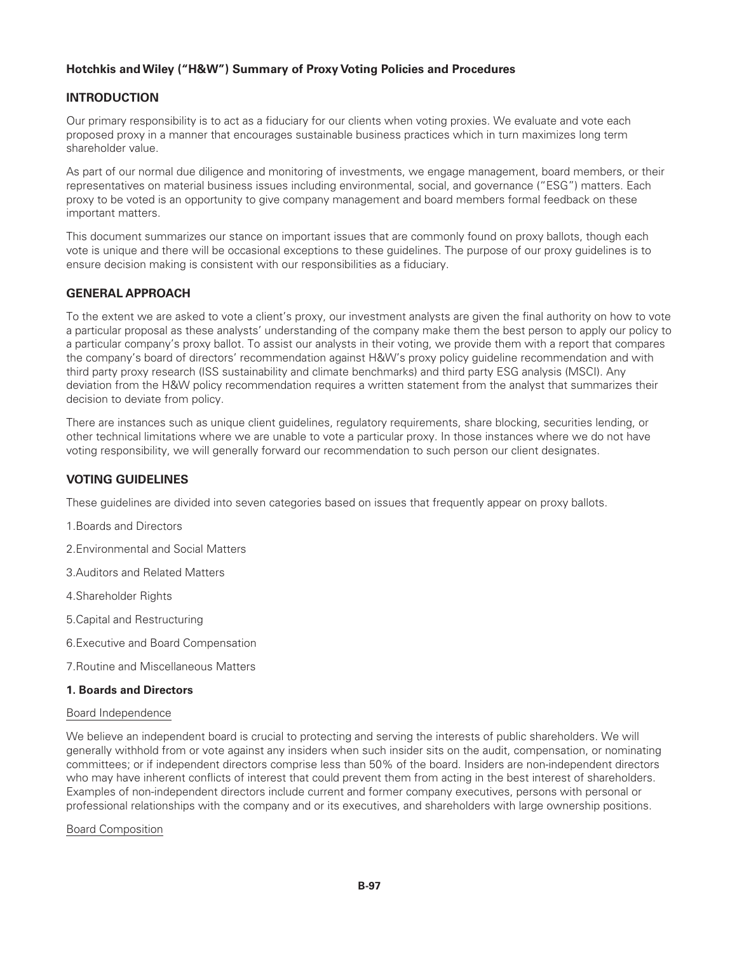# **Hotchkis andWiley ("H&W") Summary of Proxy Voting Policies and Procedures**

# **INTRODUCTION**

Our primary responsibility is to act as a fiduciary for our clients when voting proxies. We evaluate and vote each proposed proxy in a manner that encourages sustainable business practices which in turn maximizes long term shareholder value.

As part of our normal due diligence and monitoring of investments, we engage management, board members, or their representatives on material business issues including environmental, social, and governance ("ESG") matters. Each proxy to be voted is an opportunity to give company management and board members formal feedback on these important matters.

This document summarizes our stance on important issues that are commonly found on proxy ballots, though each vote is unique and there will be occasional exceptions to these guidelines. The purpose of our proxy guidelines is to ensure decision making is consistent with our responsibilities as a fiduciary.

### **GENERAL APPROACH**

To the extent we are asked to vote a client's proxy, our investment analysts are given the final authority on how to vote a particular proposal as these analysts' understanding of the company make them the best person to apply our policy to a particular company's proxy ballot. To assist our analysts in their voting, we provide them with a report that compares the company's board of directors' recommendation against H&W's proxy policy guideline recommendation and with third party proxy research (ISS sustainability and climate benchmarks) and third party ESG analysis (MSCI). Any deviation from the H&W policy recommendation requires a written statement from the analyst that summarizes their decision to deviate from policy.

There are instances such as unique client guidelines, regulatory requirements, share blocking, securities lending, or other technical limitations where we are unable to vote a particular proxy. In those instances where we do not have voting responsibility, we will generally forward our recommendation to such person our client designates.

# **VOTING GUIDELINES**

These guidelines are divided into seven categories based on issues that frequently appear on proxy ballots.

- 1.Boards and Directors
- 2.Environmental and Social Matters
- 3.Auditors and Related Matters
- 4.Shareholder Rights
- 5.Capital and Restructuring
- 6.Executive and Board Compensation
- 7.Routine and Miscellaneous Matters

#### **1. Boards and Directors**

#### Board Independence

We believe an independent board is crucial to protecting and serving the interests of public shareholders. We will generally withhold from or vote against any insiders when such insider sits on the audit, compensation, or nominating committees; or if independent directors comprise less than 50% of the board. Insiders are non-independent directors who may have inherent conflicts of interest that could prevent them from acting in the best interest of shareholders. Examples of non-independent directors include current and former company executives, persons with personal or professional relationships with the company and or its executives, and shareholders with large ownership positions.

Board Composition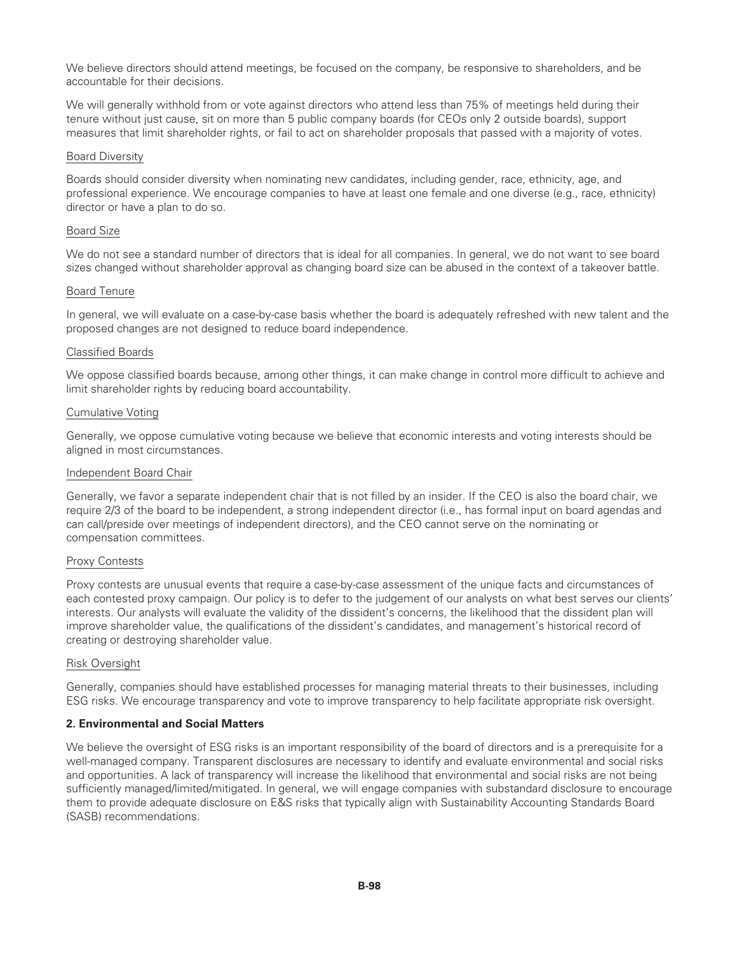We believe directors should attend meetings, be focused on the company, be responsive to shareholders, and be accountable for their decisions.

We will generally withhold from or vote against directors who attend less than 75% of meetings held during their tenure without just cause, sit on more than 5 public company boards (for CEOs only 2 outside boards), support measures that limit shareholder rights, or fail to act on shareholder proposals that passed with a majority of votes.

#### Board Diversity

Boards should consider diversity when nominating new candidates, including gender, race, ethnicity, age, and professional experience. We encourage companies to have at least one female and one diverse (e.g., race, ethnicity) director or have a plan to do so.

#### Board Size

We do not see a standard number of directors that is ideal for all companies. In general, we do not want to see board sizes changed without shareholder approval as changing board size can be abused in the context of a takeover battle.

#### Board Tenure

In general, we will evaluate on a case-by-case basis whether the board is adequately refreshed with new talent and the proposed changes are not designed to reduce board independence.

#### Classified Boards

We oppose classified boards because, among other things, it can make change in control more difficult to achieve and limit shareholder rights by reducing board accountability.

#### Cumulative Voting

Generally, we oppose cumulative voting because we believe that economic interests and voting interests should be aligned in most circumstances.

#### Independent Board Chair

Generally, we favor a separate independent chair that is not filled by an insider. If the CEO is also the board chair, we require 2/3 of the board to be independent, a strong independent director (i.e., has formal input on board agendas and can call/preside over meetings of independent directors), and the CEO cannot serve on the nominating or compensation committees.

#### Proxy Contests

Proxy contests are unusual events that require a case-by-case assessment of the unique facts and circumstances of each contested proxy campaign. Our policy is to defer to the judgement of our analysts on what best serves our clients' interests. Our analysts will evaluate the validity of the dissident's concerns, the likelihood that the dissident plan will improve shareholder value, the qualifications of the dissident's candidates, and management's historical record of creating or destroying shareholder value.

#### Risk Oversight

Generally, companies should have established processes for managing material threats to their businesses, including ESG risks. We encourage transparency and vote to improve transparency to help facilitate appropriate risk oversight.

### **2. Environmental and Social Matters**

We believe the oversight of ESG risks is an important responsibility of the board of directors and is a prerequisite for a well-managed company. Transparent disclosures are necessary to identify and evaluate environmental and social risks and opportunities. A lack of transparency will increase the likelihood that environmental and social risks are not being sufficiently managed/limited/mitigated. In general, we will engage companies with substandard disclosure to encourage them to provide adequate disclosure on E&S risks that typically align with Sustainability Accounting Standards Board (SASB) recommendations.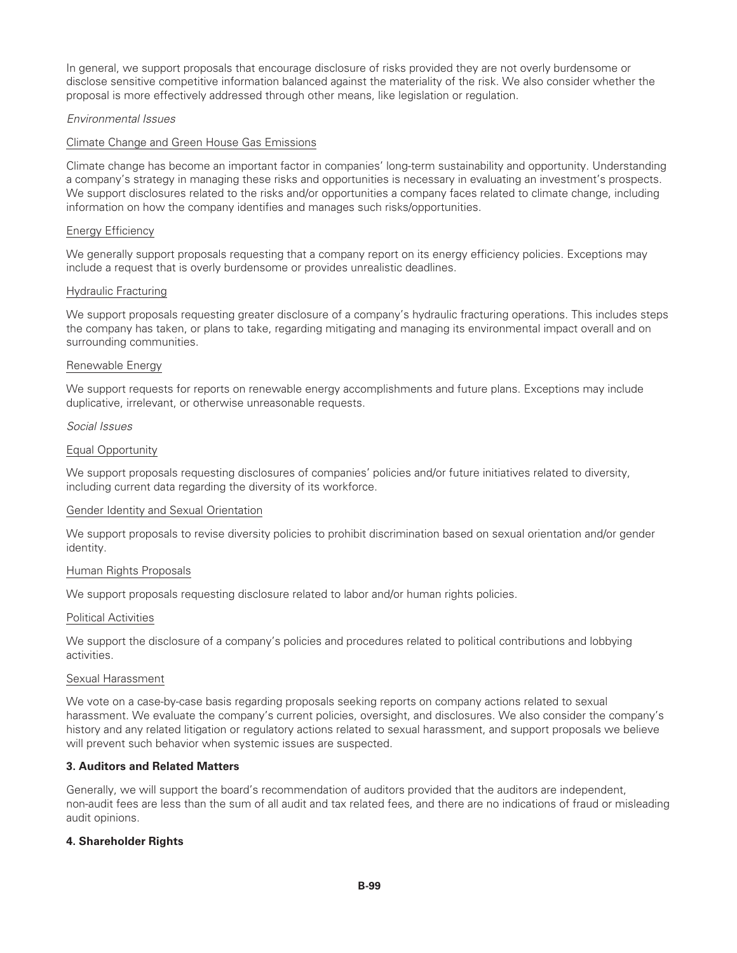In general, we support proposals that encourage disclosure of risks provided they are not overly burdensome or disclose sensitive competitive information balanced against the materiality of the risk. We also consider whether the proposal is more effectively addressed through other means, like legislation or regulation.

### *Environmental Issues*

### Climate Change and Green House Gas Emissions

Climate change has become an important factor in companies' long-term sustainability and opportunity. Understanding a company's strategy in managing these risks and opportunities is necessary in evaluating an investment's prospects. We support disclosures related to the risks and/or opportunities a company faces related to climate change, including information on how the company identifies and manages such risks/opportunities.

#### Energy Efficiency

We generally support proposals requesting that a company report on its energy efficiency policies. Exceptions may include a request that is overly burdensome or provides unrealistic deadlines.

#### Hydraulic Fracturing

We support proposals requesting greater disclosure of a company's hydraulic fracturing operations. This includes steps the company has taken, or plans to take, regarding mitigating and managing its environmental impact overall and on surrounding communities.

#### Renewable Energy

We support requests for reports on renewable energy accomplishments and future plans. Exceptions may include duplicative, irrelevant, or otherwise unreasonable requests.

#### *Social Issues*

#### Equal Opportunity

We support proposals requesting disclosures of companies' policies and/or future initiatives related to diversity, including current data regarding the diversity of its workforce.

#### Gender Identity and Sexual Orientation

We support proposals to revise diversity policies to prohibit discrimination based on sexual orientation and/or gender identity.

#### Human Rights Proposals

We support proposals requesting disclosure related to labor and/or human rights policies.

#### Political Activities

We support the disclosure of a company's policies and procedures related to political contributions and lobbying activities.

#### Sexual Harassment

We vote on a case-by-case basis regarding proposals seeking reports on company actions related to sexual harassment. We evaluate the company's current policies, oversight, and disclosures. We also consider the company's history and any related litigation or regulatory actions related to sexual harassment, and support proposals we believe will prevent such behavior when systemic issues are suspected.

### **3. Auditors and Related Matters**

Generally, we will support the board's recommendation of auditors provided that the auditors are independent, non-audit fees are less than the sum of all audit and tax related fees, and there are no indications of fraud or misleading audit opinions.

### **4. Shareholder Rights**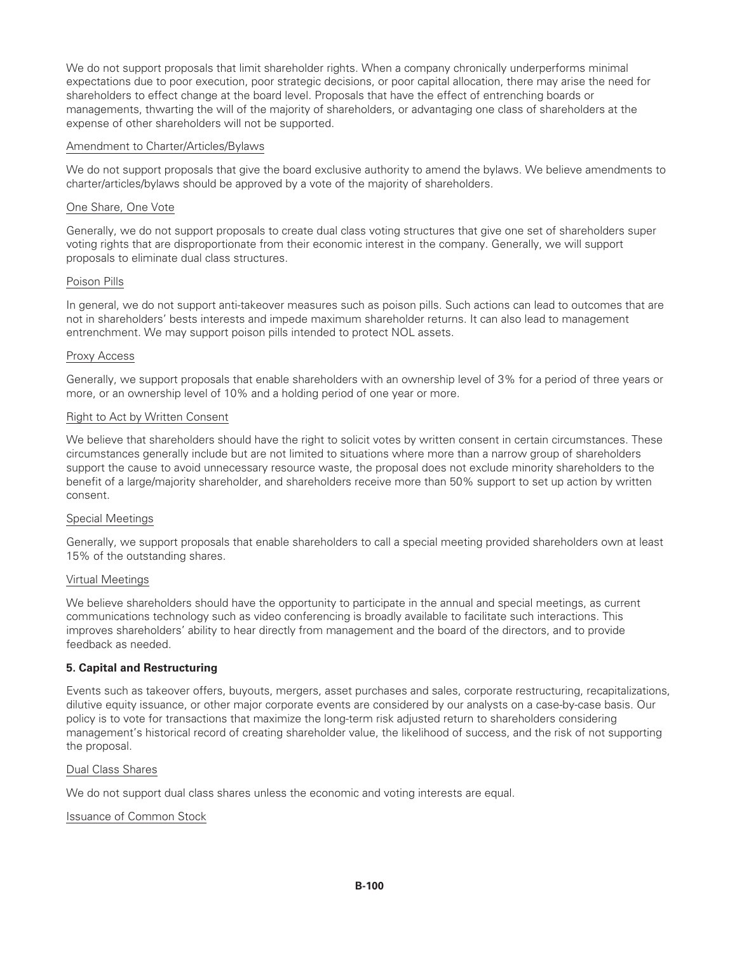We do not support proposals that limit shareholder rights. When a company chronically underperforms minimal expectations due to poor execution, poor strategic decisions, or poor capital allocation, there may arise the need for shareholders to effect change at the board level. Proposals that have the effect of entrenching boards or managements, thwarting the will of the majority of shareholders, or advantaging one class of shareholders at the expense of other shareholders will not be supported.

### Amendment to Charter/Articles/Bylaws

We do not support proposals that give the board exclusive authority to amend the bylaws. We believe amendments to charter/articles/bylaws should be approved by a vote of the majority of shareholders.

#### One Share, One Vote

Generally, we do not support proposals to create dual class voting structures that give one set of shareholders super voting rights that are disproportionate from their economic interest in the company. Generally, we will support proposals to eliminate dual class structures.

#### Poison Pills

In general, we do not support anti-takeover measures such as poison pills. Such actions can lead to outcomes that are not in shareholders' bests interests and impede maximum shareholder returns. It can also lead to management entrenchment. We may support poison pills intended to protect NOL assets.

#### Proxy Access

Generally, we support proposals that enable shareholders with an ownership level of 3% for a period of three years or more, or an ownership level of 10% and a holding period of one year or more.

#### Right to Act by Written Consent

We believe that shareholders should have the right to solicit votes by written consent in certain circumstances. These circumstances generally include but are not limited to situations where more than a narrow group of shareholders support the cause to avoid unnecessary resource waste, the proposal does not exclude minority shareholders to the benefit of a large/majority shareholder, and shareholders receive more than 50% support to set up action by written consent.

#### Special Meetings

Generally, we support proposals that enable shareholders to call a special meeting provided shareholders own at least 15% of the outstanding shares.

#### Virtual Meetings

We believe shareholders should have the opportunity to participate in the annual and special meetings, as current communications technology such as video conferencing is broadly available to facilitate such interactions. This improves shareholders' ability to hear directly from management and the board of the directors, and to provide feedback as needed.

### **5. Capital and Restructuring**

Events such as takeover offers, buyouts, mergers, asset purchases and sales, corporate restructuring, recapitalizations, dilutive equity issuance, or other major corporate events are considered by our analysts on a case-by-case basis. Our policy is to vote for transactions that maximize the long-term risk adjusted return to shareholders considering management's historical record of creating shareholder value, the likelihood of success, and the risk of not supporting the proposal.

#### Dual Class Shares

We do not support dual class shares unless the economic and voting interests are equal.

#### Issuance of Common Stock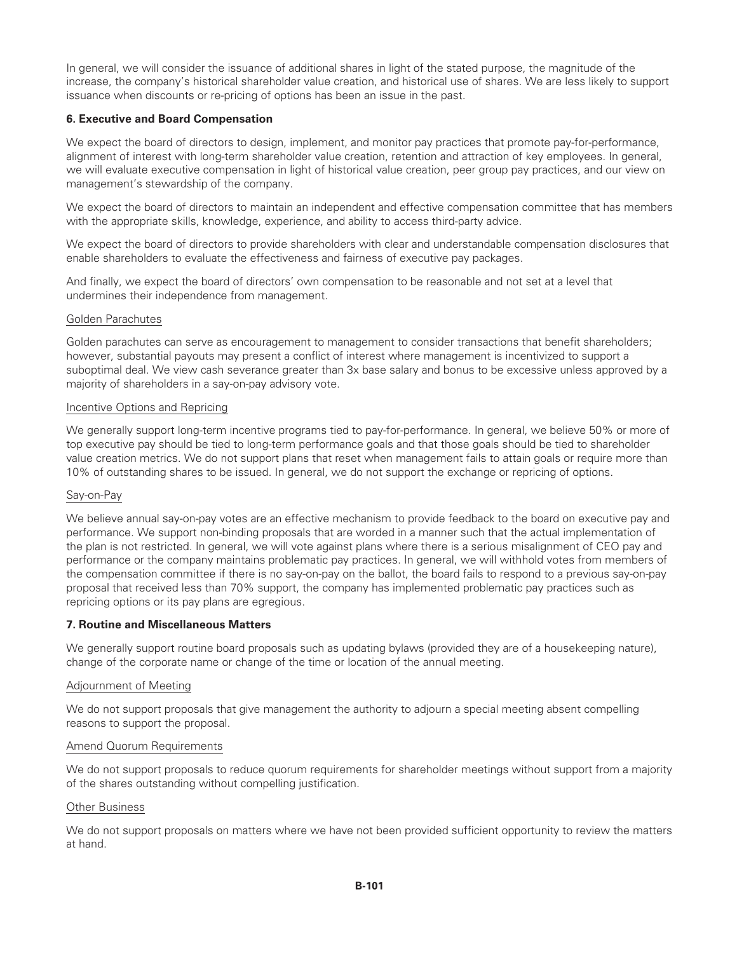In general, we will consider the issuance of additional shares in light of the stated purpose, the magnitude of the increase, the company's historical shareholder value creation, and historical use of shares. We are less likely to support issuance when discounts or re-pricing of options has been an issue in the past.

### **6. Executive and Board Compensation**

We expect the board of directors to design, implement, and monitor pay practices that promote pay-for-performance, alignment of interest with long-term shareholder value creation, retention and attraction of key employees. In general, we will evaluate executive compensation in light of historical value creation, peer group pay practices, and our view on management's stewardship of the company.

We expect the board of directors to maintain an independent and effective compensation committee that has members with the appropriate skills, knowledge, experience, and ability to access third-party advice.

We expect the board of directors to provide shareholders with clear and understandable compensation disclosures that enable shareholders to evaluate the effectiveness and fairness of executive pay packages.

And finally, we expect the board of directors' own compensation to be reasonable and not set at a level that undermines their independence from management.

#### Golden Parachutes

Golden parachutes can serve as encouragement to management to consider transactions that benefit shareholders; however, substantial payouts may present a conflict of interest where management is incentivized to support a suboptimal deal. We view cash severance greater than 3x base salary and bonus to be excessive unless approved by a majority of shareholders in a say-on-pay advisory vote.

#### Incentive Options and Repricing

We generally support long-term incentive programs tied to pay-for-performance. In general, we believe 50% or more of top executive pay should be tied to long-term performance goals and that those goals should be tied to shareholder value creation metrics. We do not support plans that reset when management fails to attain goals or require more than 10% of outstanding shares to be issued. In general, we do not support the exchange or repricing of options.

### Say-on-Pay

We believe annual say-on-pay votes are an effective mechanism to provide feedback to the board on executive pay and performance. We support non-binding proposals that are worded in a manner such that the actual implementation of the plan is not restricted. In general, we will vote against plans where there is a serious misalignment of CEO pay and performance or the company maintains problematic pay practices. In general, we will withhold votes from members of the compensation committee if there is no say-on-pay on the ballot, the board fails to respond to a previous say-on-pay proposal that received less than 70% support, the company has implemented problematic pay practices such as repricing options or its pay plans are egregious.

### **7. Routine and Miscellaneous Matters**

We generally support routine board proposals such as updating bylaws (provided they are of a housekeeping nature), change of the corporate name or change of the time or location of the annual meeting.

#### Adjournment of Meeting

We do not support proposals that give management the authority to adjourn a special meeting absent compelling reasons to support the proposal.

#### Amend Quorum Requirements

We do not support proposals to reduce quorum requirements for shareholder meetings without support from a majority of the shares outstanding without compelling justification.

#### Other Business

We do not support proposals on matters where we have not been provided sufficient opportunity to review the matters at hand.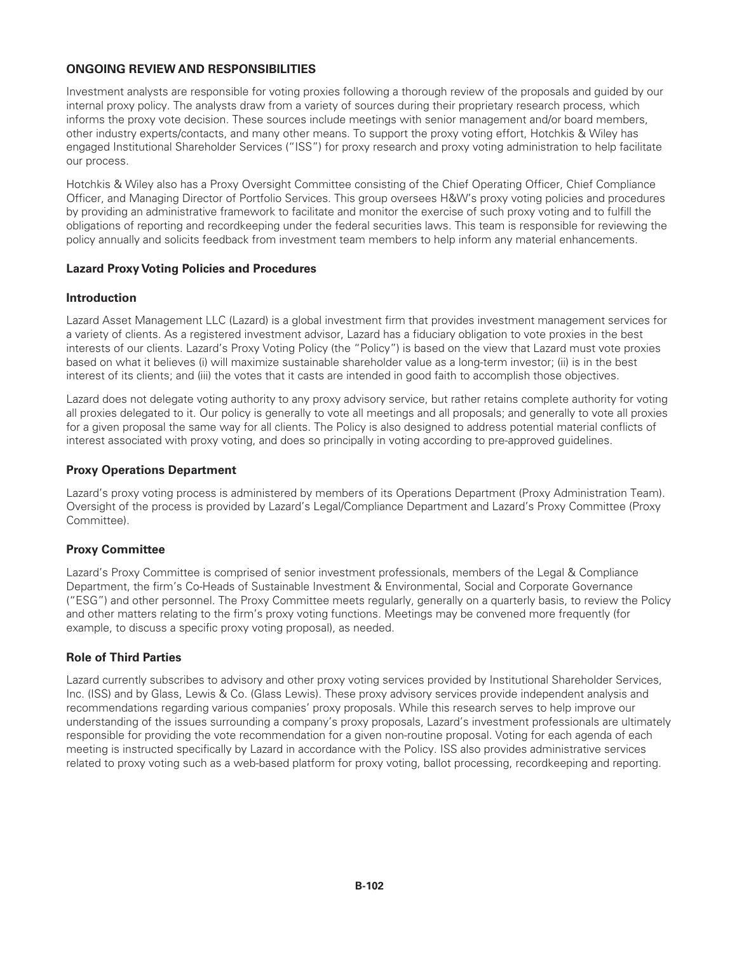# **ONGOING REVIEW AND RESPONSIBILITIES**

Investment analysts are responsible for voting proxies following a thorough review of the proposals and guided by our internal proxy policy. The analysts draw from a variety of sources during their proprietary research process, which informs the proxy vote decision. These sources include meetings with senior management and/or board members, other industry experts/contacts, and many other means. To support the proxy voting effort, Hotchkis & Wiley has engaged Institutional Shareholder Services ("ISS") for proxy research and proxy voting administration to help facilitate our process.

Hotchkis & Wiley also has a Proxy Oversight Committee consisting of the Chief Operating Officer, Chief Compliance Officer, and Managing Director of Portfolio Services. This group oversees H&W's proxy voting policies and procedures by providing an administrative framework to facilitate and monitor the exercise of such proxy voting and to fulfill the obligations of reporting and recordkeeping under the federal securities laws. This team is responsible for reviewing the policy annually and solicits feedback from investment team members to help inform any material enhancements.

### **Lazard Proxy Voting Policies and Procedures**

### **Introduction**

Lazard Asset Management LLC (Lazard) is a global investment firm that provides investment management services for a variety of clients. As a registered investment advisor, Lazard has a fiduciary obligation to vote proxies in the best interests of our clients. Lazard's Proxy Voting Policy (the "Policy") is based on the view that Lazard must vote proxies based on what it believes (i) will maximize sustainable shareholder value as a long-term investor; (ii) is in the best interest of its clients; and (iii) the votes that it casts are intended in good faith to accomplish those objectives.

Lazard does not delegate voting authority to any proxy advisory service, but rather retains complete authority for voting all proxies delegated to it. Our policy is generally to vote all meetings and all proposals; and generally to vote all proxies for a given proposal the same way for all clients. The Policy is also designed to address potential material conflicts of interest associated with proxy voting, and does so principally in voting according to pre-approved guidelines.

### **Proxy Operations Department**

Lazard's proxy voting process is administered by members of its Operations Department (Proxy Administration Team). Oversight of the process is provided by Lazard's Legal/Compliance Department and Lazard's Proxy Committee (Proxy Committee).

# **Proxy Committee**

Lazard's Proxy Committee is comprised of senior investment professionals, members of the Legal & Compliance Department, the firm's Co-Heads of Sustainable Investment & Environmental, Social and Corporate Governance ("ESG") and other personnel. The Proxy Committee meets regularly, generally on a quarterly basis, to review the Policy and other matters relating to the firm's proxy voting functions. Meetings may be convened more frequently (for example, to discuss a specific proxy voting proposal), as needed.

# **Role of Third Parties**

Lazard currently subscribes to advisory and other proxy voting services provided by Institutional Shareholder Services, Inc. (ISS) and by Glass, Lewis & Co. (Glass Lewis). These proxy advisory services provide independent analysis and recommendations regarding various companies' proxy proposals. While this research serves to help improve our understanding of the issues surrounding a company's proxy proposals, Lazard's investment professionals are ultimately responsible for providing the vote recommendation for a given non-routine proposal. Voting for each agenda of each meeting is instructed specifically by Lazard in accordance with the Policy. ISS also provides administrative services related to proxy voting such as a web-based platform for proxy voting, ballot processing, recordkeeping and reporting.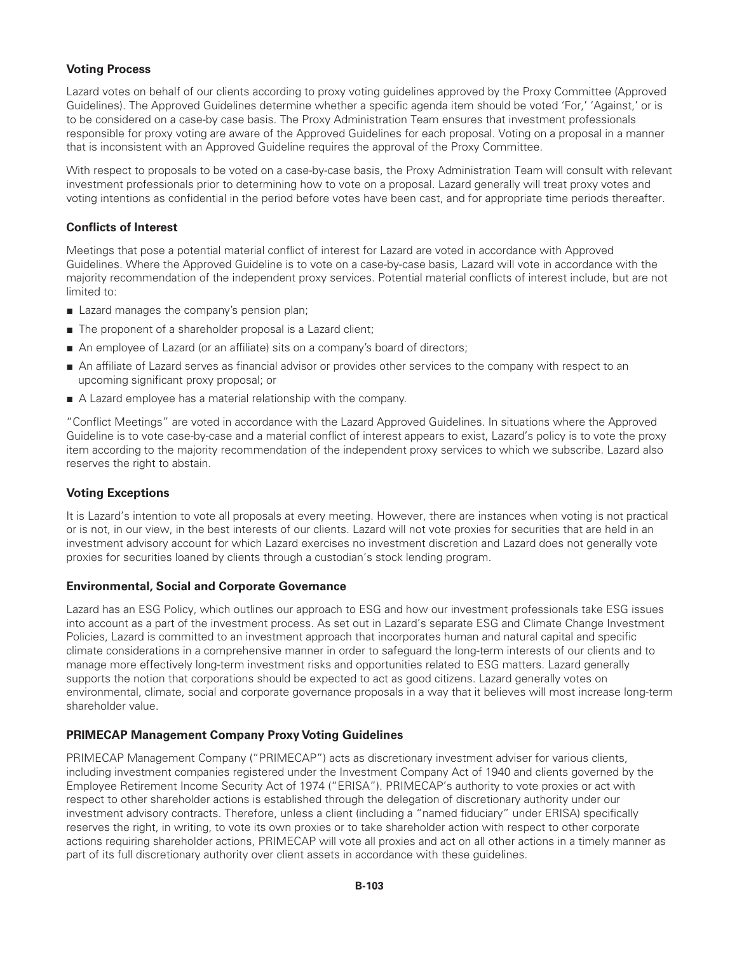# **Voting Process**

Lazard votes on behalf of our clients according to proxy voting guidelines approved by the Proxy Committee (Approved Guidelines). The Approved Guidelines determine whether a specific agenda item should be voted 'For,' 'Against,' or is to be considered on a case-by case basis. The Proxy Administration Team ensures that investment professionals responsible for proxy voting are aware of the Approved Guidelines for each proposal. Voting on a proposal in a manner that is inconsistent with an Approved Guideline requires the approval of the Proxy Committee.

With respect to proposals to be voted on a case-by-case basis, the Proxy Administration Team will consult with relevant investment professionals prior to determining how to vote on a proposal. Lazard generally will treat proxy votes and voting intentions as confidential in the period before votes have been cast, and for appropriate time periods thereafter.

## **Conflicts of Interest**

Meetings that pose a potential material conflict of interest for Lazard are voted in accordance with Approved Guidelines. Where the Approved Guideline is to vote on a case-by-case basis, Lazard will vote in accordance with the majority recommendation of the independent proxy services. Potential material conflicts of interest include, but are not limited to:

- Lazard manages the company's pension plan;
- The proponent of a shareholder proposal is a Lazard client;
- An employee of Lazard (or an affiliate) sits on a company's board of directors;
- An affiliate of Lazard serves as financial advisor or provides other services to the company with respect to an upcoming significant proxy proposal; or
- A Lazard employee has a material relationship with the company.

"Conflict Meetings" are voted in accordance with the Lazard Approved Guidelines. In situations where the Approved Guideline is to vote case-by-case and a material conflict of interest appears to exist, Lazard's policy is to vote the proxy item according to the majority recommendation of the independent proxy services to which we subscribe. Lazard also reserves the right to abstain.

# **Voting Exceptions**

It is Lazard's intention to vote all proposals at every meeting. However, there are instances when voting is not practical or is not, in our view, in the best interests of our clients. Lazard will not vote proxies for securities that are held in an investment advisory account for which Lazard exercises no investment discretion and Lazard does not generally vote proxies for securities loaned by clients through a custodian's stock lending program.

### **Environmental, Social and Corporate Governance**

Lazard has an ESG Policy, which outlines our approach to ESG and how our investment professionals take ESG issues into account as a part of the investment process. As set out in Lazard's separate ESG and Climate Change Investment Policies, Lazard is committed to an investment approach that incorporates human and natural capital and specific climate considerations in a comprehensive manner in order to safeguard the long-term interests of our clients and to manage more effectively long-term investment risks and opportunities related to ESG matters. Lazard generally supports the notion that corporations should be expected to act as good citizens. Lazard generally votes on environmental, climate, social and corporate governance proposals in a way that it believes will most increase long-term shareholder value.

# **PRIMECAP Management Company Proxy Voting Guidelines**

PRIMECAP Management Company ("PRIMECAP") acts as discretionary investment adviser for various clients, including investment companies registered under the Investment Company Act of 1940 and clients governed by the Employee Retirement Income Security Act of 1974 ("ERISA"). PRIMECAP's authority to vote proxies or act with respect to other shareholder actions is established through the delegation of discretionary authority under our investment advisory contracts. Therefore, unless a client (including a "named fiduciary" under ERISA) specifically reserves the right, in writing, to vote its own proxies or to take shareholder action with respect to other corporate actions requiring shareholder actions, PRIMECAP will vote all proxies and act on all other actions in a timely manner as part of its full discretionary authority over client assets in accordance with these guidelines.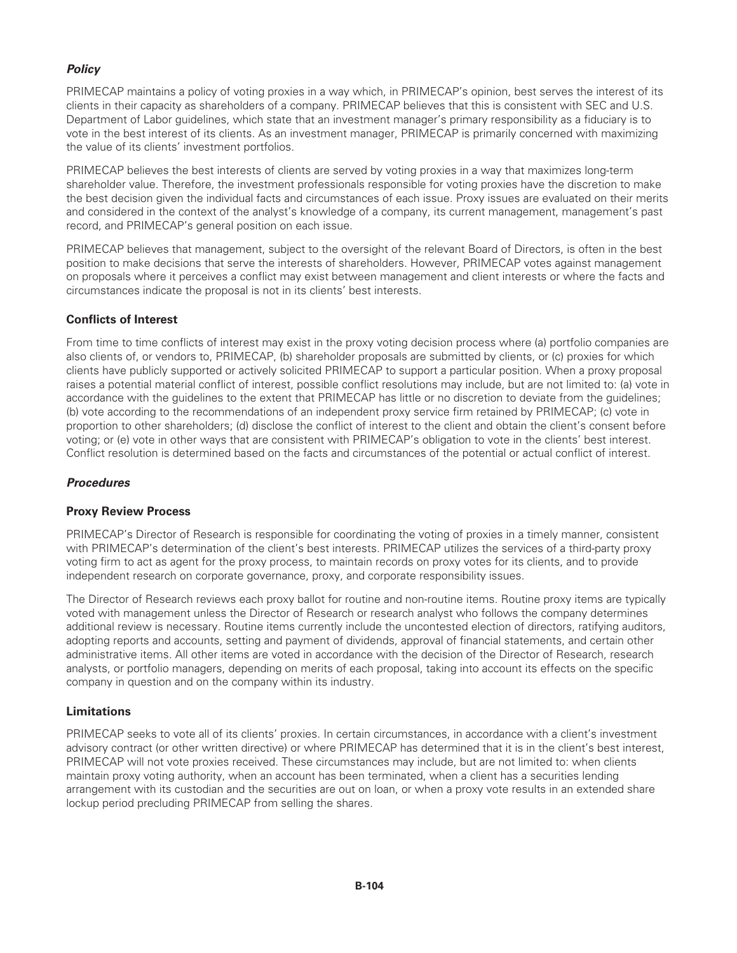# *Policy*

PRIMECAP maintains a policy of voting proxies in a way which, in PRIMECAP's opinion, best serves the interest of its clients in their capacity as shareholders of a company. PRIMECAP believes that this is consistent with SEC and U.S. Department of Labor guidelines, which state that an investment manager's primary responsibility as a fiduciary is to vote in the best interest of its clients. As an investment manager, PRIMECAP is primarily concerned with maximizing the value of its clients' investment portfolios.

PRIMECAP believes the best interests of clients are served by voting proxies in a way that maximizes long-term shareholder value. Therefore, the investment professionals responsible for voting proxies have the discretion to make the best decision given the individual facts and circumstances of each issue. Proxy issues are evaluated on their merits and considered in the context of the analyst's knowledge of a company, its current management, management's past record, and PRIMECAP's general position on each issue.

PRIMECAP believes that management, subject to the oversight of the relevant Board of Directors, is often in the best position to make decisions that serve the interests of shareholders. However, PRIMECAP votes against management on proposals where it perceives a conflict may exist between management and client interests or where the facts and circumstances indicate the proposal is not in its clients' best interests.

### **Conflicts of Interest**

From time to time conflicts of interest may exist in the proxy voting decision process where (a) portfolio companies are also clients of, or vendors to, PRIMECAP, (b) shareholder proposals are submitted by clients, or (c) proxies for which clients have publicly supported or actively solicited PRIMECAP to support a particular position. When a proxy proposal raises a potential material conflict of interest, possible conflict resolutions may include, but are not limited to: (a) vote in accordance with the guidelines to the extent that PRIMECAP has little or no discretion to deviate from the guidelines; (b) vote according to the recommendations of an independent proxy service firm retained by PRIMECAP; (c) vote in proportion to other shareholders; (d) disclose the conflict of interest to the client and obtain the client's consent before voting; or (e) vote in other ways that are consistent with PRIMECAP's obligation to vote in the clients' best interest. Conflict resolution is determined based on the facts and circumstances of the potential or actual conflict of interest.

### *Procedures*

### **Proxy Review Process**

PRIMECAP's Director of Research is responsible for coordinating the voting of proxies in a timely manner, consistent with PRIMECAP's determination of the client's best interests. PRIMECAP utilizes the services of a third-party proxy voting firm to act as agent for the proxy process, to maintain records on proxy votes for its clients, and to provide independent research on corporate governance, proxy, and corporate responsibility issues.

The Director of Research reviews each proxy ballot for routine and non-routine items. Routine proxy items are typically voted with management unless the Director of Research or research analyst who follows the company determines additional review is necessary. Routine items currently include the uncontested election of directors, ratifying auditors, adopting reports and accounts, setting and payment of dividends, approval of financial statements, and certain other administrative items. All other items are voted in accordance with the decision of the Director of Research, research analysts, or portfolio managers, depending on merits of each proposal, taking into account its effects on the specific company in question and on the company within its industry.

# **Limitations**

PRIMECAP seeks to vote all of its clients' proxies. In certain circumstances, in accordance with a client's investment advisory contract (or other written directive) or where PRIMECAP has determined that it is in the client's best interest, PRIMECAP will not vote proxies received. These circumstances may include, but are not limited to: when clients maintain proxy voting authority, when an account has been terminated, when a client has a securities lending arrangement with its custodian and the securities are out on loan, or when a proxy vote results in an extended share lockup period precluding PRIMECAP from selling the shares.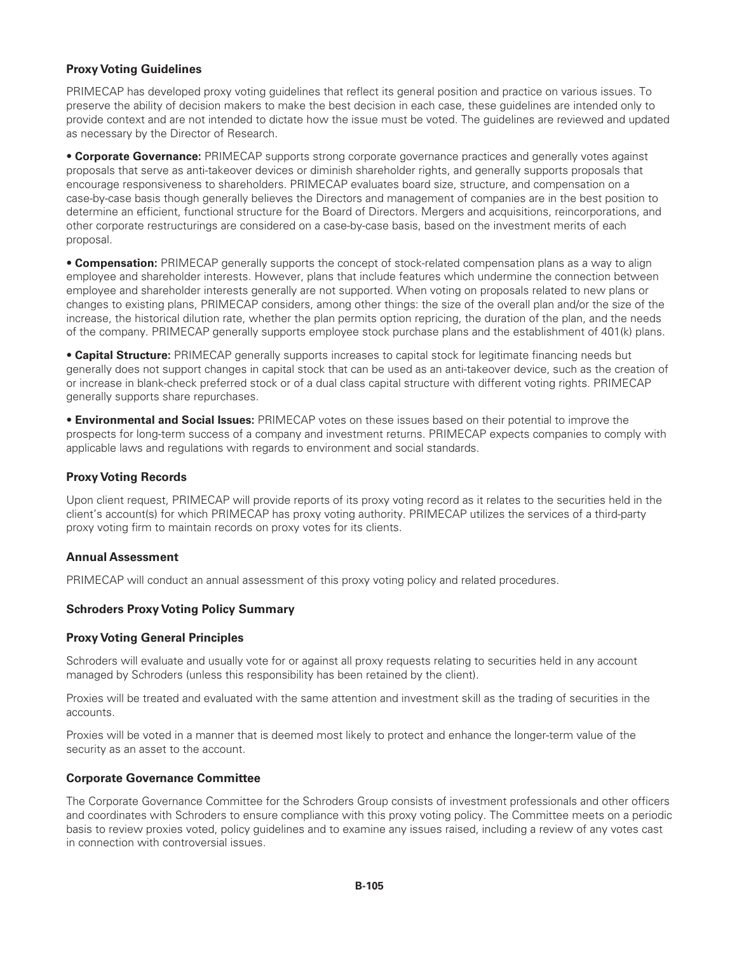## **Proxy Voting Guidelines**

PRIMECAP has developed proxy voting guidelines that reflect its general position and practice on various issues. To preserve the ability of decision makers to make the best decision in each case, these guidelines are intended only to provide context and are not intended to dictate how the issue must be voted. The guidelines are reviewed and updated as necessary by the Director of Research.

• **Corporate Governance:** PRIMECAP supports strong corporate governance practices and generally votes against proposals that serve as anti-takeover devices or diminish shareholder rights, and generally supports proposals that encourage responsiveness to shareholders. PRIMECAP evaluates board size, structure, and compensation on a case-by-case basis though generally believes the Directors and management of companies are in the best position to determine an efficient, functional structure for the Board of Directors. Mergers and acquisitions, reincorporations, and other corporate restructurings are considered on a case-by-case basis, based on the investment merits of each proposal.

• **Compensation:** PRIMECAP generally supports the concept of stock-related compensation plans as a way to align employee and shareholder interests. However, plans that include features which undermine the connection between employee and shareholder interests generally are not supported. When voting on proposals related to new plans or changes to existing plans, PRIMECAP considers, among other things: the size of the overall plan and/or the size of the increase, the historical dilution rate, whether the plan permits option repricing, the duration of the plan, and the needs of the company. PRIMECAP generally supports employee stock purchase plans and the establishment of 401(k) plans.

• **Capital Structure:** PRIMECAP generally supports increases to capital stock for legitimate financing needs but generally does not support changes in capital stock that can be used as an anti-takeover device, such as the creation of or increase in blank-check preferred stock or of a dual class capital structure with different voting rights. PRIMECAP generally supports share repurchases.

• **Environmental and Social Issues:** PRIMECAP votes on these issues based on their potential to improve the prospects for long-term success of a company and investment returns. PRIMECAP expects companies to comply with applicable laws and regulations with regards to environment and social standards.

### **Proxy Voting Records**

Upon client request, PRIMECAP will provide reports of its proxy voting record as it relates to the securities held in the client's account(s) for which PRIMECAP has proxy voting authority. PRIMECAP utilizes the services of a third-party proxy voting firm to maintain records on proxy votes for its clients.

### **Annual Assessment**

PRIMECAP will conduct an annual assessment of this proxy voting policy and related procedures.

### **Schroders Proxy Voting Policy Summary**

### **Proxy Voting General Principles**

Schroders will evaluate and usually vote for or against all proxy requests relating to securities held in any account managed by Schroders (unless this responsibility has been retained by the client).

Proxies will be treated and evaluated with the same attention and investment skill as the trading of securities in the accounts.

Proxies will be voted in a manner that is deemed most likely to protect and enhance the longer-term value of the security as an asset to the account.

### **Corporate Governance Committee**

The Corporate Governance Committee for the Schroders Group consists of investment professionals and other officers and coordinates with Schroders to ensure compliance with this proxy voting policy. The Committee meets on a periodic basis to review proxies voted, policy guidelines and to examine any issues raised, including a review of any votes cast in connection with controversial issues.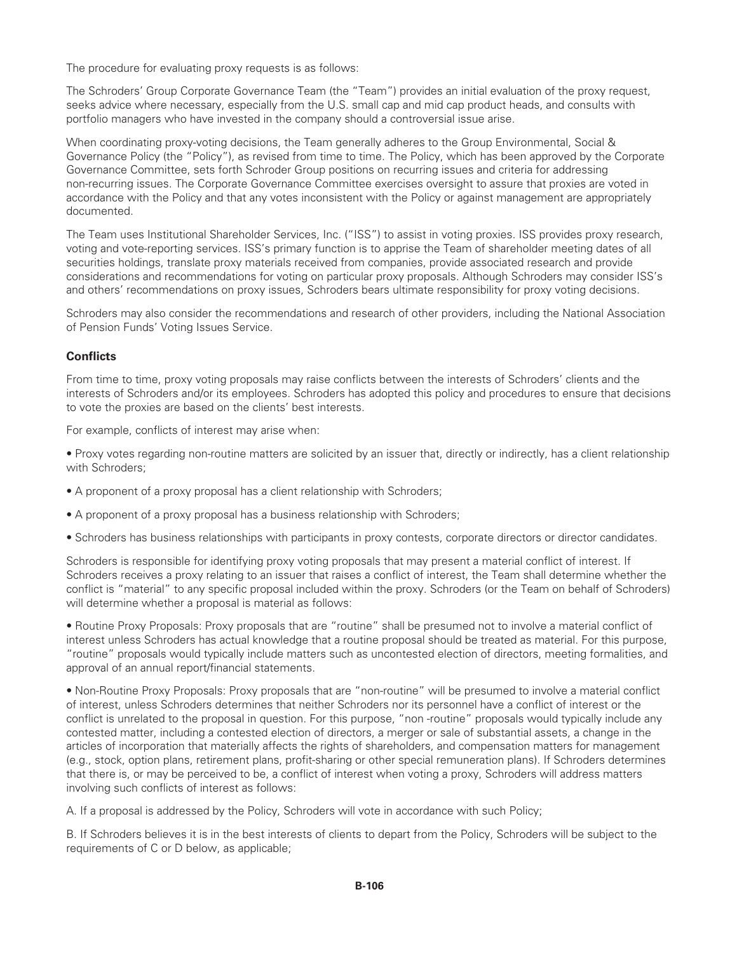The procedure for evaluating proxy requests is as follows:

The Schroders' Group Corporate Governance Team (the "Team") provides an initial evaluation of the proxy request, seeks advice where necessary, especially from the U.S. small cap and mid cap product heads, and consults with portfolio managers who have invested in the company should a controversial issue arise.

When coordinating proxy-voting decisions, the Team generally adheres to the Group Environmental, Social & Governance Policy (the "Policy"), as revised from time to time. The Policy, which has been approved by the Corporate Governance Committee, sets forth Schroder Group positions on recurring issues and criteria for addressing non-recurring issues. The Corporate Governance Committee exercises oversight to assure that proxies are voted in accordance with the Policy and that any votes inconsistent with the Policy or against management are appropriately documented.

The Team uses Institutional Shareholder Services, Inc. ("ISS") to assist in voting proxies. ISS provides proxy research, voting and vote-reporting services. ISS's primary function is to apprise the Team of shareholder meeting dates of all securities holdings, translate proxy materials received from companies, provide associated research and provide considerations and recommendations for voting on particular proxy proposals. Although Schroders may consider ISS's and others' recommendations on proxy issues, Schroders bears ultimate responsibility for proxy voting decisions.

Schroders may also consider the recommendations and research of other providers, including the National Association of Pension Funds' Voting Issues Service.

# **Conflicts**

From time to time, proxy voting proposals may raise conflicts between the interests of Schroders' clients and the interests of Schroders and/or its employees. Schroders has adopted this policy and procedures to ensure that decisions to vote the proxies are based on the clients' best interests.

For example, conflicts of interest may arise when:

• Proxy votes regarding non-routine matters are solicited by an issuer that, directly or indirectly, has a client relationship with Schroders;

- A proponent of a proxy proposal has a client relationship with Schroders;
- A proponent of a proxy proposal has a business relationship with Schroders;
- Schroders has business relationships with participants in proxy contests, corporate directors or director candidates.

Schroders is responsible for identifying proxy voting proposals that may present a material conflict of interest. If Schroders receives a proxy relating to an issuer that raises a conflict of interest, the Team shall determine whether the conflict is "material" to any specific proposal included within the proxy. Schroders (or the Team on behalf of Schroders) will determine whether a proposal is material as follows:

• Routine Proxy Proposals: Proxy proposals that are "routine" shall be presumed not to involve a material conflict of interest unless Schroders has actual knowledge that a routine proposal should be treated as material. For this purpose, "routine" proposals would typically include matters such as uncontested election of directors, meeting formalities, and approval of an annual report/financial statements.

• Non-Routine Proxy Proposals: Proxy proposals that are "non-routine" will be presumed to involve a material conflict of interest, unless Schroders determines that neither Schroders nor its personnel have a conflict of interest or the conflict is unrelated to the proposal in question. For this purpose, "non -routine" proposals would typically include any contested matter, including a contested election of directors, a merger or sale of substantial assets, a change in the articles of incorporation that materially affects the rights of shareholders, and compensation matters for management (e.g., stock, option plans, retirement plans, profit-sharing or other special remuneration plans). If Schroders determines that there is, or may be perceived to be, a conflict of interest when voting a proxy, Schroders will address matters involving such conflicts of interest as follows:

A. If a proposal is addressed by the Policy, Schroders will vote in accordance with such Policy;

B. If Schroders believes it is in the best interests of clients to depart from the Policy, Schroders will be subject to the requirements of C or D below, as applicable;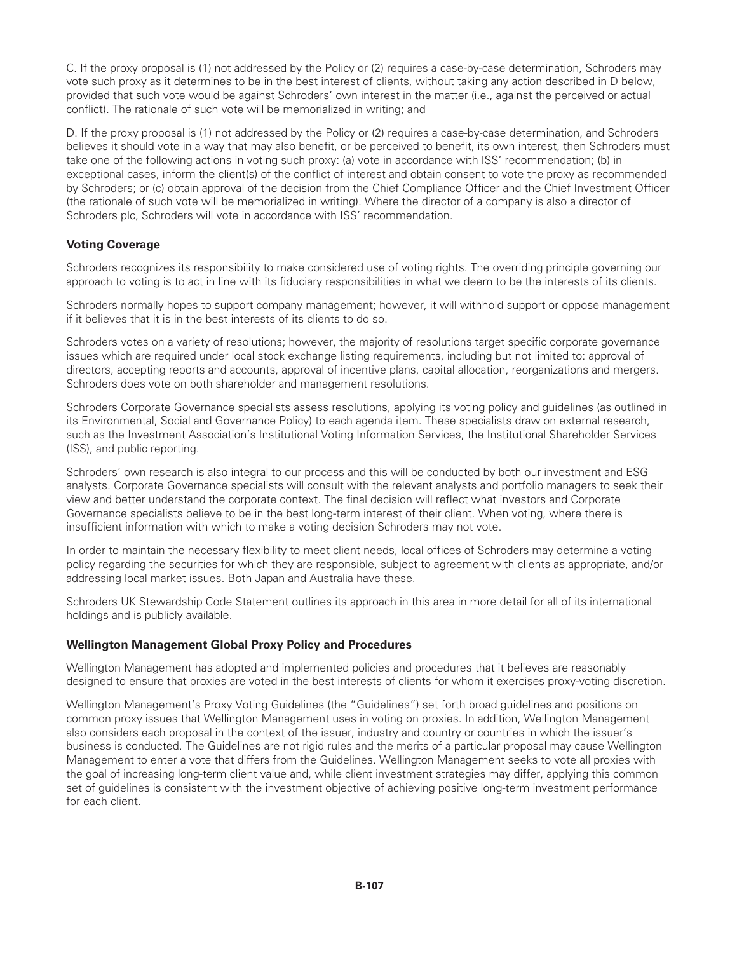C. If the proxy proposal is (1) not addressed by the Policy or (2) requires a case-by-case determination, Schroders may vote such proxy as it determines to be in the best interest of clients, without taking any action described in D below, provided that such vote would be against Schroders' own interest in the matter (i.e., against the perceived or actual conflict). The rationale of such vote will be memorialized in writing; and

D. If the proxy proposal is (1) not addressed by the Policy or (2) requires a case-by-case determination, and Schroders believes it should vote in a way that may also benefit, or be perceived to benefit, its own interest, then Schroders must take one of the following actions in voting such proxy: (a) vote in accordance with ISS' recommendation; (b) in exceptional cases, inform the client(s) of the conflict of interest and obtain consent to vote the proxy as recommended by Schroders; or (c) obtain approval of the decision from the Chief Compliance Officer and the Chief Investment Officer (the rationale of such vote will be memorialized in writing). Where the director of a company is also a director of Schroders plc, Schroders will vote in accordance with ISS' recommendation.

# **Voting Coverage**

Schroders recognizes its responsibility to make considered use of voting rights. The overriding principle governing our approach to voting is to act in line with its fiduciary responsibilities in what we deem to be the interests of its clients.

Schroders normally hopes to support company management; however, it will withhold support or oppose management if it believes that it is in the best interests of its clients to do so.

Schroders votes on a variety of resolutions; however, the majority of resolutions target specific corporate governance issues which are required under local stock exchange listing requirements, including but not limited to: approval of directors, accepting reports and accounts, approval of incentive plans, capital allocation, reorganizations and mergers. Schroders does vote on both shareholder and management resolutions.

Schroders Corporate Governance specialists assess resolutions, applying its voting policy and guidelines (as outlined in its Environmental, Social and Governance Policy) to each agenda item. These specialists draw on external research, such as the Investment Association's Institutional Voting Information Services, the Institutional Shareholder Services (ISS), and public reporting.

Schroders' own research is also integral to our process and this will be conducted by both our investment and ESG analysts. Corporate Governance specialists will consult with the relevant analysts and portfolio managers to seek their view and better understand the corporate context. The final decision will reflect what investors and Corporate Governance specialists believe to be in the best long-term interest of their client. When voting, where there is insufficient information with which to make a voting decision Schroders may not vote.

In order to maintain the necessary flexibility to meet client needs, local offices of Schroders may determine a voting policy regarding the securities for which they are responsible, subject to agreement with clients as appropriate, and/or addressing local market issues. Both Japan and Australia have these.

Schroders UK Stewardship Code Statement outlines its approach in this area in more detail for all of its international holdings and is publicly available.

# **Wellington Management Global Proxy Policy and Procedures**

Wellington Management has adopted and implemented policies and procedures that it believes are reasonably designed to ensure that proxies are voted in the best interests of clients for whom it exercises proxy-voting discretion.

Wellington Management's Proxy Voting Guidelines (the "Guidelines") set forth broad guidelines and positions on common proxy issues that Wellington Management uses in voting on proxies. In addition, Wellington Management also considers each proposal in the context of the issuer, industry and country or countries in which the issuer's business is conducted. The Guidelines are not rigid rules and the merits of a particular proposal may cause Wellington Management to enter a vote that differs from the Guidelines. Wellington Management seeks to vote all proxies with the goal of increasing long-term client value and, while client investment strategies may differ, applying this common set of guidelines is consistent with the investment objective of achieving positive long-term investment performance for each client.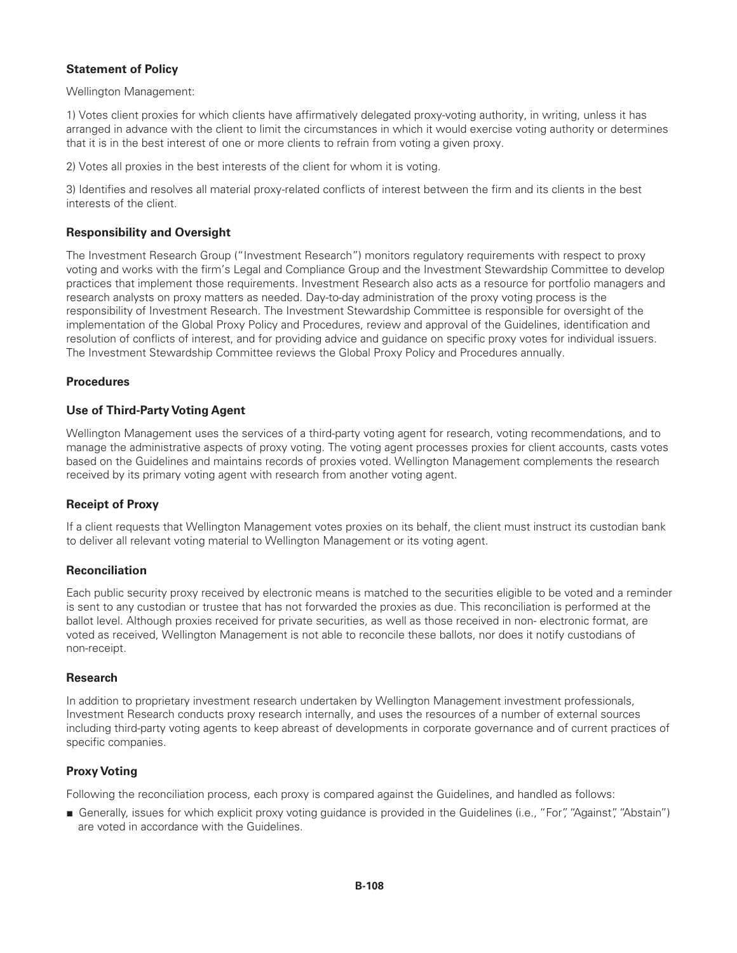# **Statement of Policy**

Wellington Management:

1) Votes client proxies for which clients have affirmatively delegated proxy-voting authority, in writing, unless it has arranged in advance with the client to limit the circumstances in which it would exercise voting authority or determines that it is in the best interest of one or more clients to refrain from voting a given proxy.

2) Votes all proxies in the best interests of the client for whom it is voting.

3) Identifies and resolves all material proxy-related conflicts of interest between the firm and its clients in the best interests of the client.

# **Responsibility and Oversight**

The Investment Research Group ("Investment Research") monitors regulatory requirements with respect to proxy voting and works with the firm's Legal and Compliance Group and the Investment Stewardship Committee to develop practices that implement those requirements. Investment Research also acts as a resource for portfolio managers and research analysts on proxy matters as needed. Day-to-day administration of the proxy voting process is the responsibility of Investment Research. The Investment Stewardship Committee is responsible for oversight of the implementation of the Global Proxy Policy and Procedures, review and approval of the Guidelines, identification and resolution of conflicts of interest, and for providing advice and guidance on specific proxy votes for individual issuers. The Investment Stewardship Committee reviews the Global Proxy Policy and Procedures annually.

# **Procedures**

# **Use of Third-Party Voting Agent**

Wellington Management uses the services of a third-party voting agent for research, voting recommendations, and to manage the administrative aspects of proxy voting. The voting agent processes proxies for client accounts, casts votes based on the Guidelines and maintains records of proxies voted. Wellington Management complements the research received by its primary voting agent with research from another voting agent.

# **Receipt of Proxy**

If a client requests that Wellington Management votes proxies on its behalf, the client must instruct its custodian bank to deliver all relevant voting material to Wellington Management or its voting agent.

# **Reconciliation**

Each public security proxy received by electronic means is matched to the securities eligible to be voted and a reminder is sent to any custodian or trustee that has not forwarded the proxies as due. This reconciliation is performed at the ballot level. Although proxies received for private securities, as well as those received in non- electronic format, are voted as received, Wellington Management is not able to reconcile these ballots, nor does it notify custodians of non-receipt.

# **Research**

In addition to proprietary investment research undertaken by Wellington Management investment professionals, Investment Research conducts proxy research internally, and uses the resources of a number of external sources including third-party voting agents to keep abreast of developments in corporate governance and of current practices of specific companies.

# **Proxy Voting**

Following the reconciliation process, each proxy is compared against the Guidelines, and handled as follows:

■ Generally, issues for which explicit proxy voting guidance is provided in the Guidelines (i.e., "For", "Against", "Abstain") are voted in accordance with the Guidelines.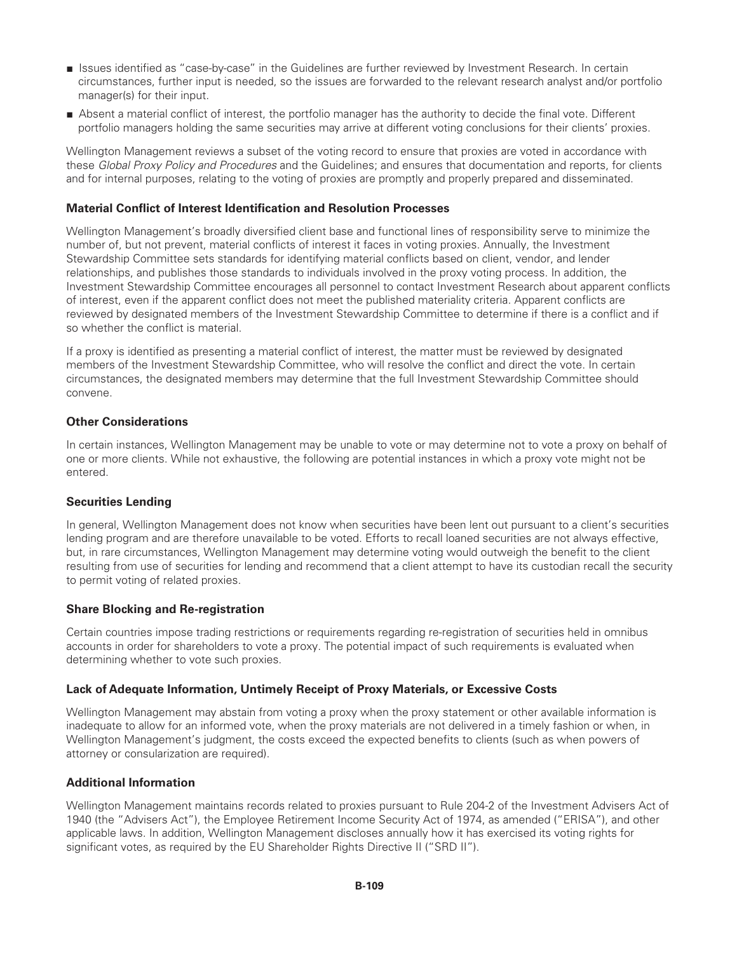- Issues identified as "case-by-case" in the Guidelines are further reviewed by Investment Research. In certain circumstances, further input is needed, so the issues are forwarded to the relevant research analyst and/or portfolio manager(s) for their input.
- Absent a material conflict of interest, the portfolio manager has the authority to decide the final vote. Different portfolio managers holding the same securities may arrive at different voting conclusions for their clients' proxies.

Wellington Management reviews a subset of the voting record to ensure that proxies are voted in accordance with these *Global Proxy Policy and Procedures* and the Guidelines; and ensures that documentation and reports, for clients and for internal purposes, relating to the voting of proxies are promptly and properly prepared and disseminated.

# **Material Conflict of Interest Identification and Resolution Processes**

Wellington Management's broadly diversified client base and functional lines of responsibility serve to minimize the number of, but not prevent, material conflicts of interest it faces in voting proxies. Annually, the Investment Stewardship Committee sets standards for identifying material conflicts based on client, vendor, and lender relationships, and publishes those standards to individuals involved in the proxy voting process. In addition, the Investment Stewardship Committee encourages all personnel to contact Investment Research about apparent conflicts of interest, even if the apparent conflict does not meet the published materiality criteria. Apparent conflicts are reviewed by designated members of the Investment Stewardship Committee to determine if there is a conflict and if so whether the conflict is material.

If a proxy is identified as presenting a material conflict of interest, the matter must be reviewed by designated members of the Investment Stewardship Committee, who will resolve the conflict and direct the vote. In certain circumstances, the designated members may determine that the full Investment Stewardship Committee should convene.

## **Other Considerations**

In certain instances, Wellington Management may be unable to vote or may determine not to vote a proxy on behalf of one or more clients. While not exhaustive, the following are potential instances in which a proxy vote might not be entered.

# **Securities Lending**

In general, Wellington Management does not know when securities have been lent out pursuant to a client's securities lending program and are therefore unavailable to be voted. Efforts to recall loaned securities are not always effective, but, in rare circumstances, Wellington Management may determine voting would outweigh the benefit to the client resulting from use of securities for lending and recommend that a client attempt to have its custodian recall the security to permit voting of related proxies.

# **Share Blocking and Re-registration**

Certain countries impose trading restrictions or requirements regarding re-registration of securities held in omnibus accounts in order for shareholders to vote a proxy. The potential impact of such requirements is evaluated when determining whether to vote such proxies.

# **Lack of Adequate Information, Untimely Receipt of Proxy Materials, or Excessive Costs**

Wellington Management may abstain from voting a proxy when the proxy statement or other available information is inadequate to allow for an informed vote, when the proxy materials are not delivered in a timely fashion or when, in Wellington Management's judgment, the costs exceed the expected benefits to clients (such as when powers of attorney or consularization are required).

# **Additional Information**

Wellington Management maintains records related to proxies pursuant to Rule 204-2 of the Investment Advisers Act of 1940 (the "Advisers Act"), the Employee Retirement Income Security Act of 1974, as amended ("ERISA"), and other applicable laws. In addition, Wellington Management discloses annually how it has exercised its voting rights for significant votes, as required by the EU Shareholder Rights Directive II ("SRD II").